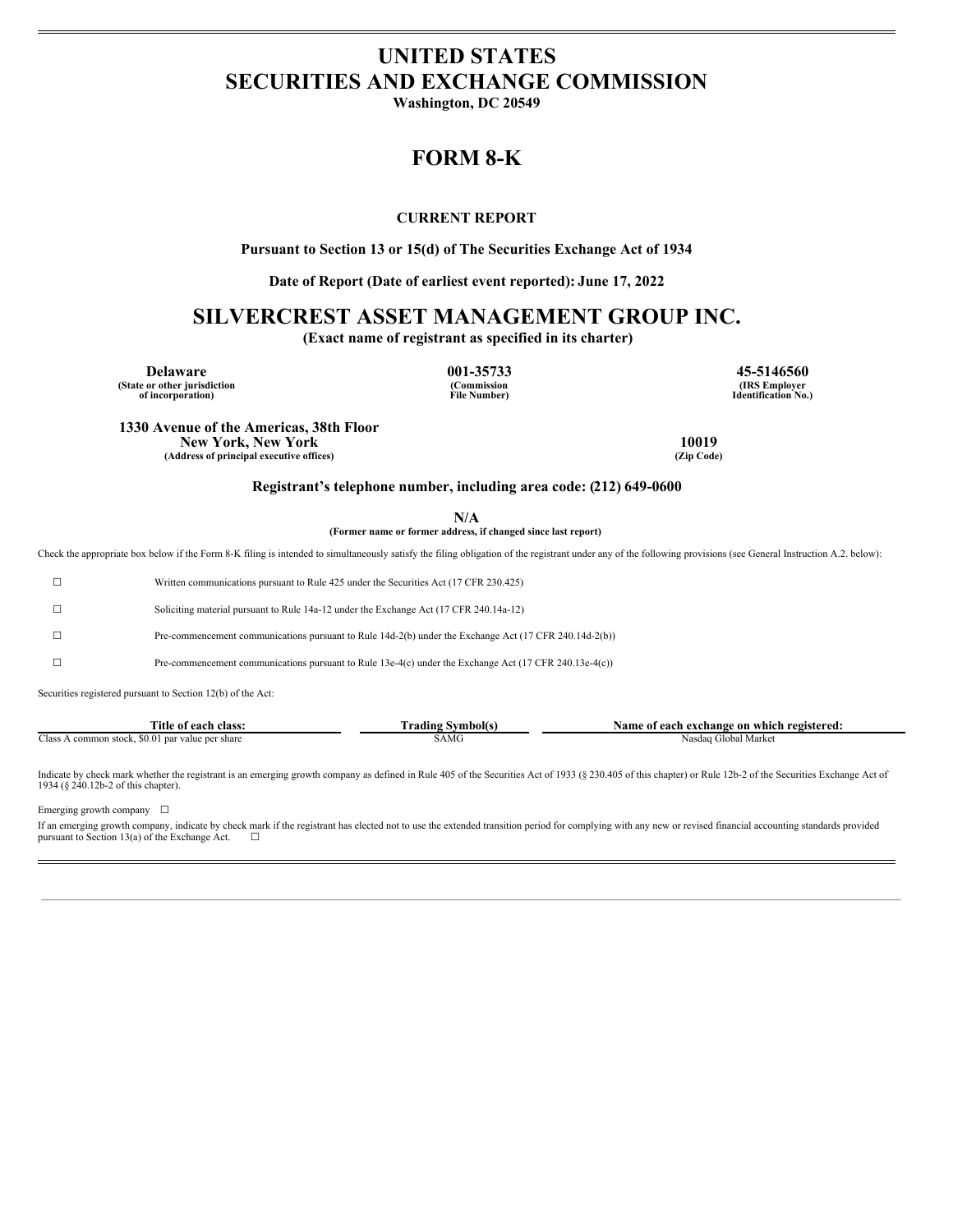# **UNITED STATES SECURITIES AND EXCHANGE COMMISSION**

**Washington, DC 20549**

# **FORM 8-K**

#### **CURRENT REPORT**

**Pursuant to Section 13 or 15(d) of The Securities Exchange Act of 1934**

**Date of Report (Date of earliest event reported): June 17, 2022**

# **SILVERCREST ASSET MANAGEMENT GROUP INC.**

**(Exact name of registrant as specified in its charter)**

**Delaware 001-35733 45-5146560 (State or other jurisdiction of incorporation)**

**(Commission File Number)**

**(IRS Employer Identification No.)**

**1330 Avenue of the Americas, 38th Floor**

**New York, New York 10019**

**(Address of principal executive offices) (Zip Code)**

**Registrant's telephone number, including area code: (212) 649-0600**

**N/A**

**(Former name or former address, if changed since last report)**

Check the appropriate box below if the Form 8-K filing is intended to simultaneously satisfy the filing obligation of the registrant under any of the following provisions (see General Instruction A.2. below):

|                                                             | Written communications pursuant to Rule 425 under the Securities Act (17 CFR 230.425)                  |  |
|-------------------------------------------------------------|--------------------------------------------------------------------------------------------------------|--|
|                                                             | Soliciting material pursuant to Rule 14a-12 under the Exchange Act (17 CFR 240.14a-12)                 |  |
|                                                             | Pre-commencement communications pursuant to Rule 14d-2(b) under the Exchange Act (17 CFR 240.14d-2(b)) |  |
|                                                             | Pre-commencement communications pursuant to Rule 13e-4(c) under the Exchange Act (17 CFR 240.13e-4(c)) |  |
| Securities registered pursuant to Section 12(b) of the Act: |                                                                                                        |  |

| Title.<br>olocc<br>eact                                        | mbolt:<br>radıne | registered.<br>. which<br>$\sqrt{am}$<br>exchange on<br>. each<br>-01 |
|----------------------------------------------------------------|------------------|-----------------------------------------------------------------------|
| Class<br>- SO.O<br>l par value per share<br>n stock.<br>common | эдій             | --<br>Global Marke<br>Nasdad                                          |

Indicate by check mark whether the registrant is an emerging growth company as defined in Rule 405 of the Securities Act of 1933 (§ 230.405 of this chapter) or Rule 12b-2 of the Securities Exchange Act of 1934 (§ 240.12b-2

Emerging growth company  $\quad \Box$ 

If an emerging growth company, indicate by check mark if the registrant has elected not to use the extended transition period for complying with any new or revised financial accounting standards provided pursuant to Secti pursuant to Section  $13(a)$  of the Exchange Act.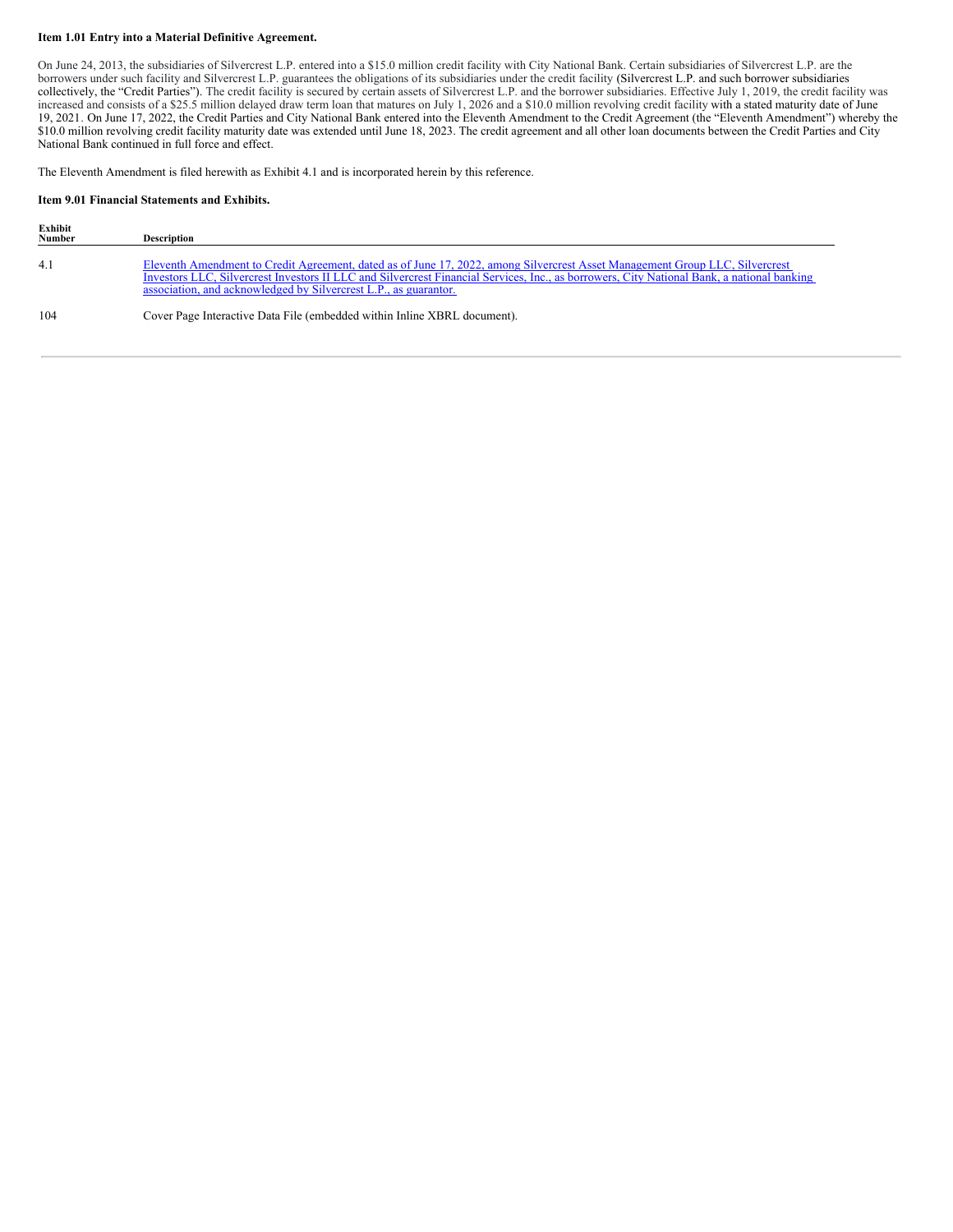#### **Item 1.01 Entry into a Material Definitive Agreement.**

On June 24, 2013, the subsidiaries of Silvercrest L.P. entered into a \$15.0 million credit facility with City National Bank. Certain subsidiaries of Silvercrest L.P. are the borrowers under such facility and Silvercrest L.P. guarantees the obligations of its subsidiaries under the credit facility (Silvercrest L.P. and such borrower subsidiaries collectively, the "Credit Parties"). The credit facility is secured by certain assets of Silvercrest L.P. and the borrower subsidiaries. Effective July 1, 2019, the credit facility was increased and consists of a \$25.5 million delayed draw term loan that matures on July 1, 2026 and a \$10.0 million revolving credit facility with a stated maturity date of June 19, 2021. On June 17, 2022, the Credit Parties and City National Bank entered into the Eleventh Amendment to the Credit Agreement (the "Eleventh Amendment") whereby the \$10.0 million revolving credit facility maturity date was extended until June 18, 2023. The credit agreement and all other loan documents between the Credit Parties and City National Bank continued in full force and effect.

The Eleventh Amendment is filed herewith as Exhibit 4.1 and is incorporated herein by this reference.

#### **Item 9.01 Financial Statements and Exhibits.**

| Exhibit<br>Number | Description                                                                                                                                                                                                                                                                                                                                    |
|-------------------|------------------------------------------------------------------------------------------------------------------------------------------------------------------------------------------------------------------------------------------------------------------------------------------------------------------------------------------------|
| 4.1               | Eleventh Amendment to Credit Agreement, dated as of June 17, 2022, among Silvercrest Asset Management Group LLC, Silvercrest<br>Investors LLC, Silvercrest Investors II LLC and Silvercrest Financial Services, Inc., as borrowers, City National Bank, a national banking<br>association, and acknowledged by Silvercrest L.P., as guarantor. |
| 104               | Cover Page Interactive Data File (embedded within Inline XBRL document).                                                                                                                                                                                                                                                                       |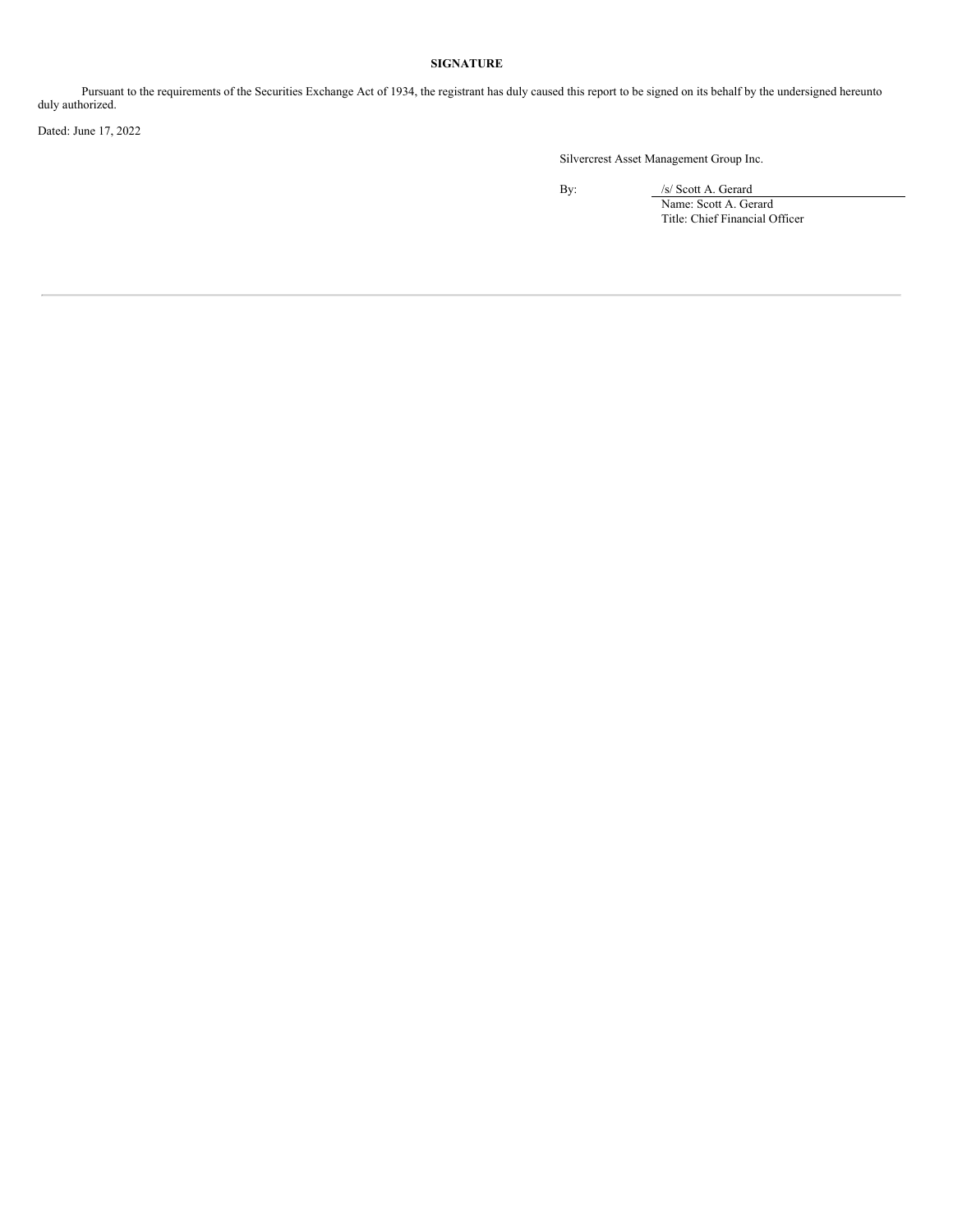#### **SIGNATURE**

Pursuant to the requirements of the Securities Exchange Act of 1934, the registrant has duly caused this report to be signed on its behalf by the undersigned hereunto duly authorized.

Dated: June 17, 2022

Silvercrest Asset Management Group Inc.

By: /s/ Scott A. Gerard Name: Scott A. Gerard Title: Chief Financial Officer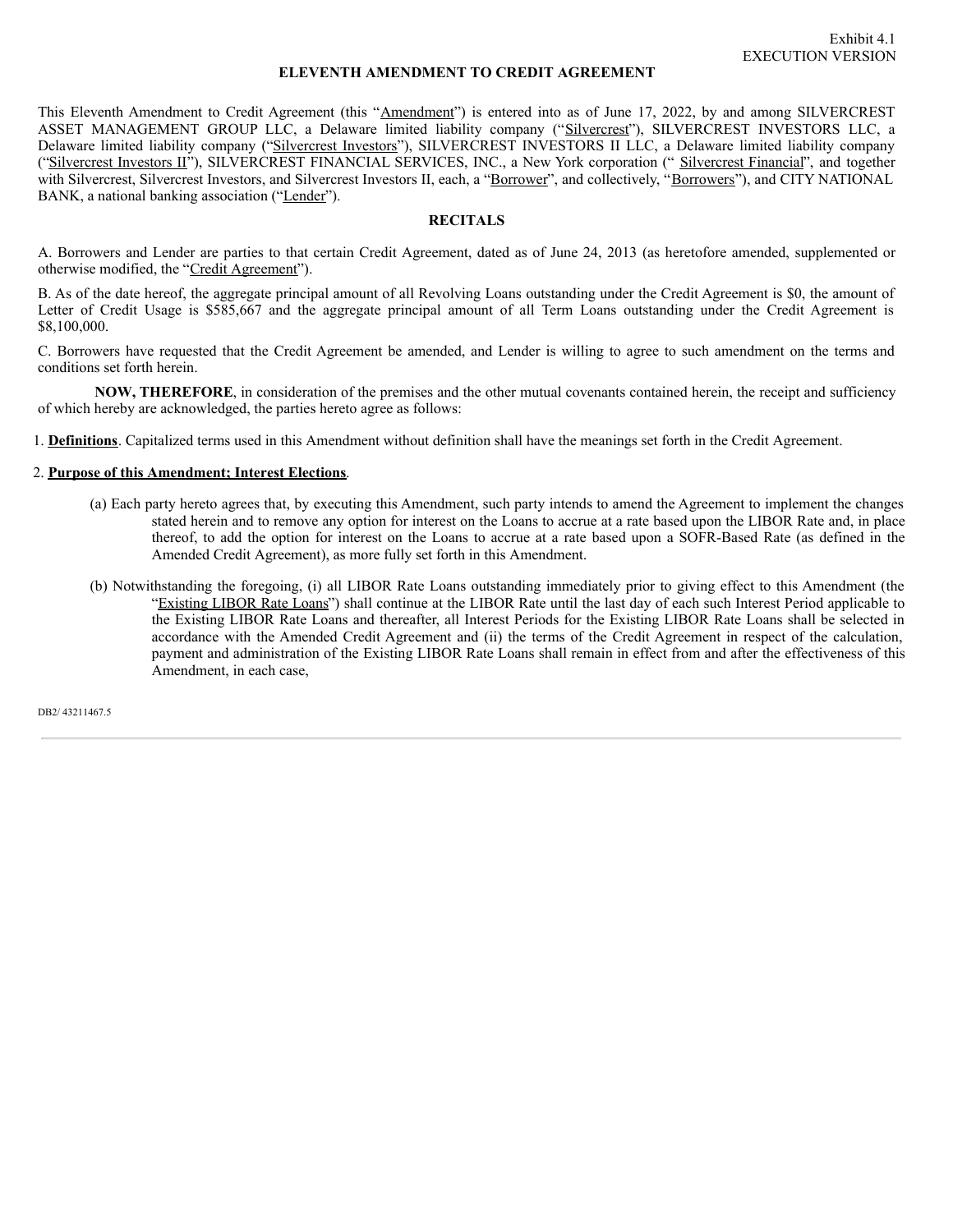#### **ELEVENTH AMENDMENT TO CREDIT AGREEMENT**

This Eleventh Amendment to Credit Agreement (this "Amendment") is entered into as of June 17, 2022, by and among SILVERCREST ASSET MANAGEMENT GROUP LLC, a Delaware limited liability company ("Silvercrest"), SILVERCREST INVESTORS LLC, a Delaware limited liability company ("Silvercrest Investors"), SILVERCREST INVESTORS II LLC, a Delaware limited liability company ("Silvercrest Investors II"), SILVERCREST FINANCIAL SERVICES, INC., a New York corporation (" Silvercrest Financial", and together with Silvercrest, Silvercrest Investors, and Silvercrest Investors II, each, a "Borrower", and collectively, "Borrowers"), and CITY NATIONAL BANK, a national banking association ("Lender").

#### **RECITALS**

A. Borrowers and Lender are parties to that certain Credit Agreement, dated as of June 24, 2013 (as heretofore amended, supplemented or otherwise modified, the "Credit Agreement").

B. As of the date hereof, the aggregate principal amount of all Revolving Loans outstanding under the Credit Agreement is \$0, the amount of Letter of Credit Usage is \$585,667 and the aggregate principal amount of all Term Loans outstanding under the Credit Agreement is \$8,100,000.

C. Borrowers have requested that the Credit Agreement be amended, and Lender is willing to agree to such amendment on the terms and conditions set forth herein.

**NOW, THEREFORE**, in consideration of the premises and the other mutual covenants contained herein, the receipt and sufficiency of which hereby are acknowledged, the parties hereto agree as follows:

1. **Definitions**. Capitalized terms used in this Amendment without definition shall have the meanings set forth in the Credit Agreement.

#### 2. **Purpose of this Amendment; Interest Elections**.

- (a) Each party hereto agrees that, by executing this Amendment, such party intends to amend the Agreement to implement the changes stated herein and to remove any option for interest on the Loans to accrue at a rate based upon the LIBOR Rate and, in place thereof, to add the option for interest on the Loans to accrue at a rate based upon a SOFR-Based Rate (as defined in the Amended Credit Agreement), as more fully set forth in this Amendment.
- (b) Notwithstanding the foregoing, (i) all LIBOR Rate Loans outstanding immediately prior to giving effect to this Amendment (the "Existing LIBOR Rate Loans") shall continue at the LIBOR Rate until the last day of each such Interest Period applicable to the Existing LIBOR Rate Loans and thereafter, all Interest Periods for the Existing LIBOR Rate Loans shall be selected in accordance with the Amended Credit Agreement and (ii) the terms of the Credit Agreement in respect of the calculation, payment and administration of the Existing LIBOR Rate Loans shall remain in effect from and after the effectiveness of this Amendment, in each case,

DB2/ 43211467.5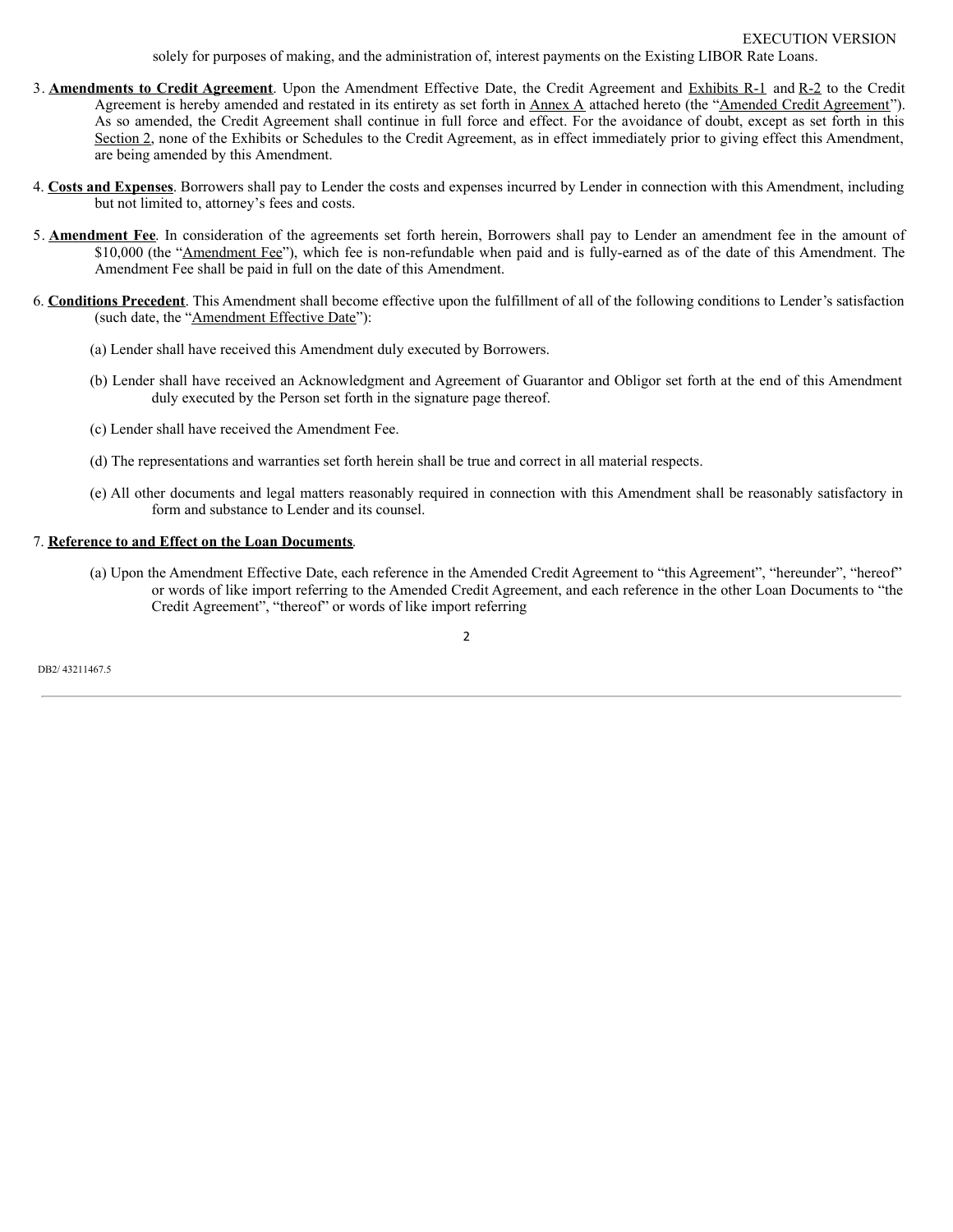solely for purposes of making, and the administration of, interest payments on the Existing LIBOR Rate Loans.

- 3. **Amendments to Credit Agreement**. Upon the Amendment Effective Date, the Credit Agreement and Exhibits R-1 and R-2 to the Credit Agreement is hereby amended and restated in its entirety as set forth in Annex A attached hereto (the "Amended Credit Agreement"). As so amended, the Credit Agreement shall continue in full force and effect. For the avoidance of doubt, except as set forth in this Section 2, none of the Exhibits or Schedules to the Credit Agreement, as in effect immediately prior to giving effect this Amendment, are being amended by this Amendment.
- 4. **Costs and Expenses**. Borrowers shall pay to Lender the costs and expenses incurred by Lender in connection with this Amendment, including but not limited to, attorney's fees and costs.
- 5. **Amendment Fee**. In consideration of the agreements set forth herein, Borrowers shall pay to Lender an amendment fee in the amount of \$10,000 (the "Amendment Fee"), which fee is non-refundable when paid and is fully-earned as of the date of this Amendment. The Amendment Fee shall be paid in full on the date of this Amendment.
- 6. **Conditions Precedent**. This Amendment shall become effective upon the fulfillment of all of the following conditions to Lender's satisfaction (such date, the "Amendment Effective Date"):
	- (a) Lender shall have received this Amendment duly executed by Borrowers.
	- (b) Lender shall have received an Acknowledgment and Agreement of Guarantor and Obligor set forth at the end of this Amendment duly executed by the Person set forth in the signature page thereof.
	- (c) Lender shall have received the Amendment Fee.
	- (d) The representations and warranties set forth herein shall be true and correct in all material respects.
	- (e) All other documents and legal matters reasonably required in connection with this Amendment shall be reasonably satisfactory in form and substance to Lender and its counsel.

#### 7. **Reference to and Effect on the Loan Documents**.

(a) Upon the Amendment Effective Date, each reference in the Amended Credit Agreement to "this Agreement", "hereunder", "hereof" or words of like import referring to the Amended Credit Agreement, and each reference in the other Loan Documents to "the Credit Agreement", "thereof" or words of like import referring

2

DB2/ 43211467.5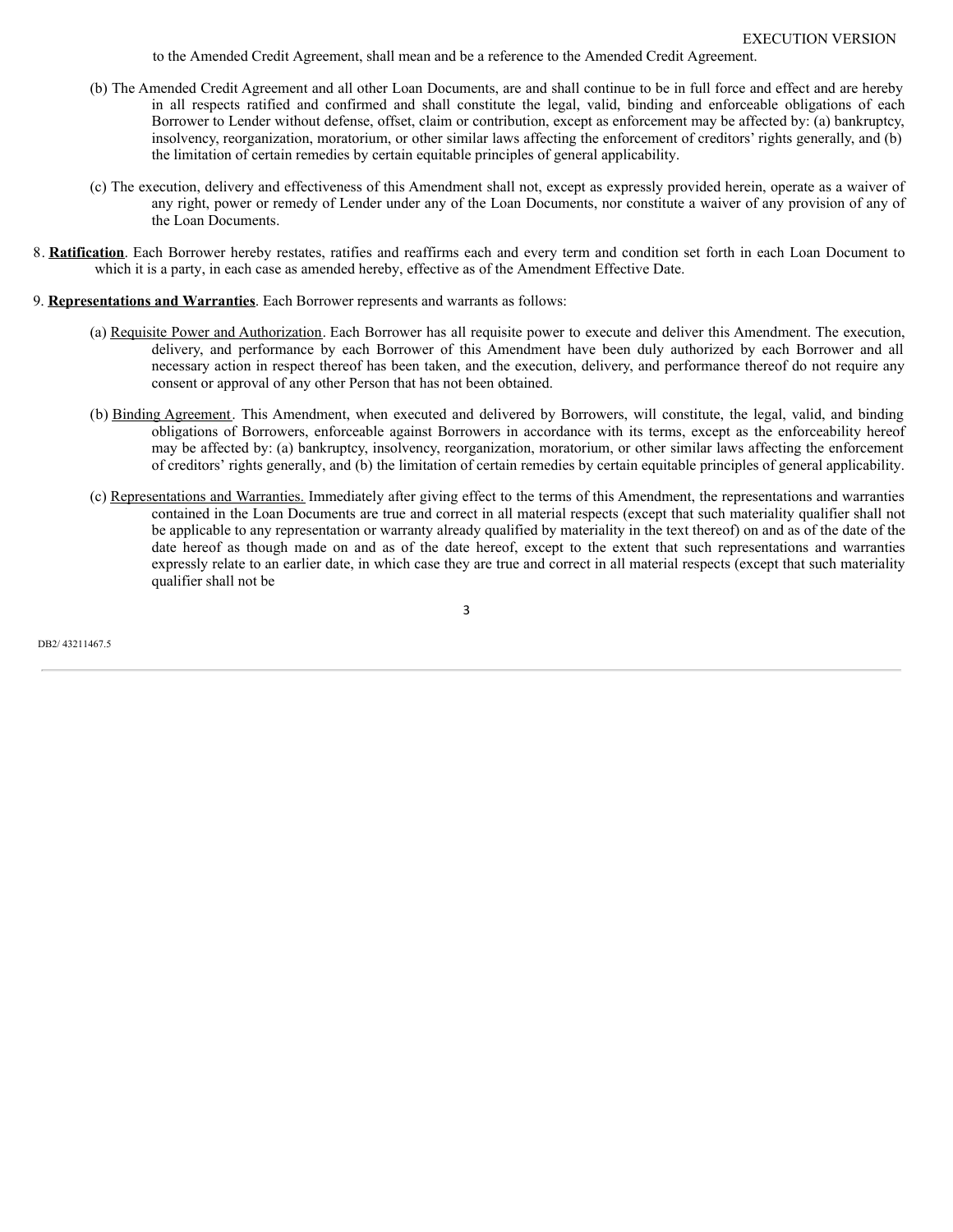to the Amended Credit Agreement, shall mean and be a reference to the Amended Credit Agreement.

- (b) The Amended Credit Agreement and all other Loan Documents, are and shall continue to be in full force and effect and are hereby in all respects ratified and confirmed and shall constitute the legal, valid, binding and enforceable obligations of each Borrower to Lender without defense, offset, claim or contribution, except as enforcement may be affected by: (a) bankruptcy, insolvency, reorganization, moratorium, or other similar laws affecting the enforcement of creditors' rights generally, and (b) the limitation of certain remedies by certain equitable principles of general applicability.
- (c) The execution, delivery and effectiveness of this Amendment shall not, except as expressly provided herein, operate as a waiver of any right, power or remedy of Lender under any of the Loan Documents, nor constitute a waiver of any provision of any of the Loan Documents.
- 8. **Ratification**. Each Borrower hereby restates, ratifies and reaffirms each and every term and condition set forth in each Loan Document to which it is a party, in each case as amended hereby, effective as of the Amendment Effective Date.
- 9. **Representations and Warranties**. Each Borrower represents and warrants as follows:
	- (a) Requisite Power and Authorization. Each Borrower has all requisite power to execute and deliver this Amendment. The execution, delivery, and performance by each Borrower of this Amendment have been duly authorized by each Borrower and all necessary action in respect thereof has been taken, and the execution, delivery, and performance thereof do not require any consent or approval of any other Person that has not been obtained.
	- (b) Binding Agreement. This Amendment, when executed and delivered by Borrowers, will constitute, the legal, valid, and binding obligations of Borrowers, enforceable against Borrowers in accordance with its terms, except as the enforceability hereof may be affected by: (a) bankruptcy, insolvency, reorganization, moratorium, or other similar laws affecting the enforcement of creditors' rights generally, and (b) the limitation of certain remedies by certain equitable principles of general applicability.
	- (c) Representations and Warranties. Immediately after giving effect to the terms of this Amendment, the representations and warranties contained in the Loan Documents are true and correct in all material respects (except that such materiality qualifier shall not be applicable to any representation or warranty already qualified by materiality in the text thereof) on and as of the date of the date hereof as though made on and as of the date hereof, except to the extent that such representations and warranties expressly relate to an earlier date, in which case they are true and correct in all material respects (except that such materiality qualifier shall not be

DB2/ 43211467.5

## 3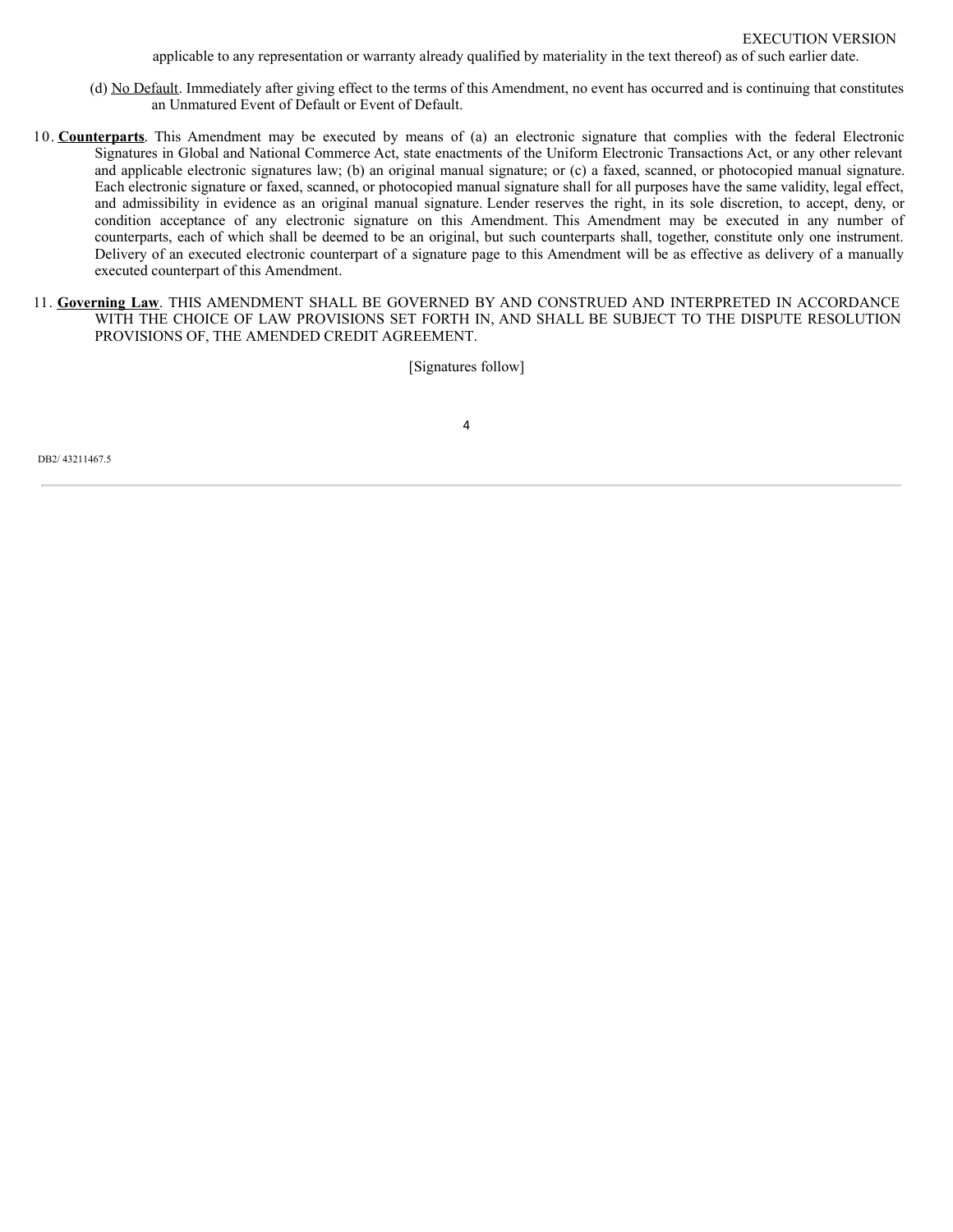EXECUTION VERSION

applicable to any representation or warranty already qualified by materiality in the text thereof) as of such earlier date.

- (d) No Default. Immediately after giving effect to the terms of this Amendment, no event has occurred and is continuing that constitutes an Unmatured Event of Default or Event of Default.
- 10. **Counterparts**. This Amendment may be executed by means of (a) an electronic signature that complies with the federal Electronic Signatures in Global and National Commerce Act, state enactments of the Uniform Electronic Transactions Act, or any other relevant and applicable electronic signatures law; (b) an original manual signature; or (c) a faxed, scanned, or photocopied manual signature. Each electronic signature or faxed, scanned, or photocopied manual signature shall for all purposes have the same validity, legal effect, and admissibility in evidence as an original manual signature. Lender reserves the right, in its sole discretion, to accept, deny, or condition acceptance of any electronic signature on this Amendment. This Amendment may be executed in any number of counterparts, each of which shall be deemed to be an original, but such counterparts shall, together, constitute only one instrument. Delivery of an executed electronic counterpart of a signature page to this Amendment will be as effective as delivery of a manually executed counterpart of this Amendment.
- 11. **Governing Law**. THIS AMENDMENT SHALL BE GOVERNED BY AND CONSTRUED AND INTERPRETED IN ACCORDANCE WITH THE CHOICE OF LAW PROVISIONS SET FORTH IN, AND SHALL BE SUBJECT TO THE DISPUTE RESOLUTION PROVISIONS OF, THE AMENDED CREDIT AGREEMENT.

[Signatures follow]

4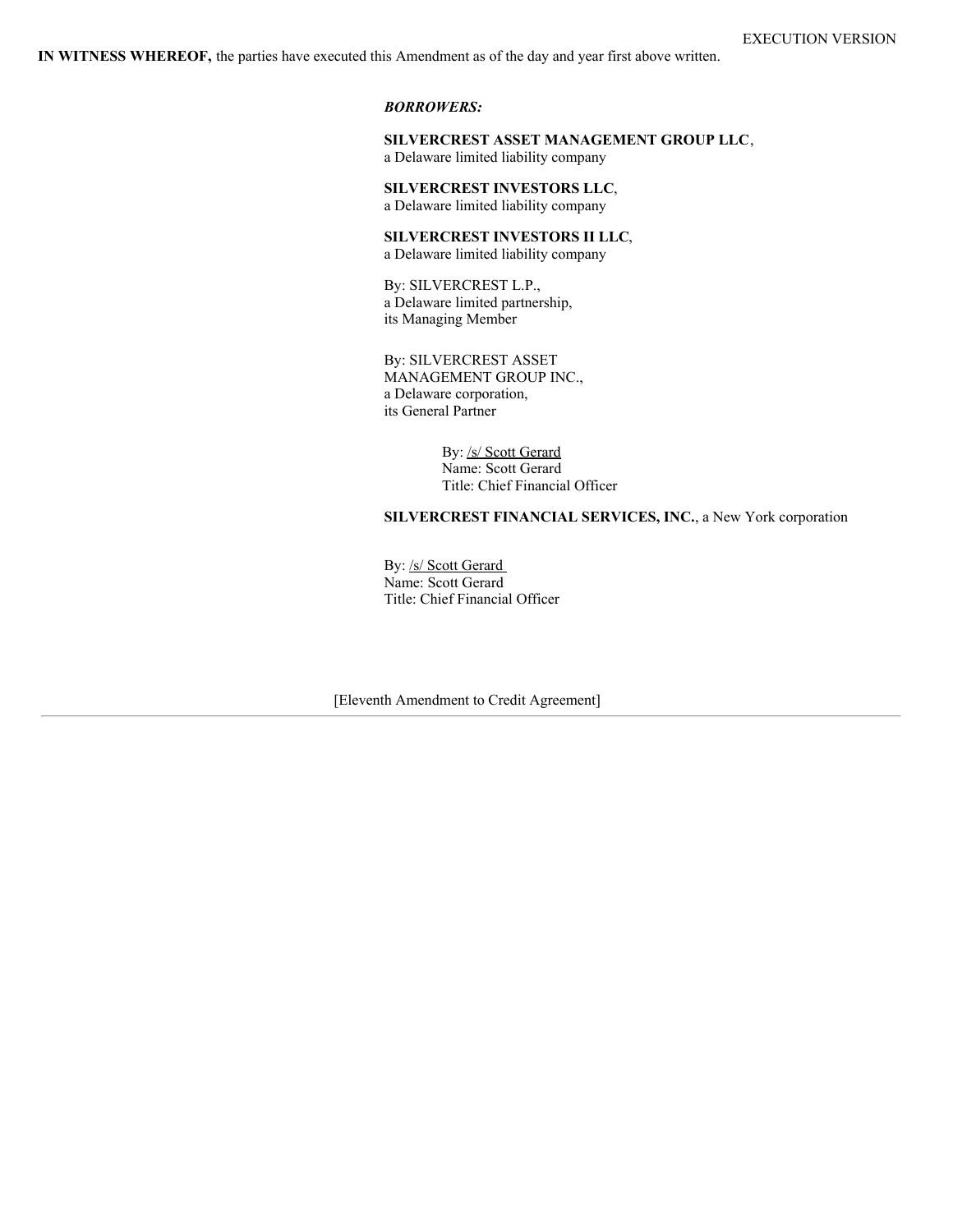**IN WITNESS WHEREOF,** the parties have executed this Amendment as of the day and year first above written.

#### *BORROWERS:*

**SILVERCREST ASSET MANAGEMENT GROUP LLC**, a Delaware limited liability company

**SILVERCREST INVESTORS LLC**, a Delaware limited liability company

**SILVERCREST INVESTORS II LLC**, a Delaware limited liability company

By: SILVERCREST L.P., a Delaware limited partnership, its Managing Member

By: SILVERCREST ASSET MANAGEMENT GROUP INC., a Delaware corporation, its General Partner

> By: /s/ Scott Gerard Name: Scott Gerard Title: Chief Financial Officer

#### **SILVERCREST FINANCIAL SERVICES, INC.**, a New York corporation

By: /s/ Scott Gerard Name: Scott Gerard Title: Chief Financial Officer

[Eleventh Amendment to Credit Agreement]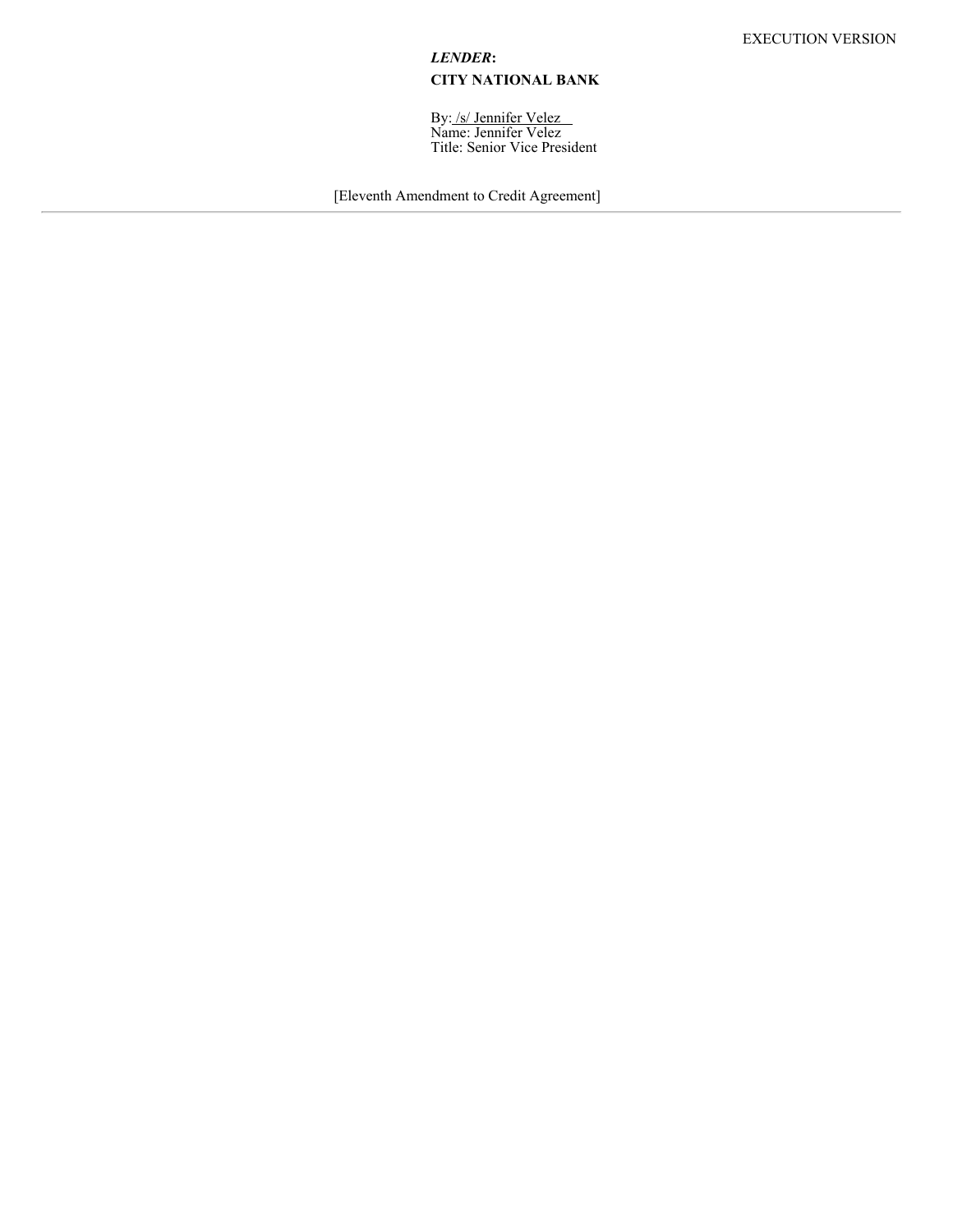# *LENDER***: CITY NATIONAL BANK**

By: /s/ Jennifer Velez Name: Jennifer Velez Title: Senior Vice President

[Eleventh Amendment to Credit Agreement]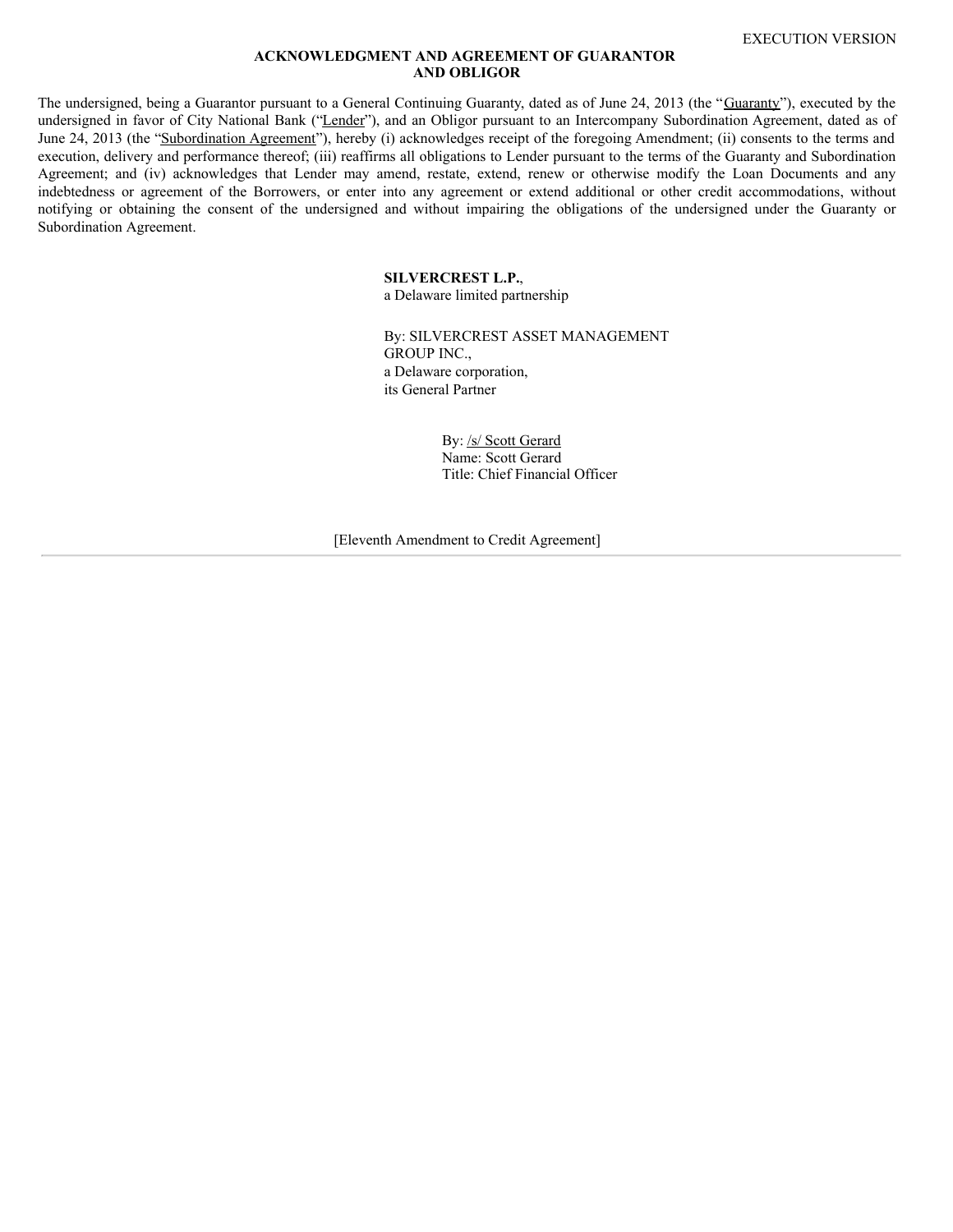#### **ACKNOWLEDGMENT AND AGREEMENT OF GUARANTOR AND OBLIGOR**

The undersigned, being a Guarantor pursuant to a General Continuing Guaranty, dated as of June 24, 2013 (the "Guaranty"), executed by the undersigned in favor of City National Bank ("Lender"), and an Obligor pursuant to an Intercompany Subordination Agreement, dated as of June 24, 2013 (the "Subordination Agreement"), hereby (i) acknowledges receipt of the foregoing Amendment; (ii) consents to the terms and execution, delivery and performance thereof; (iii) reaffirms all obligations to Lender pursuant to the terms of the Guaranty and Subordination Agreement; and (iv) acknowledges that Lender may amend, restate, extend, renew or otherwise modify the Loan Documents and any indebtedness or agreement of the Borrowers, or enter into any agreement or extend additional or other credit accommodations, without notifying or obtaining the consent of the undersigned and without impairing the obligations of the undersigned under the Guaranty or Subordination Agreement.

> **SILVERCREST L.P.**, a Delaware limited partnership

By: SILVERCREST ASSET MANAGEMENT GROUP INC., a Delaware corporation, its General Partner

> By: /s/ Scott Gerard Name: Scott Gerard Title: Chief Financial Officer

[Eleventh Amendment to Credit Agreement]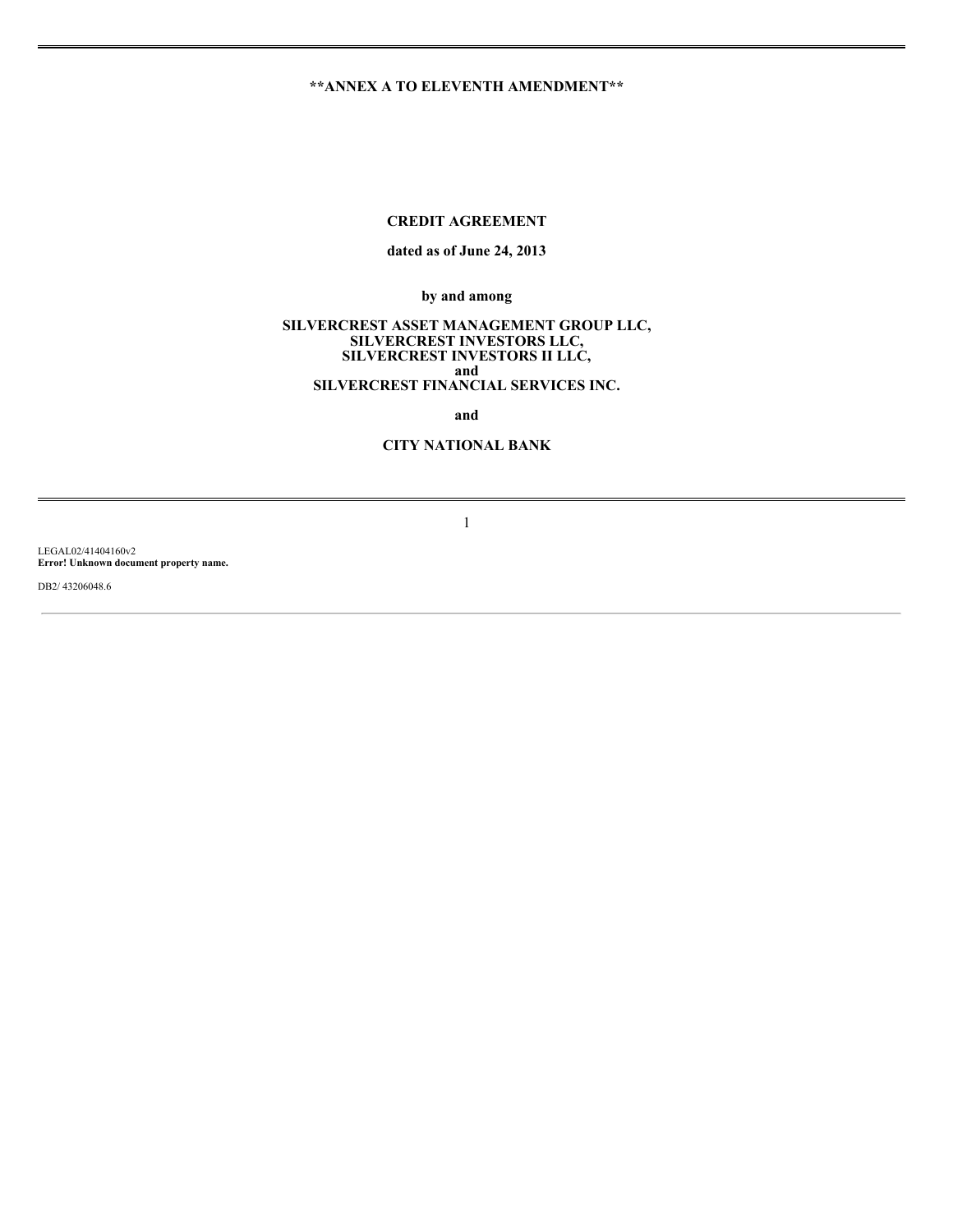## **\*\*ANNEX A TO ELEVENTH AMENDMENT\*\***

#### **CREDIT AGREEMENT**

### **dated as of June 24, 2013**

**by and among**

#### **SILVERCREST ASSET MANAGEMENT GROUP LLC, SILVERCREST INVESTORS LLC, SILVERCREST INVESTORS II LLC, and SILVERCREST FINANCIAL SERVICES INC.**

**and**

### **CITY NATIONAL BANK**

1

LEGAL02/41404160v2 **Error! Unknown document property name.**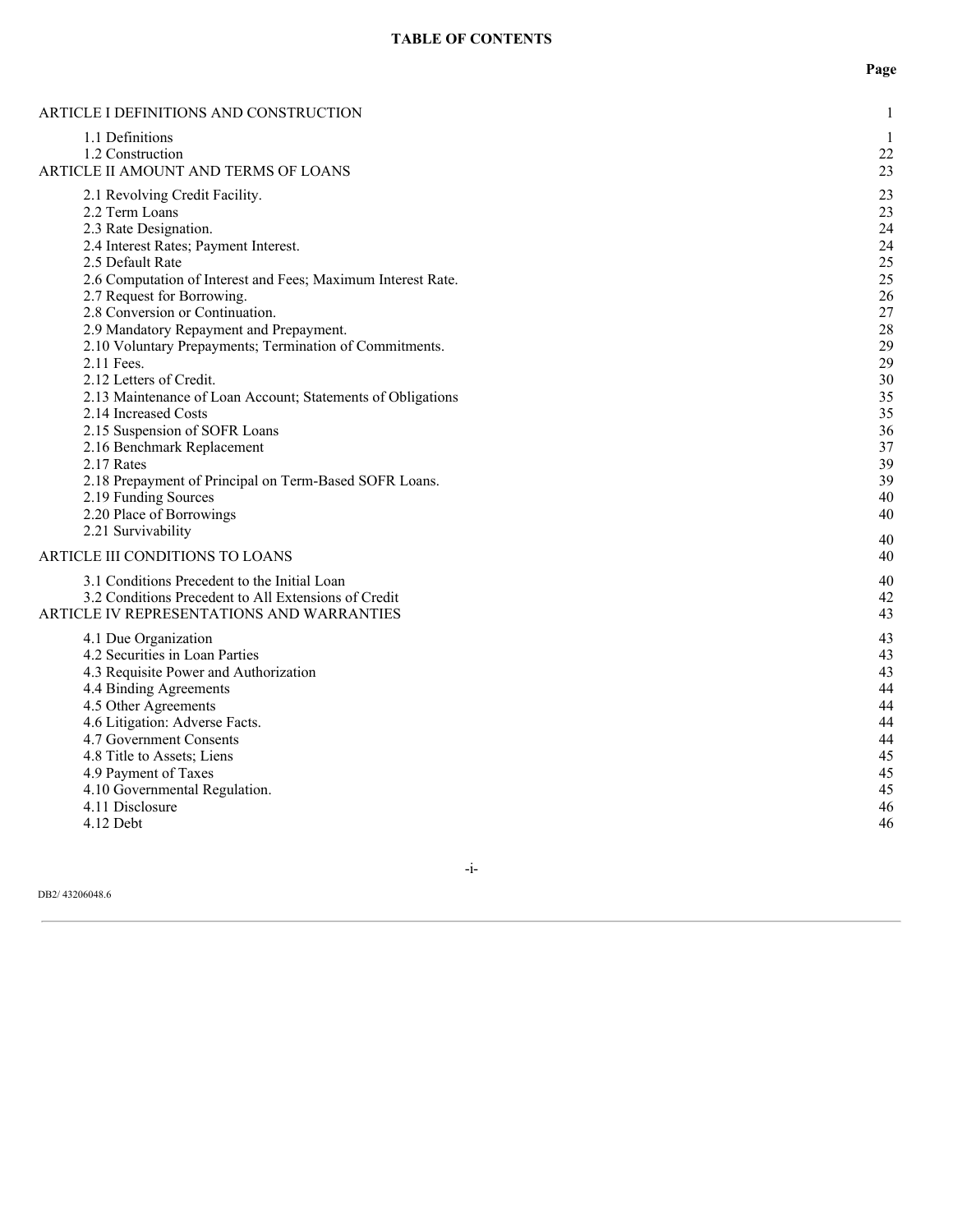#### **TABLE OF CONTENTS**

| ARTICLE I DEFINITIONS AND CONSTRUCTION                       | $\mathbf{1}$ |
|--------------------------------------------------------------|--------------|
| 1.1 Definitions                                              | 1            |
| 1.2 Construction                                             | $22\,$       |
| ARTICLE II AMOUNT AND TERMS OF LOANS                         |              |
| 2.1 Revolving Credit Facility.                               | 23           |
| 2.2 Term Loans                                               | 23           |
| 2.3 Rate Designation.                                        | 24           |
| 2.4 Interest Rates; Payment Interest.                        | 24           |
| 2.5 Default Rate                                             | 25           |
| 2.6 Computation of Interest and Fees; Maximum Interest Rate. | 25           |
| 2.7 Request for Borrowing.                                   | 26           |
| 2.8 Conversion or Continuation.                              | 27           |
| 2.9 Mandatory Repayment and Prepayment.                      | $28\,$       |
| 2.10 Voluntary Prepayments; Termination of Commitments.      | 29           |
| 2.11 Fees.                                                   | 29           |
| 2.12 Letters of Credit.                                      | $30\,$       |
| 2.13 Maintenance of Loan Account; Statements of Obligations  | 35           |
| 2.14 Increased Costs                                         | 35           |
| 2.15 Suspension of SOFR Loans                                | 36           |
| 2.16 Benchmark Replacement                                   | 37           |
| 2.17 Rates                                                   | 39           |
| 2.18 Prepayment of Principal on Term-Based SOFR Loans.       | 39           |
| 2.19 Funding Sources<br>2.20 Place of Borrowings             | 40<br>40     |
| 2.21 Survivability                                           |              |
|                                                              | 40           |
| ARTICLE III CONDITIONS TO LOANS                              | 40           |
| 3.1 Conditions Precedent to the Initial Loan                 | 40           |
| 3.2 Conditions Precedent to All Extensions of Credit         | 42           |
| ARTICLE IV REPRESENTATIONS AND WARRANTIES                    | 43           |
| 4.1 Due Organization                                         | 43           |
| 4.2 Securities in Loan Parties                               | 43           |
| 4.3 Requisite Power and Authorization                        | 43           |
| 4.4 Binding Agreements                                       | 44           |
| 4.5 Other Agreements                                         | 44           |
| 4.6 Litigation: Adverse Facts.                               | 44           |
| 4.7 Government Consents                                      | 44           |
| 4.8 Title to Assets; Liens                                   | 45           |
| 4.9 Payment of Taxes                                         | 45           |
| 4.10 Governmental Regulation.                                | 45           |
| 4.11 Disclosure                                              | 46           |
| 4.12 Debt                                                    | 46           |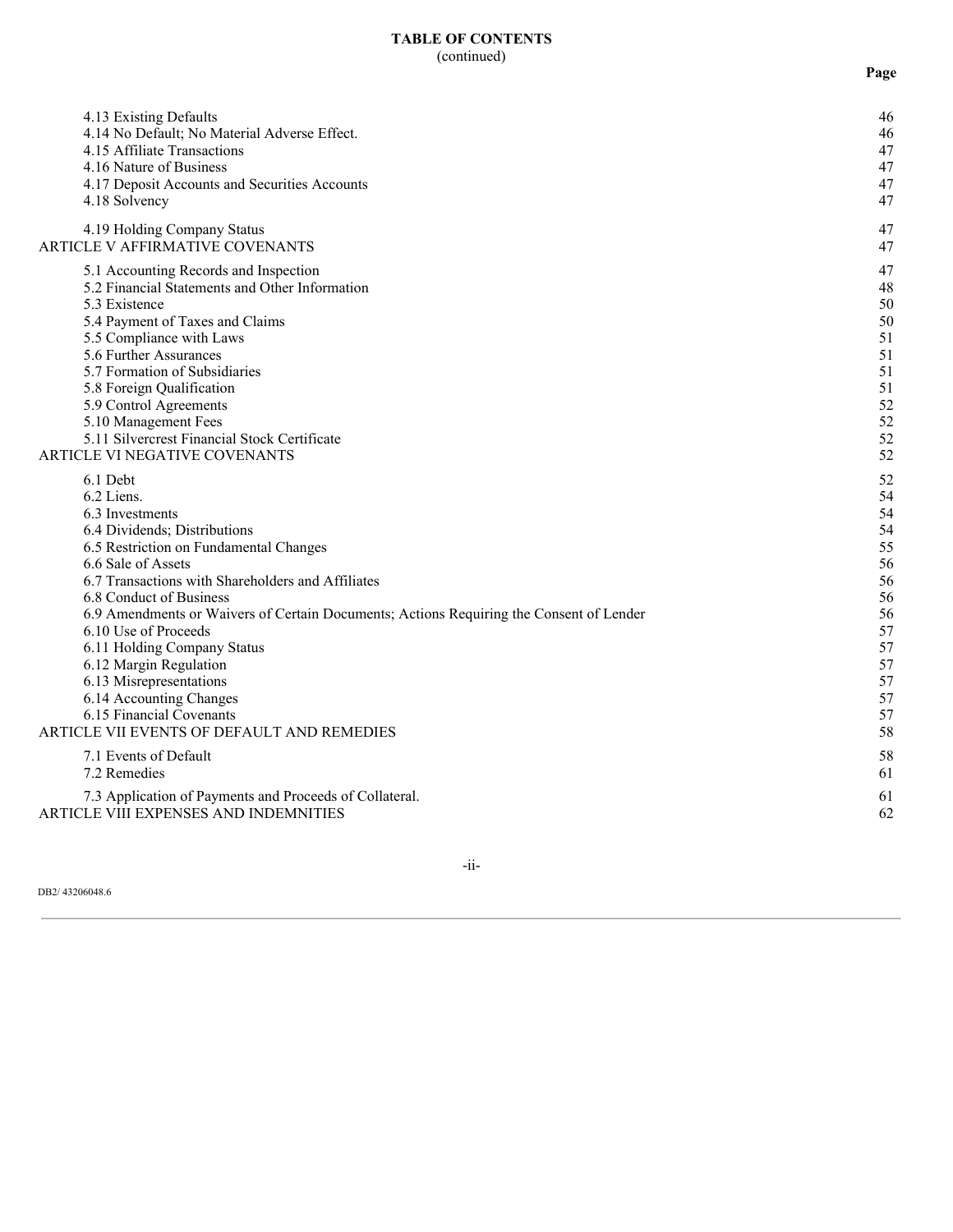### **TABLE OF CONTENTS** (continued)

**Page**

| 4.13 Existing Defaults                                                                  | 46 |
|-----------------------------------------------------------------------------------------|----|
| 4.14 No Default; No Material Adverse Effect.                                            | 46 |
| 4.15 Affiliate Transactions                                                             | 47 |
| 4.16 Nature of Business                                                                 | 47 |
| 4.17 Deposit Accounts and Securities Accounts                                           | 47 |
| 4.18 Solvency                                                                           | 47 |
| 4.19 Holding Company Status                                                             | 47 |
| ARTICLE V AFFIRMATIVE COVENANTS                                                         | 47 |
| 5.1 Accounting Records and Inspection                                                   | 47 |
| 5.2 Financial Statements and Other Information                                          | 48 |
| 5.3 Existence                                                                           | 50 |
| 5.4 Payment of Taxes and Claims                                                         | 50 |
| 5.5 Compliance with Laws                                                                | 51 |
| 5.6 Further Assurances                                                                  | 51 |
| 5.7 Formation of Subsidiaries                                                           | 51 |
| 5.8 Foreign Qualification                                                               | 51 |
| 5.9 Control Agreements                                                                  | 52 |
| 5.10 Management Fees                                                                    | 52 |
| 5.11 Silvercrest Financial Stock Certificate                                            | 52 |
| ARTICLE VI NEGATIVE COVENANTS                                                           | 52 |
| 6.1 Debt                                                                                | 52 |
| 6.2 Liens.                                                                              | 54 |
| 6.3 Investments                                                                         | 54 |
| 6.4 Dividends; Distributions                                                            | 54 |
| 6.5 Restriction on Fundamental Changes                                                  | 55 |
| 6.6 Sale of Assets                                                                      | 56 |
| 6.7 Transactions with Shareholders and Affiliates                                       | 56 |
| 6.8 Conduct of Business                                                                 | 56 |
| 6.9 Amendments or Waivers of Certain Documents; Actions Requiring the Consent of Lender | 56 |
| 6.10 Use of Proceeds                                                                    | 57 |
| 6.11 Holding Company Status                                                             | 57 |
| 6.12 Margin Regulation                                                                  | 57 |
| 6.13 Misrepresentations                                                                 | 57 |
| 6.14 Accounting Changes                                                                 | 57 |
| 6.15 Financial Covenants                                                                | 57 |
| ARTICLE VII EVENTS OF DEFAULT AND REMEDIES                                              | 58 |
| 7.1 Events of Default                                                                   | 58 |
| 7.2 Remedies                                                                            | 61 |
| 7.3 Application of Payments and Proceeds of Collateral.                                 | 61 |
| ARTICLE VIII EXPENSES AND INDEMNITIES                                                   | 62 |

-ii-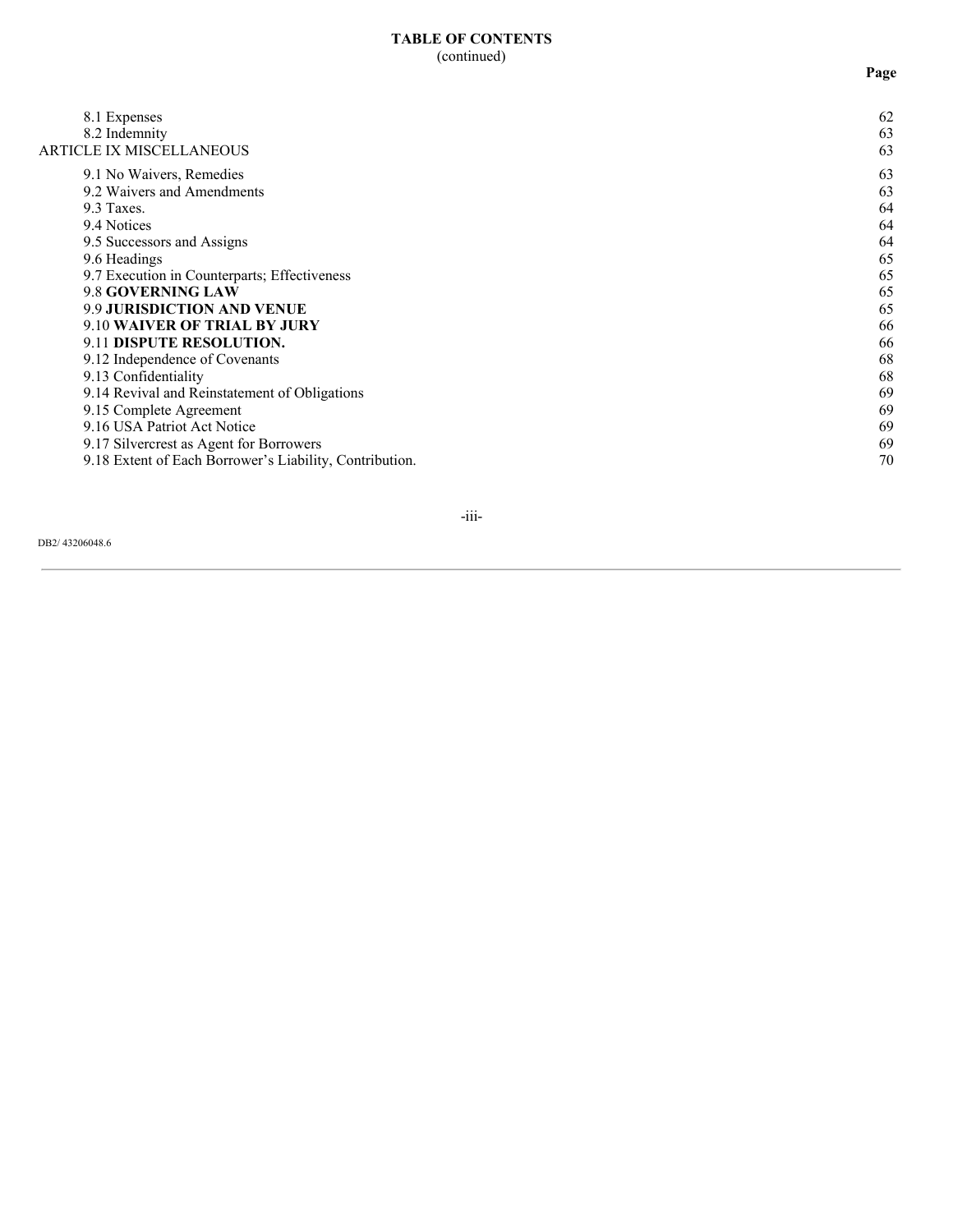### **TABLE OF CONTENTS** (continued)

| 8.1 Expenses                                            | 62 |
|---------------------------------------------------------|----|
| 8.2 Indemnity                                           | 63 |
| ARTICLE IX MISCELLANEOUS                                | 63 |
| 9.1 No Waivers, Remedies                                | 63 |
| 9.2 Waivers and Amendments                              | 63 |
| 9.3 Taxes.                                              | 64 |
| 9.4 Notices                                             | 64 |
| 9.5 Successors and Assigns                              | 64 |
| 9.6 Headings                                            | 65 |
| 9.7 Execution in Counterparts; Effectiveness            | 65 |
| 9.8 GOVERNING LAW                                       | 65 |
| 9.9 JURISDICTION AND VENUE                              | 65 |
| 9.10 WAIVER OF TRIAL BY JURY                            | 66 |
| 9.11 DISPUTE RESOLUTION.                                | 66 |
| 9.12 Independence of Covenants                          | 68 |
| 9.13 Confidentiality                                    | 68 |
| 9.14 Revival and Reinstatement of Obligations           | 69 |
| 9.15 Complete Agreement                                 | 69 |
| 9.16 USA Patriot Act Notice                             | 69 |
| 9.17 Silvercrest as Agent for Borrowers                 | 69 |
| 9.18 Extent of Each Borrower's Liability, Contribution. | 70 |
|                                                         |    |

-iii-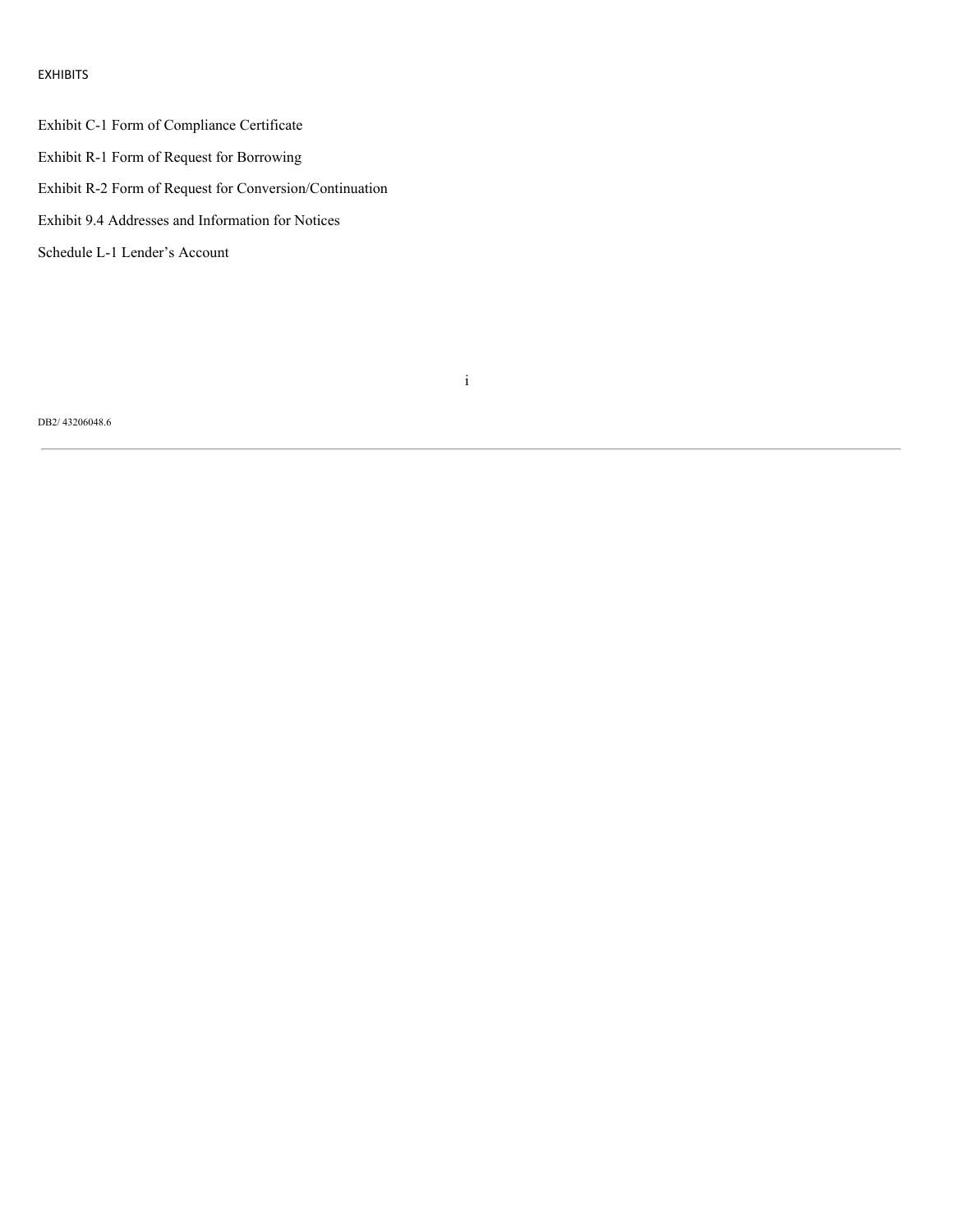## EXHIBITS

Exhibit C-1 Form of Compliance Certificate

Exhibit R-1 Form of Request for Borrowing

Exhibit R-2 Form of Request for Conversion/Continuation

Exhibit 9.4 Addresses and Information for Notices

Schedule L-1 Lender's Account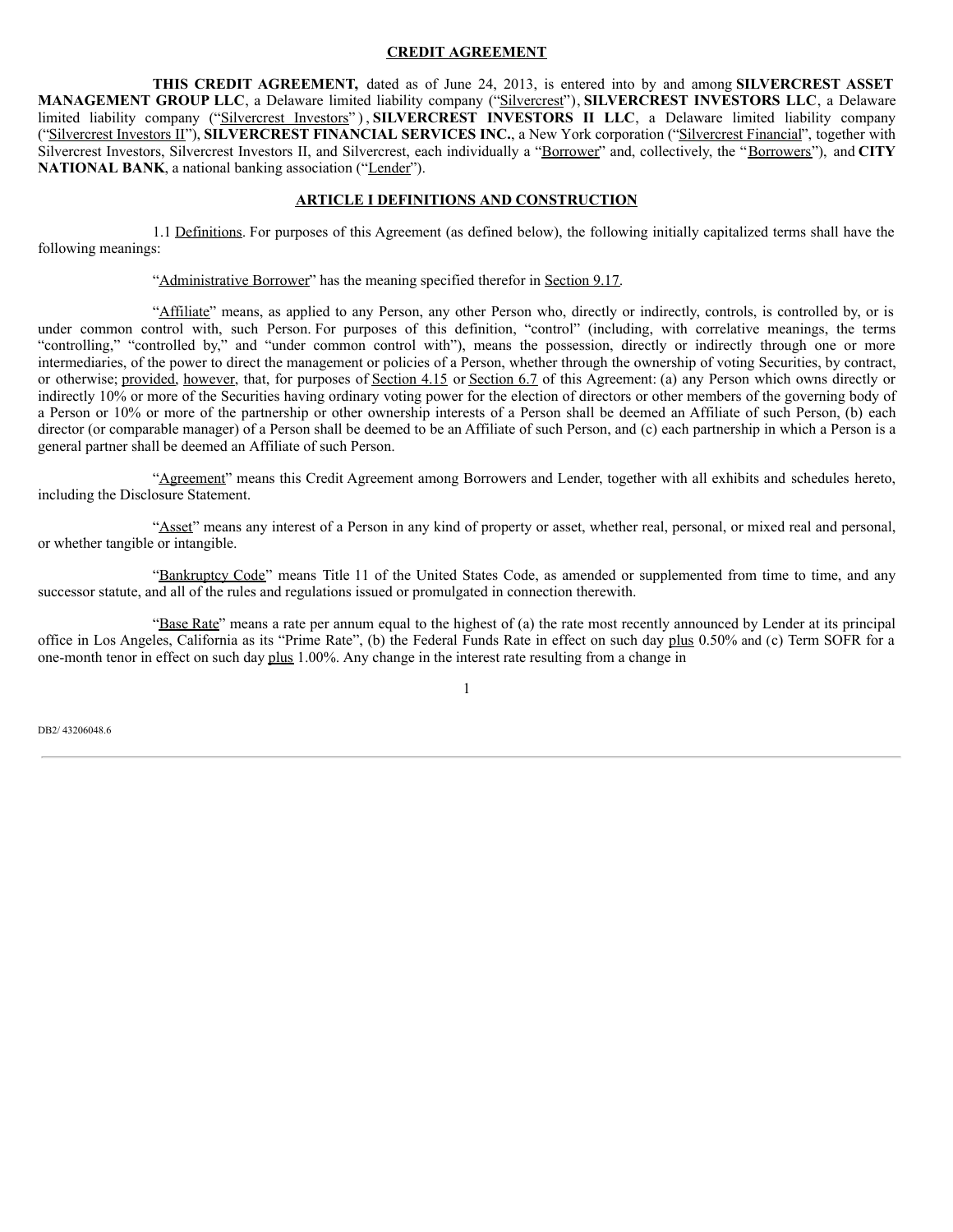#### **CREDIT AGREEMENT**

**THIS CREDIT AGREEMENT,** dated as of June 24, 2013, is entered into by and among **SILVERCREST ASSET MANAGEMENT GROUP LLC**, a Delaware limited liability company ("Silvercrest"), **SILVERCREST INVESTORS LLC**, a Delaware limited liability company ("Silvercrest Investors" ) , **SILVERCREST INVESTORS II LLC**, a Delaware limited liability company ("Silvercrest Investors II"), **SILVERCREST FINANCIAL SERVICES INC.**, a New York corporation ("Silvercrest Financial", together with Silvercrest Investors, Silvercrest Investors II, and Silvercrest, each individually a "Borrower" and, collectively, the "Borrowers"), and **CITY NATIONAL BANK**, a national banking association ("Lender").

#### **ARTICLE I DEFINITIONS AND CONSTRUCTION**

1.1 Definitions. For purposes of this Agreement (as defined below), the following initially capitalized terms shall have the following meanings:

"Administrative Borrower" has the meaning specified therefor in Section 9.17.

"Affiliate" means, as applied to any Person, any other Person who, directly or indirectly, controls, is controlled by, or is under common control with, such Person. For purposes of this definition, "control" (including, with correlative meanings, the terms "controlling," "controlled by," and "under common control with"), means the possession, directly or indirectly through one or more intermediaries, of the power to direct the management or policies of a Person, whether through the ownership of voting Securities, by contract, or otherwise; provided, however, that, for purposes of Section 4.15 or Section 6.7 of this Agreement: (a) any Person which owns directly or indirectly 10% or more of the Securities having ordinary voting power for the election of directors or other members of the governing body of a Person or 10% or more of the partnership or other ownership interests of a Person shall be deemed an Affiliate of such Person, (b) each director (or comparable manager) of a Person shall be deemed to be an Affiliate of such Person, and (c) each partnership in which a Person is a general partner shall be deemed an Affiliate of such Person.

"Agreement" means this Credit Agreement among Borrowers and Lender, together with all exhibits and schedules hereto, including the Disclosure Statement.

"Asset" means any interest of a Person in any kind of property or asset, whether real, personal, or mixed real and personal, or whether tangible or intangible.

"Bankruptcy Code" means Title 11 of the United States Code, as amended or supplemented from time to time, and any successor statute, and all of the rules and regulations issued or promulgated in connection therewith.

"Base Rate" means a rate per annum equal to the highest of (a) the rate most recently announced by Lender at its principal office in Los Angeles, California as its "Prime Rate", (b) the Federal Funds Rate in effect on such day plus 0.50% and (c) Term SOFR for a one-month tenor in effect on such day plus 1.00%. Any change in the interest rate resulting from a change in

1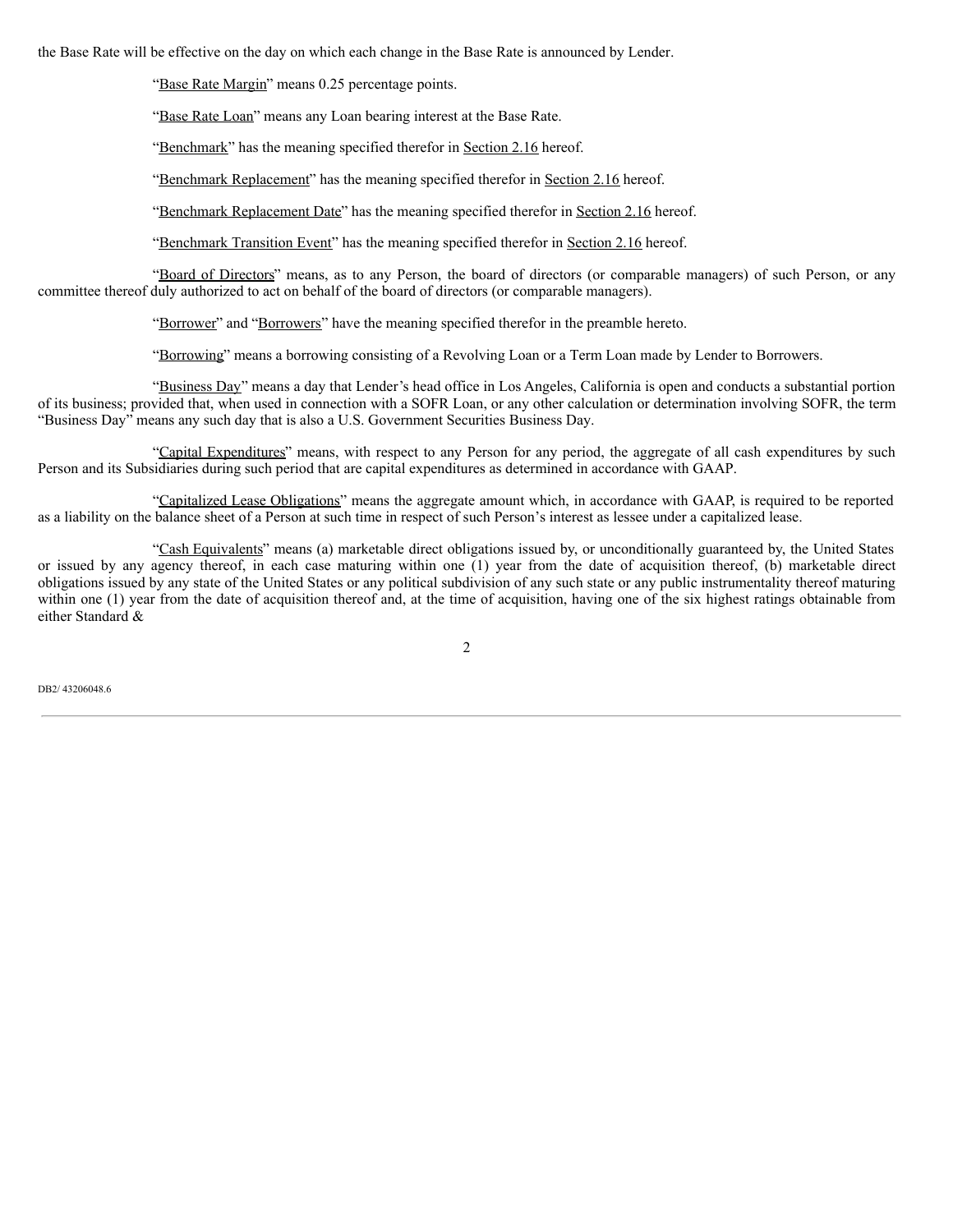the Base Rate will be effective on the day on which each change in the Base Rate is announced by Lender.

"Base Rate Margin" means 0.25 percentage points.

"Base Rate Loan" means any Loan bearing interest at the Base Rate.

"Benchmark" has the meaning specified therefor in Section 2.16 hereof.

"Benchmark Replacement" has the meaning specified therefor in Section 2.16 hereof.

"Benchmark Replacement Date" has the meaning specified therefor in Section 2.16 hereof.

"Benchmark Transition Event" has the meaning specified therefor in Section 2.16 hereof.

"Board of Directors" means, as to any Person, the board of directors (or comparable managers) of such Person, or any committee thereof duly authorized to act on behalf of the board of directors (or comparable managers).

"Borrower" and "Borrowers" have the meaning specified therefor in the preamble hereto.

"Borrowing" means a borrowing consisting of a Revolving Loan or a Term Loan made by Lender to Borrowers.

"Business Day" means a day that Lender's head office in Los Angeles, California is open and conducts a substantial portion of its business; provided that, when used in connection with a SOFR Loan, or any other calculation or determination involving SOFR, the term "Business Day" means any such day that is also a U.S. Government Securities Business Day.

"Capital Expenditures" means, with respect to any Person for any period, the aggregate of all cash expenditures by such Person and its Subsidiaries during such period that are capital expenditures as determined in accordance with GAAP.

"Capitalized Lease Obligations" means the aggregate amount which, in accordance with GAAP, is required to be reported as a liability on the balance sheet of a Person at such time in respect of such Person's interest as lessee under a capitalized lease.

"Cash Equivalents" means (a) marketable direct obligations issued by, or unconditionally guaranteed by, the United States or issued by any agency thereof, in each case maturing within one (1) year from the date of acquisition thereof, (b) marketable direct obligations issued by any state of the United States or any political subdivision of any such state or any public instrumentality thereof maturing within one (1) year from the date of acquisition thereof and, at the time of acquisition, having one of the six highest ratings obtainable from either Standard &

2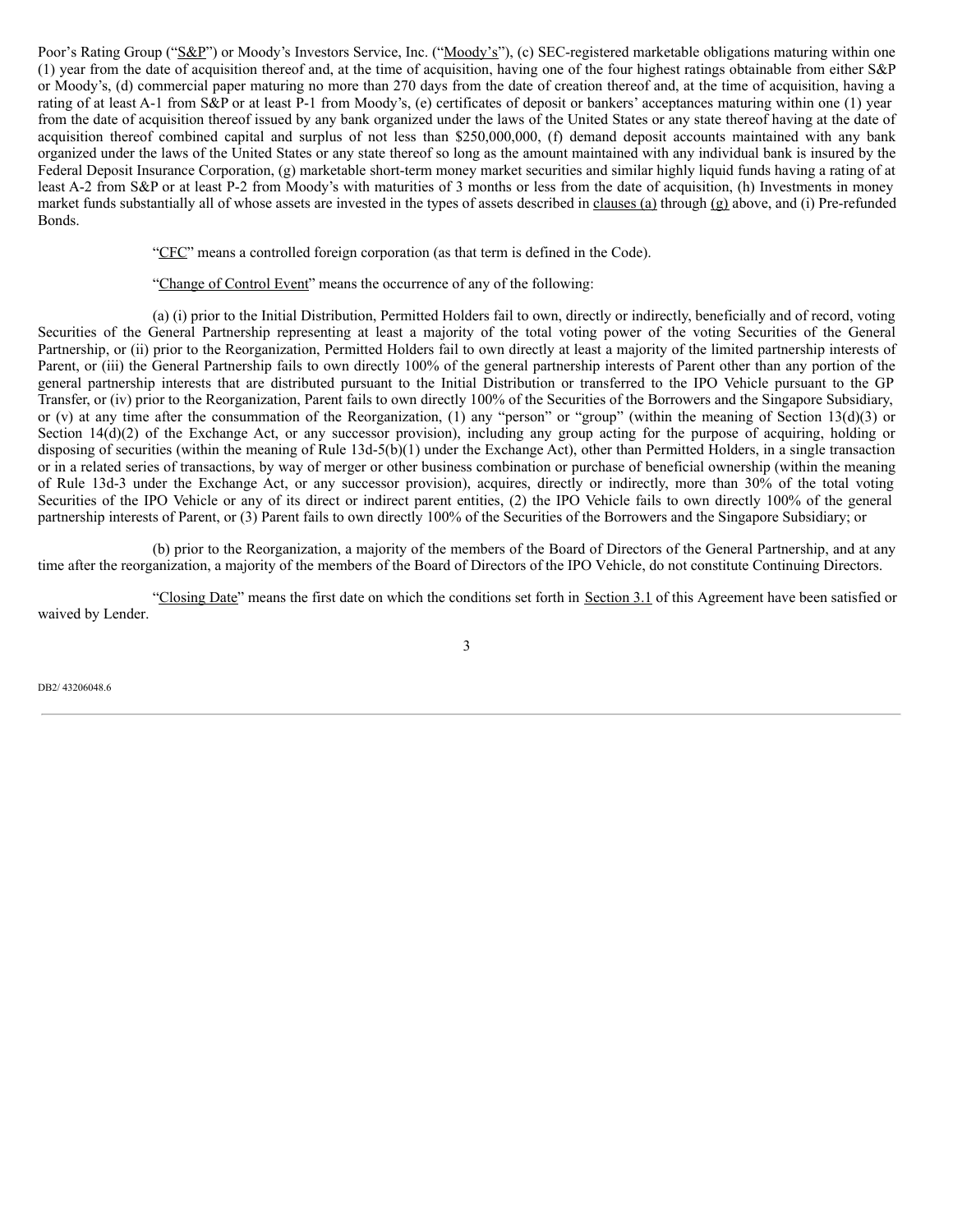Poor's Rating Group ("S&P") or Moody's Investors Service, Inc. ("Moody's"), (c) SEC-registered marketable obligations maturing within one (1) year from the date of acquisition thereof and, at the time of acquisition, having one of the four highest ratings obtainable from either S&P or Moody's, (d) commercial paper maturing no more than 270 days from the date of creation thereof and, at the time of acquisition, having a rating of at least A-1 from S&P or at least P-1 from Moody's, (e) certificates of deposit or bankers' acceptances maturing within one (1) year from the date of acquisition thereof issued by any bank organized under the laws of the United States or any state thereof having at the date of acquisition thereof combined capital and surplus of not less than \$250,000,000, (f) demand deposit accounts maintained with any bank organized under the laws of the United States or any state thereof so long as the amount maintained with any individual bank is insured by the Federal Deposit Insurance Corporation, (g) marketable short-term money market securities and similar highly liquid funds having a rating of at least A-2 from S&P or at least P-2 from Moody's with maturities of 3 months or less from the date of acquisition, (h) Investments in money market funds substantially all of whose assets are invested in the types of assets described in clauses (a) through  $(g)$  above, and (i) Pre-refunded Bonds.

"CFC" means a controlled foreign corporation (as that term is defined in the Code).

#### "Change of Control Event" means the occurrence of any of the following:

(a) (i) prior to the Initial Distribution, Permitted Holders fail to own, directly or indirectly, beneficially and of record, voting Securities of the General Partnership representing at least a majority of the total voting power of the voting Securities of the General Partnership, or (ii) prior to the Reorganization, Permitted Holders fail to own directly at least a majority of the limited partnership interests of Parent, or (iii) the General Partnership fails to own directly 100% of the general partnership interests of Parent other than any portion of the general partnership interests that are distributed pursuant to the Initial Distribution or transferred to the IPO Vehicle pursuant to the GP Transfer, or (iv) prior to the Reorganization, Parent fails to own directly 100% of the Securities of the Borrowers and the Singapore Subsidiary, or (v) at any time after the consummation of the Reorganization, (1) any "person" or "group" (within the meaning of Section 13(d)(3) or Section 14(d)(2) of the Exchange Act, or any successor provision), including any group acting for the purpose of acquiring, holding or disposing of securities (within the meaning of Rule 13d-5(b)(1) under the Exchange Act), other than Permitted Holders, in a single transaction or in a related series of transactions, by way of merger or other business combination or purchase of beneficial ownership (within the meaning of Rule 13d-3 under the Exchange Act, or any successor provision), acquires, directly or indirectly, more than 30% of the total voting Securities of the IPO Vehicle or any of its direct or indirect parent entities, (2) the IPO Vehicle fails to own directly 100% of the general partnership interests of Parent, or (3) Parent fails to own directly 100% of the Securities of the Borrowers and the Singapore Subsidiary; or

(b) prior to the Reorganization, a majority of the members of the Board of Directors of the General Partnership, and at any time after the reorganization, a majority of the members of the Board of Directors of the IPO Vehicle, do not constitute Continuing Directors.

"Closing Date" means the first date on which the conditions set forth in Section 3.1 of this Agreement have been satisfied or waived by Lender.

3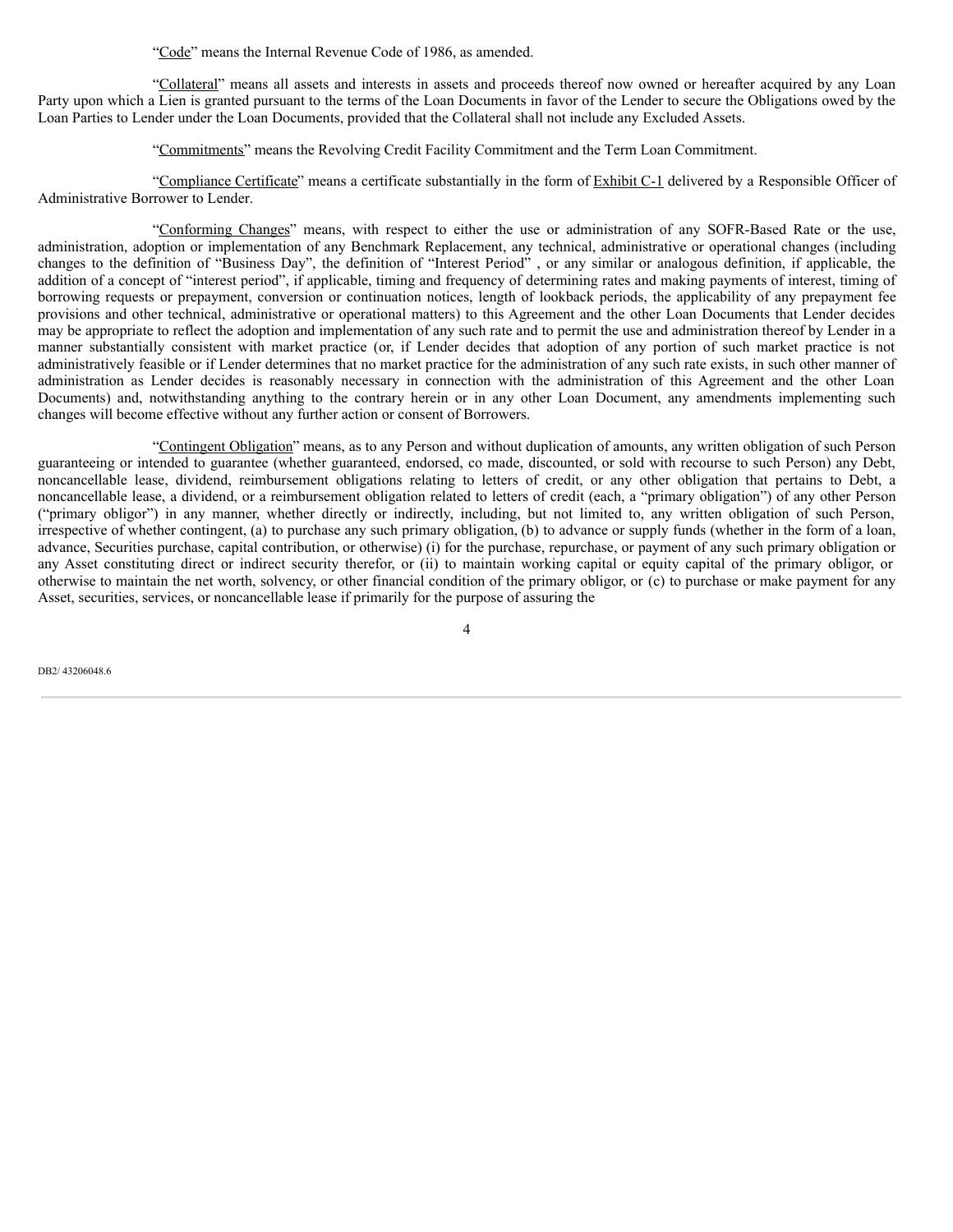"Code" means the Internal Revenue Code of 1986, as amended.

"Collateral" means all assets and interests in assets and proceeds thereof now owned or hereafter acquired by any Loan Party upon which a Lien is granted pursuant to the terms of the Loan Documents in favor of the Lender to secure the Obligations owed by the Loan Parties to Lender under the Loan Documents, provided that the Collateral shall not include any Excluded Assets.

"Commitments" means the Revolving Credit Facility Commitment and the Term Loan Commitment.

"Compliance Certificate" means a certificate substantially in the form of Exhibit C-1 delivered by a Responsible Officer of Administrative Borrower to Lender.

"Conforming Changes" means, with respect to either the use or administration of any SOFR-Based Rate or the use, administration, adoption or implementation of any Benchmark Replacement, any technical, administrative or operational changes (including changes to the definition of "Business Day", the definition of "Interest Period" , or any similar or analogous definition, if applicable, the addition of a concept of "interest period", if applicable, timing and frequency of determining rates and making payments of interest, timing of borrowing requests or prepayment, conversion or continuation notices, length of lookback periods, the applicability of any prepayment fee provisions and other technical, administrative or operational matters) to this Agreement and the other Loan Documents that Lender decides may be appropriate to reflect the adoption and implementation of any such rate and to permit the use and administration thereof by Lender in a manner substantially consistent with market practice (or, if Lender decides that adoption of any portion of such market practice is not administratively feasible or if Lender determines that no market practice for the administration of any such rate exists, in such other manner of administration as Lender decides is reasonably necessary in connection with the administration of this Agreement and the other Loan Documents) and, notwithstanding anything to the contrary herein or in any other Loan Document, any amendments implementing such changes will become effective without any further action or consent of Borrowers.

"Contingent Obligation" means, as to any Person and without duplication of amounts, any written obligation of such Person guaranteeing or intended to guarantee (whether guaranteed, endorsed, co made, discounted, or sold with recourse to such Person) any Debt, noncancellable lease, dividend, reimbursement obligations relating to letters of credit, or any other obligation that pertains to Debt, a noncancellable lease, a dividend, or a reimbursement obligation related to letters of credit (each, a "primary obligation") of any other Person ("primary obligor") in any manner, whether directly or indirectly, including, but not limited to, any written obligation of such Person, irrespective of whether contingent, (a) to purchase any such primary obligation, (b) to advance or supply funds (whether in the form of a loan, advance, Securities purchase, capital contribution, or otherwise) (i) for the purchase, repurchase, or payment of any such primary obligation or any Asset constituting direct or indirect security therefor, or (ii) to maintain working capital or equity capital of the primary obligor, or otherwise to maintain the net worth, solvency, or other financial condition of the primary obligor, or (c) to purchase or make payment for any Asset, securities, services, or noncancellable lease if primarily for the purpose of assuring the

4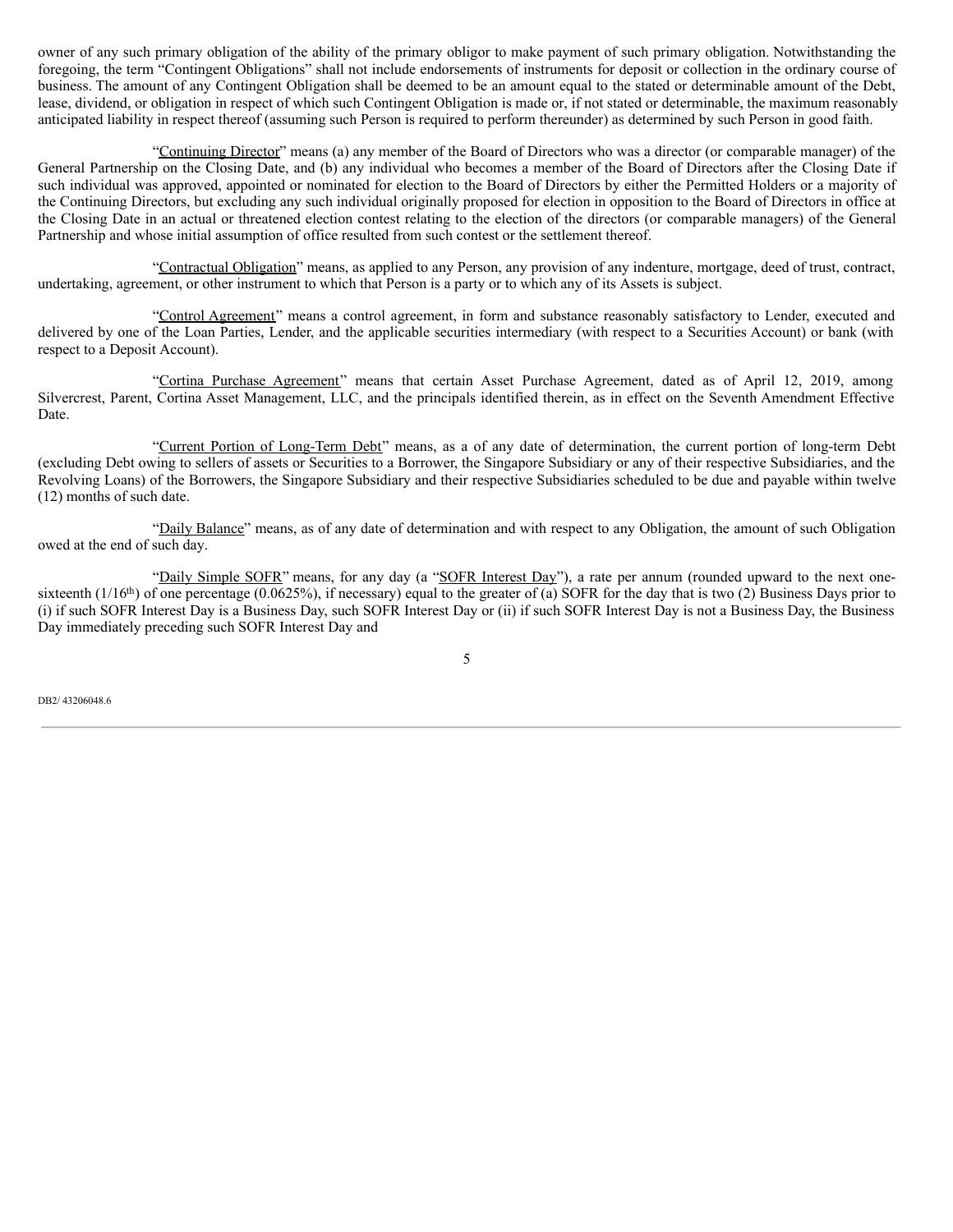owner of any such primary obligation of the ability of the primary obligor to make payment of such primary obligation. Notwithstanding the foregoing, the term "Contingent Obligations" shall not include endorsements of instruments for deposit or collection in the ordinary course of business. The amount of any Contingent Obligation shall be deemed to be an amount equal to the stated or determinable amount of the Debt, lease, dividend, or obligation in respect of which such Contingent Obligation is made or, if not stated or determinable, the maximum reasonably anticipated liability in respect thereof (assuming such Person is required to perform thereunder) as determined by such Person in good faith.

"Continuing Director" means (a) any member of the Board of Directors who was a director (or comparable manager) of the General Partnership on the Closing Date, and (b) any individual who becomes a member of the Board of Directors after the Closing Date if such individual was approved, appointed or nominated for election to the Board of Directors by either the Permitted Holders or a majority of the Continuing Directors, but excluding any such individual originally proposed for election in opposition to the Board of Directors in office at the Closing Date in an actual or threatened election contest relating to the election of the directors (or comparable managers) of the General Partnership and whose initial assumption of office resulted from such contest or the settlement thereof.

"Contractual Obligation" means, as applied to any Person, any provision of any indenture, mortgage, deed of trust, contract, undertaking, agreement, or other instrument to which that Person is a party or to which any of its Assets is subject.

"Control Agreement" means a control agreement, in form and substance reasonably satisfactory to Lender, executed and delivered by one of the Loan Parties, Lender, and the applicable securities intermediary (with respect to a Securities Account) or bank (with respect to a Deposit Account).

"Cortina Purchase Agreement" means that certain Asset Purchase Agreement, dated as of April 12, 2019, among Silvercrest, Parent, Cortina Asset Management, LLC, and the principals identified therein, as in effect on the Seventh Amendment Effective Date.

"Current Portion of Long-Term Debt" means, as a of any date of determination, the current portion of long-term Debt (excluding Debt owing to sellers of assets or Securities to a Borrower, the Singapore Subsidiary or any of their respective Subsidiaries, and the Revolving Loans) of the Borrowers, the Singapore Subsidiary and their respective Subsidiaries scheduled to be due and payable within twelve (12) months of such date.

"Daily Balance" means, as of any date of determination and with respect to any Obligation, the amount of such Obligation owed at the end of such day.

"Daily Simple SOFR" means, for any day (a "SOFR Interest Day"), a rate per annum (rounded upward to the next onesixteenth  $(1/16<sup>th</sup>)$  of one percentage  $(0.0625%)$ , if necessary) equal to the greater of (a) SOFR for the day that is two (2) Business Days prior to (i) if such SOFR Interest Day is a Business Day, such SOFR Interest Day or (ii) if such SOFR Interest Day is not a Business Day, the Business Day immediately preceding such SOFR Interest Day and

5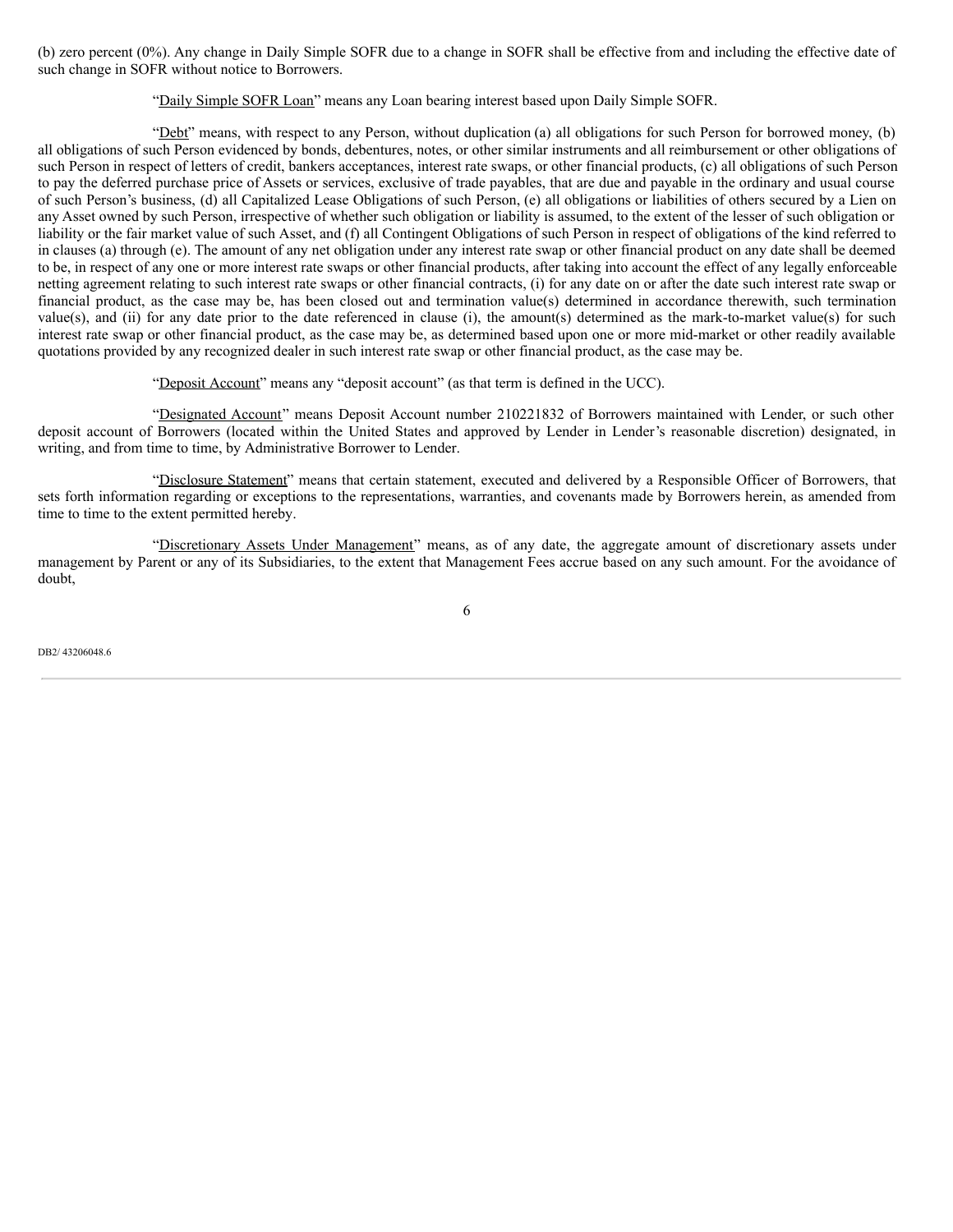(b) zero percent (0%). Any change in Daily Simple SOFR due to a change in SOFR shall be effective from and including the effective date of such change in SOFR without notice to Borrowers.

"Daily Simple SOFR Loan" means any Loan bearing interest based upon Daily Simple SOFR.

"Debt" means, with respect to any Person, without duplication (a) all obligations for such Person for borrowed money, (b) all obligations of such Person evidenced by bonds, debentures, notes, or other similar instruments and all reimbursement or other obligations of such Person in respect of letters of credit, bankers acceptances, interest rate swaps, or other financial products, (c) all obligations of such Person to pay the deferred purchase price of Assets or services, exclusive of trade payables, that are due and payable in the ordinary and usual course of such Person's business, (d) all Capitalized Lease Obligations of such Person, (e) all obligations or liabilities of others secured by a Lien on any Asset owned by such Person, irrespective of whether such obligation or liability is assumed, to the extent of the lesser of such obligation or liability or the fair market value of such Asset, and (f) all Contingent Obligations of such Person in respect of obligations of the kind referred to in clauses (a) through (e). The amount of any net obligation under any interest rate swap or other financial product on any date shall be deemed to be, in respect of any one or more interest rate swaps or other financial products, after taking into account the effect of any legally enforceable netting agreement relating to such interest rate swaps or other financial contracts, (i) for any date on or after the date such interest rate swap or financial product, as the case may be, has been closed out and termination value(s) determined in accordance therewith, such termination value(s), and (ii) for any date prior to the date referenced in clause (i), the amount(s) determined as the mark-to-market value(s) for such interest rate swap or other financial product, as the case may be, as determined based upon one or more mid-market or other readily available quotations provided by any recognized dealer in such interest rate swap or other financial product, as the case may be.

"Deposit Account" means any "deposit account" (as that term is defined in the UCC).

"Designated Account" means Deposit Account number 210221832 of Borrowers maintained with Lender, or such other deposit account of Borrowers (located within the United States and approved by Lender in Lender's reasonable discretion) designated, in writing, and from time to time, by Administrative Borrower to Lender.

"Disclosure Statement" means that certain statement, executed and delivered by a Responsible Officer of Borrowers, that sets forth information regarding or exceptions to the representations, warranties, and covenants made by Borrowers herein, as amended from time to time to the extent permitted hereby.

"Discretionary Assets Under Management" means, as of any date, the aggregate amount of discretionary assets under management by Parent or any of its Subsidiaries, to the extent that Management Fees accrue based on any such amount. For the avoidance of doubt,

DB2/ 43206048.6

6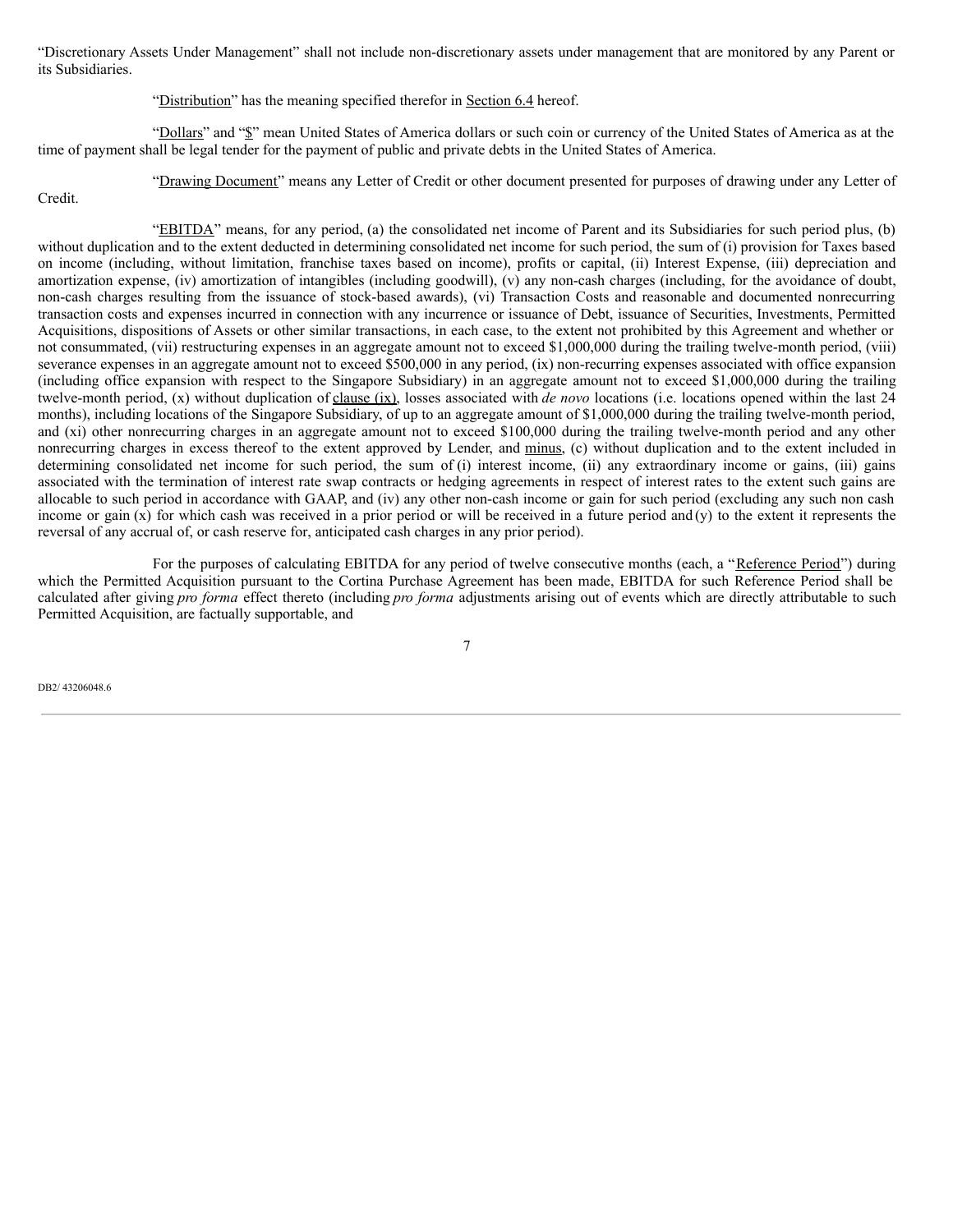"Discretionary Assets Under Management" shall not include non-discretionary assets under management that are monitored by any Parent or its Subsidiaries.

#### "Distribution" has the meaning specified therefor in Section 6.4 hereof.

"Dollars" and "\$" mean United States of America dollars or such coin or currency of the United States of America as at the time of payment shall be legal tender for the payment of public and private debts in the United States of America.

Credit.

"Drawing Document" means any Letter of Credit or other document presented for purposes of drawing under any Letter of

"EBITDA" means, for any period, (a) the consolidated net income of Parent and its Subsidiaries for such period plus, (b) without duplication and to the extent deducted in determining consolidated net income for such period, the sum of (i) provision for Taxes based on income (including, without limitation, franchise taxes based on income), profits or capital, (ii) Interest Expense, (iii) depreciation and amortization expense, (iv) amortization of intangibles (including goodwill), (v) any non-cash charges (including, for the avoidance of doubt, non-cash charges resulting from the issuance of stock-based awards), (vi) Transaction Costs and reasonable and documented nonrecurring transaction costs and expenses incurred in connection with any incurrence or issuance of Debt, issuance of Securities, Investments, Permitted Acquisitions, dispositions of Assets or other similar transactions, in each case, to the extent not prohibited by this Agreement and whether or not consummated, (vii) restructuring expenses in an aggregate amount not to exceed \$1,000,000 during the trailing twelve-month period, (viii) severance expenses in an aggregate amount not to exceed \$500,000 in any period, (ix) non-recurring expenses associated with office expansion (including office expansion with respect to the Singapore Subsidiary) in an aggregate amount not to exceed \$1,000,000 during the trailing twelve-month period, (x) without duplication of clause (ix), losses associated with *de novo* locations (i.e. locations opened within the last 24 months), including locations of the Singapore Subsidiary, of up to an aggregate amount of \$1,000,000 during the trailing twelve-month period, and (xi) other nonrecurring charges in an aggregate amount not to exceed \$100,000 during the trailing twelve-month period and any other nonrecurring charges in excess thereof to the extent approved by Lender, and minus, (c) without duplication and to the extent included in determining consolidated net income for such period, the sum of (i) interest income, (ii) any extraordinary income or gains, (iii) gains associated with the termination of interest rate swap contracts or hedging agreements in respect of interest rates to the extent such gains are allocable to such period in accordance with GAAP, and (iv) any other non-cash income or gain for such period (excluding any such non cash income or gain  $(x)$  for which cash was received in a prior period or will be received in a future period and  $(y)$  to the extent it represents the reversal of any accrual of, or cash reserve for, anticipated cash charges in any prior period).

For the purposes of calculating EBITDA for any period of twelve consecutive months (each, a "Reference Period") during which the Permitted Acquisition pursuant to the Cortina Purchase Agreement has been made, EBITDA for such Reference Period shall be calculated after giving *pro forma* effect thereto (including *pro forma* adjustments arising out of events which are directly attributable to such Permitted Acquisition, are factually supportable, and

7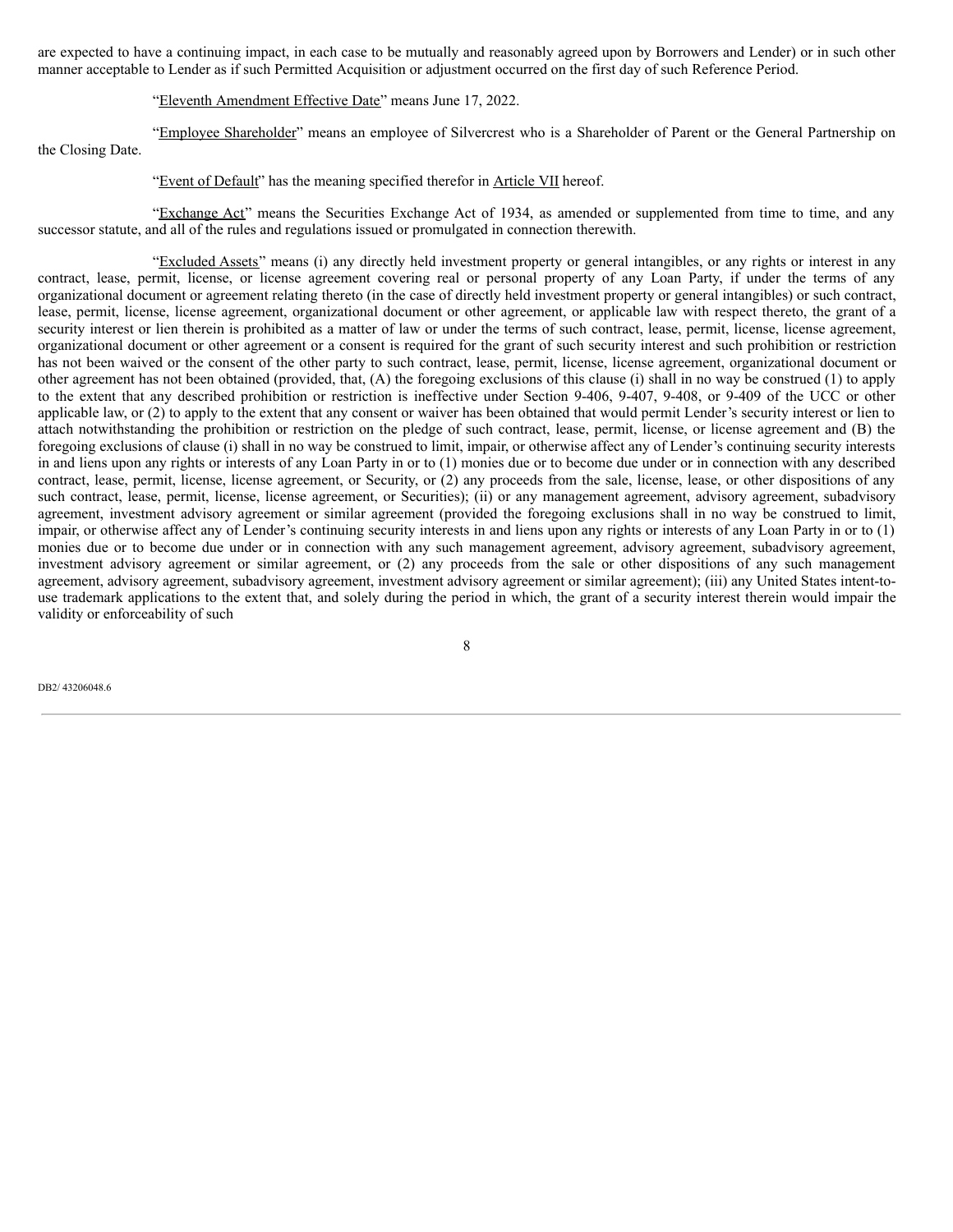are expected to have a continuing impact, in each case to be mutually and reasonably agreed upon by Borrowers and Lender) or in such other manner acceptable to Lender as if such Permitted Acquisition or adjustment occurred on the first day of such Reference Period.

"Eleventh Amendment Effective Date" means June 17, 2022.

"Employee Shareholder" means an employee of Silvercrest who is a Shareholder of Parent or the General Partnership on the Closing Date.

"Event of Default" has the meaning specified therefor in Article VII hereof.

"Exchange Act" means the Securities Exchange Act of 1934, as amended or supplemented from time to time, and any successor statute, and all of the rules and regulations issued or promulgated in connection therewith.

"Excluded Assets" means (i) any directly held investment property or general intangibles, or any rights or interest in any contract, lease, permit, license, or license agreement covering real or personal property of any Loan Party, if under the terms of any organizational document or agreement relating thereto (in the case of directly held investment property or general intangibles) or such contract, lease, permit, license, license agreement, organizational document or other agreement, or applicable law with respect thereto, the grant of a security interest or lien therein is prohibited as a matter of law or under the terms of such contract, lease, permit, license, license agreement, organizational document or other agreement or a consent is required for the grant of such security interest and such prohibition or restriction has not been waived or the consent of the other party to such contract, lease, permit, license, license agreement, organizational document or other agreement has not been obtained (provided, that, (A) the foregoing exclusions of this clause (i) shall in no way be construed (1) to apply to the extent that any described prohibition or restriction is ineffective under Section 9-406, 9-407, 9-408, or 9-409 of the UCC or other applicable law, or (2) to apply to the extent that any consent or waiver has been obtained that would permit Lender's security interest or lien to attach notwithstanding the prohibition or restriction on the pledge of such contract, lease, permit, license, or license agreement and (B) the foregoing exclusions of clause (i) shall in no way be construed to limit, impair, or otherwise affect any of Lender's continuing security interests in and liens upon any rights or interests of any Loan Party in or to (1) monies due or to become due under or in connection with any described contract, lease, permit, license, license agreement, or Security, or (2) any proceeds from the sale, license, lease, or other dispositions of any such contract, lease, permit, license, license agreement, or Securities); (ii) or any management agreement, advisory agreement, subadvisory agreement, investment advisory agreement or similar agreement (provided the foregoing exclusions shall in no way be construed to limit, impair, or otherwise affect any of Lender's continuing security interests in and liens upon any rights or interests of any Loan Party in or to (1) monies due or to become due under or in connection with any such management agreement, advisory agreement, subadvisory agreement, investment advisory agreement or similar agreement, or (2) any proceeds from the sale or other dispositions of any such management agreement, advisory agreement, subadvisory agreement, investment advisory agreement or similar agreement); (iii) any United States intent-touse trademark applications to the extent that, and solely during the period in which, the grant of a security interest therein would impair the validity or enforceability of such

8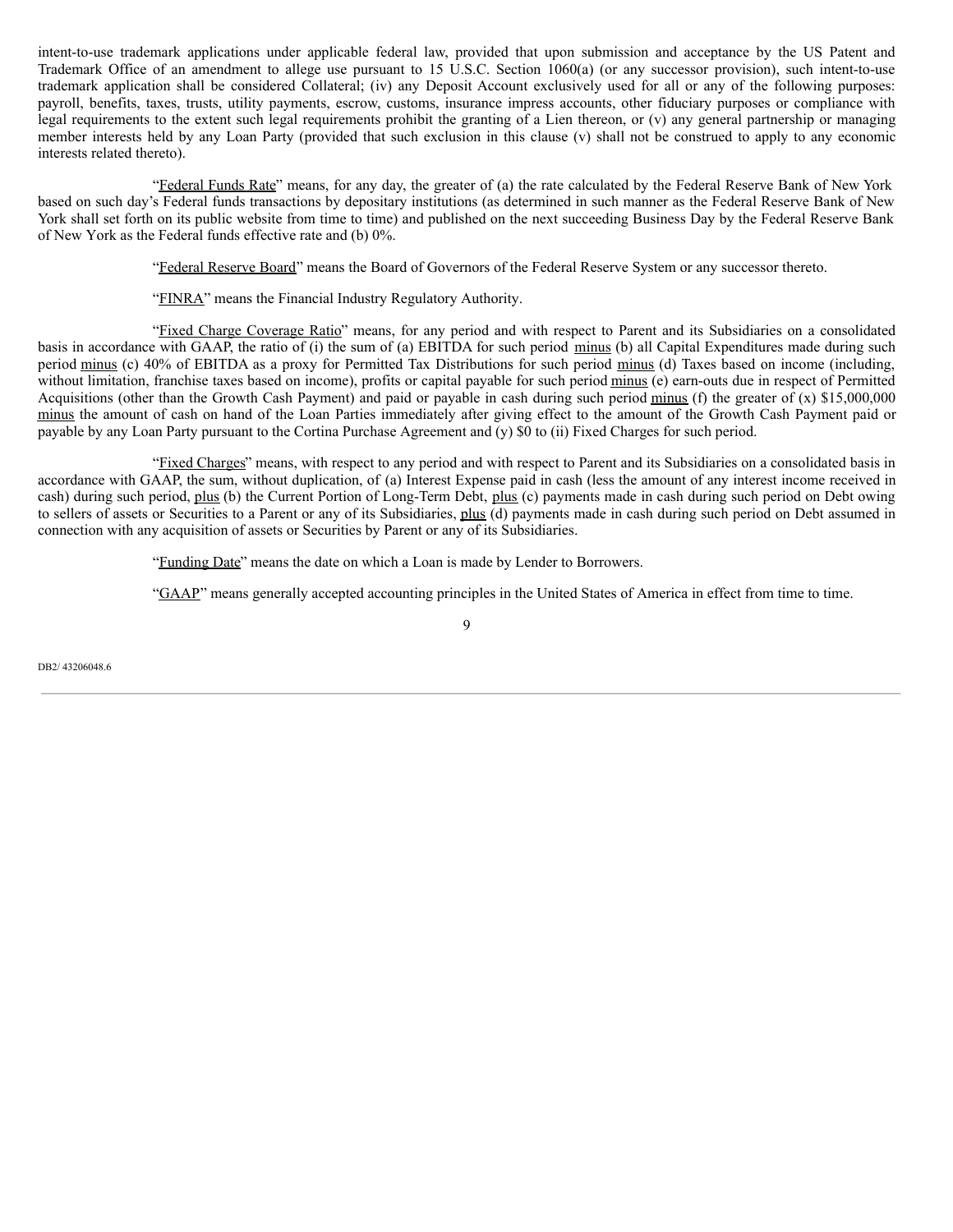intent-to-use trademark applications under applicable federal law, provided that upon submission and acceptance by the US Patent and Trademark Office of an amendment to allege use pursuant to 15 U.S.C. Section 1060(a) (or any successor provision), such intent-to-use trademark application shall be considered Collateral; (iv) any Deposit Account exclusively used for all or any of the following purposes: payroll, benefits, taxes, trusts, utility payments, escrow, customs, insurance impress accounts, other fiduciary purposes or compliance with legal requirements to the extent such legal requirements prohibit the granting of a Lien thereon, or (v) any general partnership or managing member interests held by any Loan Party (provided that such exclusion in this clause (v) shall not be construed to apply to any economic interests related thereto).

"Federal Funds Rate" means, for any day, the greater of (a) the rate calculated by the Federal Reserve Bank of New York based on such day's Federal funds transactions by depositary institutions (as determined in such manner as the Federal Reserve Bank of New York shall set forth on its public website from time to time) and published on the next succeeding Business Day by the Federal Reserve Bank of New York as the Federal funds effective rate and (b) 0%.

"Federal Reserve Board" means the Board of Governors of the Federal Reserve System or any successor thereto.

"FINRA" means the Financial Industry Regulatory Authority.

"Fixed Charge Coverage Ratio" means, for any period and with respect to Parent and its Subsidiaries on a consolidated basis in accordance with GAAP, the ratio of (i) the sum of (a) EBITDA for such period minus (b) all Capital Expenditures made during such period minus (c) 40% of EBITDA as a proxy for Permitted Tax Distributions for such period minus (d) Taxes based on income (including, without limitation, franchise taxes based on income), profits or capital payable for such period minus (e) earn-outs due in respect of Permitted Acquisitions (other than the Growth Cash Payment) and paid or payable in cash during such period minus (f) the greater of (x) \$15,000,000 minus the amount of cash on hand of the Loan Parties immediately after giving effect to the amount of the Growth Cash Payment paid or payable by any Loan Party pursuant to the Cortina Purchase Agreement and (y) \$0 to (ii) Fixed Charges for such period.

"Fixed Charges" means, with respect to any period and with respect to Parent and its Subsidiaries on a consolidated basis in accordance with GAAP, the sum, without duplication, of (a) Interest Expense paid in cash (less the amount of any interest income received in cash) during such period, plus (b) the Current Portion of Long-Term Debt, plus (c) payments made in cash during such period on Debt owing to sellers of assets or Securities to a Parent or any of its Subsidiaries, plus (d) payments made in cash during such period on Debt assumed in connection with any acquisition of assets or Securities by Parent or any of its Subsidiaries.

"Funding Date" means the date on which a Loan is made by Lender to Borrowers.

"GAAP" means generally accepted accounting principles in the United States of America in effect from time to time.

9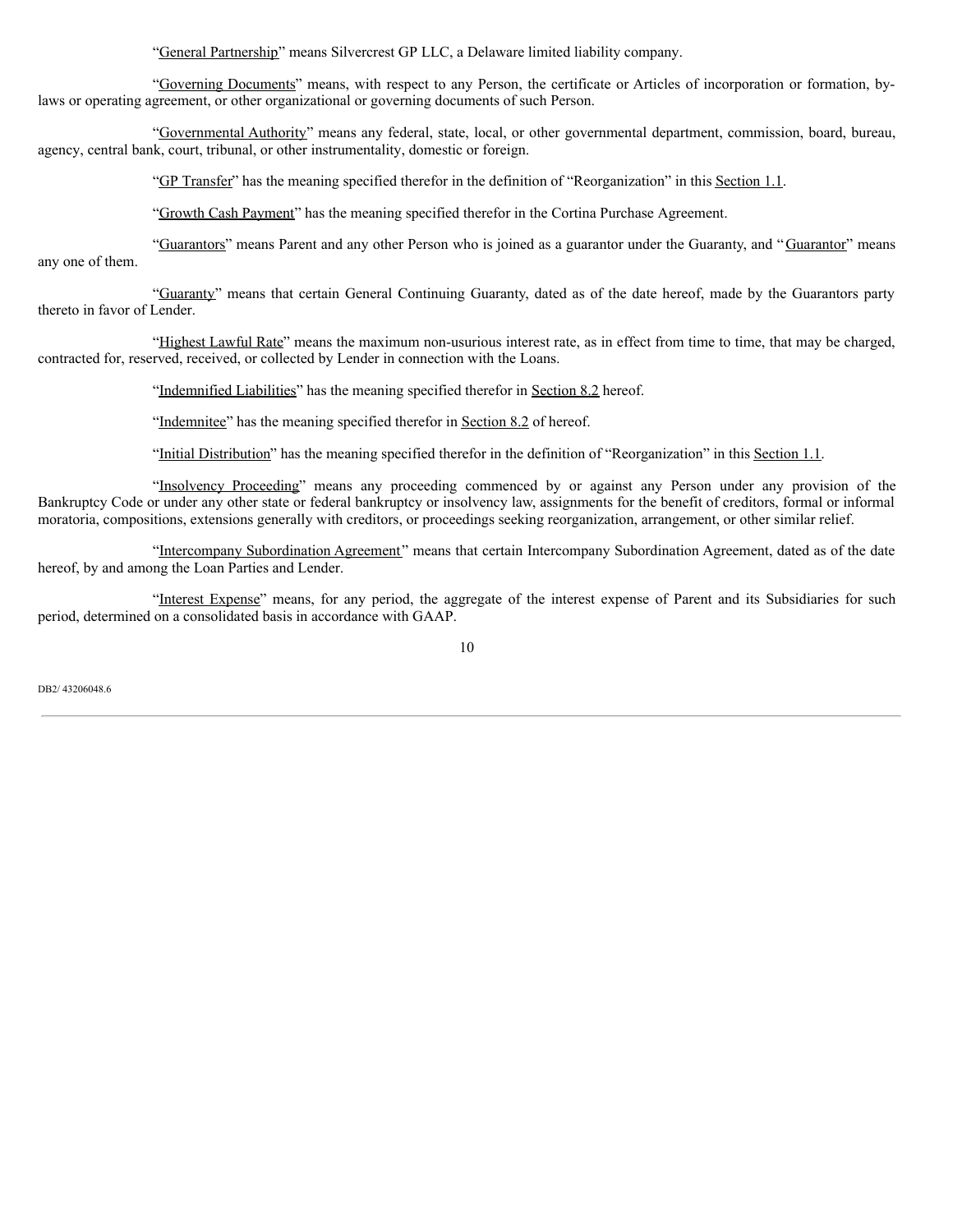"General Partnership" means Silvercrest GP LLC, a Delaware limited liability company.

"Governing Documents" means, with respect to any Person, the certificate or Articles of incorporation or formation, bylaws or operating agreement, or other organizational or governing documents of such Person.

"Governmental Authority" means any federal, state, local, or other governmental department, commission, board, bureau, agency, central bank, court, tribunal, or other instrumentality, domestic or foreign.

"GP Transfer" has the meaning specified therefor in the definition of "Reorganization" in this Section 1.1.

"Growth Cash Payment" has the meaning specified therefor in the Cortina Purchase Agreement.

"Guarantors" means Parent and any other Person who is joined as a guarantor under the Guaranty, and "Guarantor" means any one of them.

"Guaranty" means that certain General Continuing Guaranty, dated as of the date hereof, made by the Guarantors party thereto in favor of Lender.

"Highest Lawful Rate" means the maximum non-usurious interest rate, as in effect from time to time, that may be charged, contracted for, reserved, received, or collected by Lender in connection with the Loans.

"Indemnified Liabilities" has the meaning specified therefor in Section 8.2 hereof.

"Indemnitee" has the meaning specified therefor in Section 8.2 of hereof.

"Initial Distribution" has the meaning specified therefor in the definition of "Reorganization" in this Section 1.1.

"Insolvency Proceeding" means any proceeding commenced by or against any Person under any provision of the Bankruptcy Code or under any other state or federal bankruptcy or insolvency law, assignments for the benefit of creditors, formal or informal moratoria, compositions, extensions generally with creditors, or proceedings seeking reorganization, arrangement, or other similar relief.

"Intercompany Subordination Agreement" means that certain Intercompany Subordination Agreement, dated as of the date hereof, by and among the Loan Parties and Lender.

"Interest Expense" means, for any period, the aggregate of the interest expense of Parent and its Subsidiaries for such period, determined on a consolidated basis in accordance with GAAP.

10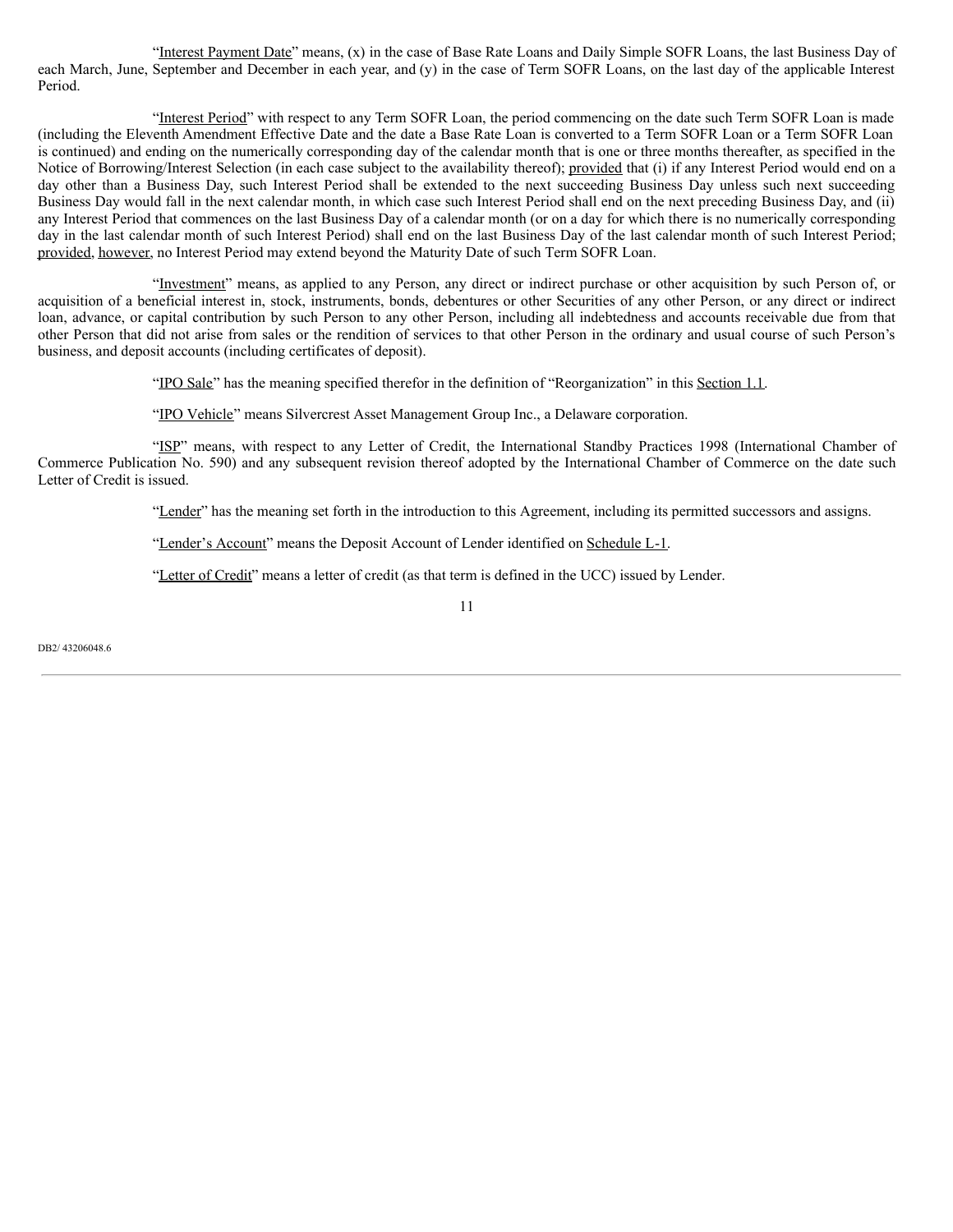"Interest Payment Date" means, (x) in the case of Base Rate Loans and Daily Simple SOFR Loans, the last Business Day of each March, June, September and December in each year, and (y) in the case of Term SOFR Loans, on the last day of the applicable Interest Period.

"Interest Period" with respect to any Term SOFR Loan, the period commencing on the date such Term SOFR Loan is made (including the Eleventh Amendment Effective Date and the date a Base Rate Loan is converted to a Term SOFR Loan or a Term SOFR Loan is continued) and ending on the numerically corresponding day of the calendar month that is one or three months thereafter, as specified in the Notice of Borrowing/Interest Selection (in each case subject to the availability thereof); provided that (i) if any Interest Period would end on a day other than a Business Day, such Interest Period shall be extended to the next succeeding Business Day unless such next succeeding Business Day would fall in the next calendar month, in which case such Interest Period shall end on the next preceding Business Day, and (ii) any Interest Period that commences on the last Business Day of a calendar month (or on a day for which there is no numerically corresponding day in the last calendar month of such Interest Period) shall end on the last Business Day of the last calendar month of such Interest Period; provided, however, no Interest Period may extend beyond the Maturity Date of such Term SOFR Loan.

"Investment" means, as applied to any Person, any direct or indirect purchase or other acquisition by such Person of, or acquisition of a beneficial interest in, stock, instruments, bonds, debentures or other Securities of any other Person, or any direct or indirect loan, advance, or capital contribution by such Person to any other Person, including all indebtedness and accounts receivable due from that other Person that did not arise from sales or the rendition of services to that other Person in the ordinary and usual course of such Person's business, and deposit accounts (including certificates of deposit).

"IPO Sale" has the meaning specified therefor in the definition of "Reorganization" in this Section 1.1.

"IPO Vehicle" means Silvercrest Asset Management Group Inc., a Delaware corporation.

"ISP" means, with respect to any Letter of Credit, the International Standby Practices 1998 (International Chamber of Commerce Publication No. 590) and any subsequent revision thereof adopted by the International Chamber of Commerce on the date such Letter of Credit is issued.

"Lender" has the meaning set forth in the introduction to this Agreement, including its permitted successors and assigns.

"Lender's Account" means the Deposit Account of Lender identified on Schedule L-1.

"Letter of Credit" means a letter of credit (as that term is defined in the UCC) issued by Lender.

11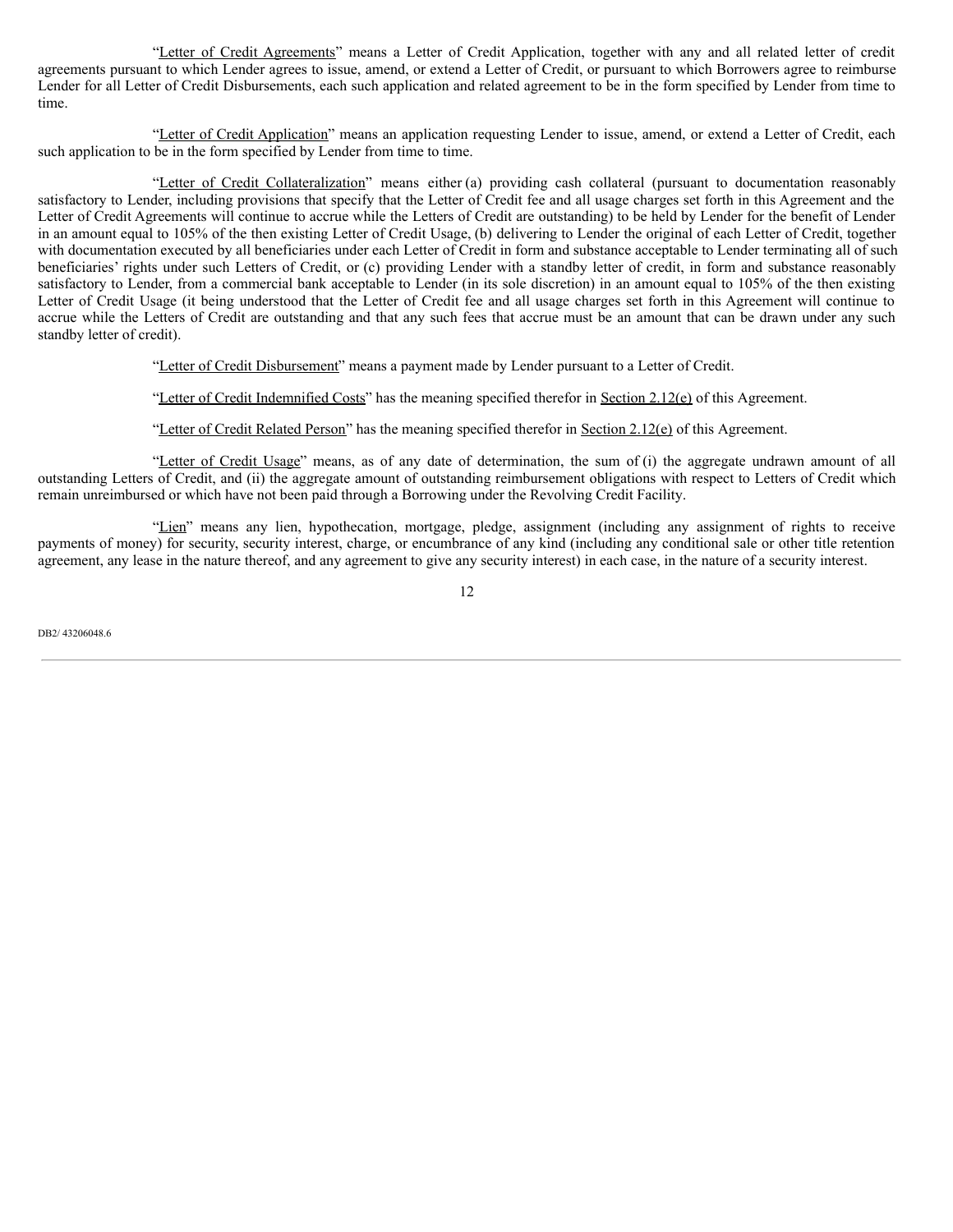"Letter of Credit Agreements" means a Letter of Credit Application, together with any and all related letter of credit agreements pursuant to which Lender agrees to issue, amend, or extend a Letter of Credit, or pursuant to which Borrowers agree to reimburse Lender for all Letter of Credit Disbursements, each such application and related agreement to be in the form specified by Lender from time to time.

"Letter of Credit Application" means an application requesting Lender to issue, amend, or extend a Letter of Credit, each such application to be in the form specified by Lender from time to time.

"Letter of Credit Collateralization" means either (a) providing cash collateral (pursuant to documentation reasonably satisfactory to Lender, including provisions that specify that the Letter of Credit fee and all usage charges set forth in this Agreement and the Letter of Credit Agreements will continue to accrue while the Letters of Credit are outstanding) to be held by Lender for the benefit of Lender in an amount equal to 105% of the then existing Letter of Credit Usage, (b) delivering to Lender the original of each Letter of Credit, together with documentation executed by all beneficiaries under each Letter of Credit in form and substance acceptable to Lender terminating all of such beneficiaries' rights under such Letters of Credit, or (c) providing Lender with a standby letter of credit, in form and substance reasonably satisfactory to Lender, from a commercial bank acceptable to Lender (in its sole discretion) in an amount equal to 105% of the then existing Letter of Credit Usage (it being understood that the Letter of Credit fee and all usage charges set forth in this Agreement will continue to accrue while the Letters of Credit are outstanding and that any such fees that accrue must be an amount that can be drawn under any such standby letter of credit).

"Letter of Credit Disbursement" means a payment made by Lender pursuant to a Letter of Credit.

"Letter of Credit Indemnified Costs" has the meaning specified therefor in Section 2.12(e) of this Agreement.

"Letter of Credit Related Person" has the meaning specified therefor in Section 2.12(e) of this Agreement.

"Letter of Credit Usage" means, as of any date of determination, the sum of (i) the aggregate undrawn amount of all outstanding Letters of Credit, and (ii) the aggregate amount of outstanding reimbursement obligations with respect to Letters of Credit which remain unreimbursed or which have not been paid through a Borrowing under the Revolving Credit Facility.

"Lien" means any lien, hypothecation, mortgage, pledge, assignment (including any assignment of rights to receive payments of money) for security, security interest, charge, or encumbrance of any kind (including any conditional sale or other title retention agreement, any lease in the nature thereof, and any agreement to give any security interest) in each case, in the nature of a security interest.

12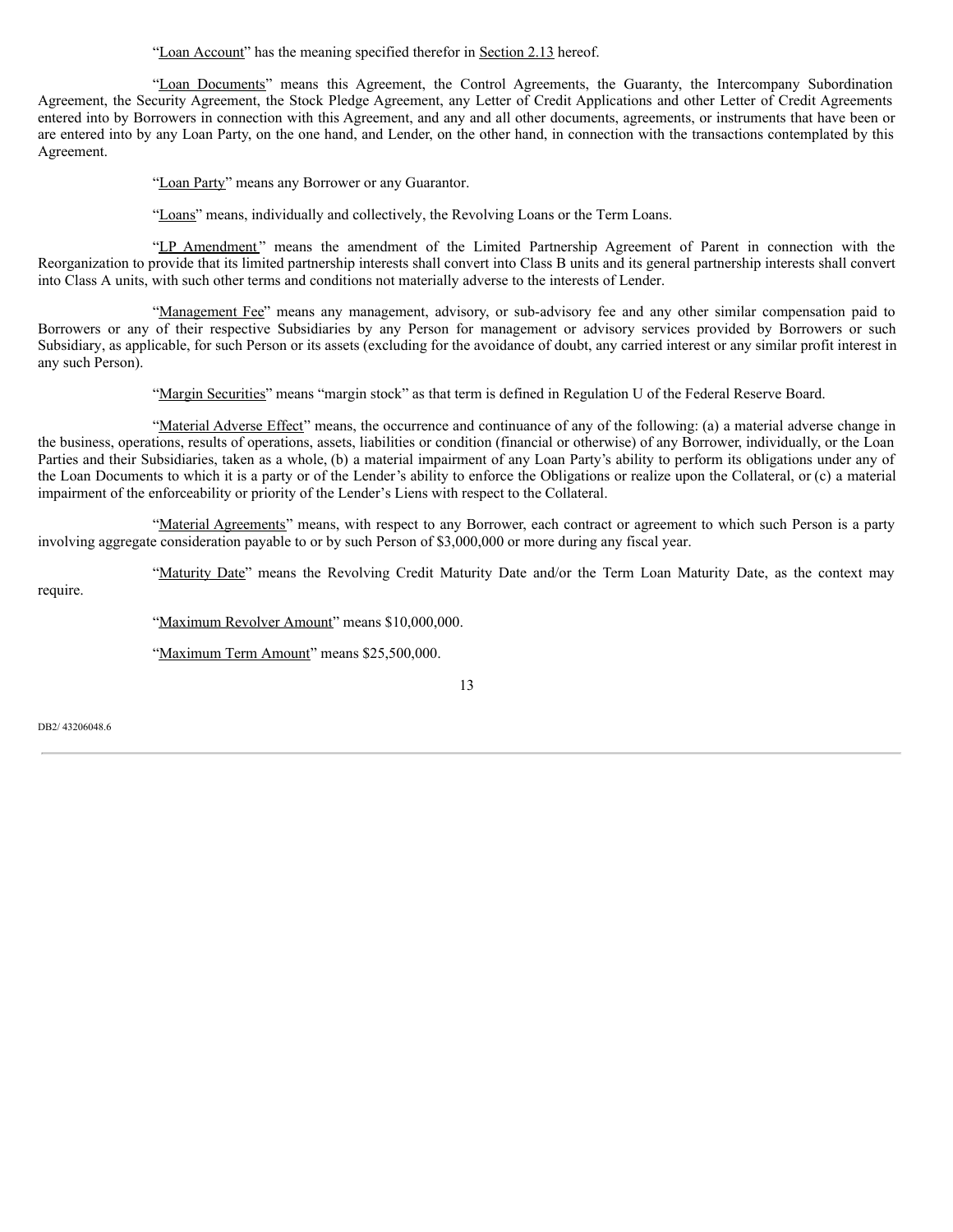"Loan Account" has the meaning specified therefor in Section 2.13 hereof.

"Loan Documents" means this Agreement, the Control Agreements, the Guaranty, the Intercompany Subordination Agreement, the Security Agreement, the Stock Pledge Agreement, any Letter of Credit Applications and other Letter of Credit Agreements entered into by Borrowers in connection with this Agreement, and any and all other documents, agreements, or instruments that have been or are entered into by any Loan Party, on the one hand, and Lender, on the other hand, in connection with the transactions contemplated by this Agreement.

"Loan Party" means any Borrower or any Guarantor.

"Loans" means, individually and collectively, the Revolving Loans or the Term Loans.

"LP Amendment" means the amendment of the Limited Partnership Agreement of Parent in connection with the Reorganization to provide that its limited partnership interests shall convert into Class B units and its general partnership interests shall convert into Class A units, with such other terms and conditions not materially adverse to the interests of Lender.

"Management Fee" means any management, advisory, or sub-advisory fee and any other similar compensation paid to Borrowers or any of their respective Subsidiaries by any Person for management or advisory services provided by Borrowers or such Subsidiary, as applicable, for such Person or its assets (excluding for the avoidance of doubt, any carried interest or any similar profit interest in any such Person).

"Margin Securities" means "margin stock" as that term is defined in Regulation U of the Federal Reserve Board.

"Material Adverse Effect" means, the occurrence and continuance of any of the following: (a) a material adverse change in the business, operations, results of operations, assets, liabilities or condition (financial or otherwise) of any Borrower, individually, or the Loan Parties and their Subsidiaries, taken as a whole, (b) a material impairment of any Loan Party's ability to perform its obligations under any of the Loan Documents to which it is a party or of the Lender's ability to enforce the Obligations or realize upon the Collateral, or (c) a material impairment of the enforceability or priority of the Lender's Liens with respect to the Collateral.

"Material Agreements" means, with respect to any Borrower, each contract or agreement to which such Person is a party involving aggregate consideration payable to or by such Person of \$3,000,000 or more during any fiscal year.

"Maturity Date" means the Revolving Credit Maturity Date and/or the Term Loan Maturity Date, as the context may

"Maximum Revolver Amount" means \$10,000,000.

"Maximum Term Amount" means \$25,500,000.

13

DB2/ 43206048.6

require.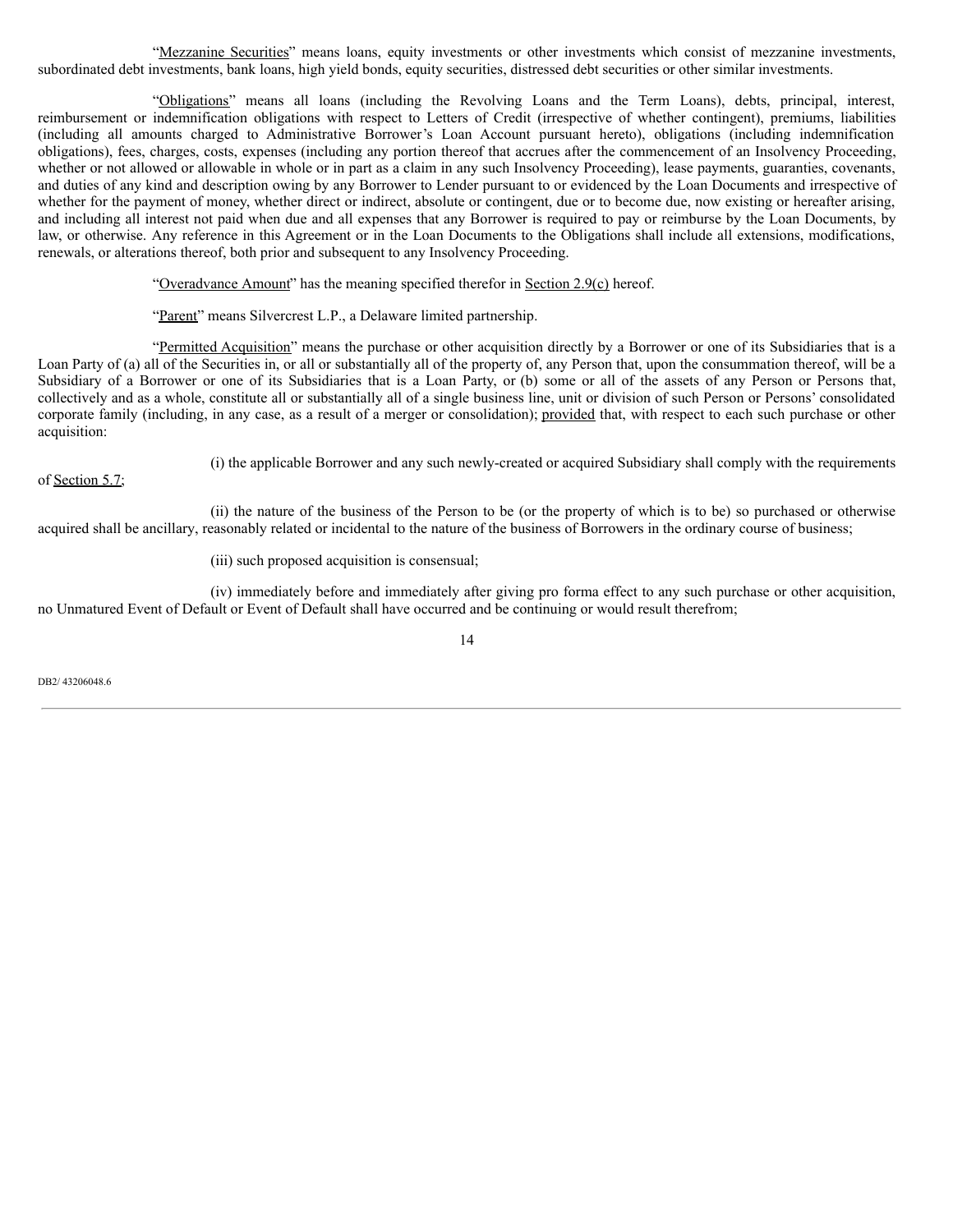"Mezzanine Securities" means loans, equity investments or other investments which consist of mezzanine investments, subordinated debt investments, bank loans, high yield bonds, equity securities, distressed debt securities or other similar investments.

"Obligations" means all loans (including the Revolving Loans and the Term Loans), debts, principal, interest, reimbursement or indemnification obligations with respect to Letters of Credit (irrespective of whether contingent), premiums, liabilities (including all amounts charged to Administrative Borrower's Loan Account pursuant hereto), obligations (including indemnification obligations), fees, charges, costs, expenses (including any portion thereof that accrues after the commencement of an Insolvency Proceeding, whether or not allowed or allowable in whole or in part as a claim in any such Insolvency Proceeding), lease payments, guaranties, covenants, and duties of any kind and description owing by any Borrower to Lender pursuant to or evidenced by the Loan Documents and irrespective of whether for the payment of money, whether direct or indirect, absolute or contingent, due or to become due, now existing or hereafter arising, and including all interest not paid when due and all expenses that any Borrower is required to pay or reimburse by the Loan Documents, by law, or otherwise. Any reference in this Agreement or in the Loan Documents to the Obligations shall include all extensions, modifications, renewals, or alterations thereof, both prior and subsequent to any Insolvency Proceeding.

"Overadvance Amount" has the meaning specified therefor in Section 2.9(c) hereof.

"Parent" means Silvercrest L.P., a Delaware limited partnership.

"Permitted Acquisition" means the purchase or other acquisition directly by a Borrower or one of its Subsidiaries that is a Loan Party of (a) all of the Securities in, or all or substantially all of the property of, any Person that, upon the consummation thereof, will be a Subsidiary of a Borrower or one of its Subsidiaries that is a Loan Party, or (b) some or all of the assets of any Person or Persons that, collectively and as a whole, constitute all or substantially all of a single business line, unit or division of such Person or Persons' consolidated corporate family (including, in any case, as a result of a merger or consolidation); provided that, with respect to each such purchase or other acquisition:

of Section 5.7;

(i) the applicable Borrower and any such newly-created or acquired Subsidiary shall comply with the requirements

(ii) the nature of the business of the Person to be (or the property of which is to be) so purchased or otherwise acquired shall be ancillary, reasonably related or incidental to the nature of the business of Borrowers in the ordinary course of business;

(iii) such proposed acquisition is consensual;

(iv) immediately before and immediately after giving pro forma effect to any such purchase or other acquisition, no Unmatured Event of Default or Event of Default shall have occurred and be continuing or would result therefrom;

14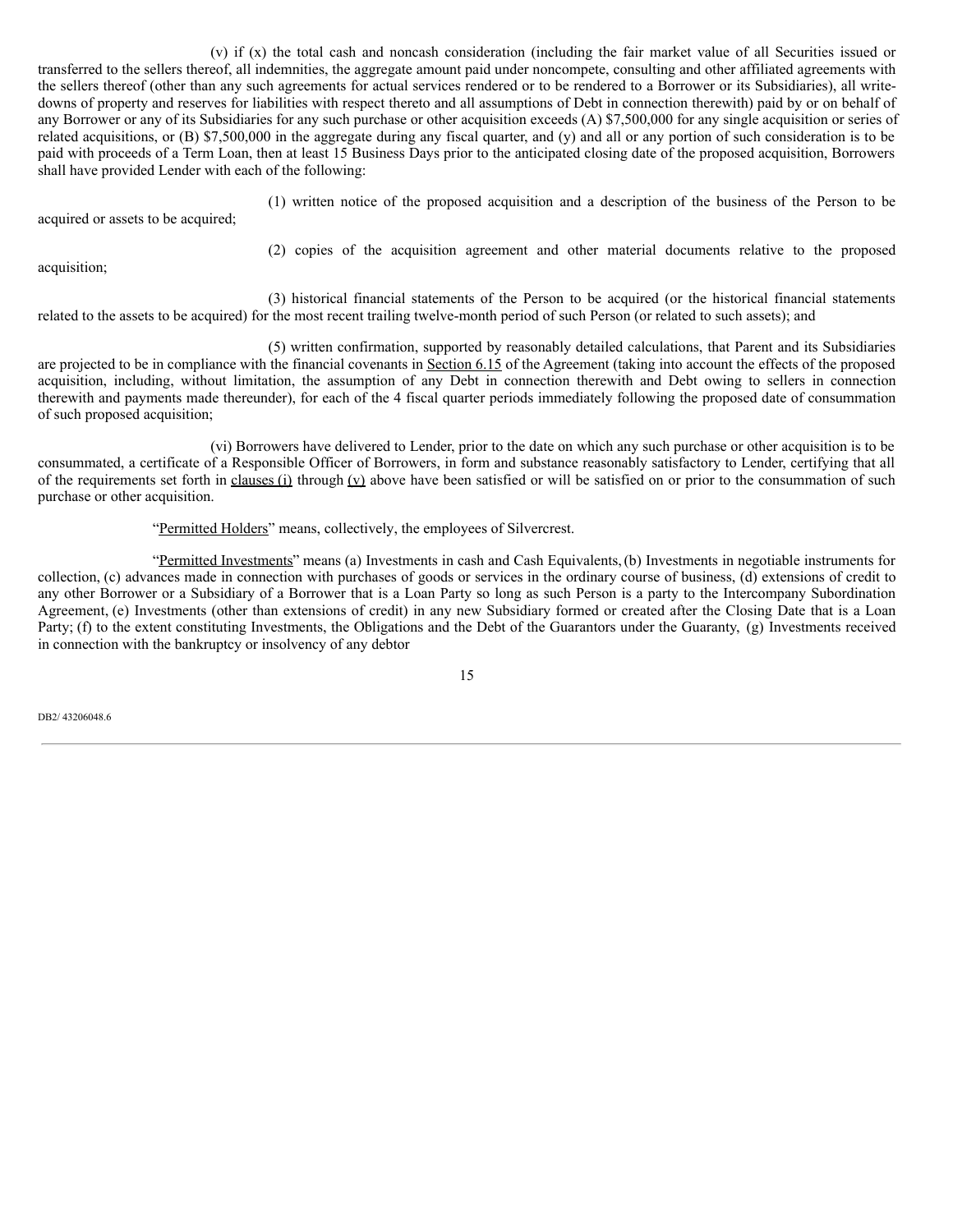(v) if (x) the total cash and noncash consideration (including the fair market value of all Securities issued or transferred to the sellers thereof, all indemnities, the aggregate amount paid under noncompete, consulting and other affiliated agreements with the sellers thereof (other than any such agreements for actual services rendered or to be rendered to a Borrower or its Subsidiaries), all writedowns of property and reserves for liabilities with respect thereto and all assumptions of Debt in connection therewith) paid by or on behalf of any Borrower or any of its Subsidiaries for any such purchase or other acquisition exceeds (A) \$7,500,000 for any single acquisition or series of related acquisitions, or (B) \$7,500,000 in the aggregate during any fiscal quarter, and (y) and all or any portion of such consideration is to be paid with proceeds of a Term Loan, then at least 15 Business Days prior to the anticipated closing date of the proposed acquisition, Borrowers shall have provided Lender with each of the following:

(1) written notice of the proposed acquisition and a description of the business of the Person to be

acquired or assets to be acquired;

acquisition;

(2) copies of the acquisition agreement and other material documents relative to the proposed

(3) historical financial statements of the Person to be acquired (or the historical financial statements related to the assets to be acquired) for the most recent trailing twelve-month period of such Person (or related to such assets); and

(5) written confirmation, supported by reasonably detailed calculations, that Parent and its Subsidiaries are projected to be in compliance with the financial covenants in Section 6.15 of the Agreement (taking into account the effects of the proposed acquisition, including, without limitation, the assumption of any Debt in connection therewith and Debt owing to sellers in connection therewith and payments made thereunder), for each of the 4 fiscal quarter periods immediately following the proposed date of consummation of such proposed acquisition;

(vi) Borrowers have delivered to Lender, prior to the date on which any such purchase or other acquisition is to be consummated, a certificate of a Responsible Officer of Borrowers, in form and substance reasonably satisfactory to Lender, certifying that all of the requirements set forth in clauses (i) through  $(y)$  above have been satisfied or will be satisfied on or prior to the consummation of such purchase or other acquisition.

"Permitted Holders" means, collectively, the employees of Silvercrest.

"Permitted Investments" means (a) Investments in cash and Cash Equivalents,(b) Investments in negotiable instruments for collection, (c) advances made in connection with purchases of goods or services in the ordinary course of business, (d) extensions of credit to any other Borrower or a Subsidiary of a Borrower that is a Loan Party so long as such Person is a party to the Intercompany Subordination Agreement, (e) Investments (other than extensions of credit) in any new Subsidiary formed or created after the Closing Date that is a Loan Party; (f) to the extent constituting Investments, the Obligations and the Debt of the Guarantors under the Guaranty, (g) Investments received in connection with the bankruptcy or insolvency of any debtor

15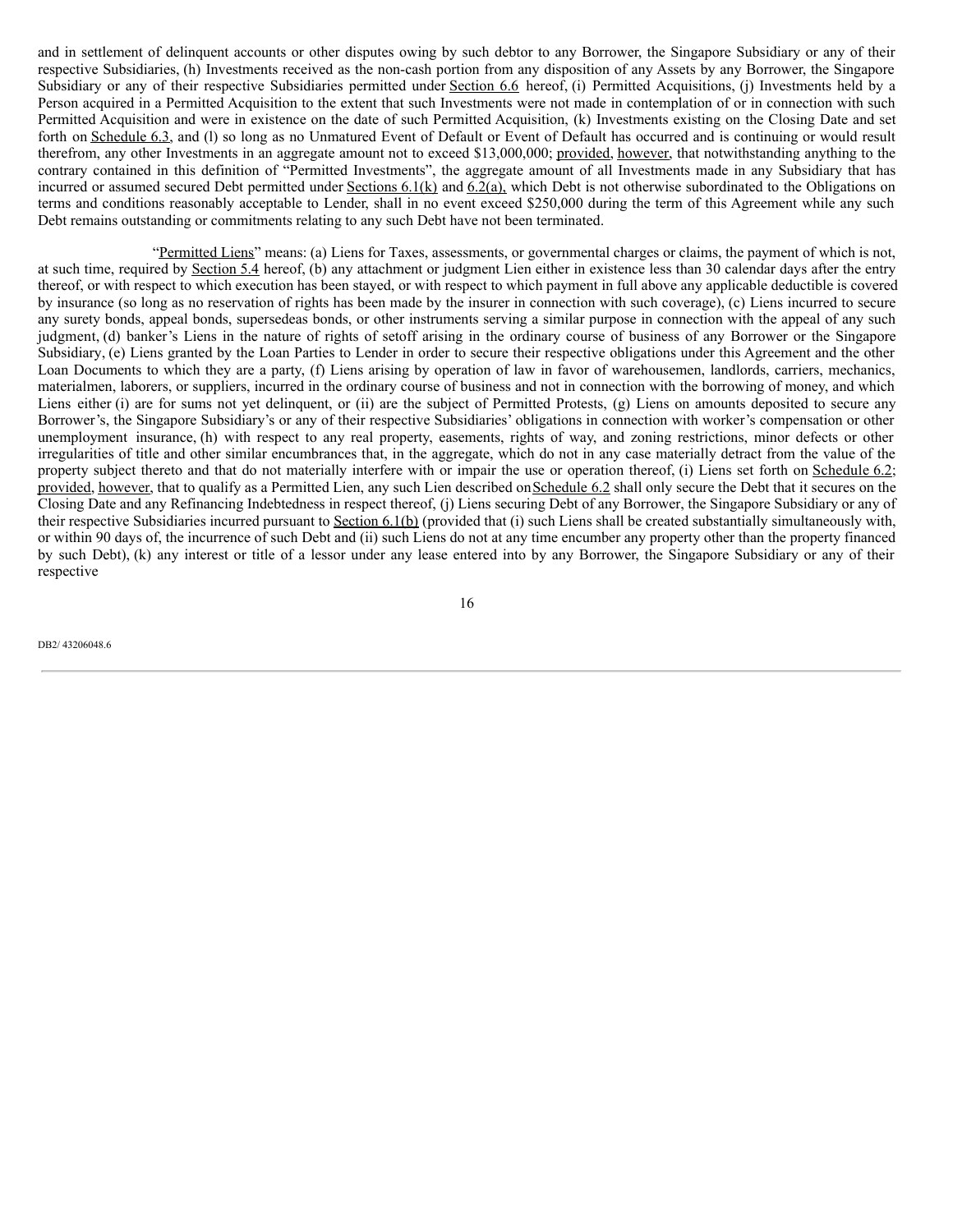and in settlement of delinquent accounts or other disputes owing by such debtor to any Borrower, the Singapore Subsidiary or any of their respective Subsidiaries, (h) Investments received as the non-cash portion from any disposition of any Assets by any Borrower, the Singapore Subsidiary or any of their respective Subsidiaries permitted under Section 6.6 hereof, (i) Permitted Acquisitions, (j) Investments held by a Person acquired in a Permitted Acquisition to the extent that such Investments were not made in contemplation of or in connection with such Permitted Acquisition and were in existence on the date of such Permitted Acquisition, (k) Investments existing on the Closing Date and set forth on Schedule 6.3, and (l) so long as no Unmatured Event of Default or Event of Default has occurred and is continuing or would result therefrom, any other Investments in an aggregate amount not to exceed \$13,000,000; provided, however, that notwithstanding anything to the contrary contained in this definition of "Permitted Investments", the aggregate amount of all Investments made in any Subsidiary that has incurred or assumed secured Debt permitted under Sections  $6.1(k)$  and  $6.2(a)$ , which Debt is not otherwise subordinated to the Obligations on terms and conditions reasonably acceptable to Lender, shall in no event exceed \$250,000 during the term of this Agreement while any such Debt remains outstanding or commitments relating to any such Debt have not been terminated.

"Permitted Liens" means: (a) Liens for Taxes, assessments, or governmental charges or claims, the payment of which is not, at such time, required by Section 5.4 hereof, (b) any attachment or judgment Lien either in existence less than 30 calendar days after the entry thereof, or with respect to which execution has been stayed, or with respect to which payment in full above any applicable deductible is covered by insurance (so long as no reservation of rights has been made by the insurer in connection with such coverage), (c) Liens incurred to secure any surety bonds, appeal bonds, supersedeas bonds, or other instruments serving a similar purpose in connection with the appeal of any such judgment, (d) banker's Liens in the nature of rights of setoff arising in the ordinary course of business of any Borrower or the Singapore Subsidiary, (e) Liens granted by the Loan Parties to Lender in order to secure their respective obligations under this Agreement and the other Loan Documents to which they are a party, (f) Liens arising by operation of law in favor of warehousemen, landlords, carriers, mechanics, materialmen, laborers, or suppliers, incurred in the ordinary course of business and not in connection with the borrowing of money, and which Liens either (i) are for sums not yet delinquent, or (ii) are the subject of Permitted Protests, (g) Liens on amounts deposited to secure any Borrower's, the Singapore Subsidiary's or any of their respective Subsidiaries' obligations in connection with worker's compensation or other unemployment insurance, (h) with respect to any real property, easements, rights of way, and zoning restrictions, minor defects or other irregularities of title and other similar encumbrances that, in the aggregate, which do not in any case materially detract from the value of the property subject thereto and that do not materially interfere with or impair the use or operation thereof, (i) Liens set forth on Schedule 6.2; provided, however, that to qualify as a Permitted Lien, any such Lien described on Schedule 6.2 shall only secure the Debt that it secures on the Closing Date and any Refinancing Indebtedness in respect thereof, (j) Liens securing Debt of any Borrower, the Singapore Subsidiary or any of their respective Subsidiaries incurred pursuant to Section 6.1(b) (provided that (i) such Liens shall be created substantially simultaneously with, or within 90 days of, the incurrence of such Debt and (ii) such Liens do not at any time encumber any property other than the property financed by such Debt), (k) any interest or title of a lessor under any lease entered into by any Borrower, the Singapore Subsidiary or any of their respective

16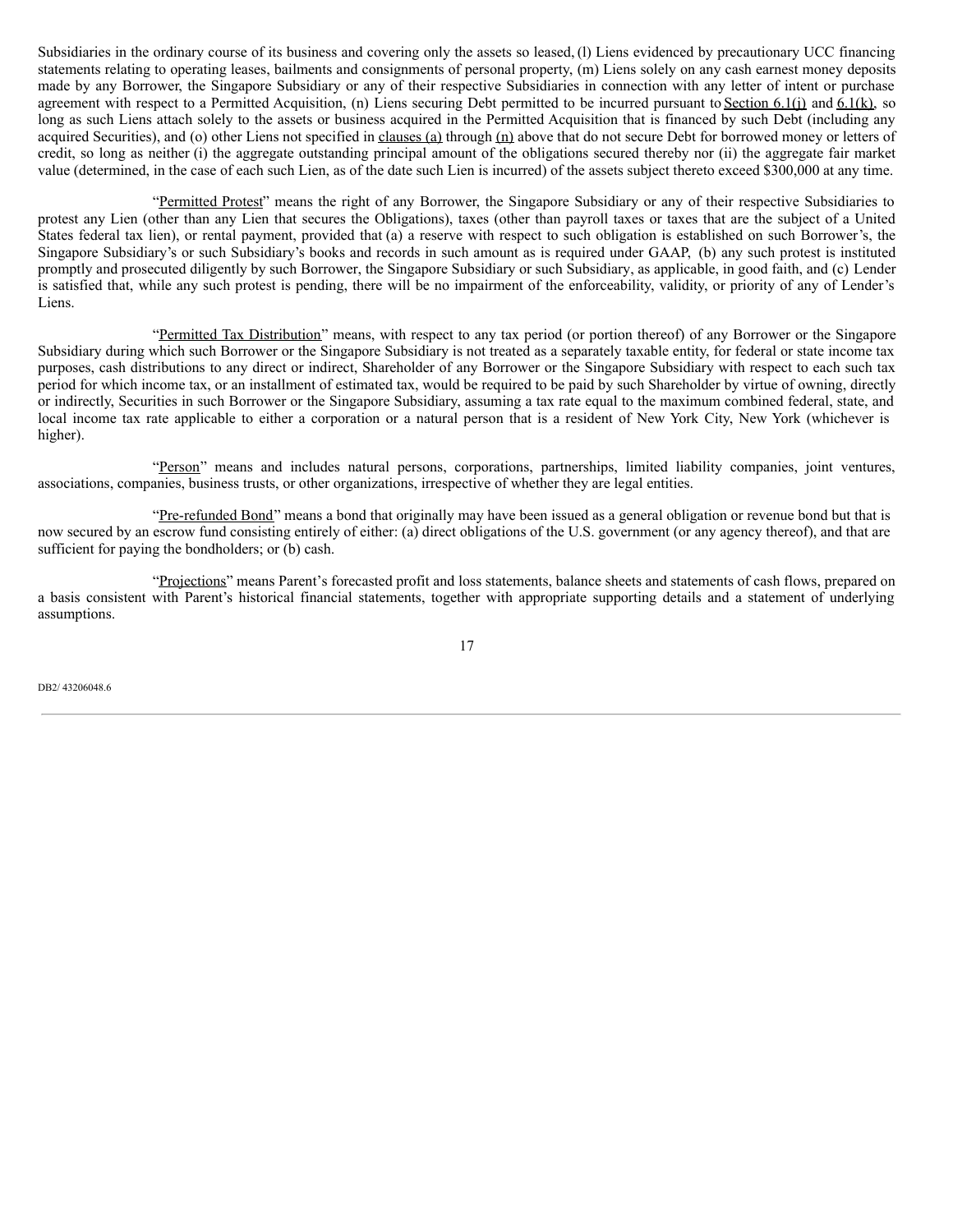Subsidiaries in the ordinary course of its business and covering only the assets so leased, (1) Liens evidenced by precautionary UCC financing statements relating to operating leases, bailments and consignments of personal property, (m) Liens solely on any cash earnest money deposits made by any Borrower, the Singapore Subsidiary or any of their respective Subsidiaries in connection with any letter of intent or purchase agreement with respect to a Permitted Acquisition, (n) Liens securing Debt permitted to be incurred pursuant to Section 6.1(j) and  $6.1(k)$ , so long as such Liens attach solely to the assets or business acquired in the Permitted Acquisition that is financed by such Debt (including any acquired Securities), and (o) other Liens not specified in clauses (a) through  $(n)$  above that do not secure Debt for borrowed money or letters of credit, so long as neither (i) the aggregate outstanding principal amount of the obligations secured thereby nor (ii) the aggregate fair market value (determined, in the case of each such Lien, as of the date such Lien is incurred) of the assets subject thereto exceed \$300,000 at any time.

"Permitted Protest" means the right of any Borrower, the Singapore Subsidiary or any of their respective Subsidiaries to protest any Lien (other than any Lien that secures the Obligations), taxes (other than payroll taxes or taxes that are the subject of a United States federal tax lien), or rental payment, provided that (a) a reserve with respect to such obligation is established on such Borrower's, the Singapore Subsidiary's or such Subsidiary's books and records in such amount as is required under GAAP, (b) any such protest is instituted promptly and prosecuted diligently by such Borrower, the Singapore Subsidiary or such Subsidiary, as applicable, in good faith, and (c) Lender is satisfied that, while any such protest is pending, there will be no impairment of the enforceability, validity, or priority of any of Lender's Liens.

"Permitted Tax Distribution" means, with respect to any tax period (or portion thereof) of any Borrower or the Singapore Subsidiary during which such Borrower or the Singapore Subsidiary is not treated as a separately taxable entity, for federal or state income tax purposes, cash distributions to any direct or indirect, Shareholder of any Borrower or the Singapore Subsidiary with respect to each such tax period for which income tax, or an installment of estimated tax, would be required to be paid by such Shareholder by virtue of owning, directly or indirectly, Securities in such Borrower or the Singapore Subsidiary, assuming a tax rate equal to the maximum combined federal, state, and local income tax rate applicable to either a corporation or a natural person that is a resident of New York City, New York (whichever is higher).

"Person" means and includes natural persons, corporations, partnerships, limited liability companies, joint ventures, associations, companies, business trusts, or other organizations, irrespective of whether they are legal entities.

"Pre-refunded Bond" means a bond that originally may have been issued as a general obligation or revenue bond but that is now secured by an escrow fund consisting entirely of either: (a) direct obligations of the U.S. government (or any agency thereof), and that are sufficient for paying the bondholders; or (b) cash.

"Projections" means Parent's forecasted profit and loss statements, balance sheets and statements of cash flows, prepared on a basis consistent with Parent's historical financial statements, together with appropriate supporting details and a statement of underlying assumptions.

17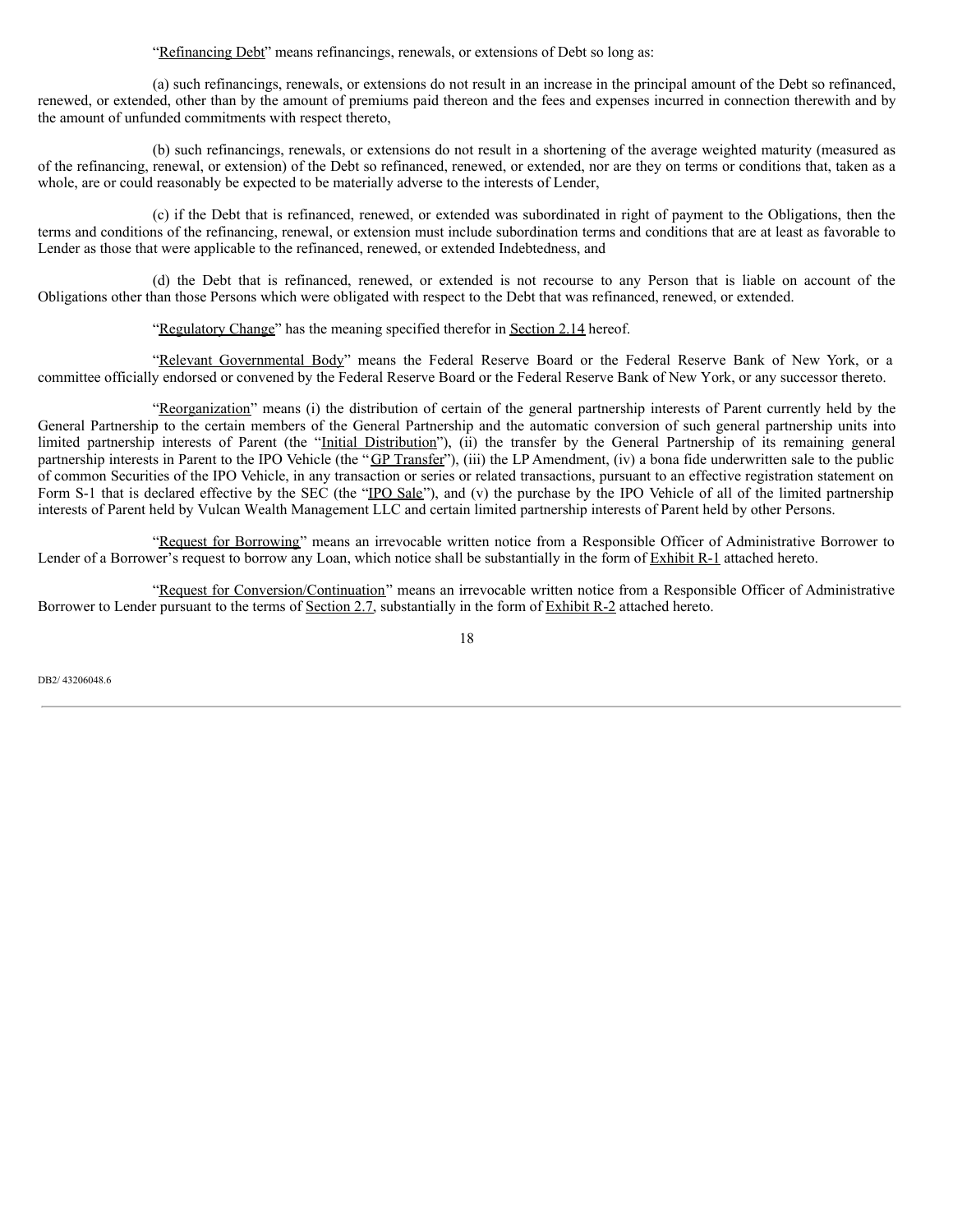"Refinancing Debt" means refinancings, renewals, or extensions of Debt so long as:

(a) such refinancings, renewals, or extensions do not result in an increase in the principal amount of the Debt so refinanced, renewed, or extended, other than by the amount of premiums paid thereon and the fees and expenses incurred in connection therewith and by the amount of unfunded commitments with respect thereto,

(b) such refinancings, renewals, or extensions do not result in a shortening of the average weighted maturity (measured as of the refinancing, renewal, or extension) of the Debt so refinanced, renewed, or extended, nor are they on terms or conditions that, taken as a whole, are or could reasonably be expected to be materially adverse to the interests of Lender,

(c) if the Debt that is refinanced, renewed, or extended was subordinated in right of payment to the Obligations, then the terms and conditions of the refinancing, renewal, or extension must include subordination terms and conditions that are at least as favorable to Lender as those that were applicable to the refinanced, renewed, or extended Indebtedness, and

(d) the Debt that is refinanced, renewed, or extended is not recourse to any Person that is liable on account of the Obligations other than those Persons which were obligated with respect to the Debt that was refinanced, renewed, or extended.

"Regulatory Change" has the meaning specified therefor in Section 2.14 hereof.

"Relevant Governmental Body" means the Federal Reserve Board or the Federal Reserve Bank of New York, or a committee officially endorsed or convened by the Federal Reserve Board or the Federal Reserve Bank of New York, or any successor thereto.

"Reorganization" means (i) the distribution of certain of the general partnership interests of Parent currently held by the General Partnership to the certain members of the General Partnership and the automatic conversion of such general partnership units into limited partnership interests of Parent (the "Initial Distribution"), (ii) the transfer by the General Partnership of its remaining general partnership interests in Parent to the IPO Vehicle (the "GP Transfer"), (iii) the LP Amendment, (iv) a bona fide underwritten sale to the public of common Securities of the IPO Vehicle, in any transaction or series or related transactions, pursuant to an effective registration statement on Form S-1 that is declared effective by the SEC (the "IPO Sale"), and (v) the purchase by the IPO Vehicle of all of the limited partnership interests of Parent held by Vulcan Wealth Management LLC and certain limited partnership interests of Parent held by other Persons.

"Request for Borrowing" means an irrevocable written notice from a Responsible Officer of Administrative Borrower to Lender of a Borrower's request to borrow any Loan, which notice shall be substantially in the form of Exhibit R-1 attached hereto.

"Request for Conversion/Continuation" means an irrevocable written notice from a Responsible Officer of Administrative Borrower to Lender pursuant to the terms of Section 2.7, substantially in the form of Exhibit R-2 attached hereto.

18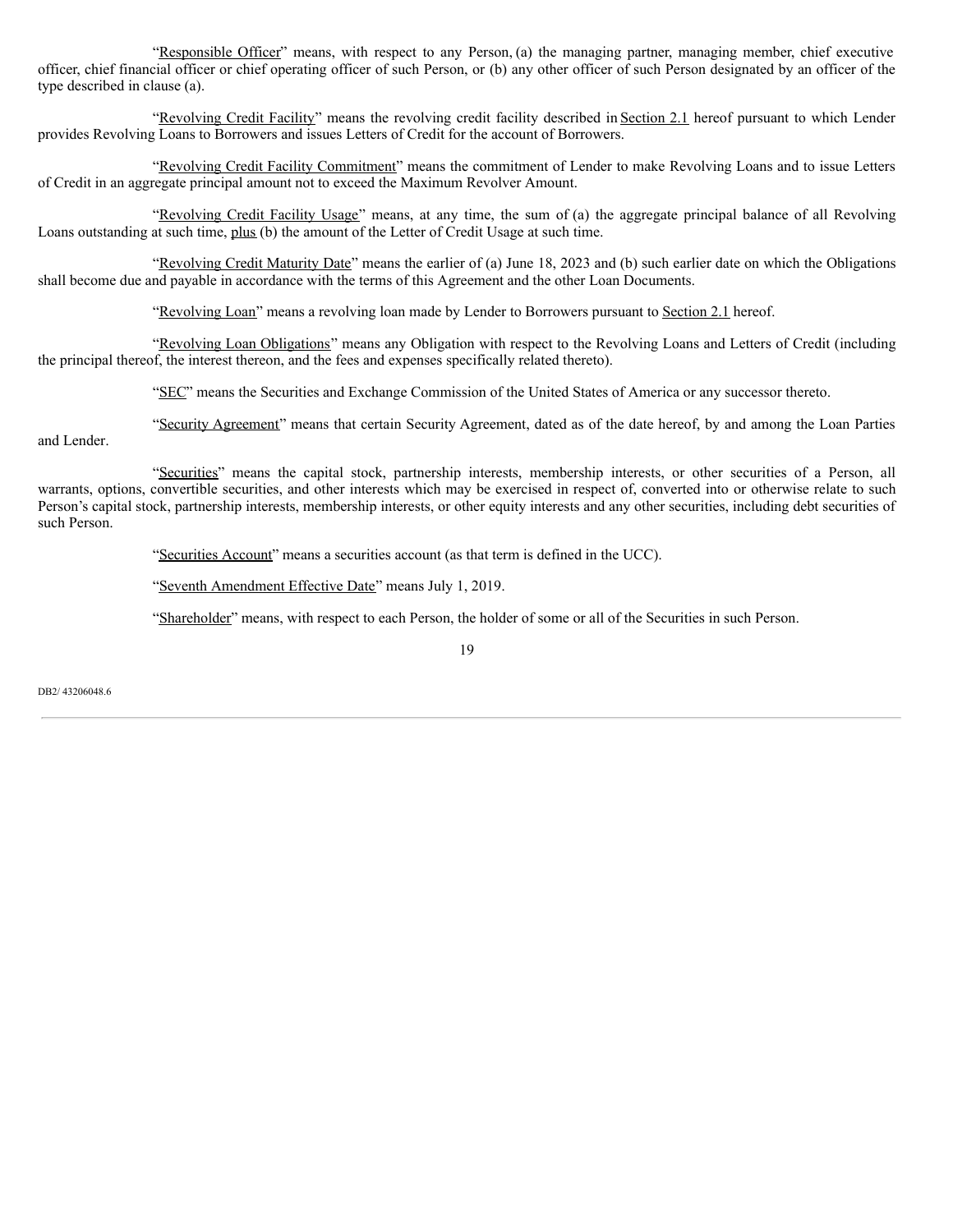"Responsible Officer" means, with respect to any Person, (a) the managing partner, managing member, chief executive officer, chief financial officer or chief operating officer of such Person, or (b) any other officer of such Person designated by an officer of the type described in clause (a).

"Revolving Credit Facility" means the revolving credit facility described in Section 2.1 hereof pursuant to which Lender provides Revolving Loans to Borrowers and issues Letters of Credit for the account of Borrowers.

"Revolving Credit Facility Commitment" means the commitment of Lender to make Revolving Loans and to issue Letters of Credit in an aggregate principal amount not to exceed the Maximum Revolver Amount.

"Revolving Credit Facility Usage" means, at any time, the sum of (a) the aggregate principal balance of all Revolving Loans outstanding at such time, plus (b) the amount of the Letter of Credit Usage at such time.

"Revolving Credit Maturity Date" means the earlier of (a) June 18, 2023 and (b) such earlier date on which the Obligations shall become due and payable in accordance with the terms of this Agreement and the other Loan Documents.

"Revolving Loan" means a revolving loan made by Lender to Borrowers pursuant to Section 2.1 hereof.

"Revolving Loan Obligations" means any Obligation with respect to the Revolving Loans and Letters of Credit (including the principal thereof, the interest thereon, and the fees and expenses specifically related thereto).

"SEC" means the Securities and Exchange Commission of the United States of America or any successor thereto.

"Security Agreement" means that certain Security Agreement, dated as of the date hereof, by and among the Loan Parties

and Lender.

"Securities" means the capital stock, partnership interests, membership interests, or other securities of a Person, all warrants, options, convertible securities, and other interests which may be exercised in respect of, converted into or otherwise relate to such Person's capital stock, partnership interests, membership interests, or other equity interests and any other securities, including debt securities of such Person.

"Securities Account" means a securities account (as that term is defined in the UCC).

"Seventh Amendment Effective Date" means July 1, 2019.

"Shareholder" means, with respect to each Person, the holder of some or all of the Securities in such Person.

19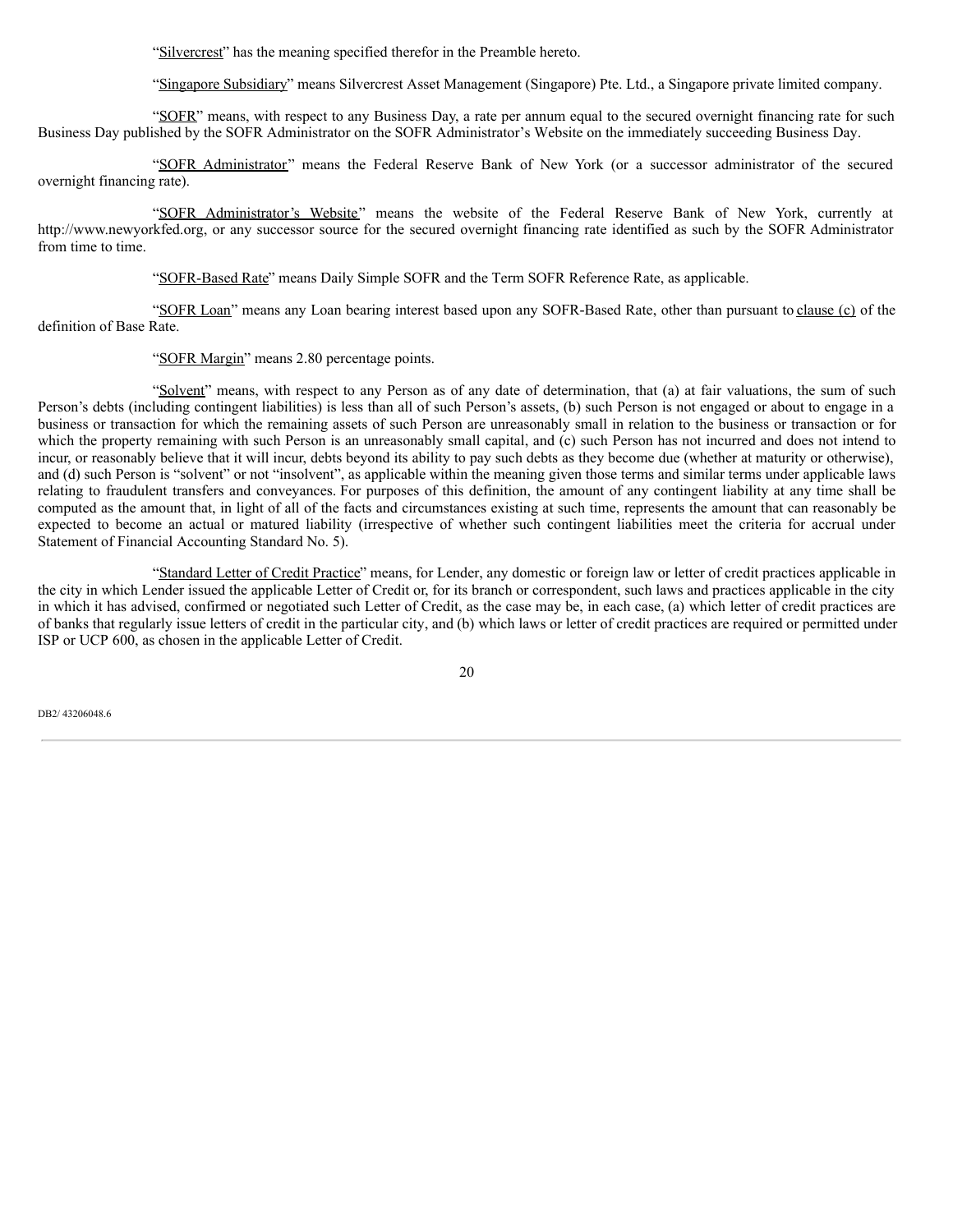"Silvercrest" has the meaning specified therefor in the Preamble hereto.

"Singapore Subsidiary" means Silvercrest Asset Management (Singapore) Pte. Ltd., a Singapore private limited company.

"SOFR" means, with respect to any Business Day, a rate per annum equal to the secured overnight financing rate for such Business Day published by the SOFR Administrator on the SOFR Administrator's Website on the immediately succeeding Business Day.

"SOFR Administrator" means the Federal Reserve Bank of New York (or a successor administrator of the secured overnight financing rate).

"SOFR Administrator's Website" means the website of the Federal Reserve Bank of New York, currently at http://www.newyorkfed.org, or any successor source for the secured overnight financing rate identified as such by the SOFR Administrator from time to time.

"SOFR-Based Rate" means Daily Simple SOFR and the Term SOFR Reference Rate, as applicable.

"SOFR Loan" means any Loan bearing interest based upon any SOFR‑Based Rate, other than pursuant to clause (c) of the definition of Base Rate.

"SOFR Margin" means 2.80 percentage points.

"Solvent" means, with respect to any Person as of any date of determination, that (a) at fair valuations, the sum of such Person's debts (including contingent liabilities) is less than all of such Person's assets, (b) such Person is not engaged or about to engage in a business or transaction for which the remaining assets of such Person are unreasonably small in relation to the business or transaction or for which the property remaining with such Person is an unreasonably small capital, and (c) such Person has not incurred and does not intend to incur, or reasonably believe that it will incur, debts beyond its ability to pay such debts as they become due (whether at maturity or otherwise), and (d) such Person is "solvent" or not "insolvent", as applicable within the meaning given those terms and similar terms under applicable laws relating to fraudulent transfers and conveyances. For purposes of this definition, the amount of any contingent liability at any time shall be computed as the amount that, in light of all of the facts and circumstances existing at such time, represents the amount that can reasonably be expected to become an actual or matured liability (irrespective of whether such contingent liabilities meet the criteria for accrual under Statement of Financial Accounting Standard No. 5).

"Standard Letter of Credit Practice" means, for Lender, any domestic or foreign law or letter of credit practices applicable in the city in which Lender issued the applicable Letter of Credit or, for its branch or correspondent, such laws and practices applicable in the city in which it has advised, confirmed or negotiated such Letter of Credit, as the case may be, in each case, (a) which letter of credit practices are of banks that regularly issue letters of credit in the particular city, and (b) which laws or letter of credit practices are required or permitted under ISP or UCP 600, as chosen in the applicable Letter of Credit.

20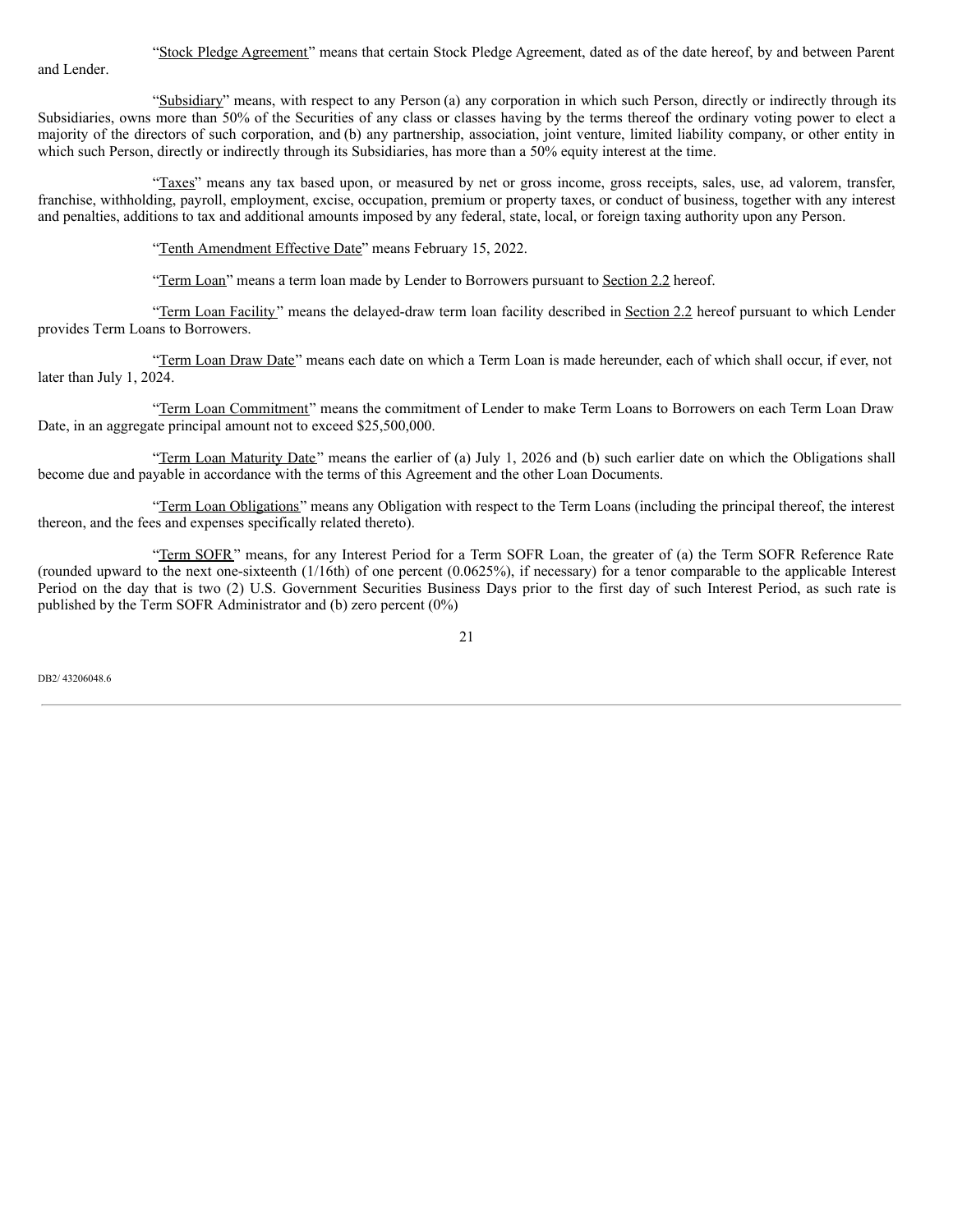## "Stock Pledge Agreement" means that certain Stock Pledge Agreement, dated as of the date hereof, by and between Parent

and Lender.

"Subsidiary" means, with respect to any Person (a) any corporation in which such Person, directly or indirectly through its Subsidiaries, owns more than 50% of the Securities of any class or classes having by the terms thereof the ordinary voting power to elect a majority of the directors of such corporation, and (b) any partnership, association, joint venture, limited liability company, or other entity in which such Person, directly or indirectly through its Subsidiaries, has more than a 50% equity interest at the time.

"Taxes" means any tax based upon, or measured by net or gross income, gross receipts, sales, use, ad valorem, transfer, franchise, withholding, payroll, employment, excise, occupation, premium or property taxes, or conduct of business, together with any interest and penalties, additions to tax and additional amounts imposed by any federal, state, local, or foreign taxing authority upon any Person.

"Tenth Amendment Effective Date" means February 15, 2022.

"Term Loan" means a term loan made by Lender to Borrowers pursuant to Section 2.2 hereof.

"Term Loan Facility" means the delayed-draw term loan facility described in Section 2.2 hereof pursuant to which Lender provides Term Loans to Borrowers.

"Term Loan Draw Date" means each date on which a Term Loan is made hereunder, each of which shall occur, if ever, not later than July 1, 2024.

"Term Loan Commitment" means the commitment of Lender to make Term Loans to Borrowers on each Term Loan Draw Date, in an aggregate principal amount not to exceed \$25,500,000.

"Term Loan Maturity Date" means the earlier of (a) July 1, 2026 and (b) such earlier date on which the Obligations shall become due and payable in accordance with the terms of this Agreement and the other Loan Documents.

"Term Loan Obligations" means any Obligation with respect to the Term Loans (including the principal thereof, the interest thereon, and the fees and expenses specifically related thereto).

"Term SOFR" means, for any Interest Period for a Term SOFR Loan, the greater of (a) the Term SOFR Reference Rate (rounded upward to the next one-sixteenth (1/16th) of one percent (0.0625%), if necessary) for a tenor comparable to the applicable Interest Period on the day that is two (2) U.S. Government Securities Business Days prior to the first day of such Interest Period, as such rate is published by the Term SOFR Administrator and (b) zero percent (0%)

21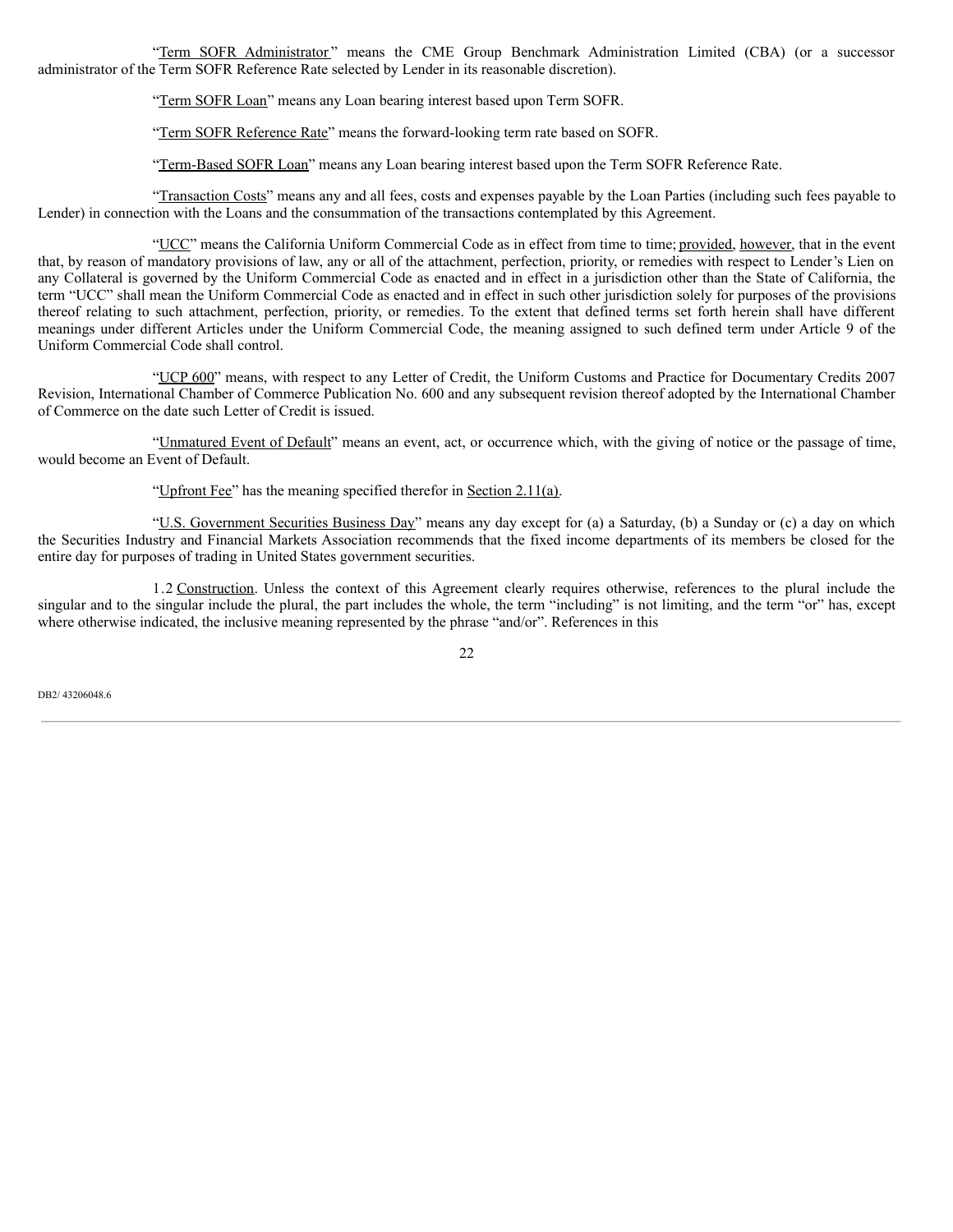"Term SOFR Administrator" means the CME Group Benchmark Administration Limited (CBA) (or a successor administrator of the Term SOFR Reference Rate selected by Lender in its reasonable discretion).

"Term SOFR Loan" means any Loan bearing interest based upon Term SOFR.

"Term SOFR Reference Rate" means the forward-looking term rate based on SOFR.

"Term-Based SOFR Loan" means any Loan bearing interest based upon the Term SOFR Reference Rate.

"Transaction Costs" means any and all fees, costs and expenses payable by the Loan Parties (including such fees payable to Lender) in connection with the Loans and the consummation of the transactions contemplated by this Agreement.

"UCC" means the California Uniform Commercial Code as in effect from time to time; provided, however, that in the event that, by reason of mandatory provisions of law, any or all of the attachment, perfection, priority, or remedies with respect to Lender's Lien on any Collateral is governed by the Uniform Commercial Code as enacted and in effect in a jurisdiction other than the State of California, the term "UCC" shall mean the Uniform Commercial Code as enacted and in effect in such other jurisdiction solely for purposes of the provisions thereof relating to such attachment, perfection, priority, or remedies. To the extent that defined terms set forth herein shall have different meanings under different Articles under the Uniform Commercial Code, the meaning assigned to such defined term under Article 9 of the Uniform Commercial Code shall control.

"UCP 600" means, with respect to any Letter of Credit, the Uniform Customs and Practice for Documentary Credits 2007 Revision, International Chamber of Commerce Publication No. 600 and any subsequent revision thereof adopted by the International Chamber of Commerce on the date such Letter of Credit is issued.

"Unmatured Event of Default" means an event, act, or occurrence which, with the giving of notice or the passage of time, would become an Event of Default.

"Upfront Fee" has the meaning specified therefor in Section 2.11(a).

"U.S. Government Securities Business Day" means any day except for (a) a Saturday, (b) a Sunday or (c) a day on which the Securities Industry and Financial Markets Association recommends that the fixed income departments of its members be closed for the entire day for purposes of trading in United States government securities.

1.2 Construction. Unless the context of this Agreement clearly requires otherwise, references to the plural include the singular and to the singular include the plural, the part includes the whole, the term "including" is not limiting, and the term "or" has, except where otherwise indicated, the inclusive meaning represented by the phrase "and/or". References in this

22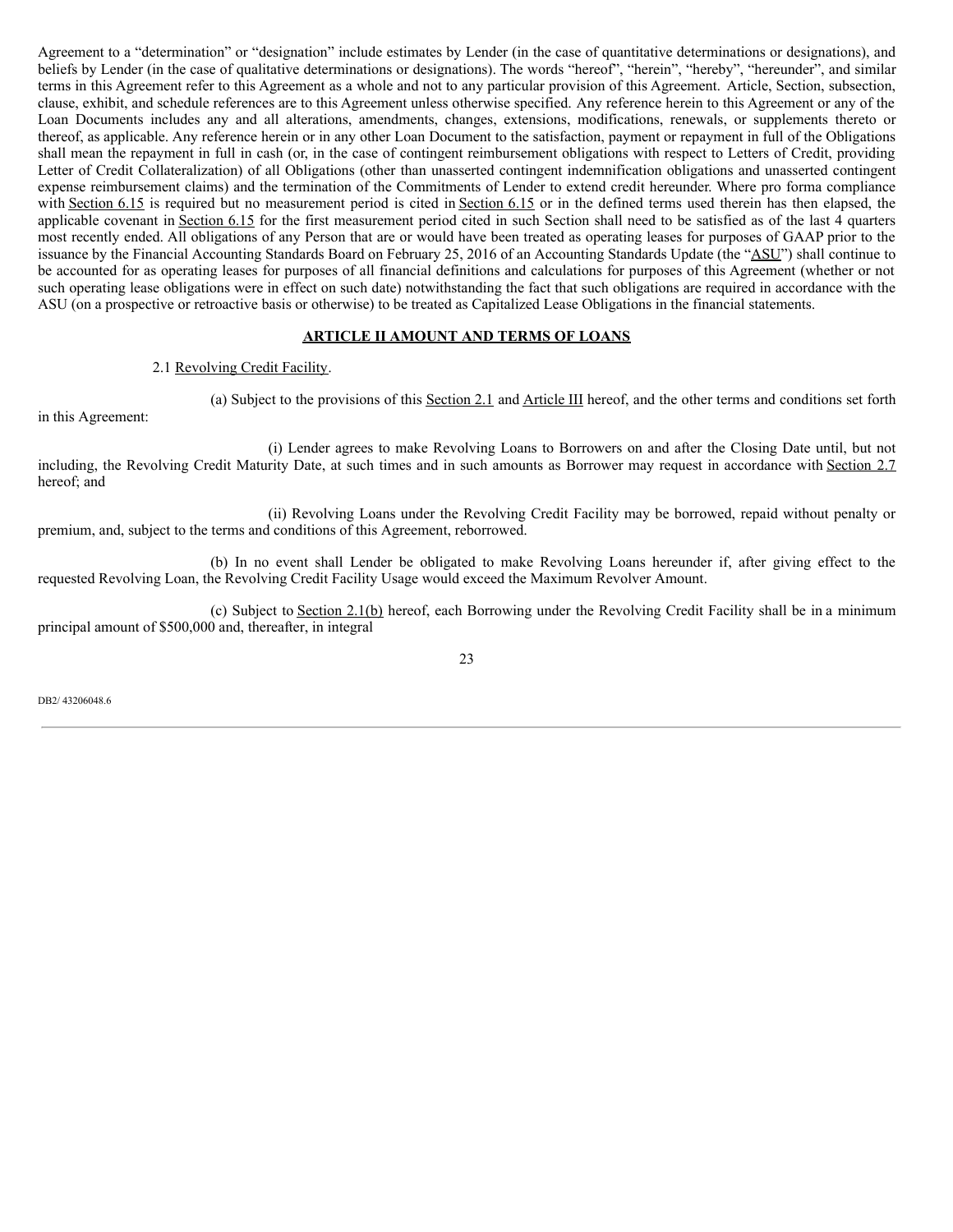Agreement to a "determination" or "designation" include estimates by Lender (in the case of quantitative determinations or designations), and beliefs by Lender (in the case of qualitative determinations or designations). The words "hereof", "herein", "hereby", "hereunder", and similar terms in this Agreement refer to this Agreement as a whole and not to any particular provision of this Agreement. Article, Section, subsection, clause, exhibit, and schedule references are to this Agreement unless otherwise specified. Any reference herein to this Agreement or any of the Loan Documents includes any and all alterations, amendments, changes, extensions, modifications, renewals, or supplements thereto or thereof, as applicable. Any reference herein or in any other Loan Document to the satisfaction, payment or repayment in full of the Obligations shall mean the repayment in full in cash (or, in the case of contingent reimbursement obligations with respect to Letters of Credit, providing Letter of Credit Collateralization) of all Obligations (other than unasserted contingent indemnification obligations and unasserted contingent expense reimbursement claims) and the termination of the Commitments of Lender to extend credit hereunder. Where pro forma compliance with Section 6.15 is required but no measurement period is cited in Section 6.15 or in the defined terms used therein has then elapsed, the applicable covenant in Section 6.15 for the first measurement period cited in such Section shall need to be satisfied as of the last 4 quarters most recently ended. All obligations of any Person that are or would have been treated as operating leases for purposes of GAAP prior to the issuance by the Financial Accounting Standards Board on February 25, 2016 of an Accounting Standards Update (the "ASU") shall continue to be accounted for as operating leases for purposes of all financial definitions and calculations for purposes of this Agreement (whether or not such operating lease obligations were in effect on such date) notwithstanding the fact that such obligations are required in accordance with the ASU (on a prospective or retroactive basis or otherwise) to be treated as Capitalized Lease Obligations in the financial statements.

## **ARTICLE II AMOUNT AND TERMS OF LOANS**

#### 2.1 Revolving Credit Facility.

(a) Subject to the provisions of this Section 2.1 and Article III hereof, and the other terms and conditions set forth

in this Agreement:

(i) Lender agrees to make Revolving Loans to Borrowers on and after the Closing Date until, but not including, the Revolving Credit Maturity Date, at such times and in such amounts as Borrower may request in accordance with Section 2.7 hereof; and

(ii) Revolving Loans under the Revolving Credit Facility may be borrowed, repaid without penalty or premium, and, subject to the terms and conditions of this Agreement, reborrowed.

(b) In no event shall Lender be obligated to make Revolving Loans hereunder if, after giving effect to the requested Revolving Loan, the Revolving Credit Facility Usage would exceed the Maximum Revolver Amount.

(c) Subject to Section 2.1(b) hereof, each Borrowing under the Revolving Credit Facility shall be in a minimum principal amount of \$500,000 and, thereafter, in integral

23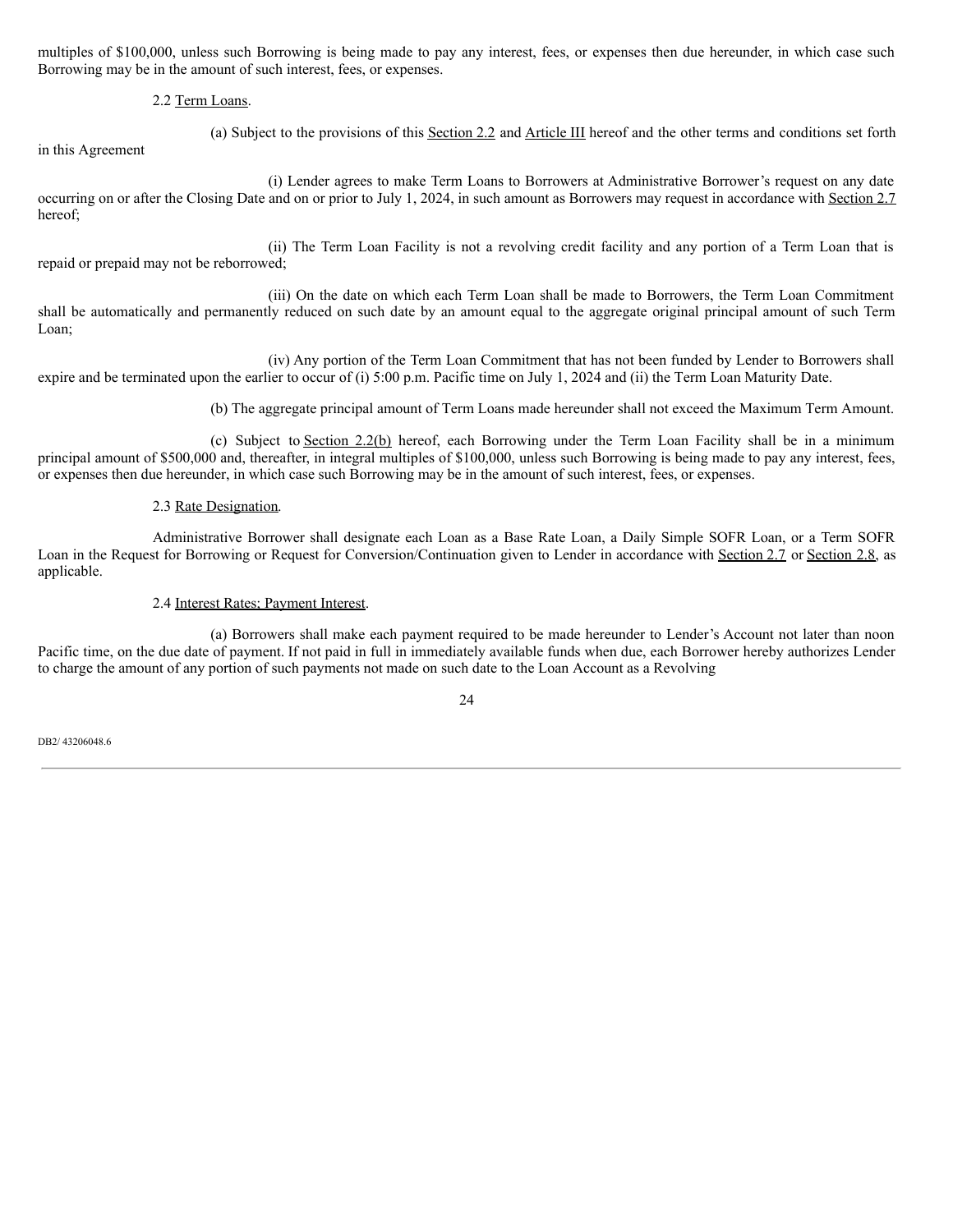multiples of \$100,000, unless such Borrowing is being made to pay any interest, fees, or expenses then due hereunder, in which case such Borrowing may be in the amount of such interest, fees, or expenses.

## 2.2 Term Loans.

(a) Subject to the provisions of this Section 2.2 and Article III hereof and the other terms and conditions set forth

in this Agreement

(i) Lender agrees to make Term Loans to Borrowers at Administrative Borrower's request on any date occurring on or after the Closing Date and on or prior to July 1, 2024, in such amount as Borrowers may request in accordance with Section 2.7 hereof;

(ii) The Term Loan Facility is not a revolving credit facility and any portion of a Term Loan that is repaid or prepaid may not be reborrowed;

(iii) On the date on which each Term Loan shall be made to Borrowers, the Term Loan Commitment shall be automatically and permanently reduced on such date by an amount equal to the aggregate original principal amount of such Term Loan;

(iv) Any portion of the Term Loan Commitment that has not been funded by Lender to Borrowers shall expire and be terminated upon the earlier to occur of (i) 5:00 p.m. Pacific time on July 1, 2024 and (ii) the Term Loan Maturity Date.

(b) The aggregate principal amount of Term Loans made hereunder shall not exceed the Maximum Term Amount.

(c) Subject to Section 2.2(b) hereof, each Borrowing under the Term Loan Facility shall be in a minimum principal amount of \$500,000 and, thereafter, in integral multiples of \$100,000, unless such Borrowing is being made to pay any interest, fees, or expenses then due hereunder, in which case such Borrowing may be in the amount of such interest, fees, or expenses.

### 2.3 Rate Designation.

Administrative Borrower shall designate each Loan as a Base Rate Loan, a Daily Simple SOFR Loan, or a Term SOFR Loan in the Request for Borrowing or Request for Conversion/Continuation given to Lender in accordance with Section 2.7 or Section 2.8, as applicable.

### 2.4 Interest Rates; Payment Interest.

(a) Borrowers shall make each payment required to be made hereunder to Lender's Account not later than noon Pacific time, on the due date of payment. If not paid in full in immediately available funds when due, each Borrower hereby authorizes Lender to charge the amount of any portion of such payments not made on such date to the Loan Account as a Revolving

24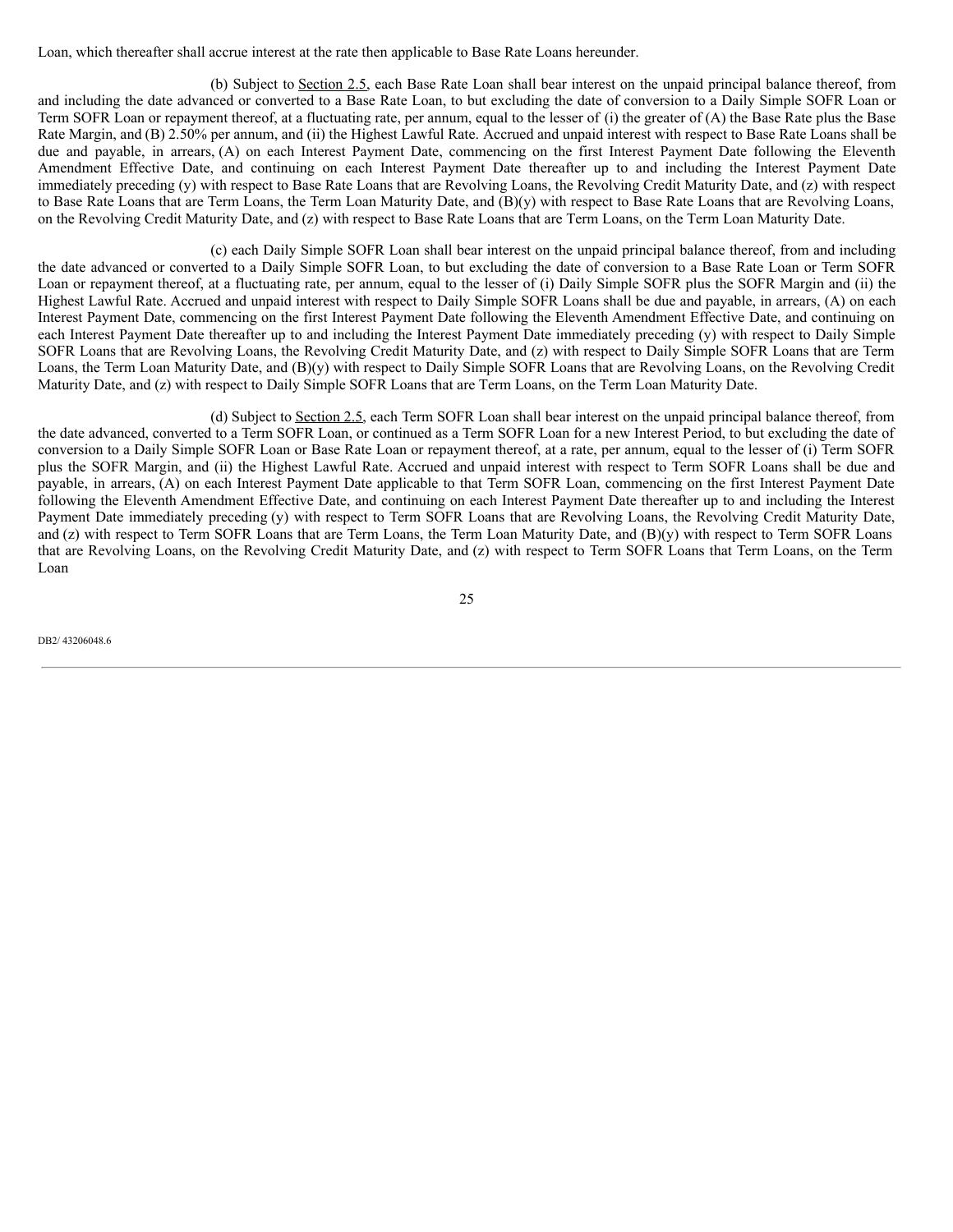Loan, which thereafter shall accrue interest at the rate then applicable to Base Rate Loans hereunder.

(b) Subject to Section 2.5, each Base Rate Loan shall bear interest on the unpaid principal balance thereof, from and including the date advanced or converted to a Base Rate Loan, to but excluding the date of conversion to a Daily Simple SOFR Loan or Term SOFR Loan or repayment thereof, at a fluctuating rate, per annum, equal to the lesser of (i) the greater of (A) the Base Rate plus the Base Rate Margin, and (B) 2.50% per annum, and (ii) the Highest Lawful Rate. Accrued and unpaid interest with respect to Base Rate Loans shall be due and payable, in arrears, (A) on each Interest Payment Date, commencing on the first Interest Payment Date following the Eleventh Amendment Effective Date, and continuing on each Interest Payment Date thereafter up to and including the Interest Payment Date immediately preceding (y) with respect to Base Rate Loans that are Revolving Loans, the Revolving Credit Maturity Date, and (z) with respect to Base Rate Loans that are Term Loans, the Term Loan Maturity Date, and (B)(y) with respect to Base Rate Loans that are Revolving Loans, on the Revolving Credit Maturity Date, and (z) with respect to Base Rate Loans that are Term Loans, on the Term Loan Maturity Date.

(c) each Daily Simple SOFR Loan shall bear interest on the unpaid principal balance thereof, from and including the date advanced or converted to a Daily Simple SOFR Loan, to but excluding the date of conversion to a Base Rate Loan or Term SOFR Loan or repayment thereof, at a fluctuating rate, per annum, equal to the lesser of (i) Daily Simple SOFR plus the SOFR Margin and (ii) the Highest Lawful Rate. Accrued and unpaid interest with respect to Daily Simple SOFR Loans shall be due and payable, in arrears, (A) on each Interest Payment Date, commencing on the first Interest Payment Date following the Eleventh Amendment Effective Date, and continuing on each Interest Payment Date thereafter up to and including the Interest Payment Date immediately preceding (y) with respect to Daily Simple SOFR Loans that are Revolving Loans, the Revolving Credit Maturity Date, and (z) with respect to Daily Simple SOFR Loans that are Term Loans, the Term Loan Maturity Date, and (B)(y) with respect to Daily Simple SOFR Loans that are Revolving Loans, on the Revolving Credit Maturity Date, and (z) with respect to Daily Simple SOFR Loans that are Term Loans, on the Term Loan Maturity Date.

(d) Subject to Section 2.5, each Term SOFR Loan shall bear interest on the unpaid principal balance thereof, from the date advanced, converted to a Term SOFR Loan, or continued as a Term SOFR Loan for a new Interest Period, to but excluding the date of conversion to a Daily Simple SOFR Loan or Base Rate Loan or repayment thereof, at a rate, per annum, equal to the lesser of (i) Term SOFR plus the SOFR Margin, and (ii) the Highest Lawful Rate. Accrued and unpaid interest with respect to Term SOFR Loans shall be due and payable, in arrears, (A) on each Interest Payment Date applicable to that Term SOFR Loan, commencing on the first Interest Payment Date following the Eleventh Amendment Effective Date, and continuing on each Interest Payment Date thereafter up to and including the Interest Payment Date immediately preceding (y) with respect to Term SOFR Loans that are Revolving Loans, the Revolving Credit Maturity Date, and  $(z)$  with respect to Term SOFR Loans that are Term Loans, the Term Loan Maturity Date, and  $(B)(y)$  with respect to Term SOFR Loans that are Revolving Loans, on the Revolving Credit Maturity Date, and (z) with respect to Term SOFR Loans that Term Loans, on the Term Loan

25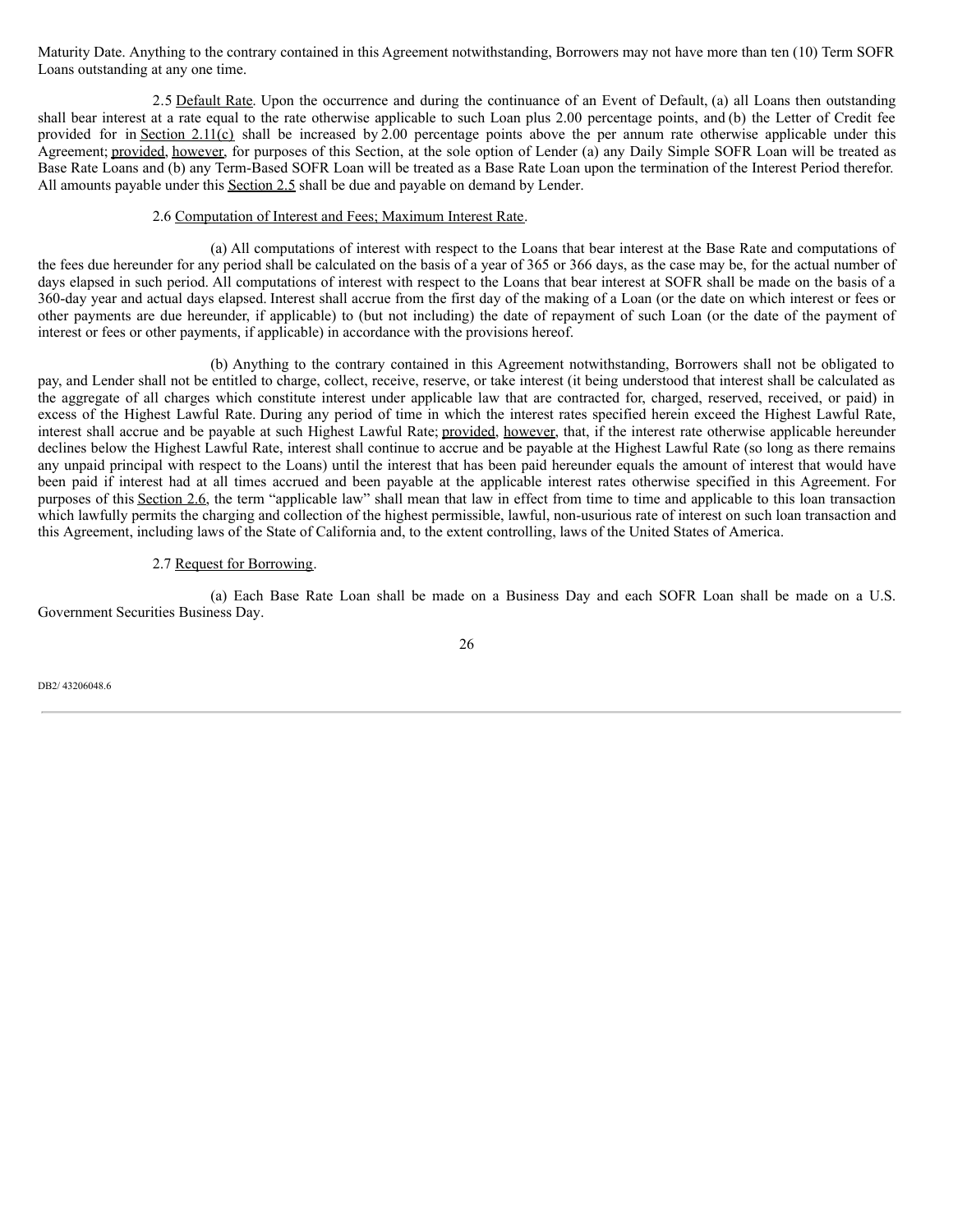Maturity Date. Anything to the contrary contained in this Agreement notwithstanding, Borrowers may not have more than ten (10) Term SOFR Loans outstanding at any one time.

2.5 Default Rate. Upon the occurrence and during the continuance of an Event of Default, (a) all Loans then outstanding shall bear interest at a rate equal to the rate otherwise applicable to such Loan plus 2.00 percentage points, and (b) the Letter of Credit fee provided for in <u>Section 2.11(c)</u> shall be increased by 2.00 percentage points above the per annum rate otherwise applicable under this Agreement; provided, however, for purposes of this Section, at the sole option of Lender (a) any Daily Simple SOFR Loan will be treated as Base Rate Loans and (b) any Term-Based SOFR Loan will be treated as a Base Rate Loan upon the termination of the Interest Period therefor. All amounts payable under this Section 2.5 shall be due and payable on demand by Lender.

## 2.6 Computation of Interest and Fees; Maximum Interest Rate.

(a) All computations of interest with respect to the Loans that bear interest at the Base Rate and computations of the fees due hereunder for any period shall be calculated on the basis of a year of 365 or 366 days, as the case may be, for the actual number of days elapsed in such period. All computations of interest with respect to the Loans that bear interest at SOFR shall be made on the basis of a 360-day year and actual days elapsed. Interest shall accrue from the first day of the making of a Loan (or the date on which interest or fees or other payments are due hereunder, if applicable) to (but not including) the date of repayment of such Loan (or the date of the payment of interest or fees or other payments, if applicable) in accordance with the provisions hereof.

(b) Anything to the contrary contained in this Agreement notwithstanding, Borrowers shall not be obligated to pay, and Lender shall not be entitled to charge, collect, receive, reserve, or take interest (it being understood that interest shall be calculated as the aggregate of all charges which constitute interest under applicable law that are contracted for, charged, reserved, received, or paid) in excess of the Highest Lawful Rate. During any period of time in which the interest rates specified herein exceed the Highest Lawful Rate, interest shall accrue and be payable at such Highest Lawful Rate; provided, however, that, if the interest rate otherwise applicable hereunder declines below the Highest Lawful Rate, interest shall continue to accrue and be payable at the Highest Lawful Rate (so long as there remains any unpaid principal with respect to the Loans) until the interest that has been paid hereunder equals the amount of interest that would have been paid if interest had at all times accrued and been payable at the applicable interest rates otherwise specified in this Agreement. For purposes of this Section 2.6, the term "applicable law" shall mean that law in effect from time to time and applicable to this loan transaction which lawfully permits the charging and collection of the highest permissible, lawful, non-usurious rate of interest on such loan transaction and this Agreement, including laws of the State of California and, to the extent controlling, laws of the United States of America.

#### 2.7 Request for Borrowing.

(a) Each Base Rate Loan shall be made on a Business Day and each SOFR Loan shall be made on a U.S. Government Securities Business Day.

26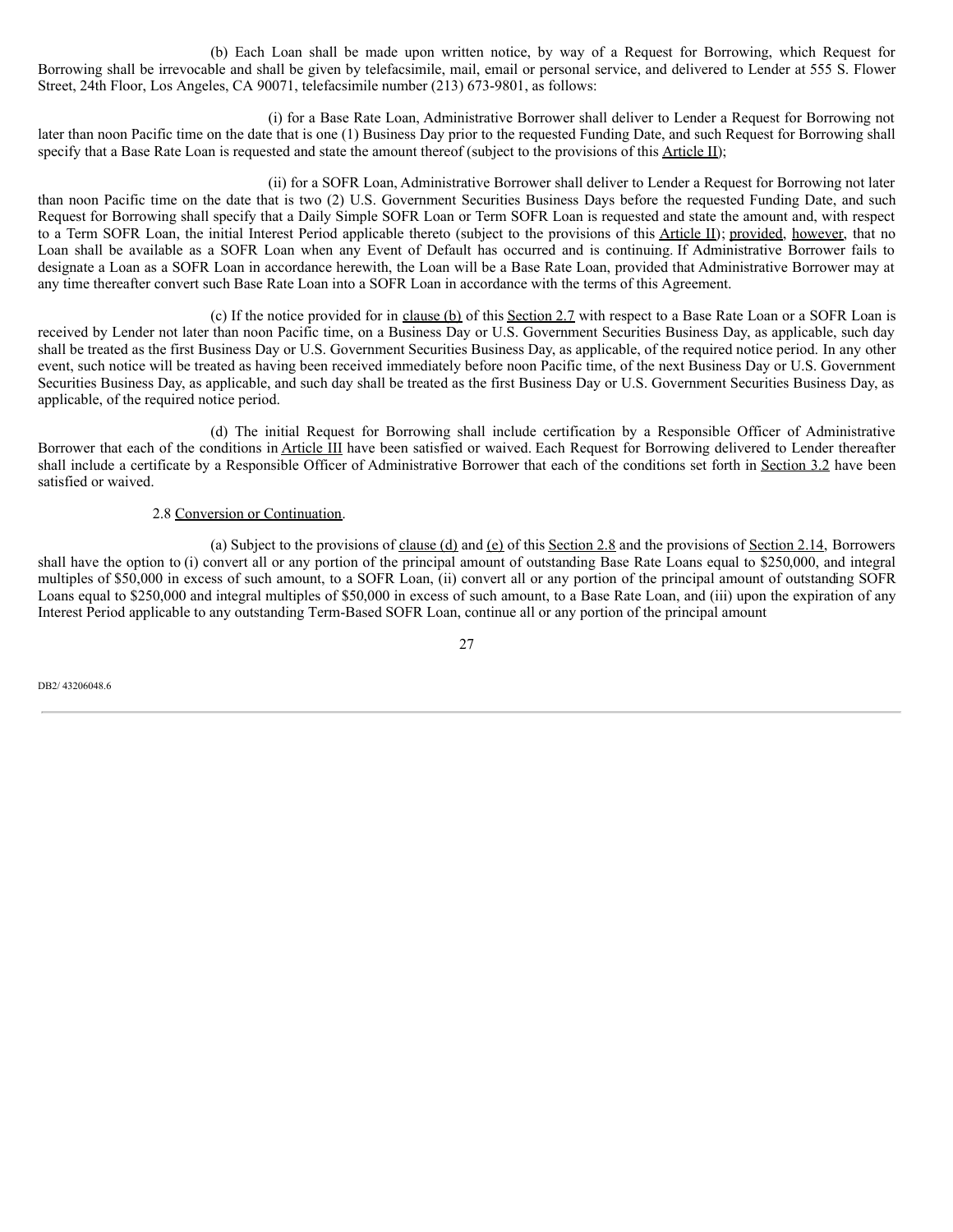(b) Each Loan shall be made upon written notice, by way of a Request for Borrowing, which Request for Borrowing shall be irrevocable and shall be given by telefacsimile, mail, email or personal service, and delivered to Lender at 555 S. Flower Street, 24th Floor, Los Angeles, CA 90071, telefacsimile number (213) 673-9801, as follows:

(i) for a Base Rate Loan, Administrative Borrower shall deliver to Lender a Request for Borrowing not later than noon Pacific time on the date that is one (1) Business Day prior to the requested Funding Date, and such Request for Borrowing shall specify that a Base Rate Loan is requested and state the amount thereof (subject to the provisions of this Article II);

(ii) for a SOFR Loan, Administrative Borrower shall deliver to Lender a Request for Borrowing not later than noon Pacific time on the date that is two (2) U.S. Government Securities Business Days before the requested Funding Date, and such Request for Borrowing shall specify that a Daily Simple SOFR Loan or Term SOFR Loan is requested and state the amount and, with respect to a Term SOFR Loan, the initial Interest Period applicable thereto (subject to the provisions of this Article II); provided, however, that no Loan shall be available as a SOFR Loan when any Event of Default has occurred and is continuing. If Administrative Borrower fails to designate a Loan as a SOFR Loan in accordance herewith, the Loan will be a Base Rate Loan, provided that Administrative Borrower may at any time thereafter convert such Base Rate Loan into a SOFR Loan in accordance with the terms of this Agreement.

(c) If the notice provided for in clause (b) of this Section 2.7 with respect to a Base Rate Loan or a SOFR Loan is received by Lender not later than noon Pacific time, on a Business Day or U.S. Government Securities Business Day, as applicable, such day shall be treated as the first Business Day or U.S. Government Securities Business Day, as applicable, of the required notice period. In any other event, such notice will be treated as having been received immediately before noon Pacific time, of the next Business Day or U.S. Government Securities Business Day, as applicable, and such day shall be treated as the first Business Day or U.S. Government Securities Business Day, as applicable, of the required notice period.

(d) The initial Request for Borrowing shall include certification by a Responsible Officer of Administrative Borrower that each of the conditions in Article III have been satisfied or waived. Each Request for Borrowing delivered to Lender thereafter shall include a certificate by a Responsible Officer of Administrative Borrower that each of the conditions set forth in Section 3.2 have been satisfied or waived.

## 2.8 Conversion or Continuation.

(a) Subject to the provisions of clause (d) and (e) of this Section 2.8 and the provisions of Section 2.14, Borrowers shall have the option to (i) convert all or any portion of the principal amount of outstanding Base Rate Loans equal to \$250,000, and integral multiples of \$50,000 in excess of such amount, to a SOFR Loan, (ii) convert all or any portion of the principal amount of outstanding SOFR Loans equal to \$250,000 and integral multiples of \$50,000 in excess of such amount, to a Base Rate Loan, and (iii) upon the expiration of any Interest Period applicable to any outstanding Term-Based SOFR Loan, continue all or any portion of the principal amount

27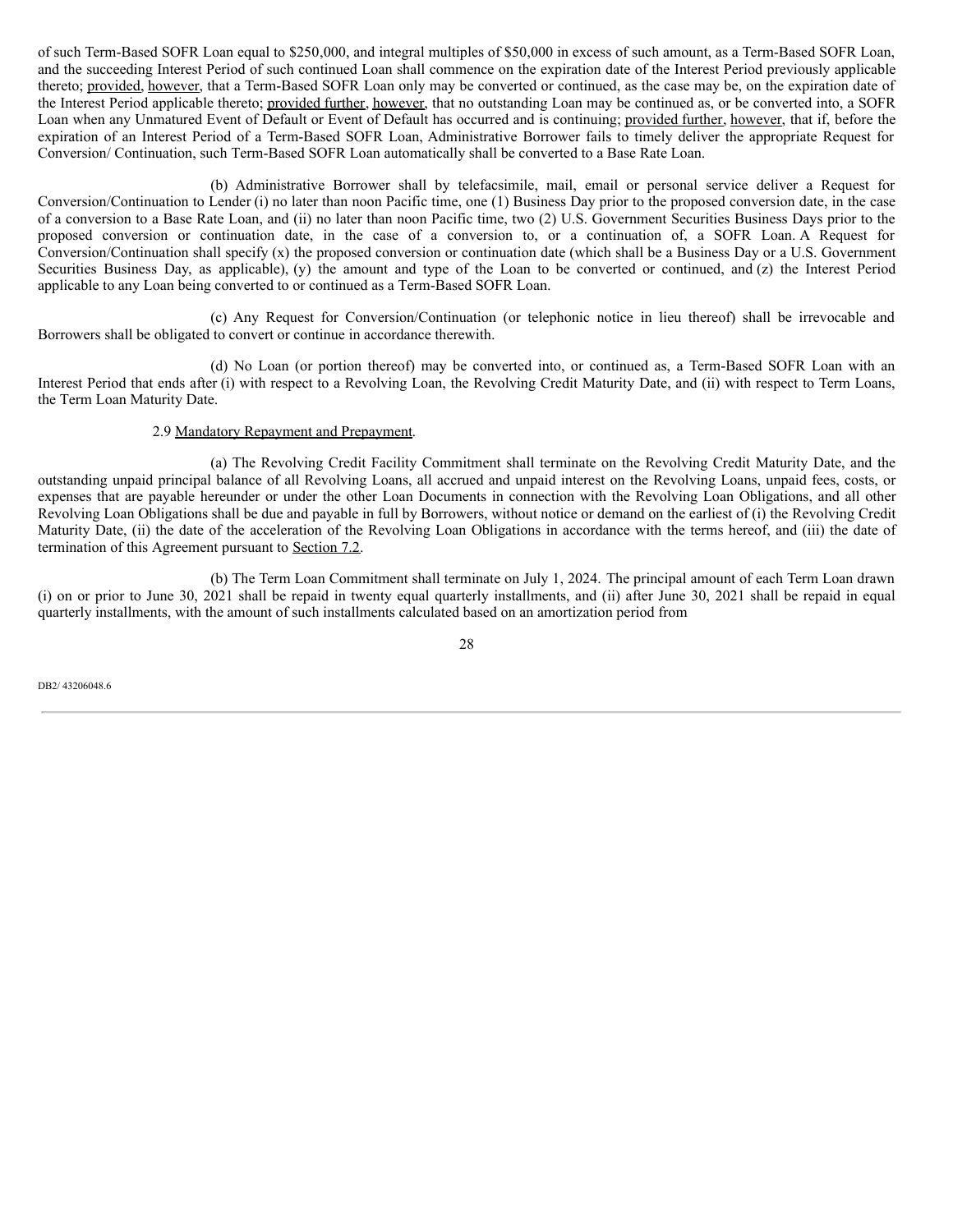of such Term-Based SOFR Loan equal to \$250,000, and integral multiples of \$50,000 in excess of such amount, as a Term-Based SOFR Loan, and the succeeding Interest Period of such continued Loan shall commence on the expiration date of the Interest Period previously applicable thereto; provided, however, that a Term-Based SOFR Loan only may be converted or continued, as the case may be, on the expiration date of the Interest Period applicable thereto; provided further, however, that no outstanding Loan may be continued as, or be converted into, a SOFR Loan when any Unmatured Event of Default or Event of Default has occurred and is continuing; provided further, however, that if, before the expiration of an Interest Period of a Term-Based SOFR Loan, Administrative Borrower fails to timely deliver the appropriate Request for Conversion/ Continuation, such Term-Based SOFR Loan automatically shall be converted to a Base Rate Loan.

(b) Administrative Borrower shall by telefacsimile, mail, email or personal service deliver a Request for Conversion/Continuation to Lender (i) no later than noon Pacific time, one (1) Business Day prior to the proposed conversion date, in the case of a conversion to a Base Rate Loan, and (ii) no later than noon Pacific time, two (2) U.S. Government Securities Business Days prior to the proposed conversion or continuation date, in the case of a conversion to, or a continuation of, a SOFR Loan. A Request for Conversion/Continuation shall specify (x) the proposed conversion or continuation date (which shall be a Business Day or a U.S. Government Securities Business Day, as applicable), (y) the amount and type of the Loan to be converted or continued, and (z) the Interest Period applicable to any Loan being converted to or continued as a Term-Based SOFR Loan.

(c) Any Request for Conversion/Continuation (or telephonic notice in lieu thereof) shall be irrevocable and Borrowers shall be obligated to convert or continue in accordance therewith.

(d) No Loan (or portion thereof) may be converted into, or continued as, a Term-Based SOFR Loan with an Interest Period that ends after (i) with respect to a Revolving Loan, the Revolving Credit Maturity Date, and (ii) with respect to Term Loans, the Term Loan Maturity Date.

### 2.9 Mandatory Repayment and Prepayment.

(a) The Revolving Credit Facility Commitment shall terminate on the Revolving Credit Maturity Date, and the outstanding unpaid principal balance of all Revolving Loans, all accrued and unpaid interest on the Revolving Loans, unpaid fees, costs, or expenses that are payable hereunder or under the other Loan Documents in connection with the Revolving Loan Obligations, and all other Revolving Loan Obligations shall be due and payable in full by Borrowers, without notice or demand on the earliest of (i) the Revolving Credit Maturity Date, (ii) the date of the acceleration of the Revolving Loan Obligations in accordance with the terms hereof, and (iii) the date of termination of this Agreement pursuant to Section 7.2.

(b) The Term Loan Commitment shall terminate on July 1, 2024. The principal amount of each Term Loan drawn (i) on or prior to June 30, 2021 shall be repaid in twenty equal quarterly installments, and (ii) after June 30, 2021 shall be repaid in equal quarterly installments, with the amount of such installments calculated based on an amortization period from

28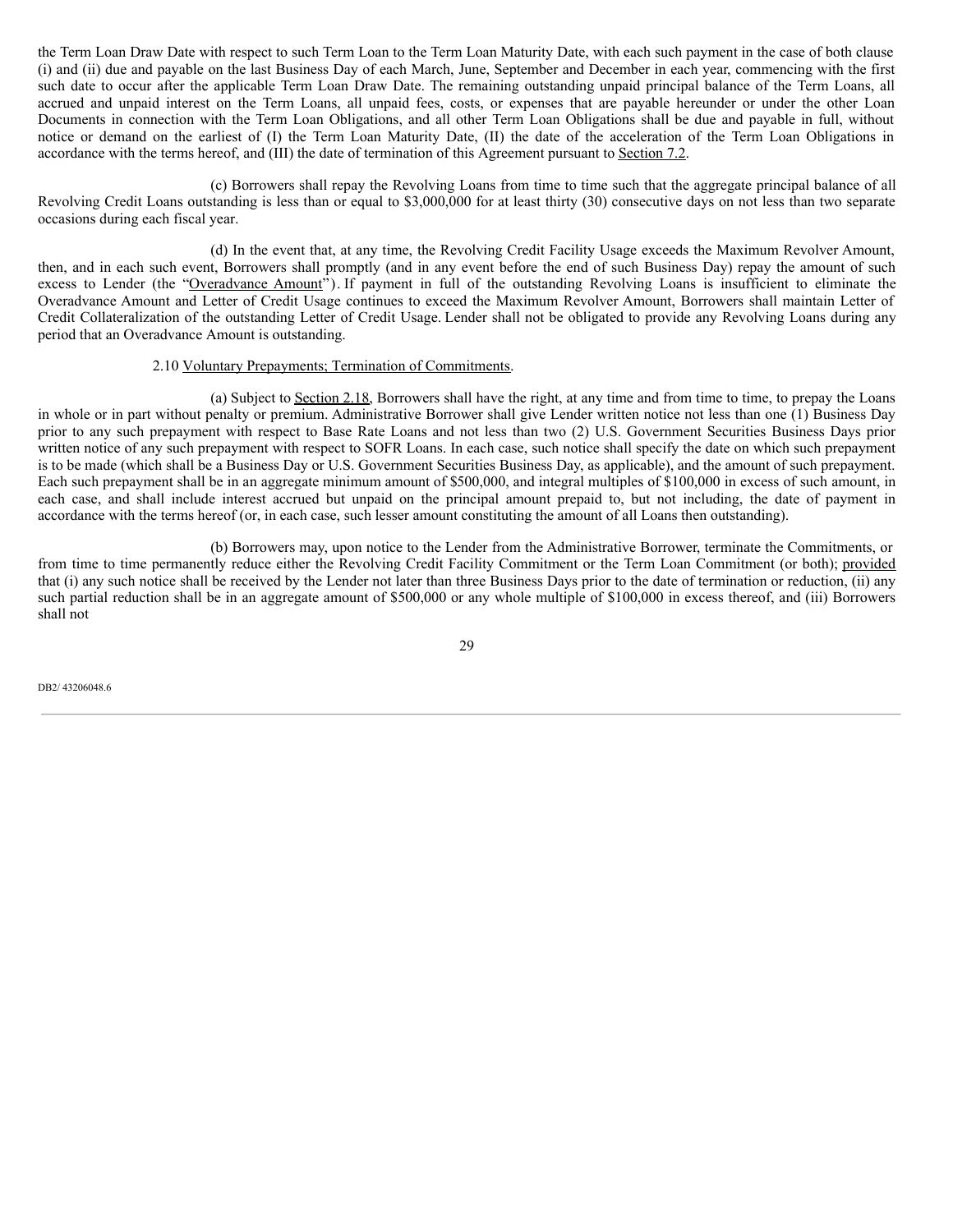the Term Loan Draw Date with respect to such Term Loan to the Term Loan Maturity Date, with each such payment in the case of both clause (i) and (ii) due and payable on the last Business Day of each March, June, September and December in each year, commencing with the first such date to occur after the applicable Term Loan Draw Date. The remaining outstanding unpaid principal balance of the Term Loans, all accrued and unpaid interest on the Term Loans, all unpaid fees, costs, or expenses that are payable hereunder or under the other Loan Documents in connection with the Term Loan Obligations, and all other Term Loan Obligations shall be due and payable in full, without notice or demand on the earliest of (I) the Term Loan Maturity Date, (II) the date of the acceleration of the Term Loan Obligations in accordance with the terms hereof, and (III) the date of termination of this Agreement pursuant to Section 7.2.

(c) Borrowers shall repay the Revolving Loans from time to time such that the aggregate principal balance of all Revolving Credit Loans outstanding is less than or equal to \$3,000,000 for at least thirty (30) consecutive days on not less than two separate occasions during each fiscal year.

(d) In the event that, at any time, the Revolving Credit Facility Usage exceeds the Maximum Revolver Amount, then, and in each such event, Borrowers shall promptly (and in any event before the end of such Business Day) repay the amount of such excess to Lender (the "Overadvance Amount"). If payment in full of the outstanding Revolving Loans is insufficient to eliminate the Overadvance Amount and Letter of Credit Usage continues to exceed the Maximum Revolver Amount, Borrowers shall maintain Letter of Credit Collateralization of the outstanding Letter of Credit Usage. Lender shall not be obligated to provide any Revolving Loans during any period that an Overadvance Amount is outstanding.

#### 2.10 Voluntary Prepayments; Termination of Commitments.

(a) Subject to Section 2.18, Borrowers shall have the right, at any time and from time to time, to prepay the Loans in whole or in part without penalty or premium. Administrative Borrower shall give Lender written notice not less than one (1) Business Day prior to any such prepayment with respect to Base Rate Loans and not less than two (2) U.S. Government Securities Business Days prior written notice of any such prepayment with respect to SOFR Loans. In each case, such notice shall specify the date on which such prepayment is to be made (which shall be a Business Day or U.S. Government Securities Business Day, as applicable), and the amount of such prepayment. Each such prepayment shall be in an aggregate minimum amount of \$500,000, and integral multiples of \$100,000 in excess of such amount, in each case, and shall include interest accrued but unpaid on the principal amount prepaid to, but not including, the date of payment in accordance with the terms hereof (or, in each case, such lesser amount constituting the amount of all Loans then outstanding).

(b) Borrowers may, upon notice to the Lender from the Administrative Borrower, terminate the Commitments, or from time to time permanently reduce either the Revolving Credit Facility Commitment or the Term Loan Commitment (or both); provided that (i) any such notice shall be received by the Lender not later than three Business Days prior to the date of termination or reduction, (ii) any such partial reduction shall be in an aggregate amount of \$500,000 or any whole multiple of \$100,000 in excess thereof, and (iii) Borrowers shall not

29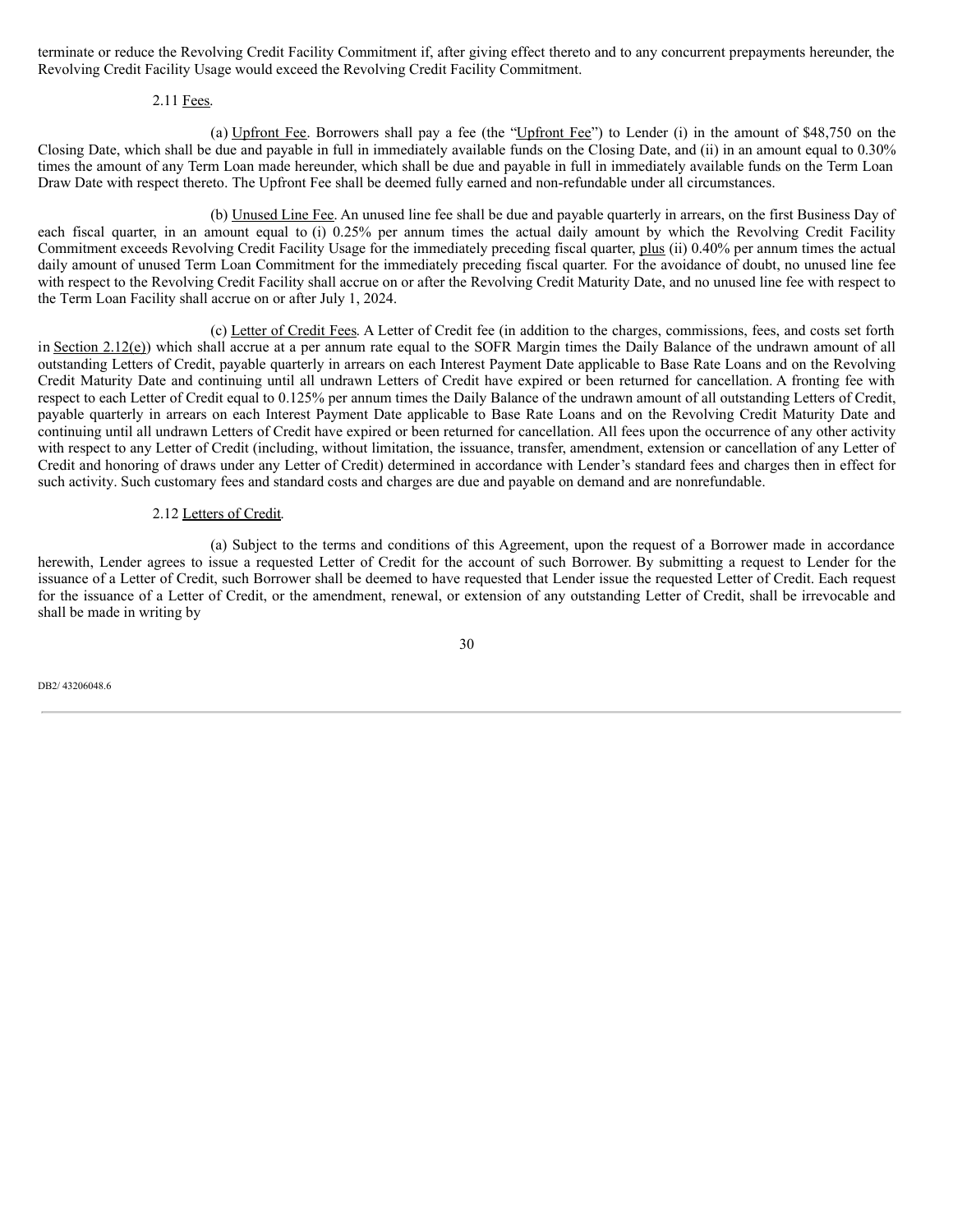terminate or reduce the Revolving Credit Facility Commitment if, after giving effect thereto and to any concurrent prepayments hereunder, the Revolving Credit Facility Usage would exceed the Revolving Credit Facility Commitment.

## 2.11 Fees.

(a) Upfront Fee. Borrowers shall pay a fee (the "Upfront Fee") to Lender (i) in the amount of \$48,750 on the Closing Date, which shall be due and payable in full in immediately available funds on the Closing Date, and (ii) in an amount equal to 0.30% times the amount of any Term Loan made hereunder, which shall be due and payable in full in immediately available funds on the Term Loan Draw Date with respect thereto. The Upfront Fee shall be deemed fully earned and non-refundable under all circumstances.

(b) Unused Line Fee. An unused line fee shall be due and payable quarterly in arrears, on the first Business Day of each fiscal quarter, in an amount equal to (i) 0.25% per annum times the actual daily amount by which the Revolving Credit Facility Commitment exceeds Revolving Credit Facility Usage for the immediately preceding fiscal quarter, plus (ii) 0.40% per annum times the actual daily amount of unused Term Loan Commitment for the immediately preceding fiscal quarter. For the avoidance of doubt, no unused line fee with respect to the Revolving Credit Facility shall accrue on or after the Revolving Credit Maturity Date, and no unused line fee with respect to the Term Loan Facility shall accrue on or after July 1, 2024.

(c) Letter of Credit Fees. A Letter of Credit fee (in addition to the charges, commissions, fees, and costs set forth in Section 2.12(e)) which shall accrue at a per annum rate equal to the SOFR Margin times the Daily Balance of the undrawn amount of all outstanding Letters of Credit, payable quarterly in arrears on each Interest Payment Date applicable to Base Rate Loans and on the Revolving Credit Maturity Date and continuing until all undrawn Letters of Credit have expired or been returned for cancellation. A fronting fee with respect to each Letter of Credit equal to 0.125% per annum times the Daily Balance of the undrawn amount of all outstanding Letters of Credit, payable quarterly in arrears on each Interest Payment Date applicable to Base Rate Loans and on the Revolving Credit Maturity Date and continuing until all undrawn Letters of Credit have expired or been returned for cancellation. All fees upon the occurrence of any other activity with respect to any Letter of Credit (including, without limitation, the issuance, transfer, amendment, extension or cancellation of any Letter of Credit and honoring of draws under any Letter of Credit) determined in accordance with Lender's standard fees and charges then in effect for such activity. Such customary fees and standard costs and charges are due and payable on demand and are nonrefundable.

## 2.12 Letters of Credit.

(a) Subject to the terms and conditions of this Agreement, upon the request of a Borrower made in accordance herewith, Lender agrees to issue a requested Letter of Credit for the account of such Borrower. By submitting a request to Lender for the issuance of a Letter of Credit, such Borrower shall be deemed to have requested that Lender issue the requested Letter of Credit. Each request for the issuance of a Letter of Credit, or the amendment, renewal, or extension of any outstanding Letter of Credit, shall be irrevocable and shall be made in writing by

30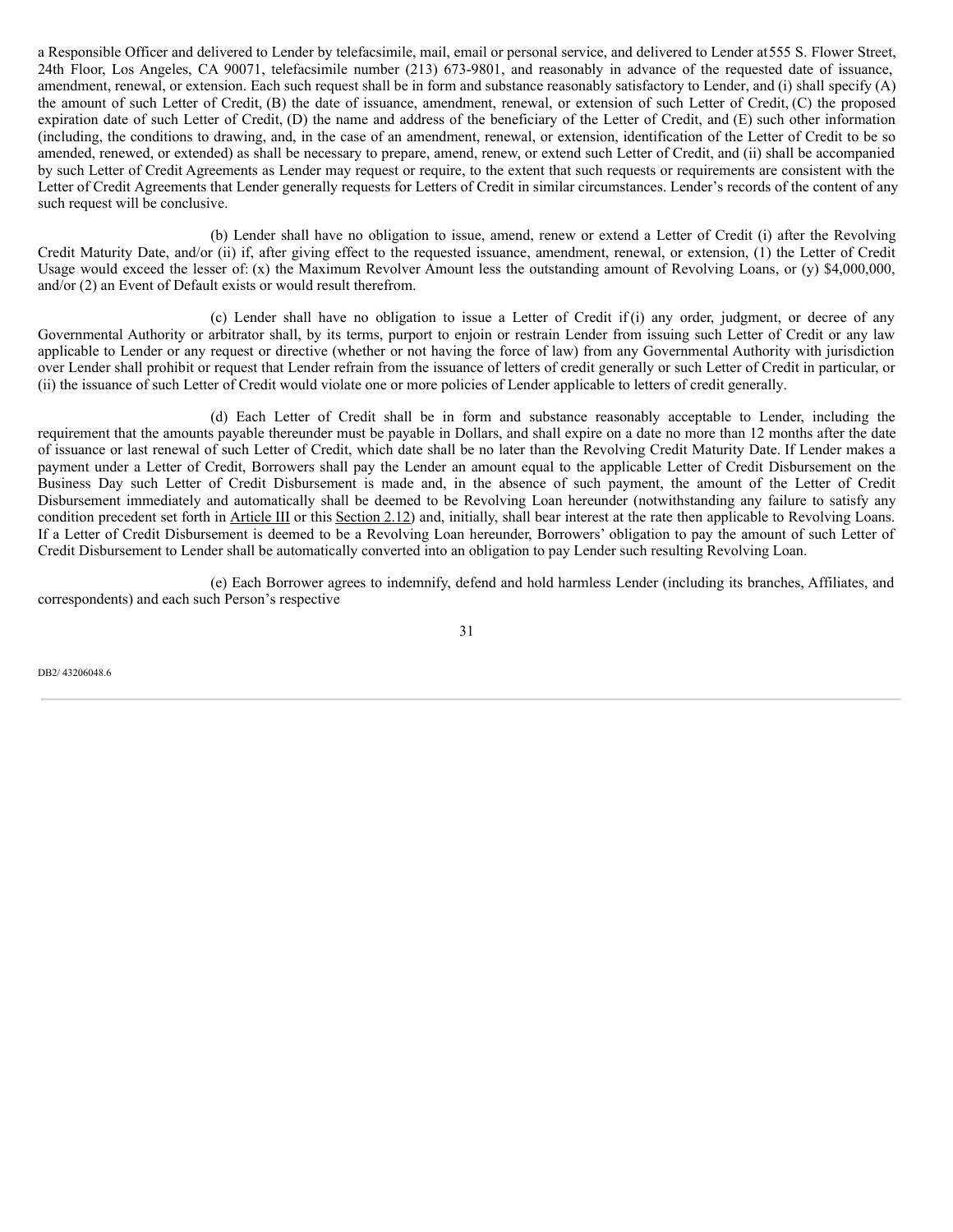a Responsible Officer and delivered to Lender by telefacsimile, mail, email or personal service, and delivered to Lender at555 S. Flower Street, 24th Floor, Los Angeles, CA 90071, telefacsimile number (213) 673-9801, and reasonably in advance of the requested date of issuance, amendment, renewal, or extension. Each such request shall be in form and substance reasonably satisfactory to Lender, and (i) shall specify (A) the amount of such Letter of Credit, (B) the date of issuance, amendment, renewal, or extension of such Letter of Credit, (C) the proposed expiration date of such Letter of Credit, (D) the name and address of the beneficiary of the Letter of Credit, and (E) such other information (including, the conditions to drawing, and, in the case of an amendment, renewal, or extension, identification of the Letter of Credit to be so amended, renewed, or extended) as shall be necessary to prepare, amend, renew, or extend such Letter of Credit, and (ii) shall be accompanied by such Letter of Credit Agreements as Lender may request or require, to the extent that such requests or requirements are consistent with the Letter of Credit Agreements that Lender generally requests for Letters of Credit in similar circumstances. Lender's records of the content of any such request will be conclusive.

(b) Lender shall have no obligation to issue, amend, renew or extend a Letter of Credit (i) after the Revolving Credit Maturity Date, and/or (ii) if, after giving effect to the requested issuance, amendment, renewal, or extension, (1) the Letter of Credit Usage would exceed the lesser of: (x) the Maximum Revolver Amount less the outstanding amount of Revolving Loans, or (y) \$4,000,000, and/or (2) an Event of Default exists or would result therefrom.

(c) Lender shall have no obligation to issue a Letter of Credit if (i) any order, judgment, or decree of any Governmental Authority or arbitrator shall, by its terms, purport to enjoin or restrain Lender from issuing such Letter of Credit or any law applicable to Lender or any request or directive (whether or not having the force of law) from any Governmental Authority with jurisdiction over Lender shall prohibit or request that Lender refrain from the issuance of letters of credit generally or such Letter of Credit in particular, or (ii) the issuance of such Letter of Credit would violate one or more policies of Lender applicable to letters of credit generally.

(d) Each Letter of Credit shall be in form and substance reasonably acceptable to Lender, including the requirement that the amounts payable thereunder must be payable in Dollars, and shall expire on a date no more than 12 months after the date of issuance or last renewal of such Letter of Credit, which date shall be no later than the Revolving Credit Maturity Date. If Lender makes a payment under a Letter of Credit, Borrowers shall pay the Lender an amount equal to the applicable Letter of Credit Disbursement on the Business Day such Letter of Credit Disbursement is made and, in the absence of such payment, the amount of the Letter of Credit Disbursement immediately and automatically shall be deemed to be Revolving Loan hereunder (notwithstanding any failure to satisfy any condition precedent set forth in Article III or this Section 2.12) and, initially, shall bear interest at the rate then applicable to Revolving Loans. If a Letter of Credit Disbursement is deemed to be a Revolving Loan hereunder, Borrowers' obligation to pay the amount of such Letter of Credit Disbursement to Lender shall be automatically converted into an obligation to pay Lender such resulting Revolving Loan.

(e) Each Borrower agrees to indemnify, defend and hold harmless Lender (including its branches, Affiliates, and correspondents) and each such Person's respective

31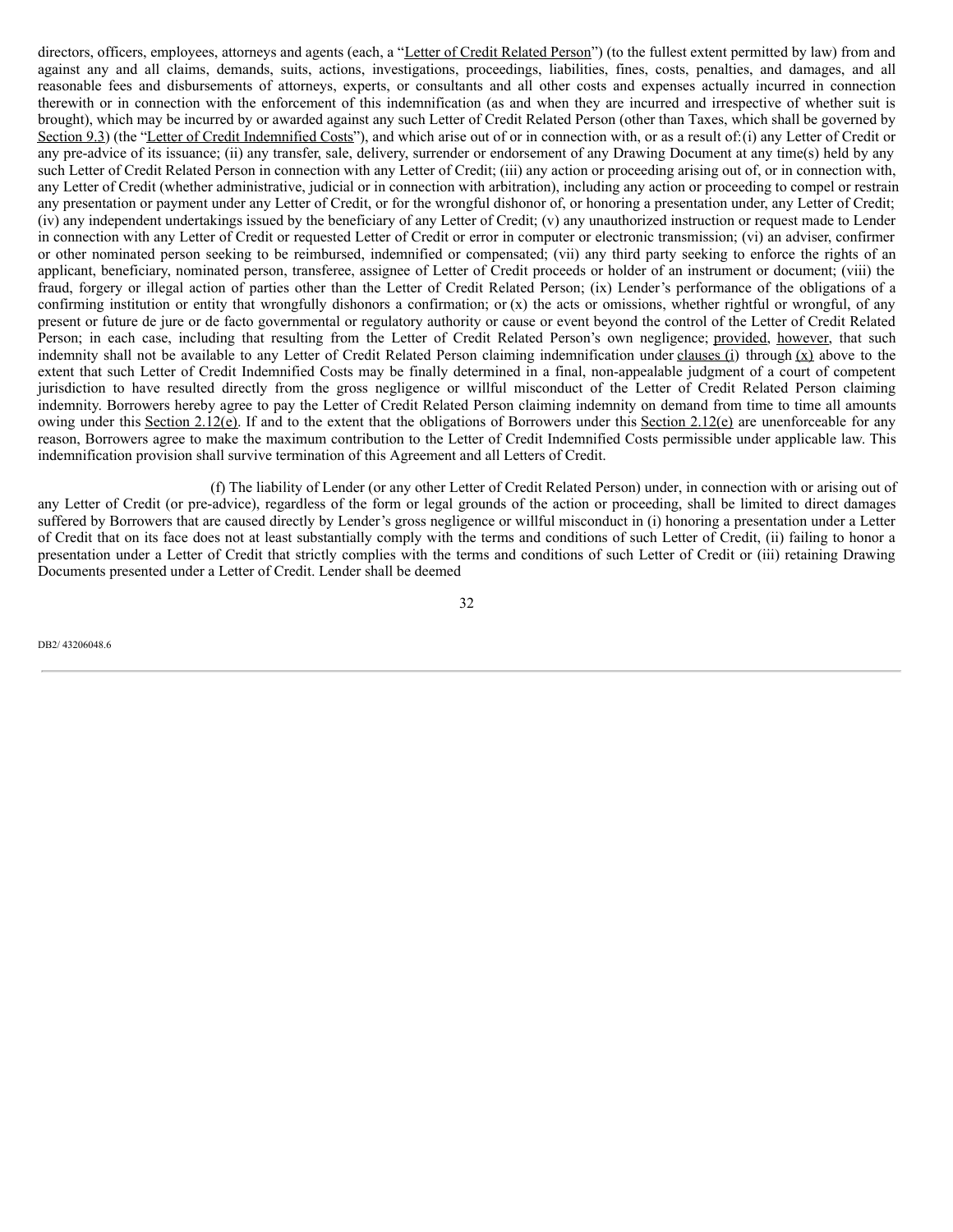directors, officers, employees, attorneys and agents (each, a "Letter of Credit Related Person") (to the fullest extent permitted by law) from and against any and all claims, demands, suits, actions, investigations, proceedings, liabilities, fines, costs, penalties, and damages, and all reasonable fees and disbursements of attorneys, experts, or consultants and all other costs and expenses actually incurred in connection therewith or in connection with the enforcement of this indemnification (as and when they are incurred and irrespective of whether suit is brought), which may be incurred by or awarded against any such Letter of Credit Related Person (other than Taxes, which shall be governed by Section 9.3) (the "Letter of Credit Indemnified Costs"), and which arise out of or in connection with, or as a result of:(i) any Letter of Credit or any pre-advice of its issuance; (ii) any transfer, sale, delivery, surrender or endorsement of any Drawing Document at any time(s) held by any such Letter of Credit Related Person in connection with any Letter of Credit; (iii) any action or proceeding arising out of, or in connection with, any Letter of Credit (whether administrative, judicial or in connection with arbitration), including any action or proceeding to compel or restrain any presentation or payment under any Letter of Credit, or for the wrongful dishonor of, or honoring a presentation under, any Letter of Credit; (iv) any independent undertakings issued by the beneficiary of any Letter of Credit; (v) any unauthorized instruction or request made to Lender in connection with any Letter of Credit or requested Letter of Credit or error in computer or electronic transmission; (vi) an adviser, confirmer or other nominated person seeking to be reimbursed, indemnified or compensated; (vii) any third party seeking to enforce the rights of an applicant, beneficiary, nominated person, transferee, assignee of Letter of Credit proceeds or holder of an instrument or document; (viii) the fraud, forgery or illegal action of parties other than the Letter of Credit Related Person; (ix) Lender's performance of the obligations of a confirming institution or entity that wrongfully dishonors a confirmation; or  $(x)$  the acts or omissions, whether rightful or wrongful, of any present or future de jure or de facto governmental or regulatory authority or cause or event beyond the control of the Letter of Credit Related Person; in each case, including that resulting from the Letter of Credit Related Person's own negligence; provided, however, that such indemnity shall not be available to any Letter of Credit Related Person claiming indemnification under clauses (i) through  $(x)$  above to the extent that such Letter of Credit Indemnified Costs may be finally determined in a final, non-appealable judgment of a court of competent jurisdiction to have resulted directly from the gross negligence or willful misconduct of the Letter of Credit Related Person claiming indemnity. Borrowers hereby agree to pay the Letter of Credit Related Person claiming indemnity on demand from time to time all amounts owing under this Section 2.12(e). If and to the extent that the obligations of Borrowers under this Section 2.12(e) are unenforceable for any reason, Borrowers agree to make the maximum contribution to the Letter of Credit Indemnified Costs permissible under applicable law. This indemnification provision shall survive termination of this Agreement and all Letters of Credit.

(f) The liability of Lender (or any other Letter of Credit Related Person) under, in connection with or arising out of any Letter of Credit (or pre-advice), regardless of the form or legal grounds of the action or proceeding, shall be limited to direct damages suffered by Borrowers that are caused directly by Lender's gross negligence or willful misconduct in (i) honoring a presentation under a Letter of Credit that on its face does not at least substantially comply with the terms and conditions of such Letter of Credit, (ii) failing to honor a presentation under a Letter of Credit that strictly complies with the terms and conditions of such Letter of Credit or (iii) retaining Drawing Documents presented under a Letter of Credit. Lender shall be deemed

32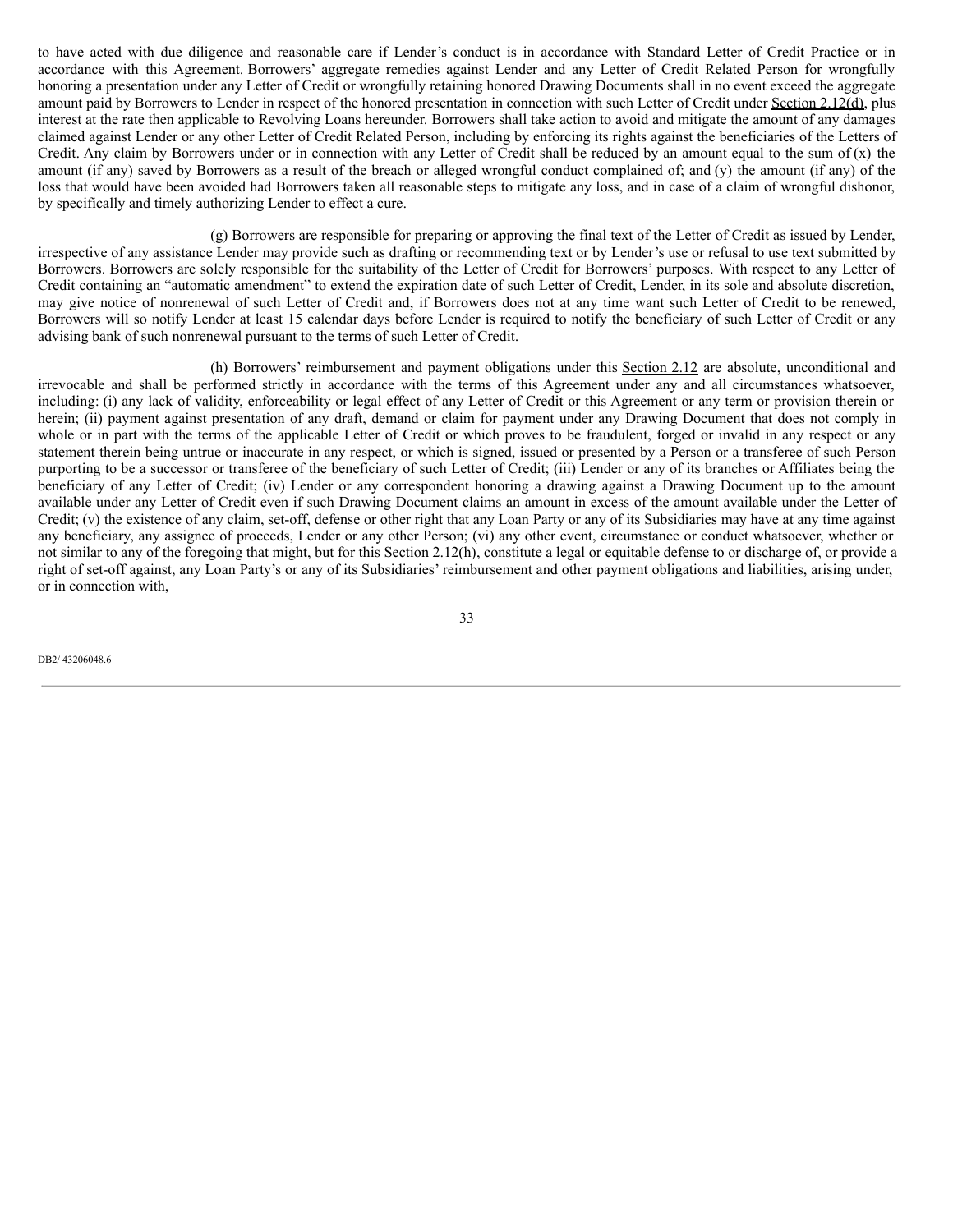to have acted with due diligence and reasonable care if Lender's conduct is in accordance with Standard Letter of Credit Practice or in accordance with this Agreement. Borrowers' aggregate remedies against Lender and any Letter of Credit Related Person for wrongfully honoring a presentation under any Letter of Credit or wrongfully retaining honored Drawing Documents shall in no event exceed the aggregate amount paid by Borrowers to Lender in respect of the honored presentation in connection with such Letter of Credit under Section 2.12(d), plus interest at the rate then applicable to Revolving Loans hereunder. Borrowers shall take action to avoid and mitigate the amount of any damages claimed against Lender or any other Letter of Credit Related Person, including by enforcing its rights against the beneficiaries of the Letters of Credit. Any claim by Borrowers under or in connection with any Letter of Credit shall be reduced by an amount equal to the sum of  $(x)$  the amount (if any) saved by Borrowers as a result of the breach or alleged wrongful conduct complained of; and (y) the amount (if any) of the loss that would have been avoided had Borrowers taken all reasonable steps to mitigate any loss, and in case of a claim of wrongful dishonor, by specifically and timely authorizing Lender to effect a cure.

(g) Borrowers are responsible for preparing or approving the final text of the Letter of Credit as issued by Lender, irrespective of any assistance Lender may provide such as drafting or recommending text or by Lender's use or refusal to use text submitted by Borrowers. Borrowers are solely responsible for the suitability of the Letter of Credit for Borrowers' purposes. With respect to any Letter of Credit containing an "automatic amendment" to extend the expiration date of such Letter of Credit, Lender, in its sole and absolute discretion, may give notice of nonrenewal of such Letter of Credit and, if Borrowers does not at any time want such Letter of Credit to be renewed, Borrowers will so notify Lender at least 15 calendar days before Lender is required to notify the beneficiary of such Letter of Credit or any advising bank of such nonrenewal pursuant to the terms of such Letter of Credit.

(h) Borrowers' reimbursement and payment obligations under this Section 2.12 are absolute, unconditional and irrevocable and shall be performed strictly in accordance with the terms of this Agreement under any and all circumstances whatsoever, including: (i) any lack of validity, enforceability or legal effect of any Letter of Credit or this Agreement or any term or provision therein or herein; (ii) payment against presentation of any draft, demand or claim for payment under any Drawing Document that does not comply in whole or in part with the terms of the applicable Letter of Credit or which proves to be fraudulent, forged or invalid in any respect or any statement therein being untrue or inaccurate in any respect, or which is signed, issued or presented by a Person or a transferee of such Person purporting to be a successor or transferee of the beneficiary of such Letter of Credit; (iii) Lender or any of its branches or Affiliates being the beneficiary of any Letter of Credit; (iv) Lender or any correspondent honoring a drawing against a Drawing Document up to the amount available under any Letter of Credit even if such Drawing Document claims an amount in excess of the amount available under the Letter of Credit; (v) the existence of any claim, set-off, defense or other right that any Loan Party or any of its Subsidiaries may have at any time against any beneficiary, any assignee of proceeds, Lender or any other Person; (vi) any other event, circumstance or conduct whatsoever, whether or not similar to any of the foregoing that might, but for this Section 2.12(h), constitute a legal or equitable defense to or discharge of, or provide a right of set-off against, any Loan Party's or any of its Subsidiaries' reimbursement and other payment obligations and liabilities, arising under, or in connection with,

33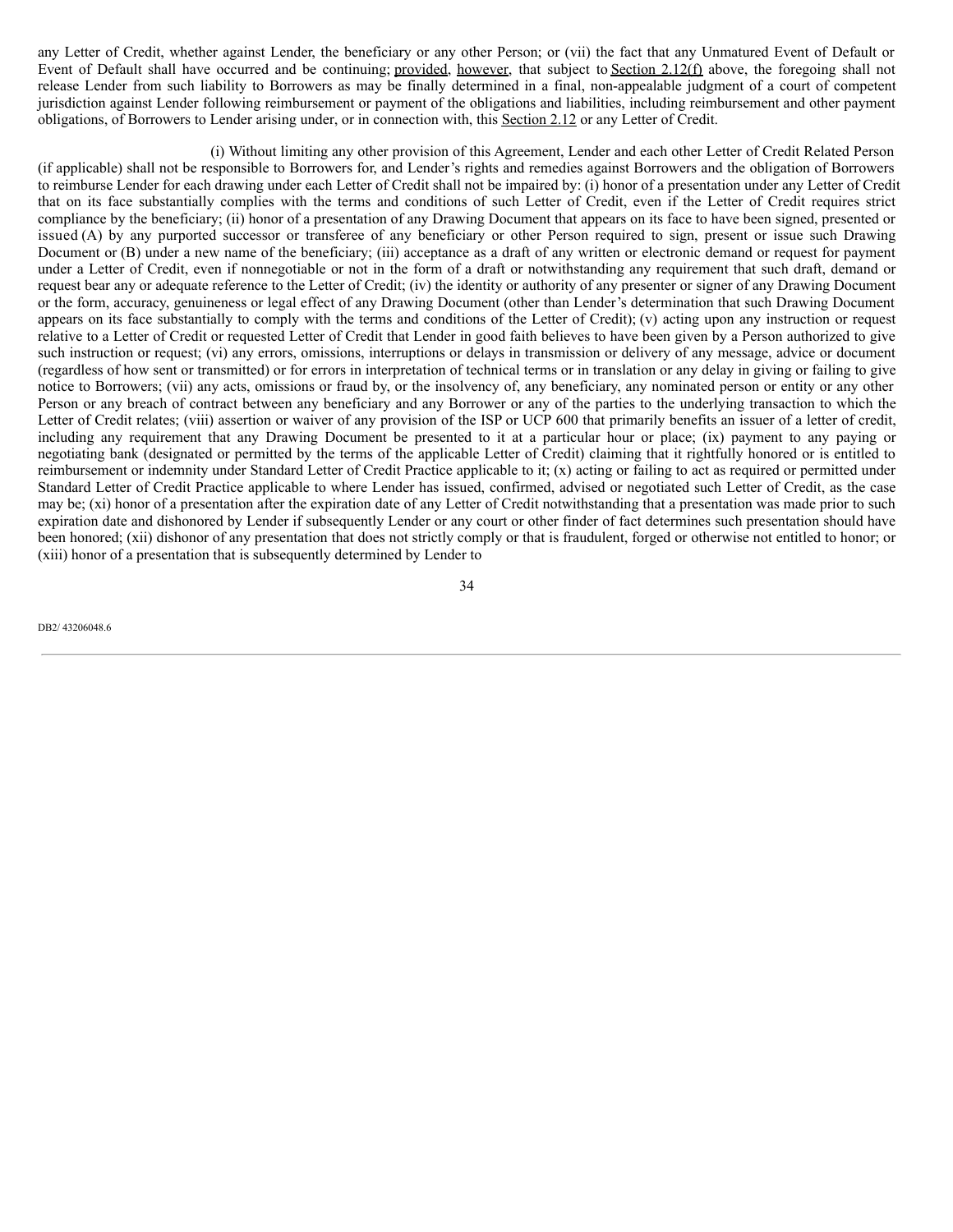any Letter of Credit, whether against Lender, the beneficiary or any other Person; or (vii) the fact that any Unmatured Event of Default or Event of Default shall have occurred and be continuing; provided, however, that subject to Section 2.12(f) above, the foregoing shall not release Lender from such liability to Borrowers as may be finally determined in a final, non-appealable judgment of a court of competent jurisdiction against Lender following reimbursement or payment of the obligations and liabilities, including reimbursement and other payment obligations, of Borrowers to Lender arising under, or in connection with, this Section 2.12 or any Letter of Credit.

(i) Without limiting any other provision of this Agreement, Lender and each other Letter of Credit Related Person (if applicable) shall not be responsible to Borrowers for, and Lender's rights and remedies against Borrowers and the obligation of Borrowers to reimburse Lender for each drawing under each Letter of Credit shall not be impaired by: (i) honor of a presentation under any Letter of Credit that on its face substantially complies with the terms and conditions of such Letter of Credit, even if the Letter of Credit requires strict compliance by the beneficiary; (ii) honor of a presentation of any Drawing Document that appears on its face to have been signed, presented or issued (A) by any purported successor or transferee of any beneficiary or other Person required to sign, present or issue such Drawing Document or (B) under a new name of the beneficiary; (iii) acceptance as a draft of any written or electronic demand or request for payment under a Letter of Credit, even if nonnegotiable or not in the form of a draft or notwithstanding any requirement that such draft, demand or request bear any or adequate reference to the Letter of Credit; (iv) the identity or authority of any presenter or signer of any Drawing Document or the form, accuracy, genuineness or legal effect of any Drawing Document (other than Lender's determination that such Drawing Document appears on its face substantially to comply with the terms and conditions of the Letter of Credit); (v) acting upon any instruction or request relative to a Letter of Credit or requested Letter of Credit that Lender in good faith believes to have been given by a Person authorized to give such instruction or request; (vi) any errors, omissions, interruptions or delays in transmission or delivery of any message, advice or document (regardless of how sent or transmitted) or for errors in interpretation of technical terms or in translation or any delay in giving or failing to give notice to Borrowers; (vii) any acts, omissions or fraud by, or the insolvency of, any beneficiary, any nominated person or entity or any other Person or any breach of contract between any beneficiary and any Borrower or any of the parties to the underlying transaction to which the Letter of Credit relates; (viii) assertion or waiver of any provision of the ISP or UCP 600 that primarily benefits an issuer of a letter of credit, including any requirement that any Drawing Document be presented to it at a particular hour or place; (ix) payment to any paying or negotiating bank (designated or permitted by the terms of the applicable Letter of Credit) claiming that it rightfully honored or is entitled to reimbursement or indemnity under Standard Letter of Credit Practice applicable to it; (x) acting or failing to act as required or permitted under Standard Letter of Credit Practice applicable to where Lender has issued, confirmed, advised or negotiated such Letter of Credit, as the case may be; (xi) honor of a presentation after the expiration date of any Letter of Credit notwithstanding that a presentation was made prior to such expiration date and dishonored by Lender if subsequently Lender or any court or other finder of fact determines such presentation should have been honored; (xii) dishonor of any presentation that does not strictly comply or that is fraudulent, forged or otherwise not entitled to honor; or (xiii) honor of a presentation that is subsequently determined by Lender to

34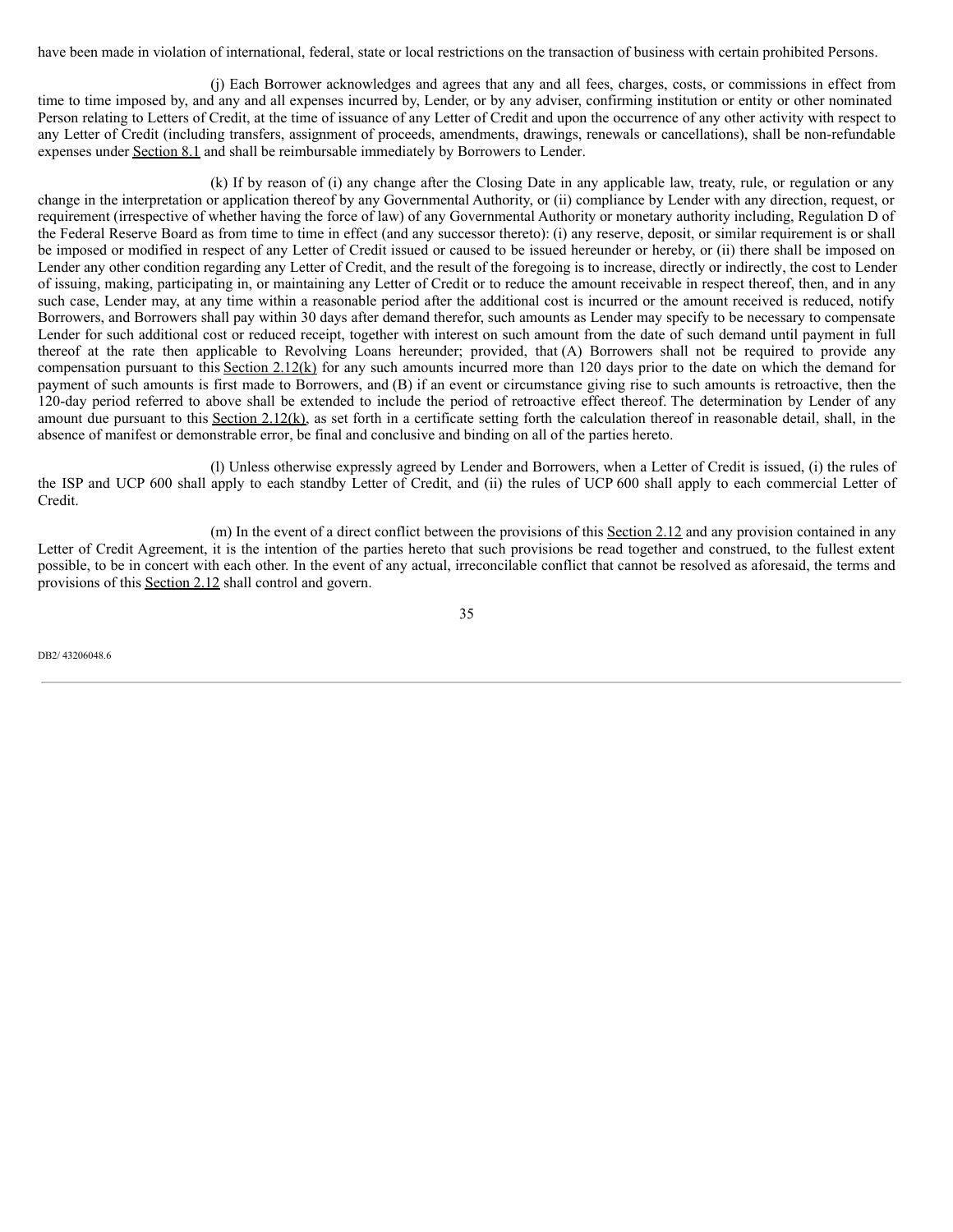have been made in violation of international, federal, state or local restrictions on the transaction of business with certain prohibited Persons.

(j) Each Borrower acknowledges and agrees that any and all fees, charges, costs, or commissions in effect from time to time imposed by, and any and all expenses incurred by, Lender, or by any adviser, confirming institution or entity or other nominated Person relating to Letters of Credit, at the time of issuance of any Letter of Credit and upon the occurrence of any other activity with respect to any Letter of Credit (including transfers, assignment of proceeds, amendments, drawings, renewals or cancellations), shall be non-refundable expenses under Section 8.1 and shall be reimbursable immediately by Borrowers to Lender.

(k) If by reason of (i) any change after the Closing Date in any applicable law, treaty, rule, or regulation or any change in the interpretation or application thereof by any Governmental Authority, or (ii) compliance by Lender with any direction, request, or requirement (irrespective of whether having the force of law) of any Governmental Authority or monetary authority including, Regulation D of the Federal Reserve Board as from time to time in effect (and any successor thereto): (i) any reserve, deposit, or similar requirement is or shall be imposed or modified in respect of any Letter of Credit issued or caused to be issued hereunder or hereby, or (ii) there shall be imposed on Lender any other condition regarding any Letter of Credit, and the result of the foregoing is to increase, directly or indirectly, the cost to Lender of issuing, making, participating in, or maintaining any Letter of Credit or to reduce the amount receivable in respect thereof, then, and in any such case, Lender may, at any time within a reasonable period after the additional cost is incurred or the amount received is reduced, notify Borrowers, and Borrowers shall pay within 30 days after demand therefor, such amounts as Lender may specify to be necessary to compensate Lender for such additional cost or reduced receipt, together with interest on such amount from the date of such demand until payment in full thereof at the rate then applicable to Revolving Loans hereunder; provided, that (A) Borrowers shall not be required to provide any compensation pursuant to this Section 2.12(k) for any such amounts incurred more than 120 days prior to the date on which the demand for payment of such amounts is first made to Borrowers, and (B) if an event or circumstance giving rise to such amounts is retroactive, then the 120-day period referred to above shall be extended to include the period of retroactive effect thereof. The determination by Lender of any amount due pursuant to this Section 2.12(k), as set forth in a certificate setting forth the calculation thereof in reasonable detail, shall, in the absence of manifest or demonstrable error, be final and conclusive and binding on all of the parties hereto.

(l) Unless otherwise expressly agreed by Lender and Borrowers, when a Letter of Credit is issued, (i) the rules of the ISP and UCP 600 shall apply to each standby Letter of Credit, and (ii) the rules of UCP 600 shall apply to each commercial Letter of Credit.

(m) In the event of a direct conflict between the provisions of this  $Section 2.12$  and any provision contained in any Letter of Credit Agreement, it is the intention of the parties hereto that such provisions be read together and construed, to the fullest extent possible, to be in concert with each other. In the event of any actual, irreconcilable conflict that cannot be resolved as aforesaid, the terms and provisions of this Section 2.12 shall control and govern.

35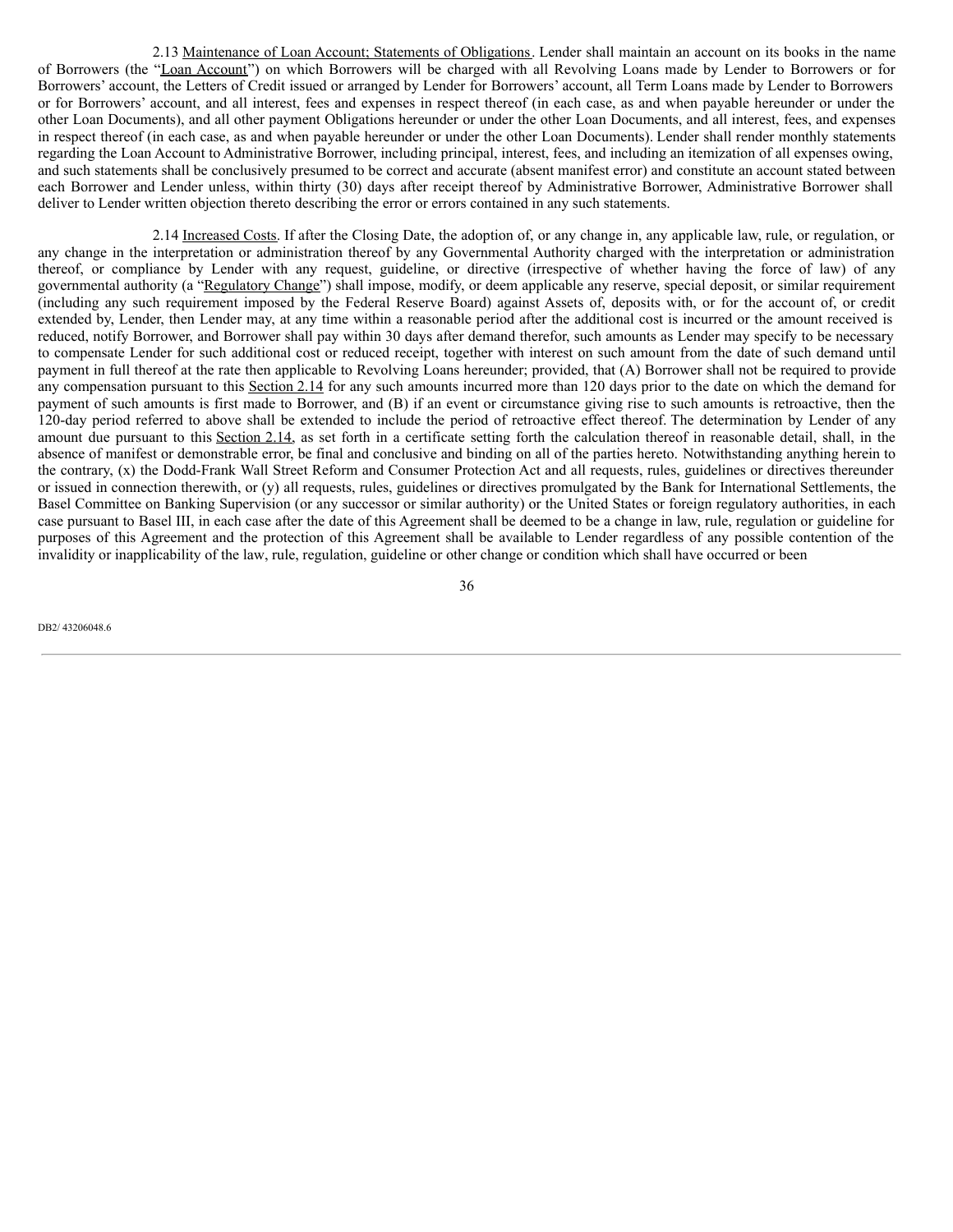2.13 Maintenance of Loan Account; Statements of Obligations. Lender shall maintain an account on its books in the name of Borrowers (the "Loan Account") on which Borrowers will be charged with all Revolving Loans made by Lender to Borrowers or for Borrowers' account, the Letters of Credit issued or arranged by Lender for Borrowers' account, all Term Loans made by Lender to Borrowers or for Borrowers' account, and all interest, fees and expenses in respect thereof (in each case, as and when payable hereunder or under the other Loan Documents), and all other payment Obligations hereunder or under the other Loan Documents, and all interest, fees, and expenses in respect thereof (in each case, as and when payable hereunder or under the other Loan Documents). Lender shall render monthly statements regarding the Loan Account to Administrative Borrower, including principal, interest, fees, and including an itemization of all expenses owing, and such statements shall be conclusively presumed to be correct and accurate (absent manifest error) and constitute an account stated between each Borrower and Lender unless, within thirty (30) days after receipt thereof by Administrative Borrower, Administrative Borrower shall deliver to Lender written objection thereto describing the error or errors contained in any such statements.

2.14 Increased Costs. If after the Closing Date, the adoption of, or any change in, any applicable law, rule, or regulation, or any change in the interpretation or administration thereof by any Governmental Authority charged with the interpretation or administration thereof, or compliance by Lender with any request, guideline, or directive (irrespective of whether having the force of law) of any governmental authority (a "Regulatory Change") shall impose, modify, or deem applicable any reserve, special deposit, or similar requirement (including any such requirement imposed by the Federal Reserve Board) against Assets of, deposits with, or for the account of, or credit extended by, Lender, then Lender may, at any time within a reasonable period after the additional cost is incurred or the amount received is reduced, notify Borrower, and Borrower shall pay within 30 days after demand therefor, such amounts as Lender may specify to be necessary to compensate Lender for such additional cost or reduced receipt, together with interest on such amount from the date of such demand until payment in full thereof at the rate then applicable to Revolving Loans hereunder; provided, that (A) Borrower shall not be required to provide any compensation pursuant to this Section 2.14 for any such amounts incurred more than 120 days prior to the date on which the demand for payment of such amounts is first made to Borrower, and (B) if an event or circumstance giving rise to such amounts is retroactive, then the 120-day period referred to above shall be extended to include the period of retroactive effect thereof. The determination by Lender of any amount due pursuant to this Section 2.14, as set forth in a certificate setting forth the calculation thereof in reasonable detail, shall, in the absence of manifest or demonstrable error, be final and conclusive and binding on all of the parties hereto. Notwithstanding anything herein to the contrary, (x) the Dodd-Frank Wall Street Reform and Consumer Protection Act and all requests, rules, guidelines or directives thereunder or issued in connection therewith, or (y) all requests, rules, guidelines or directives promulgated by the Bank for International Settlements, the Basel Committee on Banking Supervision (or any successor or similar authority) or the United States or foreign regulatory authorities, in each case pursuant to Basel III, in each case after the date of this Agreement shall be deemed to be a change in law, rule, regulation or guideline for purposes of this Agreement and the protection of this Agreement shall be available to Lender regardless of any possible contention of the invalidity or inapplicability of the law, rule, regulation, guideline or other change or condition which shall have occurred or been

36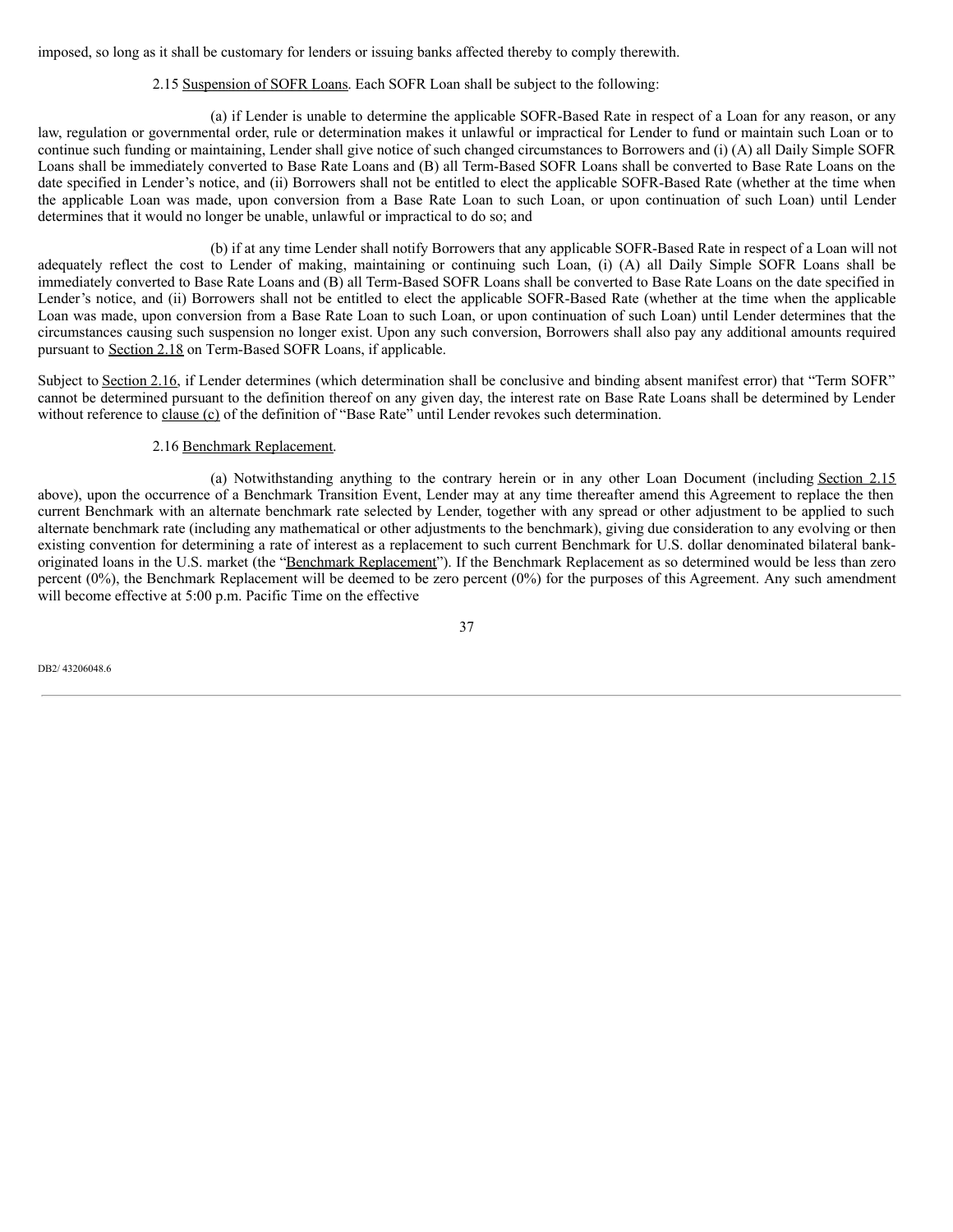imposed, so long as it shall be customary for lenders or issuing banks affected thereby to comply therewith.

2.15 Suspension of SOFR Loans. Each SOFR Loan shall be subject to the following:

(a) if Lender is unable to determine the applicable SOFR-Based Rate in respect of a Loan for any reason, or any law, regulation or governmental order, rule or determination makes it unlawful or impractical for Lender to fund or maintain such Loan or to continue such funding or maintaining, Lender shall give notice of such changed circumstances to Borrowers and (i) (A) all Daily Simple SOFR Loans shall be immediately converted to Base Rate Loans and (B) all Term-Based SOFR Loans shall be converted to Base Rate Loans on the date specified in Lender's notice, and (ii) Borrowers shall not be entitled to elect the applicable SOFR-Based Rate (whether at the time when the applicable Loan was made, upon conversion from a Base Rate Loan to such Loan, or upon continuation of such Loan) until Lender determines that it would no longer be unable, unlawful or impractical to do so; and

(b) if at any time Lender shall notify Borrowers that any applicable SOFR-Based Rate in respect of a Loan will not adequately reflect the cost to Lender of making, maintaining or continuing such Loan, (i) (A) all Daily Simple SOFR Loans shall be immediately converted to Base Rate Loans and (B) all Term-Based SOFR Loans shall be converted to Base Rate Loans on the date specified in Lender's notice, and (ii) Borrowers shall not be entitled to elect the applicable SOFR-Based Rate (whether at the time when the applicable Loan was made, upon conversion from a Base Rate Loan to such Loan, or upon continuation of such Loan) until Lender determines that the circumstances causing such suspension no longer exist. Upon any such conversion, Borrowers shall also pay any additional amounts required pursuant to Section 2.18 on Term-Based SOFR Loans, if applicable.

Subject to Section 2.16, if Lender determines (which determination shall be conclusive and binding absent manifest error) that "Term SOFR" cannot be determined pursuant to the definition thereof on any given day, the interest rate on Base Rate Loans shall be determined by Lender without reference to clause (c) of the definition of "Base Rate" until Lender revokes such determination.

## 2.16 Benchmark Replacement.

(a) Notwithstanding anything to the contrary herein or in any other Loan Document (including Section 2.15 above), upon the occurrence of a Benchmark Transition Event, Lender may at any time thereafter amend this Agreement to replace the then current Benchmark with an alternate benchmark rate selected by Lender, together with any spread or other adjustment to be applied to such alternate benchmark rate (including any mathematical or other adjustments to the benchmark), giving due consideration to any evolving or then existing convention for determining a rate of interest as a replacement to such current Benchmark for U.S. dollar denominated bilateral bankoriginated loans in the U.S. market (the "Benchmark Replacement"). If the Benchmark Replacement as so determined would be less than zero percent  $(0\%)$ , the Benchmark Replacement will be deemed to be zero percent  $(0\%)$  for the purposes of this Agreement. Any such amendment will become effective at 5:00 p.m. Pacific Time on the effective

37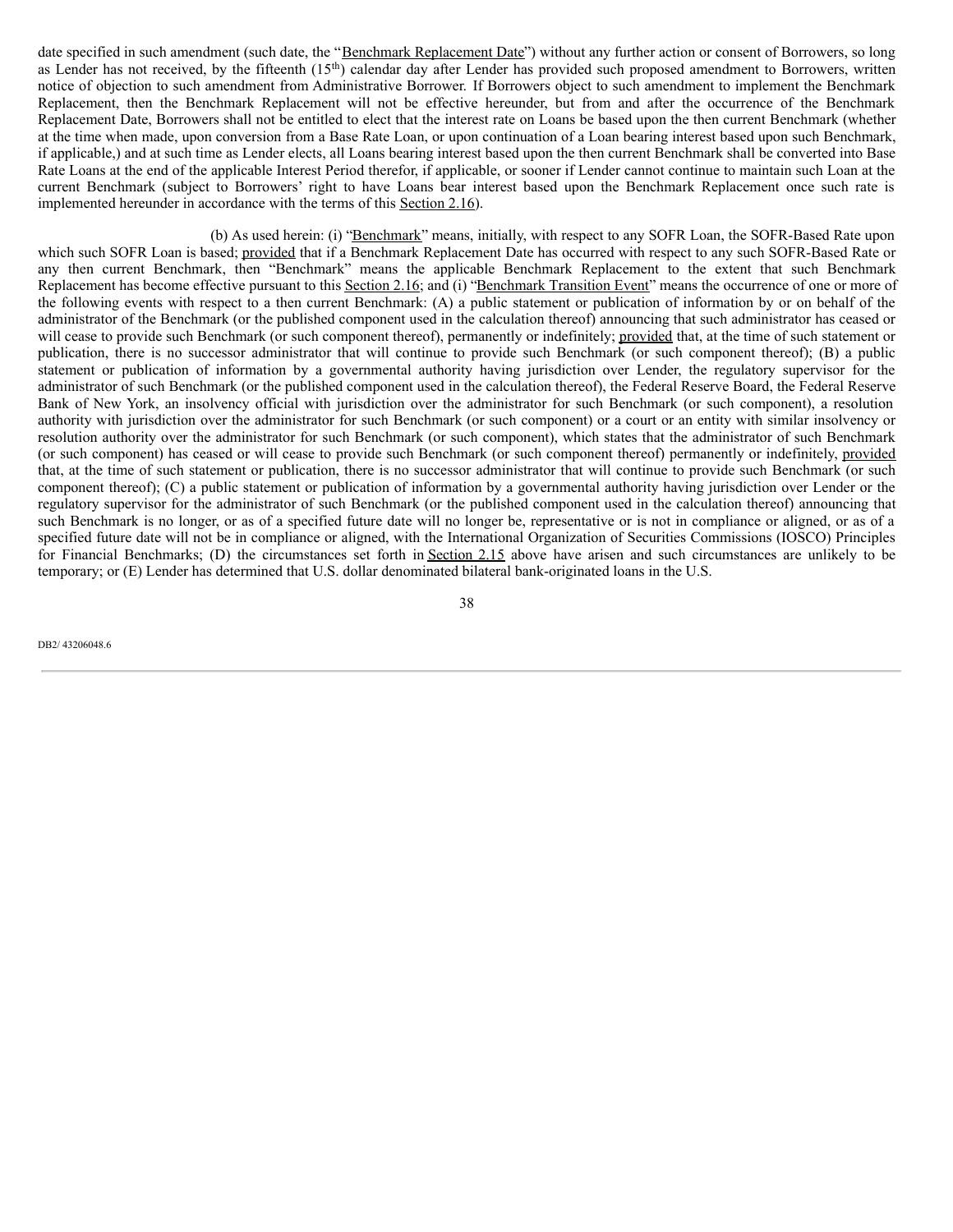date specified in such amendment (such date, the "Benchmark Replacement Date") without any further action or consent of Borrowers, so long as Lender has not received, by the fifteenth (15<sup>th</sup>) calendar day after Lender has provided such proposed amendment to Borrowers, written notice of objection to such amendment from Administrative Borrower. If Borrowers object to such amendment to implement the Benchmark Replacement, then the Benchmark Replacement will not be effective hereunder, but from and after the occurrence of the Benchmark Replacement Date, Borrowers shall not be entitled to elect that the interest rate on Loans be based upon the then current Benchmark (whether at the time when made, upon conversion from a Base Rate Loan, or upon continuation of a Loan bearing interest based upon such Benchmark, if applicable,) and at such time as Lender elects, all Loans bearing interest based upon the then current Benchmark shall be converted into Base Rate Loans at the end of the applicable Interest Period therefor, if applicable, or sooner if Lender cannot continue to maintain such Loan at the current Benchmark (subject to Borrowers' right to have Loans bear interest based upon the Benchmark Replacement once such rate is implemented hereunder in accordance with the terms of this Section 2.16).

(b) As used herein: (i) "Benchmark" means, initially, with respect to any SOFR Loan, the SOFR-Based Rate upon which such SOFR Loan is based; provided that if a Benchmark Replacement Date has occurred with respect to any such SOFR-Based Rate or any then current Benchmark, then "Benchmark" means the applicable Benchmark Replacement to the extent that such Benchmark Replacement has become effective pursuant to this Section 2.16; and (i) "Benchmark Transition Event" means the occurrence of one or more of the following events with respect to a then current Benchmark: (A) a public statement or publication of information by or on behalf of the administrator of the Benchmark (or the published component used in the calculation thereof) announcing that such administrator has ceased or will cease to provide such Benchmark (or such component thereof), permanently or indefinitely; provided that, at the time of such statement or publication, there is no successor administrator that will continue to provide such Benchmark (or such component thereof); (B) a public statement or publication of information by a governmental authority having jurisdiction over Lender, the regulatory supervisor for the administrator of such Benchmark (or the published component used in the calculation thereof), the Federal Reserve Board, the Federal Reserve Bank of New York, an insolvency official with jurisdiction over the administrator for such Benchmark (or such component), a resolution authority with jurisdiction over the administrator for such Benchmark (or such component) or a court or an entity with similar insolvency or resolution authority over the administrator for such Benchmark (or such component), which states that the administrator of such Benchmark (or such component) has ceased or will cease to provide such Benchmark (or such component thereof) permanently or indefinitely, provided that, at the time of such statement or publication, there is no successor administrator that will continue to provide such Benchmark (or such component thereof); (C) a public statement or publication of information by a governmental authority having jurisdiction over Lender or the regulatory supervisor for the administrator of such Benchmark (or the published component used in the calculation thereof) announcing that such Benchmark is no longer, or as of a specified future date will no longer be, representative or is not in compliance or aligned, or as of a specified future date will not be in compliance or aligned, with the International Organization of Securities Commissions (IOSCO) Principles for Financial Benchmarks; (D) the circumstances set forth in Section 2.15 above have arisen and such circumstances are unlikely to be temporary; or (E) Lender has determined that U.S. dollar denominated bilateral bank-originated loans in the U.S.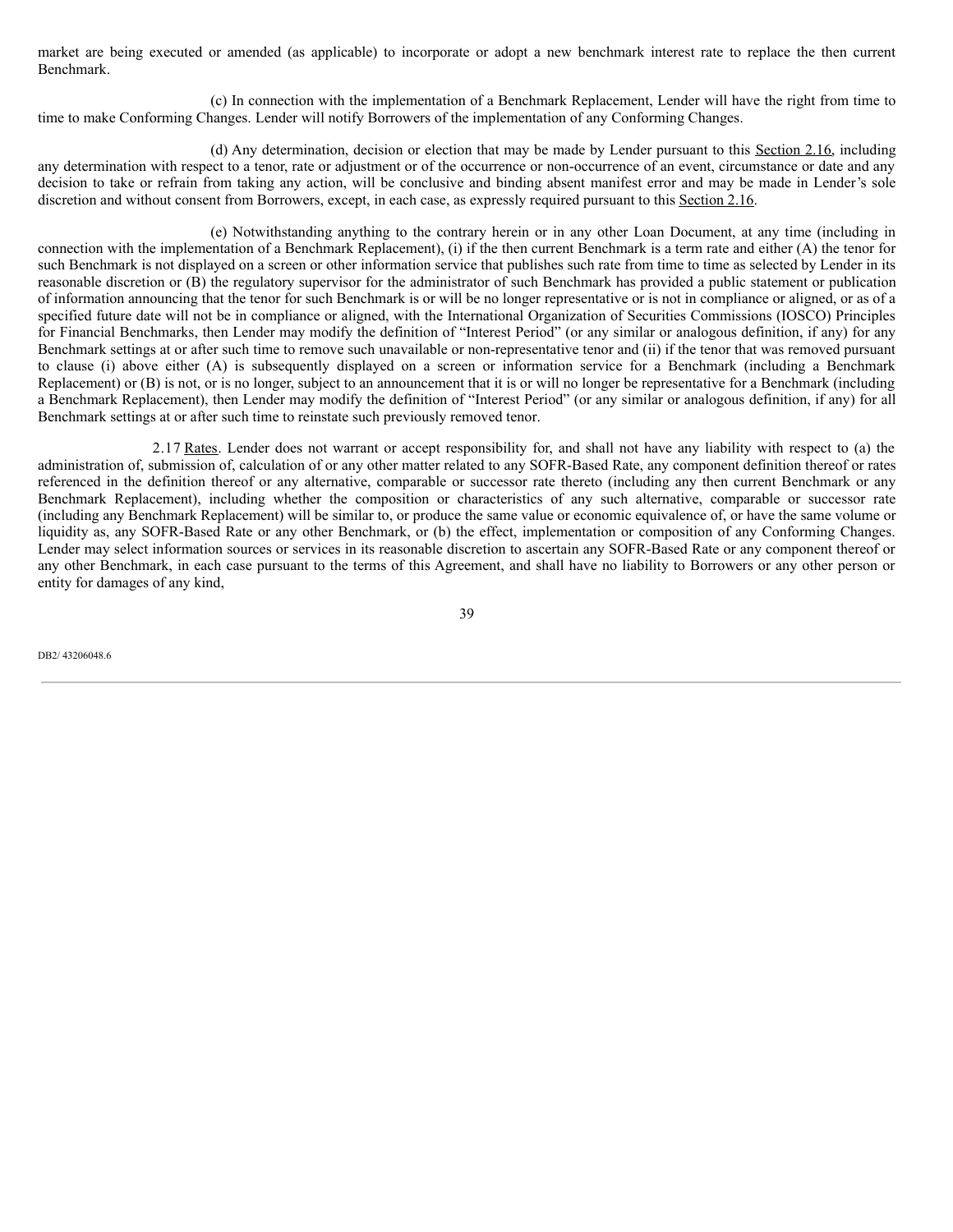market are being executed or amended (as applicable) to incorporate or adopt a new benchmark interest rate to replace the then current Benchmark.

(c) In connection with the implementation of a Benchmark Replacement, Lender will have the right from time to time to make Conforming Changes. Lender will notify Borrowers of the implementation of any Conforming Changes.

(d) Any determination, decision or election that may be made by Lender pursuant to this Section 2.16, including any determination with respect to a tenor, rate or adjustment or of the occurrence or non-occurrence of an event, circumstance or date and any decision to take or refrain from taking any action, will be conclusive and binding absent manifest error and may be made in Lender's sole discretion and without consent from Borrowers, except, in each case, as expressly required pursuant to this Section 2.16.

(e) Notwithstanding anything to the contrary herein or in any other Loan Document, at any time (including in connection with the implementation of a Benchmark Replacement), (i) if the then current Benchmark is a term rate and either (A) the tenor for such Benchmark is not displayed on a screen or other information service that publishes such rate from time to time as selected by Lender in its reasonable discretion or (B) the regulatory supervisor for the administrator of such Benchmark has provided a public statement or publication of information announcing that the tenor for such Benchmark is or will be no longer representative or is not in compliance or aligned, or as of a specified future date will not be in compliance or aligned, with the International Organization of Securities Commissions (IOSCO) Principles for Financial Benchmarks, then Lender may modify the definition of "Interest Period" (or any similar or analogous definition, if any) for any Benchmark settings at or after such time to remove such unavailable or non-representative tenor and (ii) if the tenor that was removed pursuant to clause (i) above either (A) is subsequently displayed on a screen or information service for a Benchmark (including a Benchmark Replacement) or (B) is not, or is no longer, subject to an announcement that it is or will no longer be representative for a Benchmark (including a Benchmark Replacement), then Lender may modify the definition of "Interest Period" (or any similar or analogous definition, if any) for all Benchmark settings at or after such time to reinstate such previously removed tenor.

2.17 Rates. Lender does not warrant or accept responsibility for, and shall not have any liability with respect to (a) the administration of, submission of, calculation of or any other matter related to any SOFR-Based Rate, any component definition thereof or rates referenced in the definition thereof or any alternative, comparable or successor rate thereto (including any then current Benchmark or any Benchmark Replacement), including whether the composition or characteristics of any such alternative, comparable or successor rate (including any Benchmark Replacement) will be similar to, or produce the same value or economic equivalence of, or have the same volume or liquidity as, any SOFR-Based Rate or any other Benchmark, or (b) the effect, implementation or composition of any Conforming Changes. Lender may select information sources or services in its reasonable discretion to ascertain any SOFR-Based Rate or any component thereof or any other Benchmark, in each case pursuant to the terms of this Agreement, and shall have no liability to Borrowers or any other person or entity for damages of any kind,

39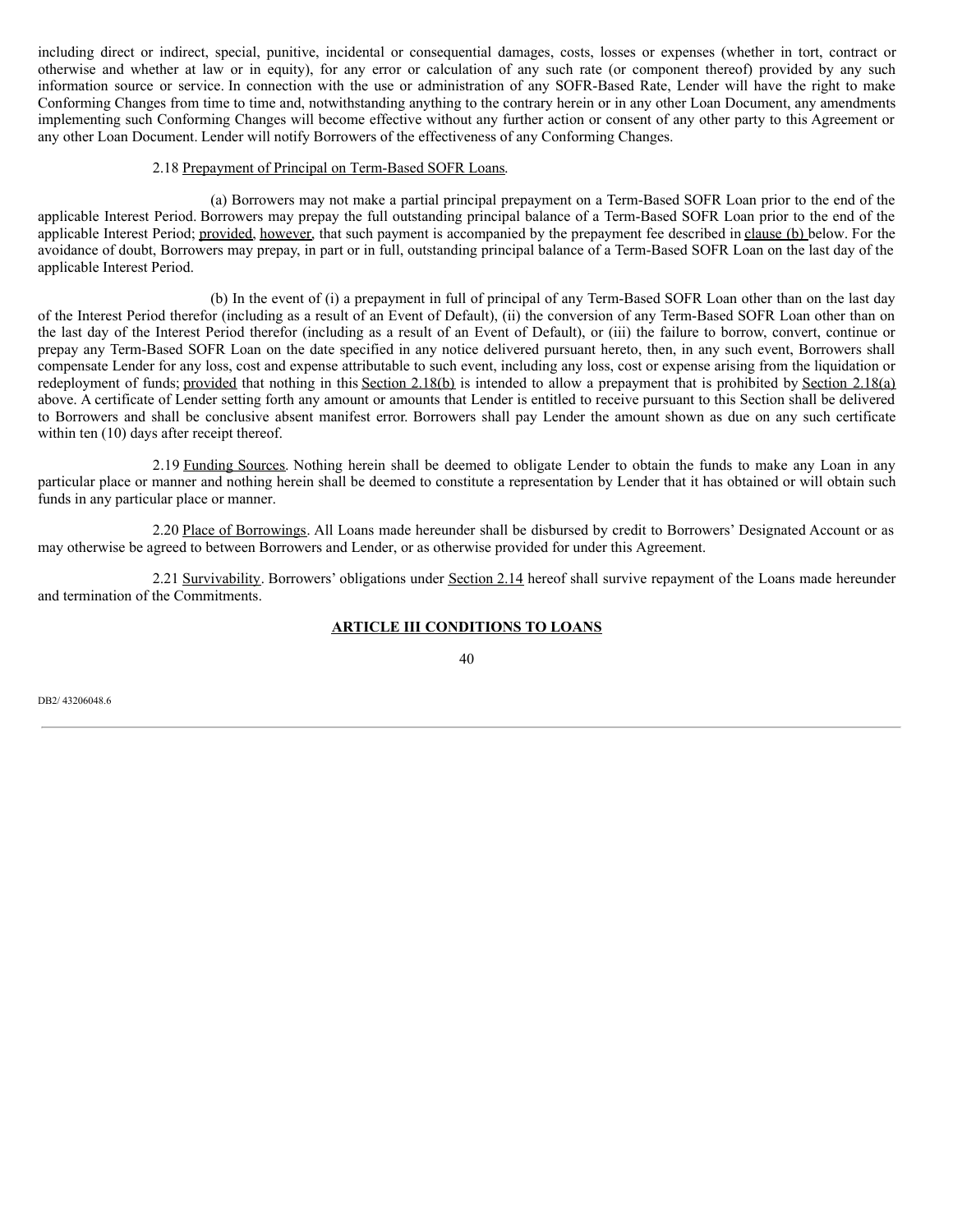including direct or indirect, special, punitive, incidental or consequential damages, costs, losses or expenses (whether in tort, contract or otherwise and whether at law or in equity), for any error or calculation of any such rate (or component thereof) provided by any such information source or service. In connection with the use or administration of any SOFR-Based Rate, Lender will have the right to make Conforming Changes from time to time and, notwithstanding anything to the contrary herein or in any other Loan Document, any amendments implementing such Conforming Changes will become effective without any further action or consent of any other party to this Agreement or any other Loan Document. Lender will notify Borrowers of the effectiveness of any Conforming Changes.

### 2.18 Prepayment of Principal on Term-Based SOFR Loans.

(a) Borrowers may not make a partial principal prepayment on a Term-Based SOFR Loan prior to the end of the applicable Interest Period. Borrowers may prepay the full outstanding principal balance of a Term-Based SOFR Loan prior to the end of the applicable Interest Period; provided, however, that such payment is accompanied by the prepayment fee described in clause (b) below. For the avoidance of doubt, Borrowers may prepay, in part or in full, outstanding principal balance of a Term-Based SOFR Loan on the last day of the applicable Interest Period.

(b) In the event of (i) a prepayment in full of principal of any Term-Based SOFR Loan other than on the last day of the Interest Period therefor (including as a result of an Event of Default), (ii) the conversion of any Term-Based SOFR Loan other than on the last day of the Interest Period therefor (including as a result of an Event of Default), or (iii) the failure to borrow, convert, continue or prepay any Term-Based SOFR Loan on the date specified in any notice delivered pursuant hereto, then, in any such event, Borrowers shall compensate Lender for any loss, cost and expense attributable to such event, including any loss, cost or expense arising from the liquidation or redeployment of funds; provided that nothing in this Section 2.18(b) is intended to allow a prepayment that is prohibited by Section 2.18(a) above. A certificate of Lender setting forth any amount or amounts that Lender is entitled to receive pursuant to this Section shall be delivered to Borrowers and shall be conclusive absent manifest error. Borrowers shall pay Lender the amount shown as due on any such certificate within ten  $(10)$  days after receipt thereof.

2.19 Funding Sources. Nothing herein shall be deemed to obligate Lender to obtain the funds to make any Loan in any particular place or manner and nothing herein shall be deemed to constitute a representation by Lender that it has obtained or will obtain such funds in any particular place or manner.

2.20 Place of Borrowings. All Loans made hereunder shall be disbursed by credit to Borrowers' Designated Account or as may otherwise be agreed to between Borrowers and Lender, or as otherwise provided for under this Agreement.

2.21 Survivability. Borrowers' obligations under Section 2.14 hereof shall survive repayment of the Loans made hereunder and termination of the Commitments.

## **ARTICLE III CONDITIONS TO LOANS**

40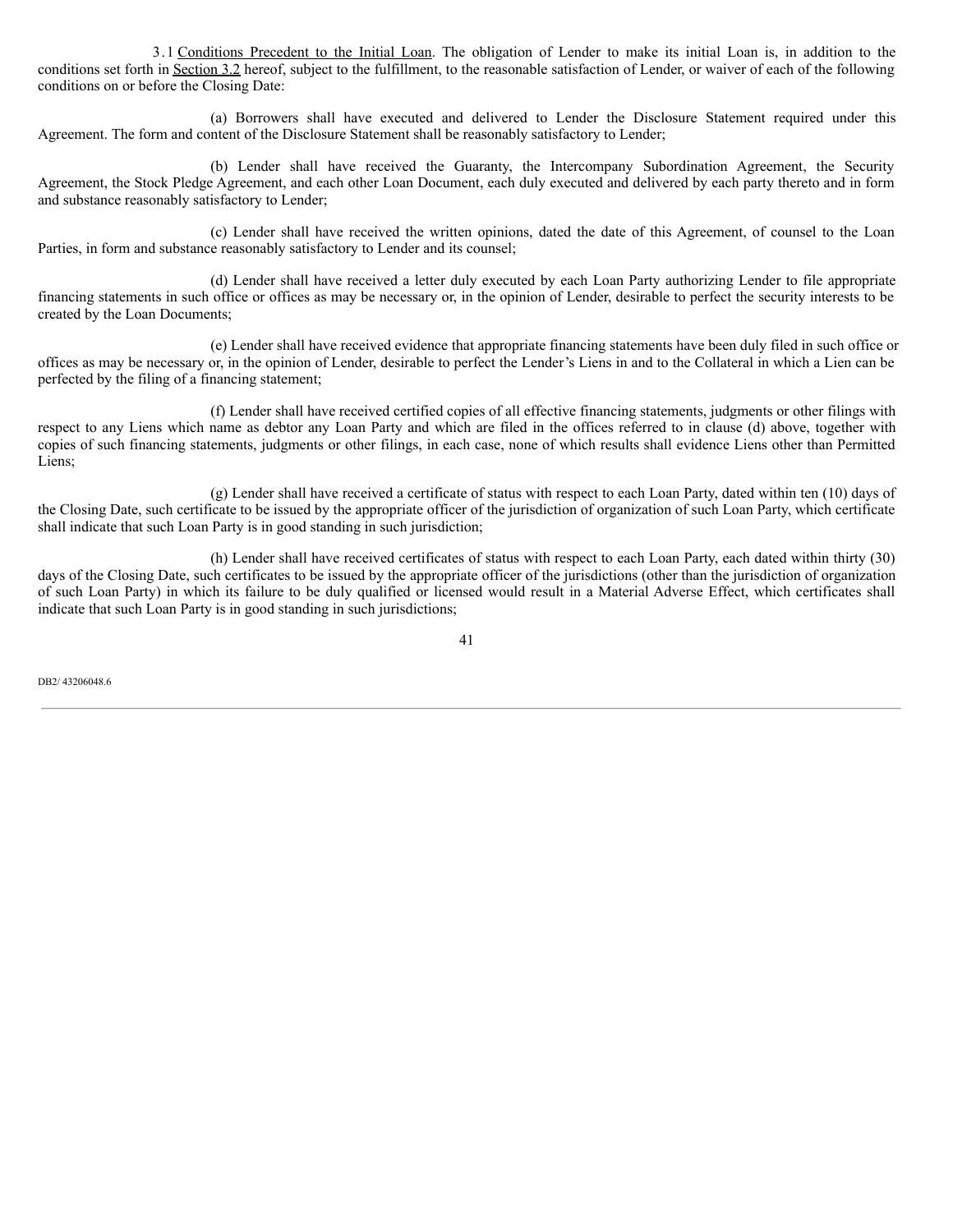3.1 Conditions Precedent to the Initial Loan. The obligation of Lender to make its initial Loan is, in addition to the conditions set forth in Section 3.2 hereof, subject to the fulfillment, to the reasonable satisfaction of Lender, or waiver of each of the following conditions on or before the Closing Date:

(a) Borrowers shall have executed and delivered to Lender the Disclosure Statement required under this Agreement. The form and content of the Disclosure Statement shall be reasonably satisfactory to Lender;

(b) Lender shall have received the Guaranty, the Intercompany Subordination Agreement, the Security Agreement, the Stock Pledge Agreement, and each other Loan Document, each duly executed and delivered by each party thereto and in form and substance reasonably satisfactory to Lender;

(c) Lender shall have received the written opinions, dated the date of this Agreement, of counsel to the Loan Parties, in form and substance reasonably satisfactory to Lender and its counsel;

(d) Lender shall have received a letter duly executed by each Loan Party authorizing Lender to file appropriate financing statements in such office or offices as may be necessary or, in the opinion of Lender, desirable to perfect the security interests to be created by the Loan Documents;

(e) Lender shall have received evidence that appropriate financing statements have been duly filed in such office or offices as may be necessary or, in the opinion of Lender, desirable to perfect the Lender's Liens in and to the Collateral in which a Lien can be perfected by the filing of a financing statement;

(f) Lender shall have received certified copies of all effective financing statements, judgments or other filings with respect to any Liens which name as debtor any Loan Party and which are filed in the offices referred to in clause (d) above, together with copies of such financing statements, judgments or other filings, in each case, none of which results shall evidence Liens other than Permitted Liens;

(g) Lender shall have received a certificate of status with respect to each Loan Party, dated within ten (10) days of the Closing Date, such certificate to be issued by the appropriate officer of the jurisdiction of organization of such Loan Party, which certificate shall indicate that such Loan Party is in good standing in such jurisdiction;

(h) Lender shall have received certificates of status with respect to each Loan Party, each dated within thirty (30) days of the Closing Date, such certificates to be issued by the appropriate officer of the jurisdictions (other than the jurisdiction of organization of such Loan Party) in which its failure to be duly qualified or licensed would result in a Material Adverse Effect, which certificates shall indicate that such Loan Party is in good standing in such jurisdictions;

41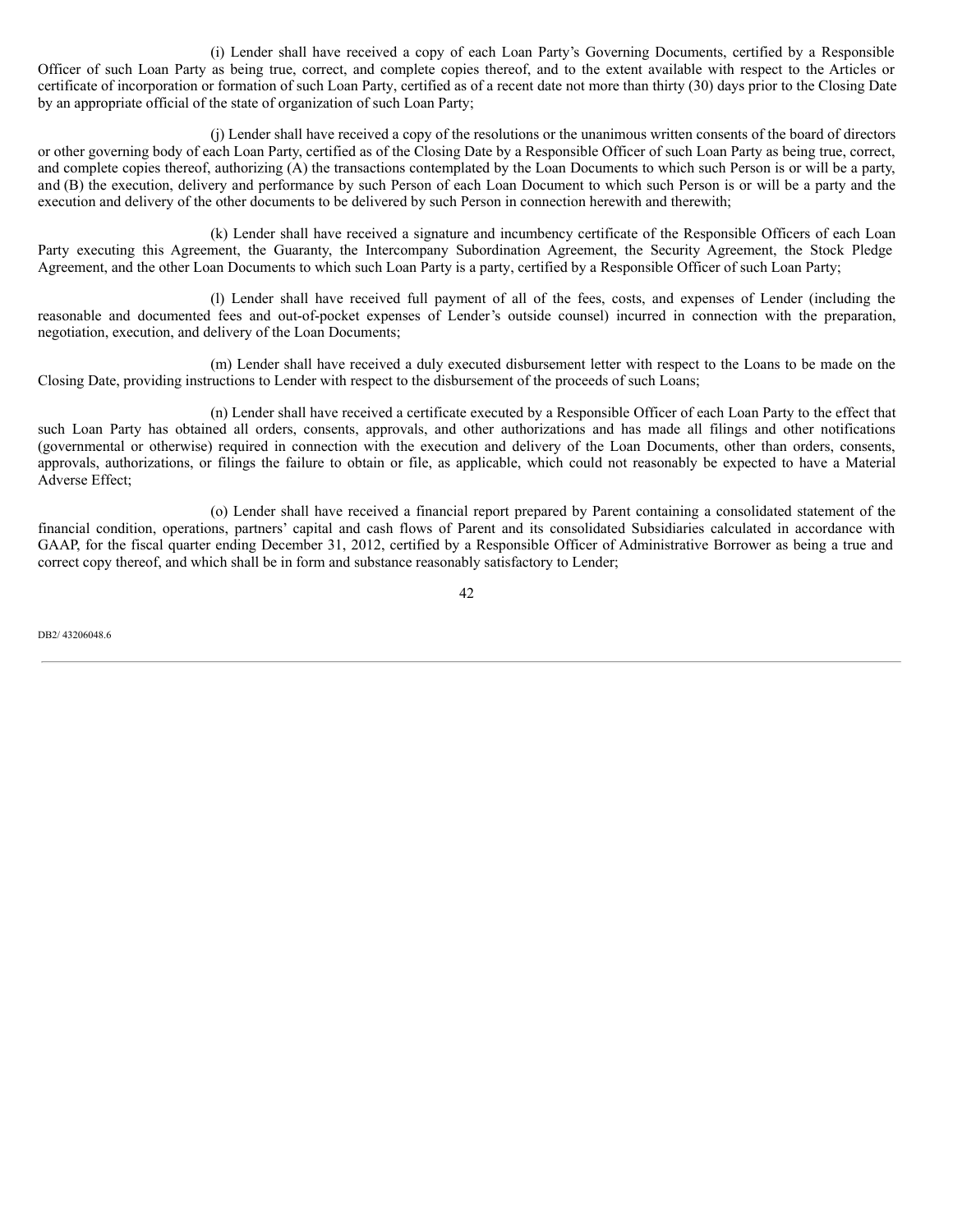(i) Lender shall have received a copy of each Loan Party's Governing Documents, certified by a Responsible Officer of such Loan Party as being true, correct, and complete copies thereof, and to the extent available with respect to the Articles or certificate of incorporation or formation of such Loan Party, certified as of a recent date not more than thirty (30) days prior to the Closing Date by an appropriate official of the state of organization of such Loan Party;

(j) Lender shall have received a copy of the resolutions or the unanimous written consents of the board of directors or other governing body of each Loan Party, certified as of the Closing Date by a Responsible Officer of such Loan Party as being true, correct, and complete copies thereof, authorizing (A) the transactions contemplated by the Loan Documents to which such Person is or will be a party, and (B) the execution, delivery and performance by such Person of each Loan Document to which such Person is or will be a party and the execution and delivery of the other documents to be delivered by such Person in connection herewith and therewith;

(k) Lender shall have received a signature and incumbency certificate of the Responsible Officers of each Loan Party executing this Agreement, the Guaranty, the Intercompany Subordination Agreement, the Security Agreement, the Stock Pledge Agreement, and the other Loan Documents to which such Loan Party is a party, certified by a Responsible Officer of such Loan Party;

(l) Lender shall have received full payment of all of the fees, costs, and expenses of Lender (including the reasonable and documented fees and out-of-pocket expenses of Lender's outside counsel) incurred in connection with the preparation, negotiation, execution, and delivery of the Loan Documents;

(m) Lender shall have received a duly executed disbursement letter with respect to the Loans to be made on the Closing Date, providing instructions to Lender with respect to the disbursement of the proceeds of such Loans;

(n) Lender shall have received a certificate executed by a Responsible Officer of each Loan Party to the effect that such Loan Party has obtained all orders, consents, approvals, and other authorizations and has made all filings and other notifications (governmental or otherwise) required in connection with the execution and delivery of the Loan Documents, other than orders, consents, approvals, authorizations, or filings the failure to obtain or file, as applicable, which could not reasonably be expected to have a Material Adverse Effect;

(o) Lender shall have received a financial report prepared by Parent containing a consolidated statement of the financial condition, operations, partners' capital and cash flows of Parent and its consolidated Subsidiaries calculated in accordance with GAAP, for the fiscal quarter ending December 31, 2012, certified by a Responsible Officer of Administrative Borrower as being a true and correct copy thereof, and which shall be in form and substance reasonably satisfactory to Lender;

42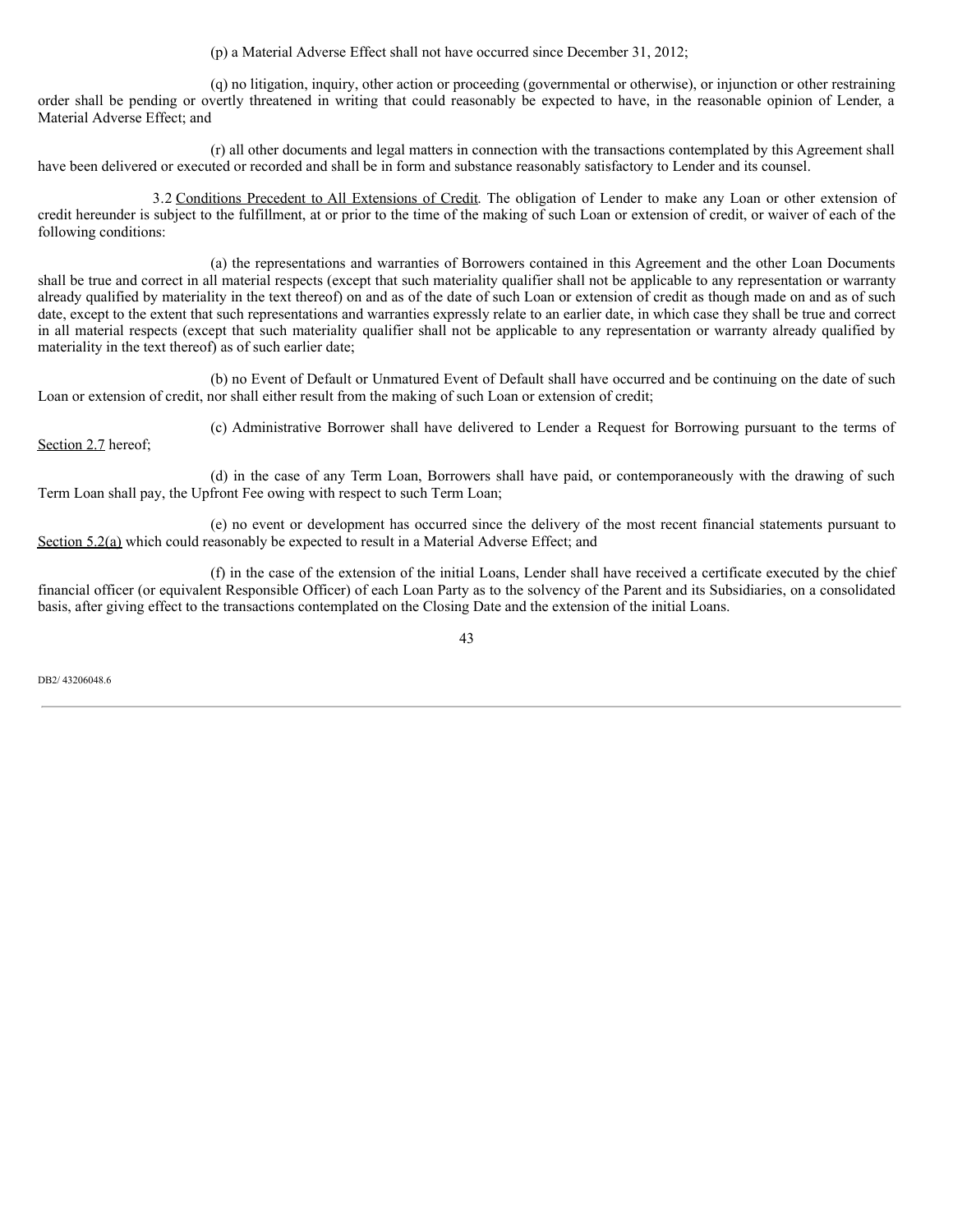(p) a Material Adverse Effect shall not have occurred since December 31, 2012;

(q) no litigation, inquiry, other action or proceeding (governmental or otherwise), or injunction or other restraining order shall be pending or overtly threatened in writing that could reasonably be expected to have, in the reasonable opinion of Lender, a Material Adverse Effect; and

(r) all other documents and legal matters in connection with the transactions contemplated by this Agreement shall have been delivered or executed or recorded and shall be in form and substance reasonably satisfactory to Lender and its counsel.

3.2 Conditions Precedent to All Extensions of Credit. The obligation of Lender to make any Loan or other extension of credit hereunder is subject to the fulfillment, at or prior to the time of the making of such Loan or extension of credit, or waiver of each of the following conditions:

(a) the representations and warranties of Borrowers contained in this Agreement and the other Loan Documents shall be true and correct in all material respects (except that such materiality qualifier shall not be applicable to any representation or warranty already qualified by materiality in the text thereof) on and as of the date of such Loan or extension of credit as though made on and as of such date, except to the extent that such representations and warranties expressly relate to an earlier date, in which case they shall be true and correct in all material respects (except that such materiality qualifier shall not be applicable to any representation or warranty already qualified by materiality in the text thereof) as of such earlier date;

(b) no Event of Default or Unmatured Event of Default shall have occurred and be continuing on the date of such Loan or extension of credit, nor shall either result from the making of such Loan or extension of credit;

Section 2.7 hereof;

(c) Administrative Borrower shall have delivered to Lender a Request for Borrowing pursuant to the terms of

(d) in the case of any Term Loan, Borrowers shall have paid, or contemporaneously with the drawing of such Term Loan shall pay, the Upfront Fee owing with respect to such Term Loan;

(e) no event or development has occurred since the delivery of the most recent financial statements pursuant to Section 5.2(a) which could reasonably be expected to result in a Material Adverse Effect; and

(f) in the case of the extension of the initial Loans, Lender shall have received a certificate executed by the chief financial officer (or equivalent Responsible Officer) of each Loan Party as to the solvency of the Parent and its Subsidiaries, on a consolidated basis, after giving effect to the transactions contemplated on the Closing Date and the extension of the initial Loans.

43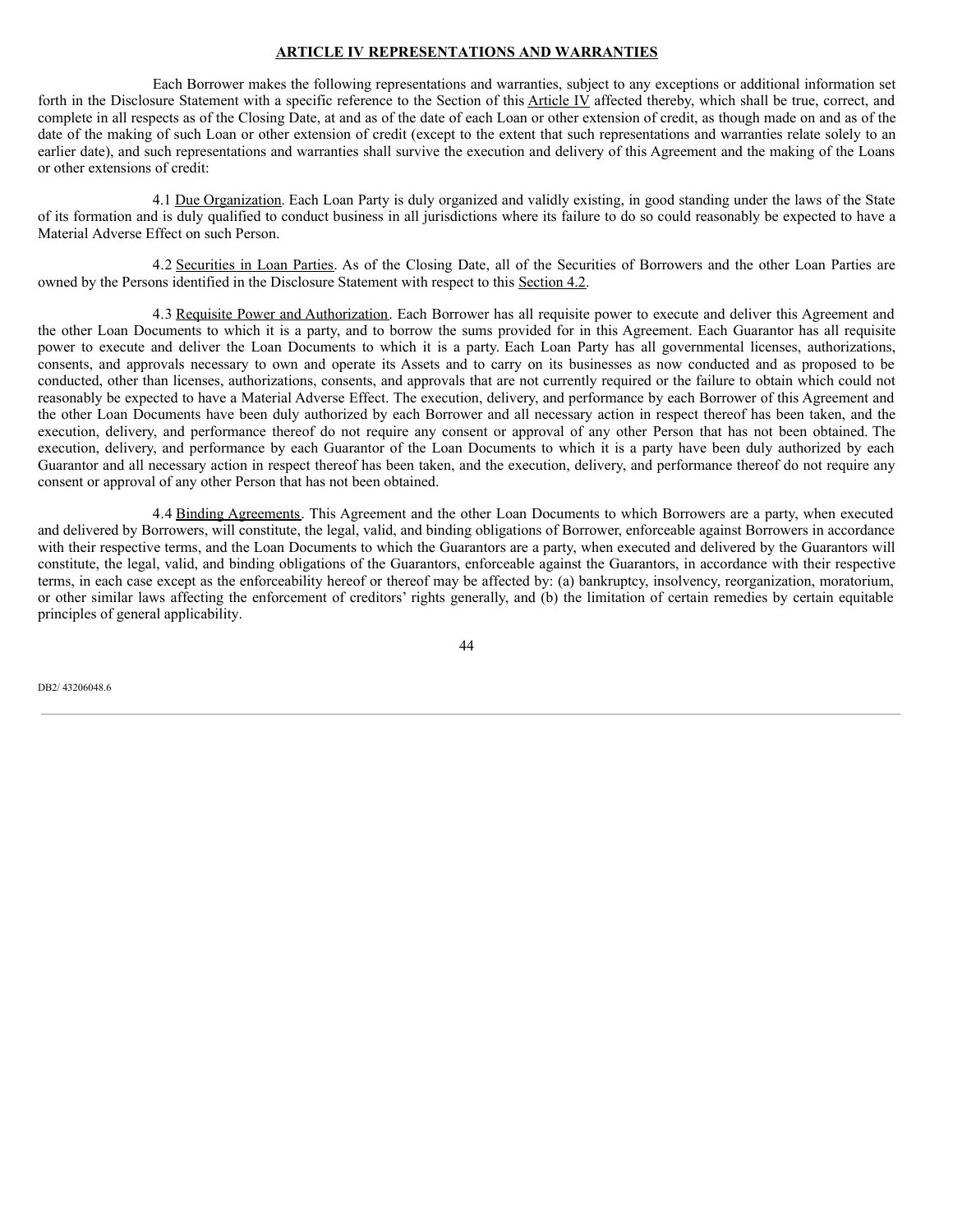## **ARTICLE IV REPRESENTATIONS AND WARRANTIES**

Each Borrower makes the following representations and warranties, subject to any exceptions or additional information set forth in the Disclosure Statement with a specific reference to the Section of this Article IV affected thereby, which shall be true, correct, and complete in all respects as of the Closing Date, at and as of the date of each Loan or other extension of credit, as though made on and as of the date of the making of such Loan or other extension of credit (except to the extent that such representations and warranties relate solely to an earlier date), and such representations and warranties shall survive the execution and delivery of this Agreement and the making of the Loans or other extensions of credit:

4.1 Due Organization. Each Loan Party is duly organized and validly existing, in good standing under the laws of the State of its formation and is duly qualified to conduct business in all jurisdictions where its failure to do so could reasonably be expected to have a Material Adverse Effect on such Person.

4.2 Securities in Loan Parties. As of the Closing Date, all of the Securities of Borrowers and the other Loan Parties are owned by the Persons identified in the Disclosure Statement with respect to this Section 4.2.

4.3 Requisite Power and Authorization. Each Borrower has all requisite power to execute and deliver this Agreement and the other Loan Documents to which it is a party, and to borrow the sums provided for in this Agreement. Each Guarantor has all requisite power to execute and deliver the Loan Documents to which it is a party. Each Loan Party has all governmental licenses, authorizations, consents, and approvals necessary to own and operate its Assets and to carry on its businesses as now conducted and as proposed to be conducted, other than licenses, authorizations, consents, and approvals that are not currently required or the failure to obtain which could not reasonably be expected to have a Material Adverse Effect. The execution, delivery, and performance by each Borrower of this Agreement and the other Loan Documents have been duly authorized by each Borrower and all necessary action in respect thereof has been taken, and the execution, delivery, and performance thereof do not require any consent or approval of any other Person that has not been obtained. The execution, delivery, and performance by each Guarantor of the Loan Documents to which it is a party have been duly authorized by each Guarantor and all necessary action in respect thereof has been taken, and the execution, delivery, and performance thereof do not require any consent or approval of any other Person that has not been obtained.

4.4 Binding Agreements. This Agreement and the other Loan Documents to which Borrowers are a party, when executed and delivered by Borrowers, will constitute, the legal, valid, and binding obligations of Borrower, enforceable against Borrowers in accordance with their respective terms, and the Loan Documents to which the Guarantors are a party, when executed and delivered by the Guarantors will constitute, the legal, valid, and binding obligations of the Guarantors, enforceable against the Guarantors, in accordance with their respective terms, in each case except as the enforceability hereof or thereof may be affected by: (a) bankruptcy, insolvency, reorganization, moratorium, or other similar laws affecting the enforcement of creditors' rights generally, and (b) the limitation of certain remedies by certain equitable principles of general applicability.

44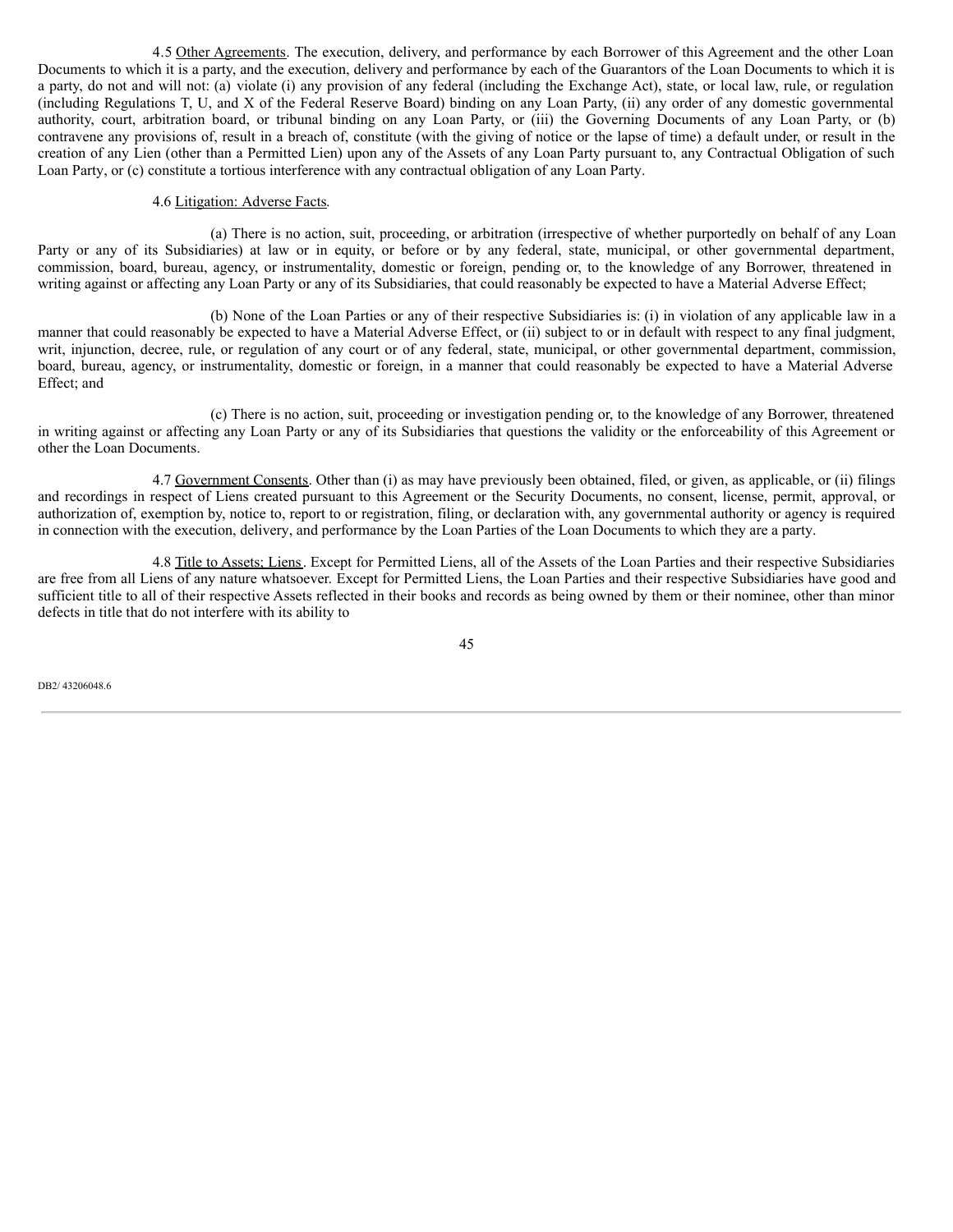4.5 Other Agreements. The execution, delivery, and performance by each Borrower of this Agreement and the other Loan Documents to which it is a party, and the execution, delivery and performance by each of the Guarantors of the Loan Documents to which it is a party, do not and will not: (a) violate (i) any provision of any federal (including the Exchange Act), state, or local law, rule, or regulation (including Regulations T, U, and X of the Federal Reserve Board) binding on any Loan Party, (ii) any order of any domestic governmental authority, court, arbitration board, or tribunal binding on any Loan Party, or (iii) the Governing Documents of any Loan Party, or (b) contravene any provisions of, result in a breach of, constitute (with the giving of notice or the lapse of time) a default under, or result in the creation of any Lien (other than a Permitted Lien) upon any of the Assets of any Loan Party pursuant to, any Contractual Obligation of such Loan Party, or (c) constitute a tortious interference with any contractual obligation of any Loan Party.

### 4.6 Litigation: Adverse Facts.

(a) There is no action, suit, proceeding, or arbitration (irrespective of whether purportedly on behalf of any Loan Party or any of its Subsidiaries) at law or in equity, or before or by any federal, state, municipal, or other governmental department, commission, board, bureau, agency, or instrumentality, domestic or foreign, pending or, to the knowledge of any Borrower, threatened in writing against or affecting any Loan Party or any of its Subsidiaries, that could reasonably be expected to have a Material Adverse Effect;

(b) None of the Loan Parties or any of their respective Subsidiaries is: (i) in violation of any applicable law in a manner that could reasonably be expected to have a Material Adverse Effect, or (ii) subject to or in default with respect to any final judgment, writ, injunction, decree, rule, or regulation of any court or of any federal, state, municipal, or other governmental department, commission, board, bureau, agency, or instrumentality, domestic or foreign, in a manner that could reasonably be expected to have a Material Adverse Effect; and

(c) There is no action, suit, proceeding or investigation pending or, to the knowledge of any Borrower, threatened in writing against or affecting any Loan Party or any of its Subsidiaries that questions the validity or the enforceability of this Agreement or other the Loan Documents.

4.7 Government Consents. Other than (i) as may have previously been obtained, filed, or given, as applicable, or (ii) filings and recordings in respect of Liens created pursuant to this Agreement or the Security Documents, no consent, license, permit, approval, or authorization of, exemption by, notice to, report to or registration, filing, or declaration with, any governmental authority or agency is required in connection with the execution, delivery, and performance by the Loan Parties of the Loan Documents to which they are a party.

4.8 Title to Assets; Liens. Except for Permitted Liens, all of the Assets of the Loan Parties and their respective Subsidiaries are free from all Liens of any nature whatsoever. Except for Permitted Liens, the Loan Parties and their respective Subsidiaries have good and sufficient title to all of their respective Assets reflected in their books and records as being owned by them or their nominee, other than minor defects in title that do not interfere with its ability to

45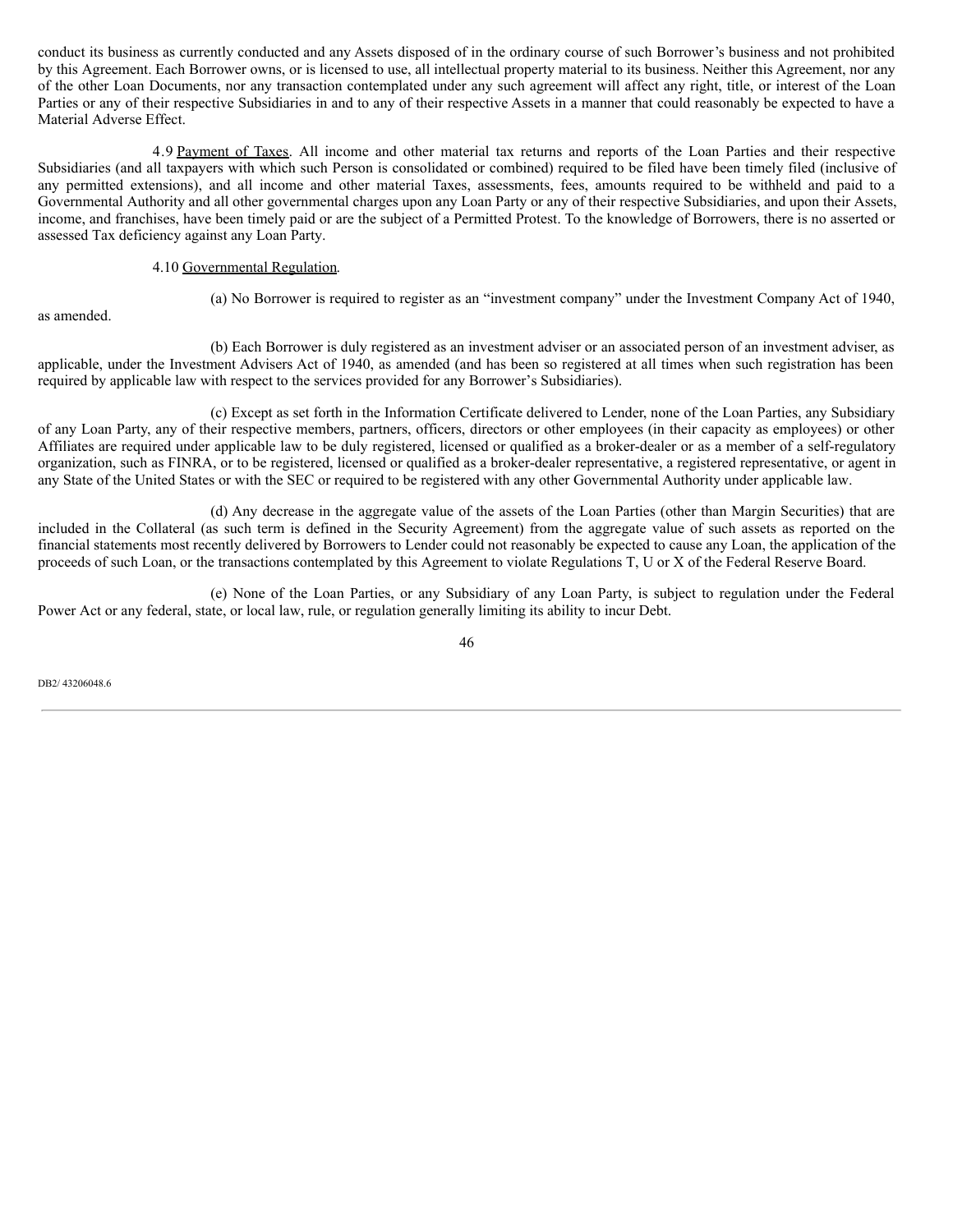conduct its business as currently conducted and any Assets disposed of in the ordinary course of such Borrower's business and not prohibited by this Agreement. Each Borrower owns, or is licensed to use, all intellectual property material to its business. Neither this Agreement, nor any of the other Loan Documents, nor any transaction contemplated under any such agreement will affect any right, title, or interest of the Loan Parties or any of their respective Subsidiaries in and to any of their respective Assets in a manner that could reasonably be expected to have a Material Adverse Effect.

4.9 Payment of Taxes. All income and other material tax returns and reports of the Loan Parties and their respective Subsidiaries (and all taxpayers with which such Person is consolidated or combined) required to be filed have been timely filed (inclusive of any permitted extensions), and all income and other material Taxes, assessments, fees, amounts required to be withheld and paid to a Governmental Authority and all other governmental charges upon any Loan Party or any of their respective Subsidiaries, and upon their Assets, income, and franchises, have been timely paid or are the subject of a Permitted Protest. To the knowledge of Borrowers, there is no asserted or assessed Tax deficiency against any Loan Party.

## 4.10 Governmental Regulation.

(a) No Borrower is required to register as an "investment company" under the Investment Company Act of 1940,

as amended.

(b) Each Borrower is duly registered as an investment adviser or an associated person of an investment adviser, as applicable, under the Investment Advisers Act of 1940, as amended (and has been so registered at all times when such registration has been required by applicable law with respect to the services provided for any Borrower's Subsidiaries).

(c) Except as set forth in the Information Certificate delivered to Lender, none of the Loan Parties, any Subsidiary of any Loan Party, any of their respective members, partners, officers, directors or other employees (in their capacity as employees) or other Affiliates are required under applicable law to be duly registered, licensed or qualified as a broker-dealer or as a member of a self-regulatory organization, such as FINRA, or to be registered, licensed or qualified as a broker-dealer representative, a registered representative, or agent in any State of the United States or with the SEC or required to be registered with any other Governmental Authority under applicable law.

(d) Any decrease in the aggregate value of the assets of the Loan Parties (other than Margin Securities) that are included in the Collateral (as such term is defined in the Security Agreement) from the aggregate value of such assets as reported on the financial statements most recently delivered by Borrowers to Lender could not reasonably be expected to cause any Loan, the application of the proceeds of such Loan, or the transactions contemplated by this Agreement to violate Regulations T, U or X of the Federal Reserve Board.

(e) None of the Loan Parties, or any Subsidiary of any Loan Party, is subject to regulation under the Federal Power Act or any federal, state, or local law, rule, or regulation generally limiting its ability to incur Debt.

46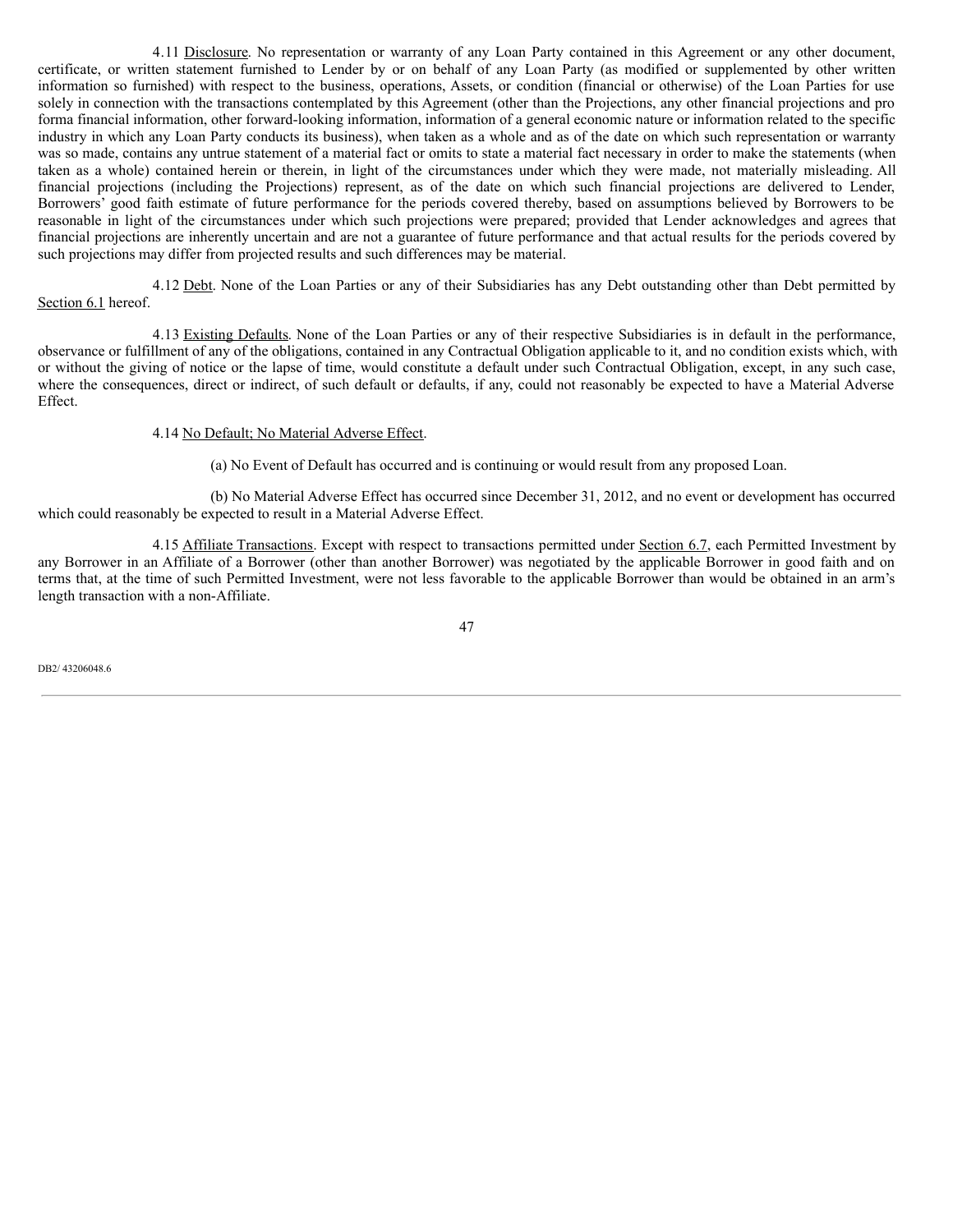4.11 Disclosure. No representation or warranty of any Loan Party contained in this Agreement or any other document, certificate, or written statement furnished to Lender by or on behalf of any Loan Party (as modified or supplemented by other written information so furnished) with respect to the business, operations, Assets, or condition (financial or otherwise) of the Loan Parties for use solely in connection with the transactions contemplated by this Agreement (other than the Projections, any other financial projections and pro forma financial information, other forward-looking information, information of a general economic nature or information related to the specific industry in which any Loan Party conducts its business), when taken as a whole and as of the date on which such representation or warranty was so made, contains any untrue statement of a material fact or omits to state a material fact necessary in order to make the statements (when taken as a whole) contained herein or therein, in light of the circumstances under which they were made, not materially misleading. All financial projections (including the Projections) represent, as of the date on which such financial projections are delivered to Lender, Borrowers' good faith estimate of future performance for the periods covered thereby, based on assumptions believed by Borrowers to be reasonable in light of the circumstances under which such projections were prepared; provided that Lender acknowledges and agrees that financial projections are inherently uncertain and are not a guarantee of future performance and that actual results for the periods covered by such projections may differ from projected results and such differences may be material.

4.12 Debt. None of the Loan Parties or any of their Subsidiaries has any Debt outstanding other than Debt permitted by Section 6.1 hereof.

4.13 Existing Defaults. None of the Loan Parties or any of their respective Subsidiaries is in default in the performance, observance or fulfillment of any of the obligations, contained in any Contractual Obligation applicable to it, and no condition exists which, with or without the giving of notice or the lapse of time, would constitute a default under such Contractual Obligation, except, in any such case, where the consequences, direct or indirect, of such default or defaults, if any, could not reasonably be expected to have a Material Adverse Effect.

### 4.14 No Default; No Material Adverse Effect.

(a) No Event of Default has occurred and is continuing or would result from any proposed Loan.

(b) No Material Adverse Effect has occurred since December 31, 2012, and no event or development has occurred which could reasonably be expected to result in a Material Adverse Effect.

4.15 Affiliate Transactions. Except with respect to transactions permitted under Section 6.7, each Permitted Investment by any Borrower in an Affiliate of a Borrower (other than another Borrower) was negotiated by the applicable Borrower in good faith and on terms that, at the time of such Permitted Investment, were not less favorable to the applicable Borrower than would be obtained in an arm's length transaction with a non-Affiliate.

47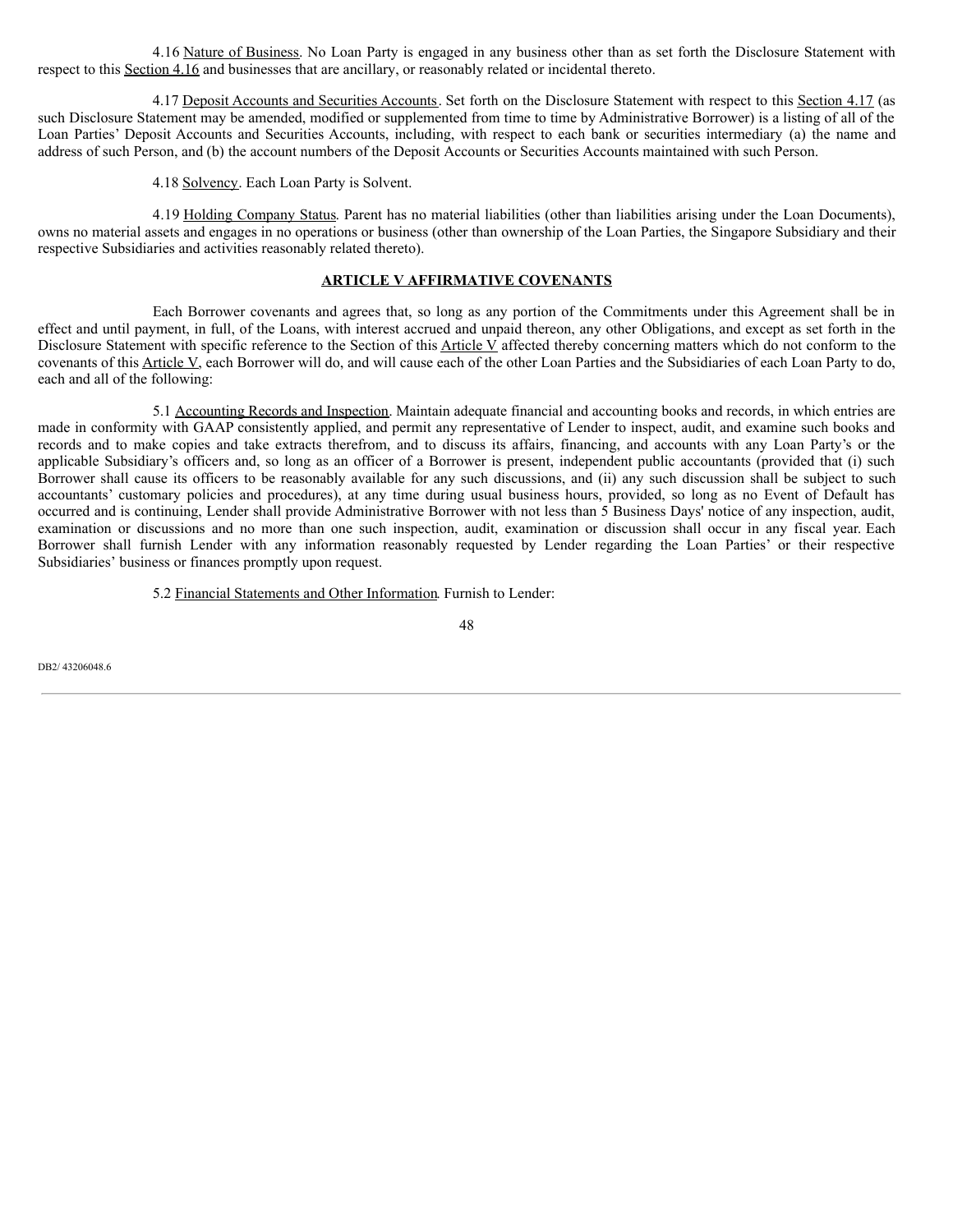4.16 Nature of Business. No Loan Party is engaged in any business other than as set forth the Disclosure Statement with respect to this Section 4.16 and businesses that are ancillary, or reasonably related or incidental thereto.

4.17 Deposit Accounts and Securities Accounts. Set forth on the Disclosure Statement with respect to this Section 4.17 (as such Disclosure Statement may be amended, modified or supplemented from time to time by Administrative Borrower) is a listing of all of the Loan Parties' Deposit Accounts and Securities Accounts, including, with respect to each bank or securities intermediary (a) the name and address of such Person, and (b) the account numbers of the Deposit Accounts or Securities Accounts maintained with such Person.

4.18 Solvency. Each Loan Party is Solvent.

4.19 Holding Company Status. Parent has no material liabilities (other than liabilities arising under the Loan Documents). owns no material assets and engages in no operations or business (other than ownership of the Loan Parties, the Singapore Subsidiary and their respective Subsidiaries and activities reasonably related thereto).

## **ARTICLE V AFFIRMATIVE COVENANTS**

Each Borrower covenants and agrees that, so long as any portion of the Commitments under this Agreement shall be in effect and until payment, in full, of the Loans, with interest accrued and unpaid thereon, any other Obligations, and except as set forth in the Disclosure Statement with specific reference to the Section of this Article V affected thereby concerning matters which do not conform to the covenants of this Article V, each Borrower will do, and will cause each of the other Loan Parties and the Subsidiaries of each Loan Party to do, each and all of the following:

5.1 Accounting Records and Inspection. Maintain adequate financial and accounting books and records, in which entries are made in conformity with GAAP consistently applied, and permit any representative of Lender to inspect, audit, and examine such books and records and to make copies and take extracts therefrom, and to discuss its affairs, financing, and accounts with any Loan Party's or the applicable Subsidiary's officers and, so long as an officer of a Borrower is present, independent public accountants (provided that (i) such Borrower shall cause its officers to be reasonably available for any such discussions, and (ii) any such discussion shall be subject to such accountants' customary policies and procedures), at any time during usual business hours, provided, so long as no Event of Default has occurred and is continuing, Lender shall provide Administrative Borrower with not less than 5 Business Days' notice of any inspection, audit, examination or discussions and no more than one such inspection, audit, examination or discussion shall occur in any fiscal year. Each Borrower shall furnish Lender with any information reasonably requested by Lender regarding the Loan Parties' or their respective Subsidiaries' business or finances promptly upon request.

5.2 Financial Statements and Other Information. Furnish to Lender:

48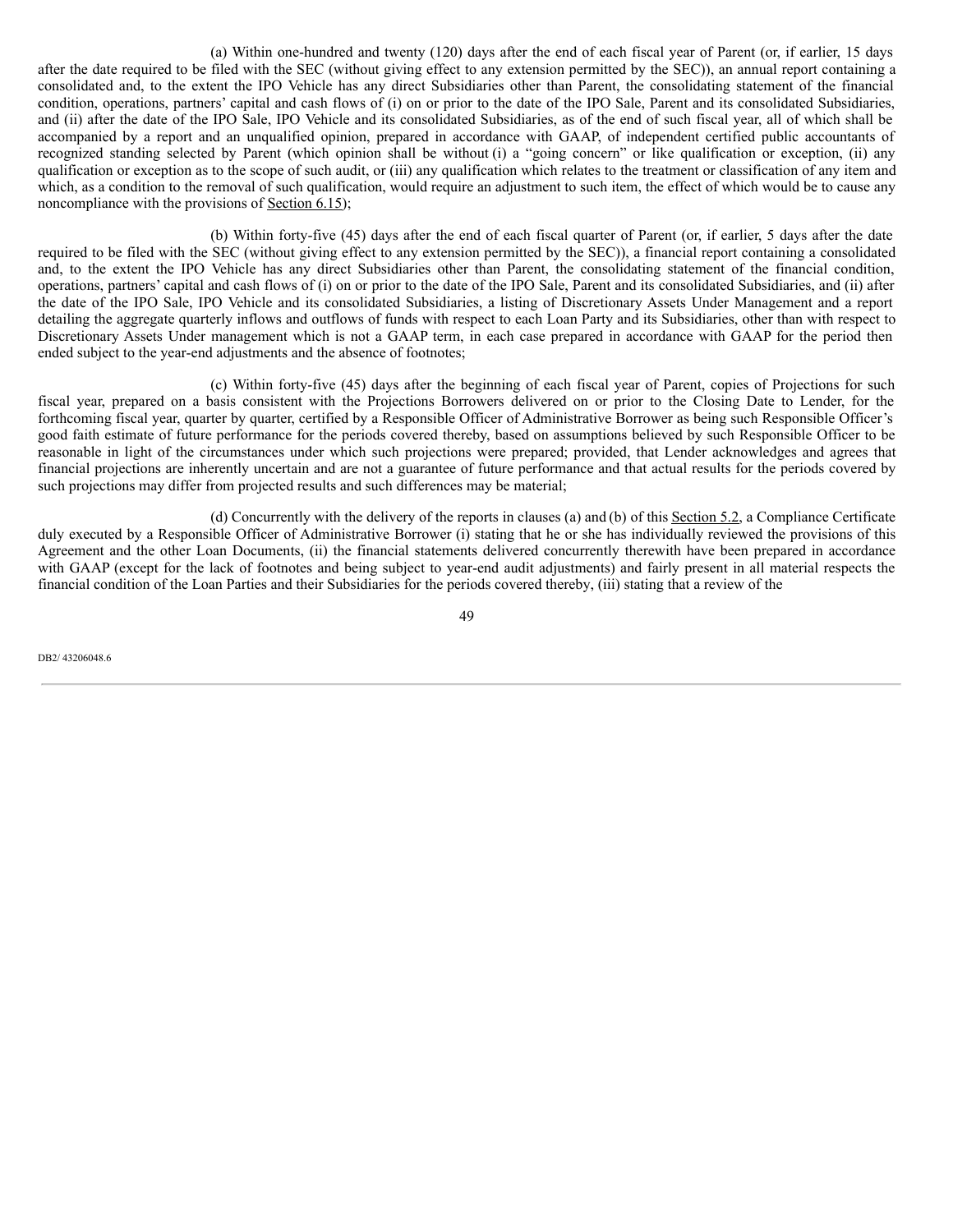(a) Within one-hundred and twenty (120) days after the end of each fiscal year of Parent (or, if earlier, 15 days after the date required to be filed with the SEC (without giving effect to any extension permitted by the SEC)), an annual report containing a consolidated and, to the extent the IPO Vehicle has any direct Subsidiaries other than Parent, the consolidating statement of the financial condition, operations, partners' capital and cash flows of (i) on or prior to the date of the IPO Sale, Parent and its consolidated Subsidiaries, and (ii) after the date of the IPO Sale, IPO Vehicle and its consolidated Subsidiaries, as of the end of such fiscal year, all of which shall be accompanied by a report and an unqualified opinion, prepared in accordance with GAAP, of independent certified public accountants of recognized standing selected by Parent (which opinion shall be without (i) a "going concern" or like qualification or exception, (ii) any qualification or exception as to the scope of such audit, or (iii) any qualification which relates to the treatment or classification of any item and which, as a condition to the removal of such qualification, would require an adjustment to such item, the effect of which would be to cause any noncompliance with the provisions of Section 6.15);

(b) Within forty-five (45) days after the end of each fiscal quarter of Parent (or, if earlier, 5 days after the date required to be filed with the SEC (without giving effect to any extension permitted by the SEC)), a financial report containing a consolidated and, to the extent the IPO Vehicle has any direct Subsidiaries other than Parent, the consolidating statement of the financial condition, operations, partners' capital and cash flows of (i) on or prior to the date of the IPO Sale, Parent and its consolidated Subsidiaries, and (ii) after the date of the IPO Sale, IPO Vehicle and its consolidated Subsidiaries, a listing of Discretionary Assets Under Management and a report detailing the aggregate quarterly inflows and outflows of funds with respect to each Loan Party and its Subsidiaries, other than with respect to Discretionary Assets Under management which is not a GAAP term, in each case prepared in accordance with GAAP for the period then ended subject to the year-end adjustments and the absence of footnotes;

(c) Within forty-five (45) days after the beginning of each fiscal year of Parent, copies of Projections for such fiscal year, prepared on a basis consistent with the Projections Borrowers delivered on or prior to the Closing Date to Lender, for the forthcoming fiscal year, quarter by quarter, certified by a Responsible Officer of Administrative Borrower as being such Responsible Officer's good faith estimate of future performance for the periods covered thereby, based on assumptions believed by such Responsible Officer to be reasonable in light of the circumstances under which such projections were prepared; provided, that Lender acknowledges and agrees that financial projections are inherently uncertain and are not a guarantee of future performance and that actual results for the periods covered by such projections may differ from projected results and such differences may be material;

(d) Concurrently with the delivery of the reports in clauses (a) and (b) of this Section 5.2, a Compliance Certificate duly executed by a Responsible Officer of Administrative Borrower (i) stating that he or she has individually reviewed the provisions of this Agreement and the other Loan Documents, (ii) the financial statements delivered concurrently therewith have been prepared in accordance with GAAP (except for the lack of footnotes and being subject to year-end audit adjustments) and fairly present in all material respects the financial condition of the Loan Parties and their Subsidiaries for the periods covered thereby, (iii) stating that a review of the

49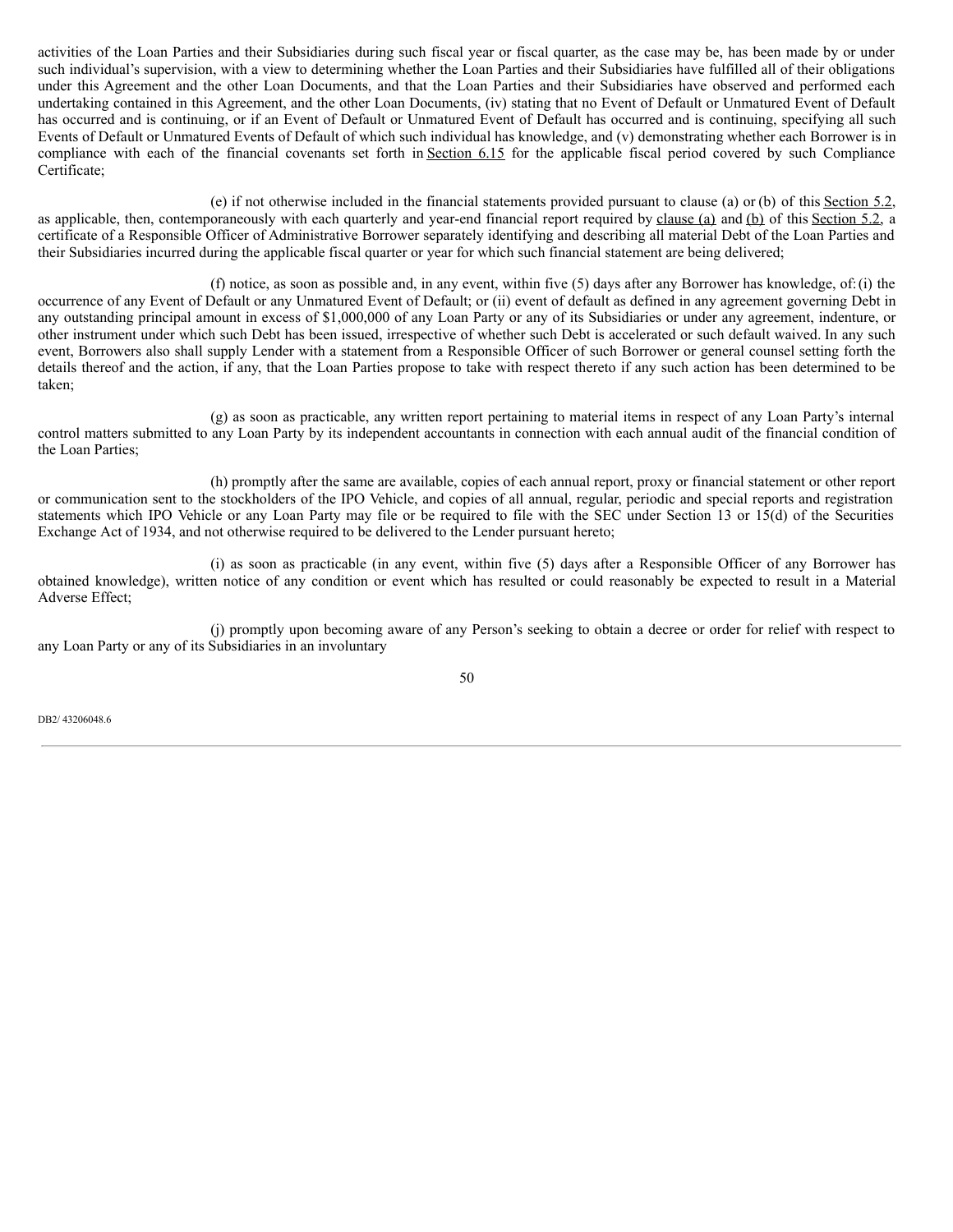activities of the Loan Parties and their Subsidiaries during such fiscal year or fiscal quarter, as the case may be, has been made by or under such individual's supervision, with a view to determining whether the Loan Parties and their Subsidiaries have fulfilled all of their obligations under this Agreement and the other Loan Documents, and that the Loan Parties and their Subsidiaries have observed and performed each undertaking contained in this Agreement, and the other Loan Documents, (iv) stating that no Event of Default or Unmatured Event of Default has occurred and is continuing, or if an Event of Default or Unmatured Event of Default has occurred and is continuing, specifying all such Events of Default or Unmatured Events of Default of which such individual has knowledge, and (v) demonstrating whether each Borrower is in compliance with each of the financial covenants set forth in Section 6.15 for the applicable fiscal period covered by such Compliance Certificate;

(e) if not otherwise included in the financial statements provided pursuant to clause (a) or (b) of this Section 5.2, as applicable, then, contemporaneously with each quarterly and year-end financial report required by clause (a) and (b) of this Section 5.2, a certificate of a Responsible Officer of Administrative Borrower separately identifying and describing all material Debt of the Loan Parties and their Subsidiaries incurred during the applicable fiscal quarter or year for which such financial statement are being delivered;

(f) notice, as soon as possible and, in any event, within five (5) days after any Borrower has knowledge, of:(i) the occurrence of any Event of Default or any Unmatured Event of Default; or (ii) event of default as defined in any agreement governing Debt in any outstanding principal amount in excess of \$1,000,000 of any Loan Party or any of its Subsidiaries or under any agreement, indenture, or other instrument under which such Debt has been issued, irrespective of whether such Debt is accelerated or such default waived. In any such event, Borrowers also shall supply Lender with a statement from a Responsible Officer of such Borrower or general counsel setting forth the details thereof and the action, if any, that the Loan Parties propose to take with respect thereto if any such action has been determined to be taken;

(g) as soon as practicable, any written report pertaining to material items in respect of any Loan Party's internal control matters submitted to any Loan Party by its independent accountants in connection with each annual audit of the financial condition of the Loan Parties;

(h) promptly after the same are available, copies of each annual report, proxy or financial statement or other report or communication sent to the stockholders of the IPO Vehicle, and copies of all annual, regular, periodic and special reports and registration statements which IPO Vehicle or any Loan Party may file or be required to file with the SEC under Section 13 or 15(d) of the Securities Exchange Act of 1934, and not otherwise required to be delivered to the Lender pursuant hereto;

(i) as soon as practicable (in any event, within five (5) days after a Responsible Officer of any Borrower has obtained knowledge), written notice of any condition or event which has resulted or could reasonably be expected to result in a Material Adverse Effect;

(j) promptly upon becoming aware of any Person's seeking to obtain a decree or order for relief with respect to any Loan Party or any of its Subsidiaries in an involuntary

50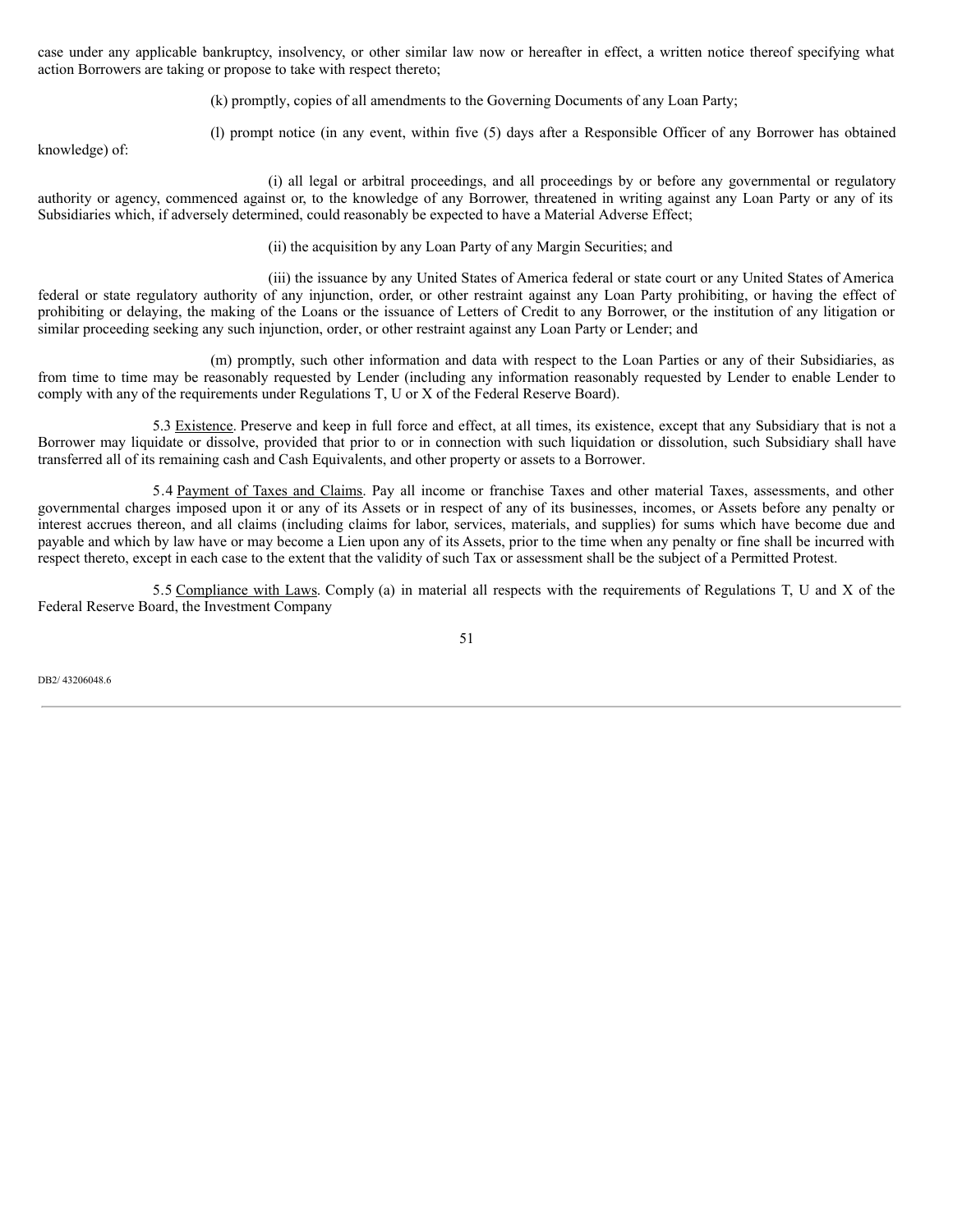case under any applicable bankruptcy, insolvency, or other similar law now or hereafter in effect, a written notice thereof specifying what action Borrowers are taking or propose to take with respect thereto;

(k) promptly, copies of all amendments to the Governing Documents of any Loan Party;

knowledge) of:

(l) prompt notice (in any event, within five (5) days after a Responsible Officer of any Borrower has obtained

(i) all legal or arbitral proceedings, and all proceedings by or before any governmental or regulatory authority or agency, commenced against or, to the knowledge of any Borrower, threatened in writing against any Loan Party or any of its Subsidiaries which, if adversely determined, could reasonably be expected to have a Material Adverse Effect;

(ii) the acquisition by any Loan Party of any Margin Securities; and

(iii) the issuance by any United States of America federal or state court or any United States of America federal or state regulatory authority of any injunction, order, or other restraint against any Loan Party prohibiting, or having the effect of prohibiting or delaying, the making of the Loans or the issuance of Letters of Credit to any Borrower, or the institution of any litigation or similar proceeding seeking any such injunction, order, or other restraint against any Loan Party or Lender; and

(m) promptly, such other information and data with respect to the Loan Parties or any of their Subsidiaries, as from time to time may be reasonably requested by Lender (including any information reasonably requested by Lender to enable Lender to comply with any of the requirements under Regulations T, U or X of the Federal Reserve Board).

5.3 Existence. Preserve and keep in full force and effect, at all times, its existence, except that any Subsidiary that is not a Borrower may liquidate or dissolve, provided that prior to or in connection with such liquidation or dissolution, such Subsidiary shall have transferred all of its remaining cash and Cash Equivalents, and other property or assets to a Borrower.

5.4 Payment of Taxes and Claims. Pay all income or franchise Taxes and other material Taxes, assessments, and other governmental charges imposed upon it or any of its Assets or in respect of any of its businesses, incomes, or Assets before any penalty or interest accrues thereon, and all claims (including claims for labor, services, materials, and supplies) for sums which have become due and payable and which by law have or may become a Lien upon any of its Assets, prior to the time when any penalty or fine shall be incurred with respect thereto, except in each case to the extent that the validity of such Tax or assessment shall be the subject of a Permitted Protest.

5.5 Compliance with Laws. Comply (a) in material all respects with the requirements of Regulations T, U and X of the Federal Reserve Board, the Investment Company

51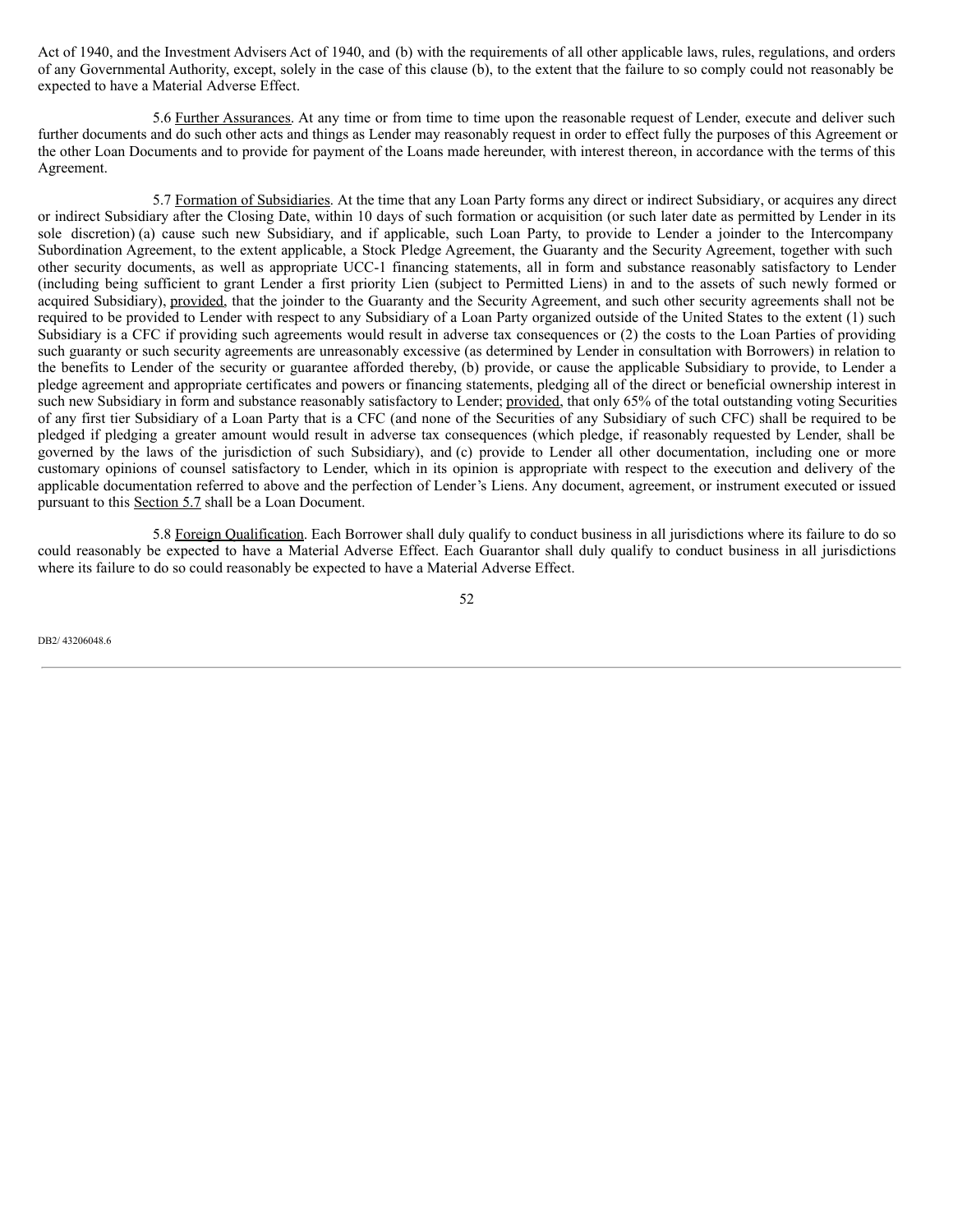Act of 1940, and the Investment Advisers Act of 1940, and (b) with the requirements of all other applicable laws, rules, regulations, and orders of any Governmental Authority, except, solely in the case of this clause (b), to the extent that the failure to so comply could not reasonably be expected to have a Material Adverse Effect.

5.6 Further Assurances. At any time or from time to time upon the reasonable request of Lender, execute and deliver such further documents and do such other acts and things as Lender may reasonably request in order to effect fully the purposes of this Agreement or the other Loan Documents and to provide for payment of the Loans made hereunder, with interest thereon, in accordance with the terms of this Agreement.

5.7 Formation of Subsidiaries. At the time that any Loan Party forms any direct or indirect Subsidiary, or acquires any direct or indirect Subsidiary after the Closing Date, within 10 days of such formation or acquisition (or such later date as permitted by Lender in its sole discretion) (a) cause such new Subsidiary, and if applicable, such Loan Party, to provide to Lender a joinder to the Intercompany Subordination Agreement, to the extent applicable, a Stock Pledge Agreement, the Guaranty and the Security Agreement, together with such other security documents, as well as appropriate UCC-1 financing statements, all in form and substance reasonably satisfactory to Lender (including being sufficient to grant Lender a first priority Lien (subject to Permitted Liens) in and to the assets of such newly formed or acquired Subsidiary), provided, that the joinder to the Guaranty and the Security Agreement, and such other security agreements shall not be required to be provided to Lender with respect to any Subsidiary of a Loan Party organized outside of the United States to the extent (1) such Subsidiary is a CFC if providing such agreements would result in adverse tax consequences or (2) the costs to the Loan Parties of providing such guaranty or such security agreements are unreasonably excessive (as determined by Lender in consultation with Borrowers) in relation to the benefits to Lender of the security or guarantee afforded thereby, (b) provide, or cause the applicable Subsidiary to provide, to Lender a pledge agreement and appropriate certificates and powers or financing statements, pledging all of the direct or beneficial ownership interest in such new Subsidiary in form and substance reasonably satisfactory to Lender; provided, that only 65% of the total outstanding voting Securities of any first tier Subsidiary of a Loan Party that is a CFC (and none of the Securities of any Subsidiary of such CFC) shall be required to be pledged if pledging a greater amount would result in adverse tax consequences (which pledge, if reasonably requested by Lender, shall be governed by the laws of the jurisdiction of such Subsidiary), and (c) provide to Lender all other documentation, including one or more customary opinions of counsel satisfactory to Lender, which in its opinion is appropriate with respect to the execution and delivery of the applicable documentation referred to above and the perfection of Lender's Liens. Any document, agreement, or instrument executed or issued pursuant to this Section 5.7 shall be a Loan Document.

5.8 Foreign Qualification. Each Borrower shall duly qualify to conduct business in all jurisdictions where its failure to do so could reasonably be expected to have a Material Adverse Effect. Each Guarantor shall duly qualify to conduct business in all jurisdictions where its failure to do so could reasonably be expected to have a Material Adverse Effect.

52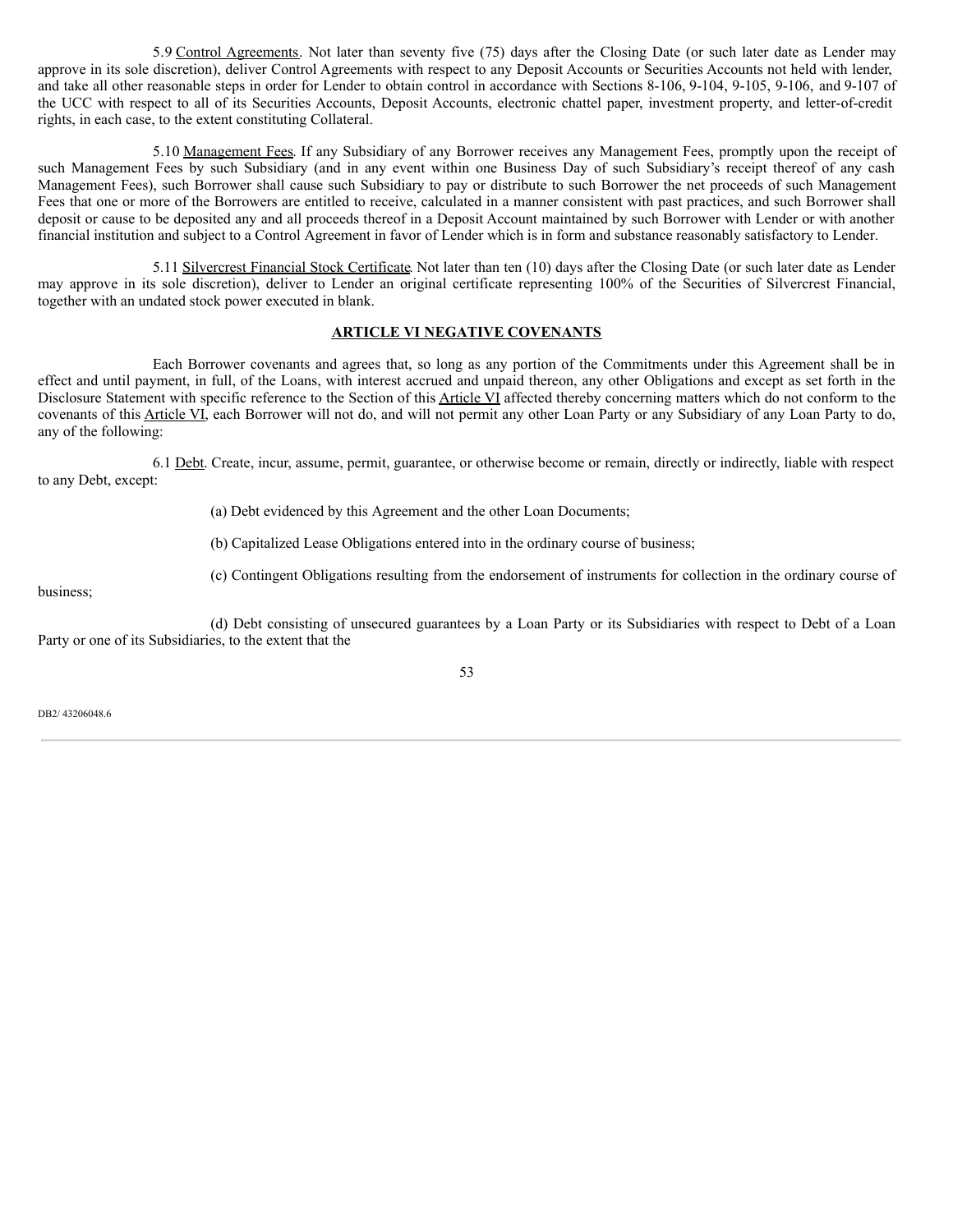5.9 Control Agreements. Not later than seventy five (75) days after the Closing Date (or such later date as Lender may approve in its sole discretion), deliver Control Agreements with respect to any Deposit Accounts or Securities Accounts not held with lender, and take all other reasonable steps in order for Lender to obtain control in accordance with Sections 8-106, 9-104, 9-105, 9-106, and 9-107 of the UCC with respect to all of its Securities Accounts, Deposit Accounts, electronic chattel paper, investment property, and letter-of-credit rights, in each case, to the extent constituting Collateral.

5.10 Management Fees. If any Subsidiary of any Borrower receives any Management Fees, promptly upon the receipt of such Management Fees by such Subsidiary (and in any event within one Business Day of such Subsidiary's receipt thereof of any cash Management Fees), such Borrower shall cause such Subsidiary to pay or distribute to such Borrower the net proceeds of such Management Fees that one or more of the Borrowers are entitled to receive, calculated in a manner consistent with past practices, and such Borrower shall deposit or cause to be deposited any and all proceeds thereof in a Deposit Account maintained by such Borrower with Lender or with another financial institution and subject to a Control Agreement in favor of Lender which is in form and substance reasonably satisfactory to Lender.

5.11 Silvercrest Financial Stock Certificate. Not later than ten (10) days after the Closing Date (or such later date as Lender may approve in its sole discretion), deliver to Lender an original certificate representing 100% of the Securities of Silvercrest Financial, together with an undated stock power executed in blank.

# **ARTICLE VI NEGATIVE COVENANTS**

Each Borrower covenants and agrees that, so long as any portion of the Commitments under this Agreement shall be in effect and until payment, in full, of the Loans, with interest accrued and unpaid thereon, any other Obligations and except as set forth in the Disclosure Statement with specific reference to the Section of this Article VI affected thereby concerning matters which do not conform to the covenants of this Article VI, each Borrower will not do, and will not permit any other Loan Party or any Subsidiary of any Loan Party to do, any of the following:

6.1 Debt. Create, incur, assume, permit, guarantee, or otherwise become or remain, directly or indirectly, liable with respect to any Debt, except:

(a) Debt evidenced by this Agreement and the other Loan Documents;

(b) Capitalized Lease Obligations entered into in the ordinary course of business;

(c) Contingent Obligations resulting from the endorsement of instruments for collection in the ordinary course of

business;

(d) Debt consisting of unsecured guarantees by a Loan Party or its Subsidiaries with respect to Debt of a Loan Party or one of its Subsidiaries, to the extent that the

53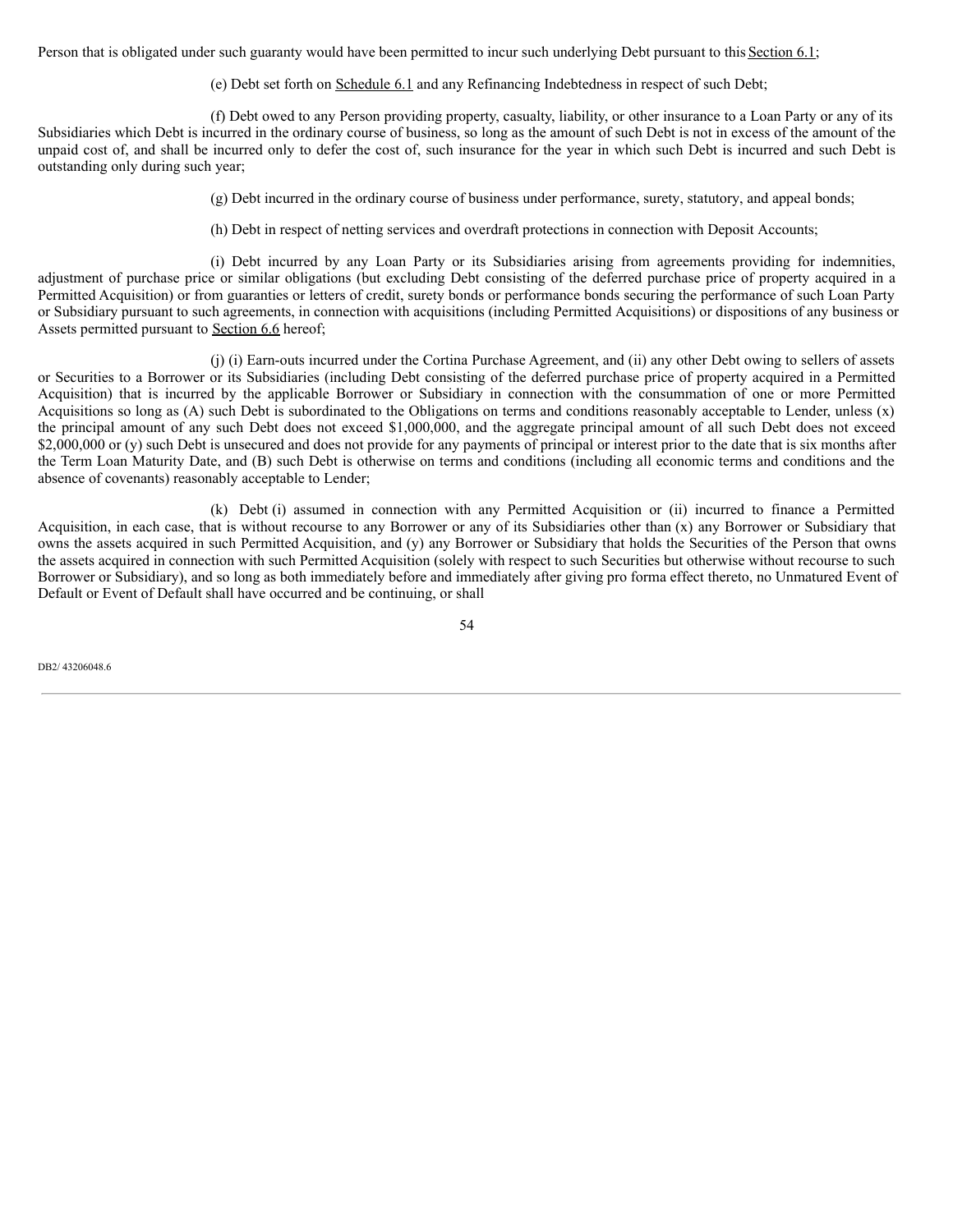Person that is obligated under such guaranty would have been permitted to incur such underlying Debt pursuant to this Section 6.1;

(e) Debt set forth on Schedule 6.1 and any Refinancing Indebtedness in respect of such Debt;

(f) Debt owed to any Person providing property, casualty, liability, or other insurance to a Loan Party or any of its Subsidiaries which Debt is incurred in the ordinary course of business, so long as the amount of such Debt is not in excess of the amount of the unpaid cost of, and shall be incurred only to defer the cost of, such insurance for the year in which such Debt is incurred and such Debt is outstanding only during such year;

(g) Debt incurred in the ordinary course of business under performance, surety, statutory, and appeal bonds;

(h) Debt in respect of netting services and overdraft protections in connection with Deposit Accounts;

(i) Debt incurred by any Loan Party or its Subsidiaries arising from agreements providing for indemnities, adjustment of purchase price or similar obligations (but excluding Debt consisting of the deferred purchase price of property acquired in a Permitted Acquisition) or from guaranties or letters of credit, surety bonds or performance bonds securing the performance of such Loan Party or Subsidiary pursuant to such agreements, in connection with acquisitions (including Permitted Acquisitions) or dispositions of any business or Assets permitted pursuant to Section 6.6 hereof;

(j) (i) Earn-outs incurred under the Cortina Purchase Agreement, and (ii) any other Debt owing to sellers of assets or Securities to a Borrower or its Subsidiaries (including Debt consisting of the deferred purchase price of property acquired in a Permitted Acquisition) that is incurred by the applicable Borrower or Subsidiary in connection with the consummation of one or more Permitted Acquisitions so long as (A) such Debt is subordinated to the Obligations on terms and conditions reasonably acceptable to Lender, unless (x) the principal amount of any such Debt does not exceed \$1,000,000, and the aggregate principal amount of all such Debt does not exceed \$2,000,000 or (y) such Debt is unsecured and does not provide for any payments of principal or interest prior to the date that is six months after the Term Loan Maturity Date, and (B) such Debt is otherwise on terms and conditions (including all economic terms and conditions and the absence of covenants) reasonably acceptable to Lender;

(k) Debt (i) assumed in connection with any Permitted Acquisition or (ii) incurred to finance a Permitted Acquisition, in each case, that is without recourse to any Borrower or any of its Subsidiaries other than (x) any Borrower or Subsidiary that owns the assets acquired in such Permitted Acquisition, and (y) any Borrower or Subsidiary that holds the Securities of the Person that owns the assets acquired in connection with such Permitted Acquisition (solely with respect to such Securities but otherwise without recourse to such Borrower or Subsidiary), and so long as both immediately before and immediately after giving pro forma effect thereto, no Unmatured Event of Default or Event of Default shall have occurred and be continuing, or shall

54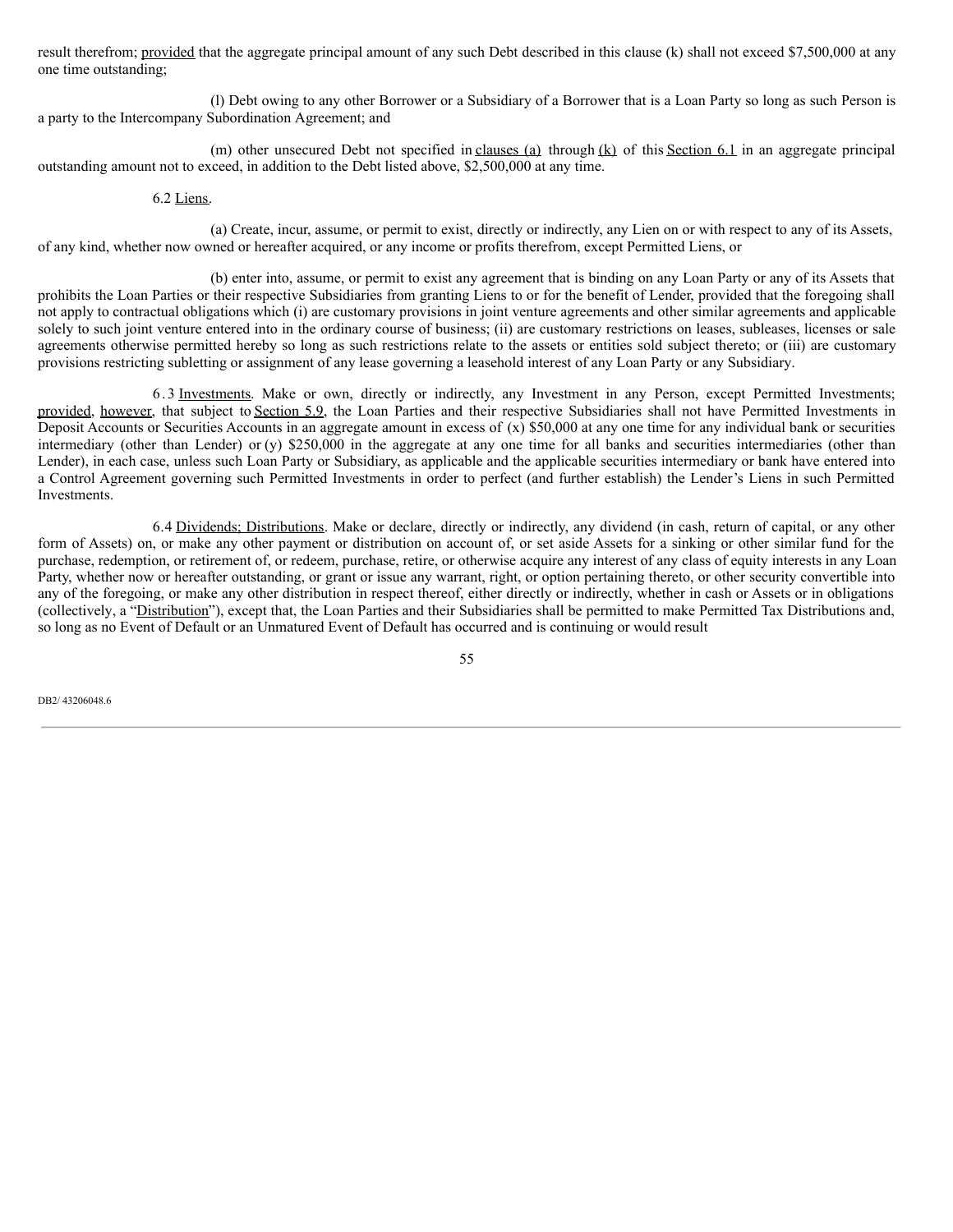result therefrom; provided that the aggregate principal amount of any such Debt described in this clause (k) shall not exceed \$7,500,000 at any one time outstanding;

(l) Debt owing to any other Borrower or a Subsidiary of a Borrower that is a Loan Party so long as such Person is a party to the Intercompany Subordination Agreement; and

(m) other unsecured Debt not specified in clauses (a) through  $(k)$  of this Section 6.1 in an aggregate principal outstanding amount not to exceed, in addition to the Debt listed above, \$2,500,000 at any time.

6.2 Liens.

(a) Create, incur, assume, or permit to exist, directly or indirectly, any Lien on or with respect to any of its Assets, of any kind, whether now owned or hereafter acquired, or any income or profits therefrom, except Permitted Liens, or

(b) enter into, assume, or permit to exist any agreement that is binding on any Loan Party or any of its Assets that prohibits the Loan Parties or their respective Subsidiaries from granting Liens to or for the benefit of Lender, provided that the foregoing shall not apply to contractual obligations which (i) are customary provisions in joint venture agreements and other similar agreements and applicable solely to such joint venture entered into in the ordinary course of business; (ii) are customary restrictions on leases, subleases, licenses or sale agreements otherwise permitted hereby so long as such restrictions relate to the assets or entities sold subject thereto; or (iii) are customary provisions restricting subletting or assignment of any lease governing a leasehold interest of any Loan Party or any Subsidiary.

6 . 3 Investments. Make or own, directly or indirectly, any Investment in any Person, except Permitted Investments; provided, however, that subject to Section 5.9, the Loan Parties and their respective Subsidiaries shall not have Permitted Investments in Deposit Accounts or Securities Accounts in an aggregate amount in excess of  $(x)$  \$50,000 at any one time for any individual bank or securities intermediary (other than Lender) or (y) \$250,000 in the aggregate at any one time for all banks and securities intermediaries (other than Lender), in each case, unless such Loan Party or Subsidiary, as applicable and the applicable securities intermediary or bank have entered into a Control Agreement governing such Permitted Investments in order to perfect (and further establish) the Lender's Liens in such Permitted Investments.

6.4 Dividends; Distributions. Make or declare, directly or indirectly, any dividend (in cash, return of capital, or any other form of Assets) on, or make any other payment or distribution on account of, or set aside Assets for a sinking or other similar fund for the purchase, redemption, or retirement of, or redeem, purchase, retire, or otherwise acquire any interest of any class of equity interests in any Loan Party, whether now or hereafter outstanding, or grant or issue any warrant, right, or option pertaining thereto, or other security convertible into any of the foregoing, or make any other distribution in respect thereof, either directly or indirectly, whether in cash or Assets or in obligations (collectively, a "Distribution"), except that, the Loan Parties and their Subsidiaries shall be permitted to make Permitted Tax Distributions and, so long as no Event of Default or an Unmatured Event of Default has occurred and is continuing or would result

55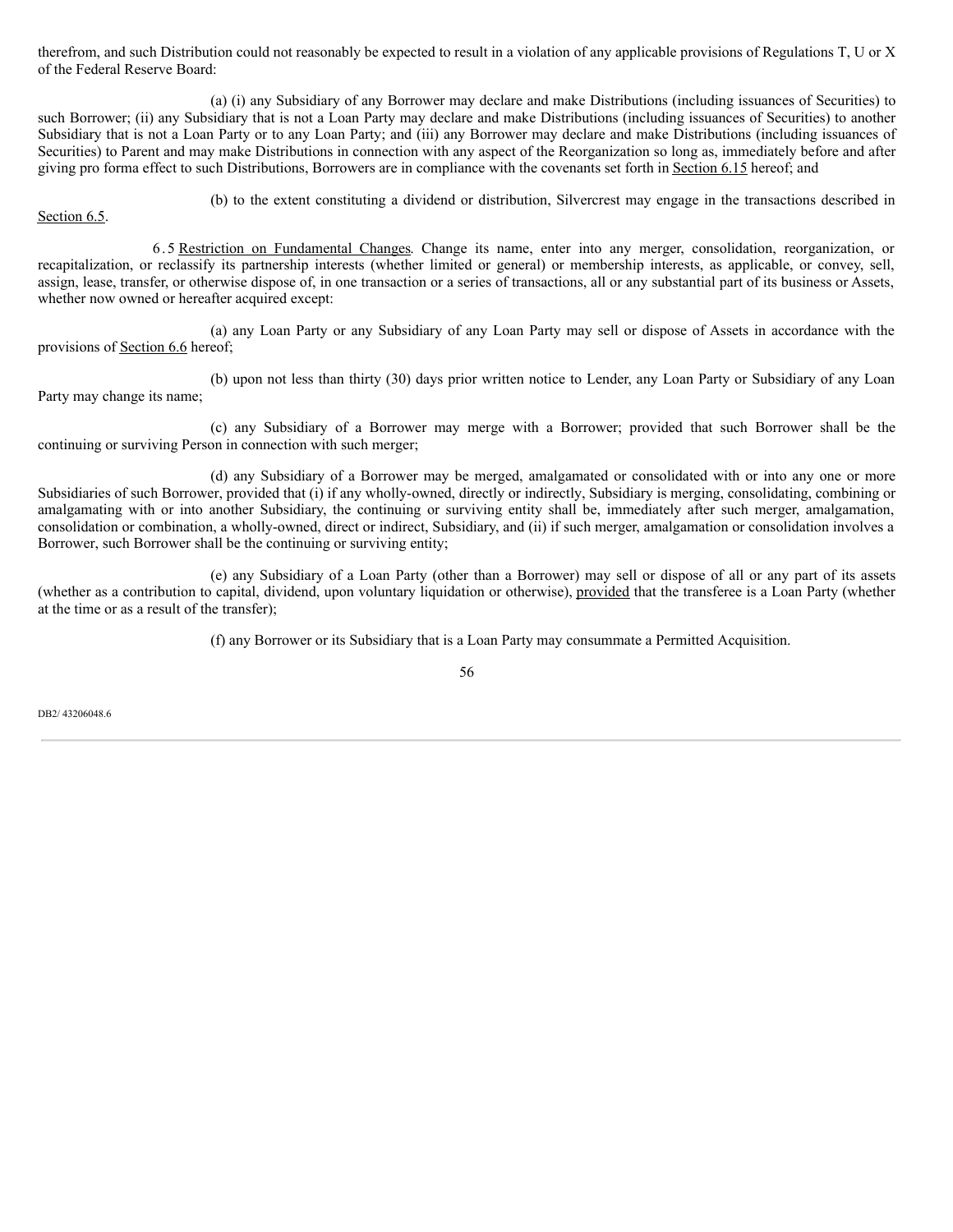therefrom, and such Distribution could not reasonably be expected to result in a violation of any applicable provisions of Regulations T, U or X of the Federal Reserve Board:

(a) (i) any Subsidiary of any Borrower may declare and make Distributions (including issuances of Securities) to such Borrower; (ii) any Subsidiary that is not a Loan Party may declare and make Distributions (including issuances of Securities) to another Subsidiary that is not a Loan Party or to any Loan Party; and (iii) any Borrower may declare and make Distributions (including issuances of Securities) to Parent and may make Distributions in connection with any aspect of the Reorganization so long as, immediately before and after giving pro forma effect to such Distributions, Borrowers are in compliance with the covenants set forth in Section 6.15 hereof; and

(b) to the extent constituting a dividend or distribution, Silvercrest may engage in the transactions described in

Section 6.5.

6 . 5 Restriction on Fundamental Changes. Change its name, enter into any merger, consolidation, reorganization, or recapitalization, or reclassify its partnership interests (whether limited or general) or membership interests, as applicable, or convey, sell, assign, lease, transfer, or otherwise dispose of, in one transaction or a series of transactions, all or any substantial part of its business or Assets, whether now owned or hereafter acquired except:

(a) any Loan Party or any Subsidiary of any Loan Party may sell or dispose of Assets in accordance with the provisions of <u>Section 6.6</u> hereof;

(b) upon not less than thirty (30) days prior written notice to Lender, any Loan Party or Subsidiary of any Loan Party may change its name;

(c) any Subsidiary of a Borrower may merge with a Borrower; provided that such Borrower shall be the continuing or surviving Person in connection with such merger;

(d) any Subsidiary of a Borrower may be merged, amalgamated or consolidated with or into any one or more Subsidiaries of such Borrower, provided that (i) if any wholly-owned, directly or indirectly, Subsidiary is merging, consolidating, combining or amalgamating with or into another Subsidiary, the continuing or surviving entity shall be, immediately after such merger, amalgamation, consolidation or combination, a wholly-owned, direct or indirect, Subsidiary, and (ii) if such merger, amalgamation or consolidation involves a Borrower, such Borrower shall be the continuing or surviving entity;

(e) any Subsidiary of a Loan Party (other than a Borrower) may sell or dispose of all or any part of its assets (whether as a contribution to capital, dividend, upon voluntary liquidation or otherwise), provided that the transferee is a Loan Party (whether at the time or as a result of the transfer);

(f) any Borrower or its Subsidiary that is a Loan Party may consummate a Permitted Acquisition.

56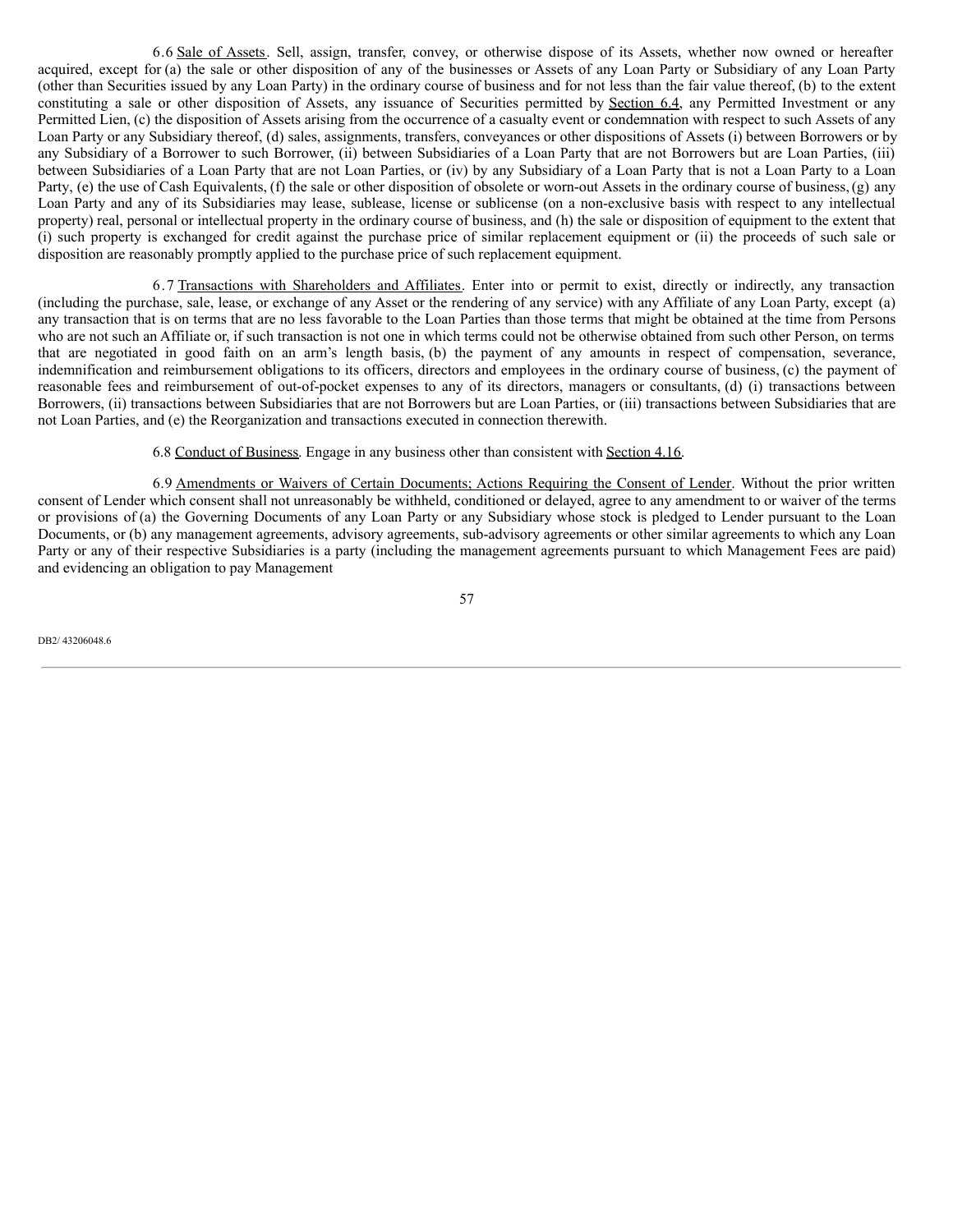6.6 Sale of Assets. Sell, assign, transfer, convey, or otherwise dispose of its Assets, whether now owned or hereafter acquired, except for (a) the sale or other disposition of any of the businesses or Assets of any Loan Party or Subsidiary of any Loan Party (other than Securities issued by any Loan Party) in the ordinary course of business and for not less than the fair value thereof, (b) to the extent constituting a sale or other disposition of Assets, any issuance of Securities permitted by Section 6.4, any Permitted Investment or any Permitted Lien, (c) the disposition of Assets arising from the occurrence of a casualty event or condemnation with respect to such Assets of any Loan Party or any Subsidiary thereof, (d) sales, assignments, transfers, conveyances or other dispositions of Assets (i) between Borrowers or by any Subsidiary of a Borrower to such Borrower, (ii) between Subsidiaries of a Loan Party that are not Borrowers but are Loan Parties, (iii) between Subsidiaries of a Loan Party that are not Loan Parties, or (iv) by any Subsidiary of a Loan Party that is not a Loan Party to a Loan Party, (e) the use of Cash Equivalents, (f) the sale or other disposition of obsolete or worn-out Assets in the ordinary course of business, (g) any Loan Party and any of its Subsidiaries may lease, sublease, license or sublicense (on a non-exclusive basis with respect to any intellectual property) real, personal or intellectual property in the ordinary course of business, and (h) the sale or disposition of equipment to the extent that (i) such property is exchanged for credit against the purchase price of similar replacement equipment or (ii) the proceeds of such sale or disposition are reasonably promptly applied to the purchase price of such replacement equipment.

6.7 Transactions with Shareholders and Affiliates. Enter into or permit to exist, directly or indirectly, any transaction (including the purchase, sale, lease, or exchange of any Asset or the rendering of any service) with any Affiliate of any Loan Party, except (a) any transaction that is on terms that are no less favorable to the Loan Parties than those terms that might be obtained at the time from Persons who are not such an Affiliate or, if such transaction is not one in which terms could not be otherwise obtained from such other Person, on terms that are negotiated in good faith on an arm's length basis, (b) the payment of any amounts in respect of compensation, severance, indemnification and reimbursement obligations to its officers, directors and employees in the ordinary course of business, (c) the payment of reasonable fees and reimbursement of out-of-pocket expenses to any of its directors, managers or consultants, (d) (i) transactions between Borrowers, (ii) transactions between Subsidiaries that are not Borrowers but are Loan Parties, or (iii) transactions between Subsidiaries that are not Loan Parties, and (e) the Reorganization and transactions executed in connection therewith.

6.8 Conduct of Business. Engage in any business other than consistent with Section 4.16.

6.9 Amendments or Waivers of Certain Documents; Actions Requiring the Consent of Lender. Without the prior written consent of Lender which consent shall not unreasonably be withheld, conditioned or delayed, agree to any amendment to or waiver of the terms or provisions of (a) the Governing Documents of any Loan Party or any Subsidiary whose stock is pledged to Lender pursuant to the Loan Documents, or (b) any management agreements, advisory agreements, sub-advisory agreements or other similar agreements to which any Loan Party or any of their respective Subsidiaries is a party (including the management agreements pursuant to which Management Fees are paid) and evidencing an obligation to pay Management

57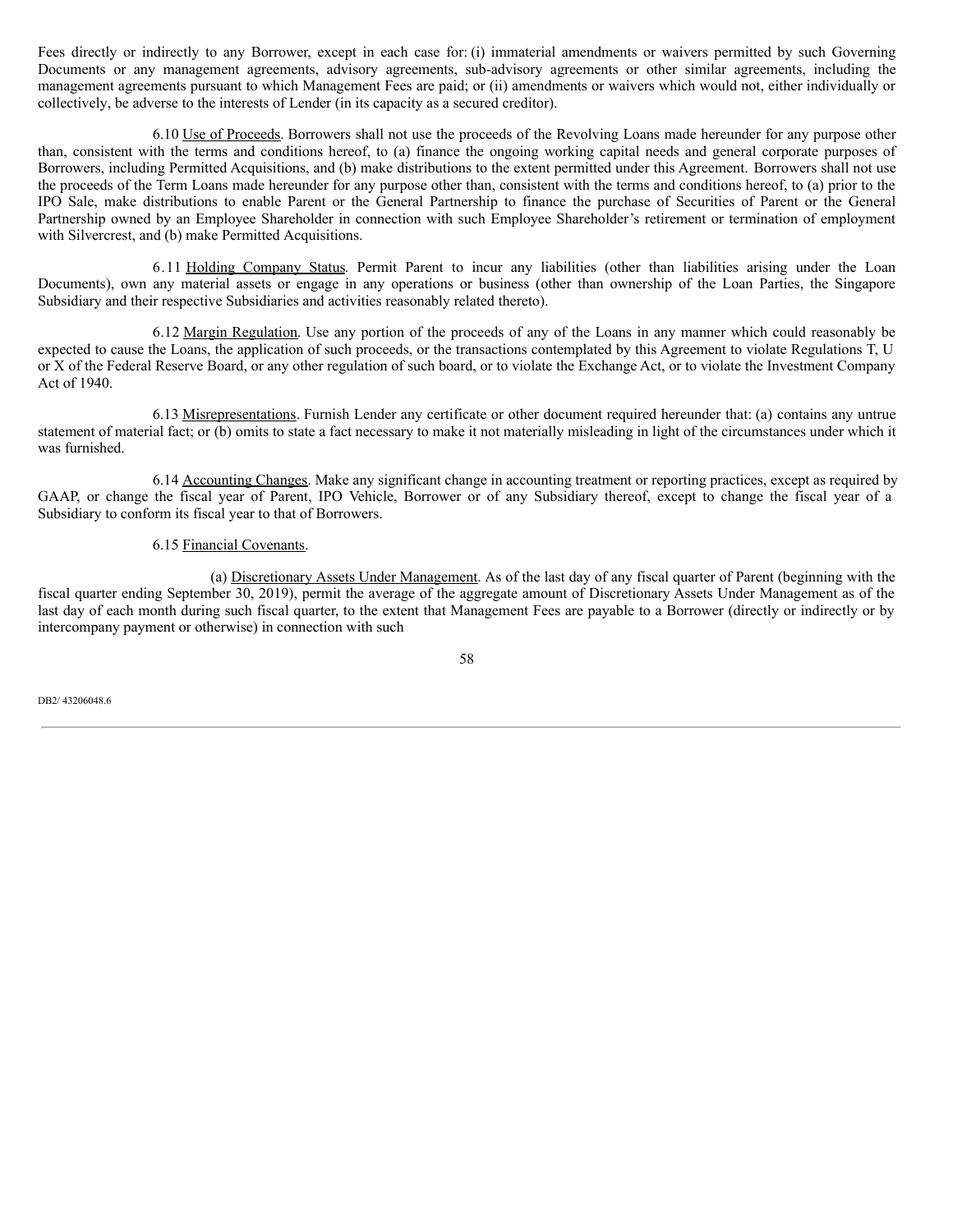Fees directly or indirectly to any Borrower, except in each case for: (i) immaterial amendments or waivers permitted by such Governing Documents or any management agreements, advisory agreements, sub-advisory agreements or other similar agreements, including the management agreements pursuant to which Management Fees are paid; or (ii) amendments or waivers which would not, either individually or collectively, be adverse to the interests of Lender (in its capacity as a secured creditor).

6.10 Use of Proceeds. Borrowers shall not use the proceeds of the Revolving Loans made hereunder for any purpose other than, consistent with the terms and conditions hereof, to (a) finance the ongoing working capital needs and general corporate purposes of Borrowers, including Permitted Acquisitions, and (b) make distributions to the extent permitted under this Agreement. Borrowers shall not use the proceeds of the Term Loans made hereunder for any purpose other than, consistent with the terms and conditions hereof, to (a) prior to the IPO Sale, make distributions to enable Parent or the General Partnership to finance the purchase of Securities of Parent or the General Partnership owned by an Employee Shareholder in connection with such Employee Shareholder's retirement or termination of employment with Silvercrest, and (b) make Permitted Acquisitions.

6.11 Holding Company Status. Permit Parent to incur any liabilities (other than liabilities arising under the Loan Documents), own any material assets or engage in any operations or business (other than ownership of the Loan Parties, the Singapore Subsidiary and their respective Subsidiaries and activities reasonably related thereto).

6.12 Margin Regulation. Use any portion of the proceeds of any of the Loans in any manner which could reasonably be expected to cause the Loans, the application of such proceeds, or the transactions contemplated by this Agreement to violate Regulations T, U or X of the Federal Reserve Board, or any other regulation of such board, or to violate the Exchange Act, or to violate the Investment Company Act of 1940.

6.13 Misrepresentations. Furnish Lender any certificate or other document required hereunder that: (a) contains any untrue statement of material fact; or (b) omits to state a fact necessary to make it not materially misleading in light of the circumstances under which it was furnished.

6.14 Accounting Changes. Make any significant change in accounting treatment or reporting practices, except as required by GAAP, or change the fiscal year of Parent, IPO Vehicle, Borrower or of any Subsidiary thereof, except to change the fiscal year of a Subsidiary to conform its fiscal year to that of Borrowers.

# 6.15 Financial Covenants.

(a) Discretionary Assets Under Management. As of the last day of any fiscal quarter of Parent (beginning with the fiscal quarter ending September 30, 2019), permit the average of the aggregate amount of Discretionary Assets Under Management as of the last day of each month during such fiscal quarter, to the extent that Management Fees are payable to a Borrower (directly or indirectly or by intercompany payment or otherwise) in connection with such

58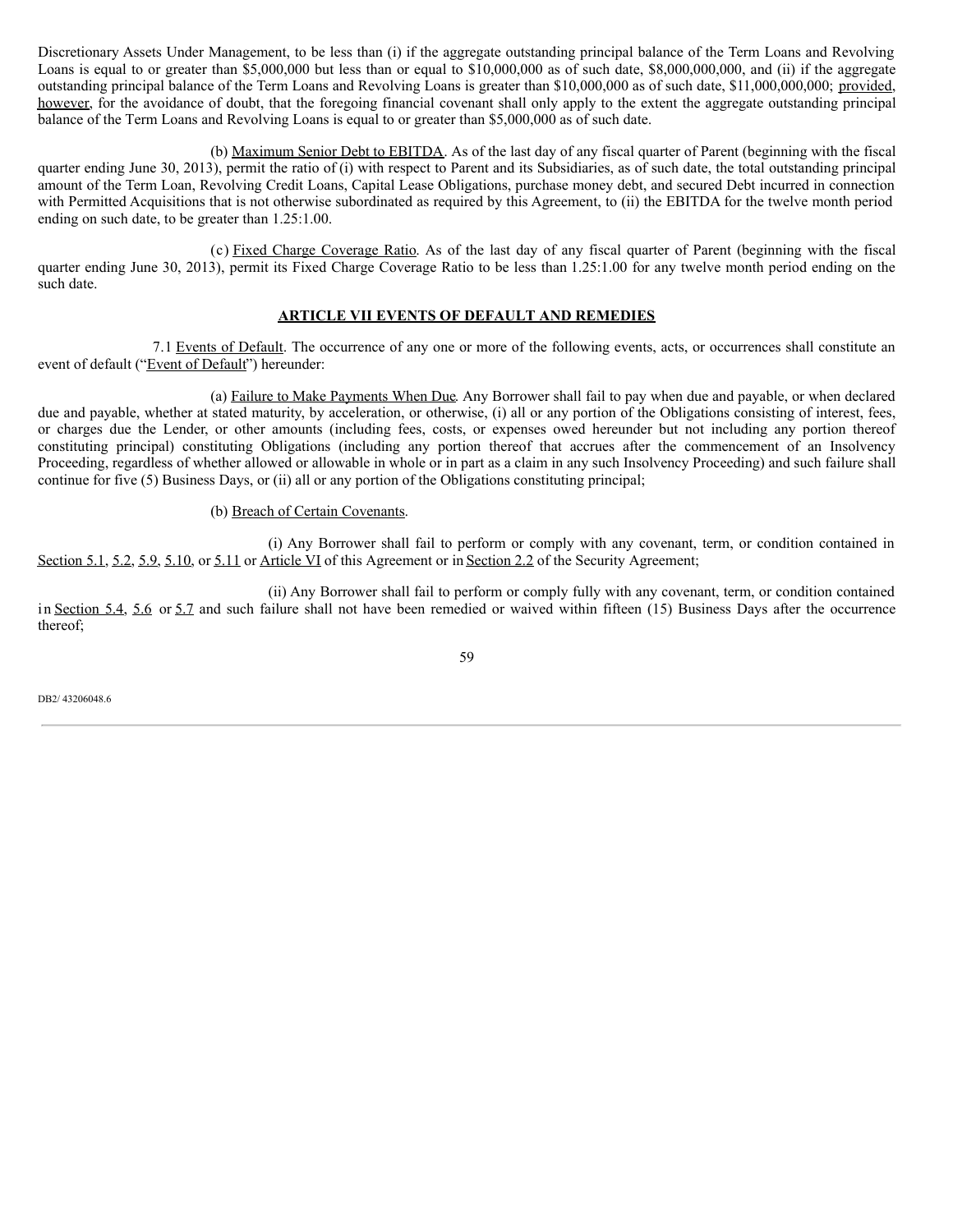Discretionary Assets Under Management, to be less than (i) if the aggregate outstanding principal balance of the Term Loans and Revolving Loans is equal to or greater than \$5,000,000 but less than or equal to \$10,000,000 as of such date, \$8,000,000,000, and (ii) if the aggregate outstanding principal balance of the Term Loans and Revolving Loans is greater than \$10,000,000 as of such date, \$11,000,000,000; provided, however, for the avoidance of doubt, that the foregoing financial covenant shall only apply to the extent the aggregate outstanding principal balance of the Term Loans and Revolving Loans is equal to or greater than \$5,000,000 as of such date.

(b) Maximum Senior Debt to EBITDA. As of the last day of any fiscal quarter of Parent (beginning with the fiscal quarter ending June 30, 2013), permit the ratio of (i) with respect to Parent and its Subsidiaries, as of such date, the total outstanding principal amount of the Term Loan, Revolving Credit Loans, Capital Lease Obligations, purchase money debt, and secured Debt incurred in connection with Permitted Acquisitions that is not otherwise subordinated as required by this Agreement, to (ii) the EBITDA for the twelve month period ending on such date, to be greater than 1.25:1.00.

(c) Fixed Charge Coverage Ratio. As of the last day of any fiscal quarter of Parent (beginning with the fiscal quarter ending June 30, 2013), permit its Fixed Charge Coverage Ratio to be less than 1.25:1.00 for any twelve month period ending on the such date.

# **ARTICLE VII EVENTS OF DEFAULT AND REMEDIES**

7.1 Events of Default. The occurrence of any one or more of the following events, acts, or occurrences shall constitute an event of default ("Event of Default") hereunder:

(a) Failure to Make Payments When Due. Any Borrower shall fail to pay when due and payable, or when declared due and payable, whether at stated maturity, by acceleration, or otherwise, (i) all or any portion of the Obligations consisting of interest, fees, or charges due the Lender, or other amounts (including fees, costs, or expenses owed hereunder but not including any portion thereof constituting principal) constituting Obligations (including any portion thereof that accrues after the commencement of an Insolvency Proceeding, regardless of whether allowed or allowable in whole or in part as a claim in any such Insolvency Proceeding) and such failure shall continue for five (5) Business Days, or (ii) all or any portion of the Obligations constituting principal;

### (b) Breach of Certain Covenants.

(i) Any Borrower shall fail to perform or comply with any covenant, term, or condition contained in Section 5.1, 5.2, 5.9, 5.10, or 5.11 or Article VI of this Agreement or in Section 2.2 of the Security Agreement;

(ii) Any Borrower shall fail to perform or comply fully with any covenant, term, or condition contained in Section 5.4, 5.6 or 5.7 and such failure shall not have been remedied or waived within fifteen (15) Business Days after the occurrence thereof;

59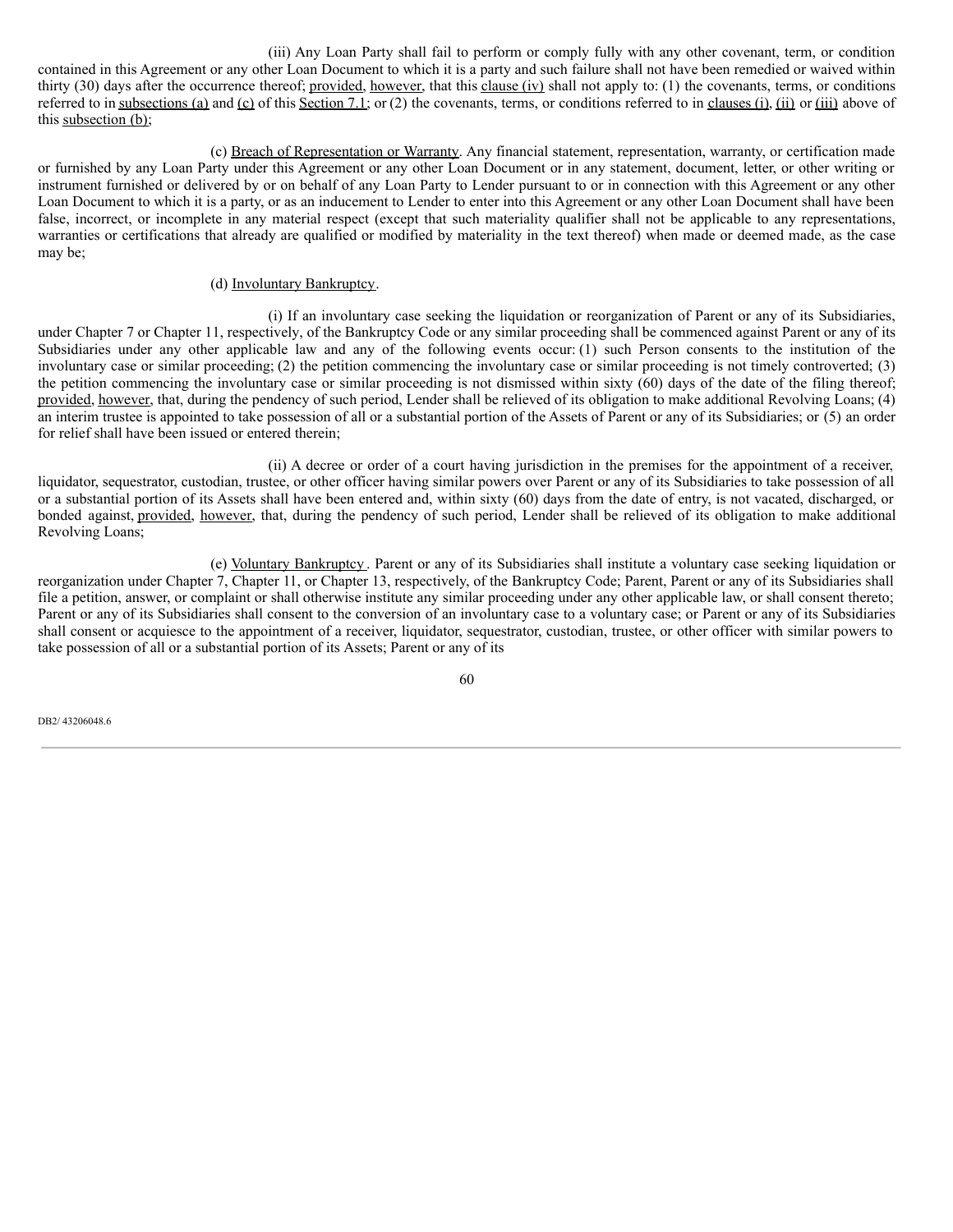(iii) Any Loan Party shall fail to perform or comply fully with any other covenant, term, or condition contained in this Agreement or any other Loan Document to which it is a party and such failure shall not have been remedied or waived within thirty  $(30)$  days after the occurrence thereof; provided, however, that this clause  $(iv)$  shall not apply to: (1) the covenants, terms, or conditions referred to in subsections (a) and  $(c)$  of this Section 7.1; or (2) the covenants, terms, or conditions referred to in clauses (i), (ii) or (iii) above of this subsection (b);

(c) Breach of Representation or Warranty. Any financial statement, representation, warranty, or certification made or furnished by any Loan Party under this Agreement or any other Loan Document or in any statement, document, letter, or other writing or instrument furnished or delivered by or on behalf of any Loan Party to Lender pursuant to or in connection with this Agreement or any other Loan Document to which it is a party, or as an inducement to Lender to enter into this Agreement or any other Loan Document shall have been false, incorrect, or incomplete in any material respect (except that such materiality qualifier shall not be applicable to any representations, warranties or certifications that already are qualified or modified by materiality in the text thereof) when made or deemed made, as the case may be;

## (d) Involuntary Bankruptcy.

(i) If an involuntary case seeking the liquidation or reorganization of Parent or any of its Subsidiaries, under Chapter 7 or Chapter 11, respectively, of the Bankruptcy Code or any similar proceeding shall be commenced against Parent or any of its Subsidiaries under any other applicable law and any of the following events occur: (1) such Person consents to the institution of the involuntary case or similar proceeding; (2) the petition commencing the involuntary case or similar proceeding is not timely controverted; (3) the petition commencing the involuntary case or similar proceeding is not dismissed within sixty (60) days of the date of the filing thereof; provided, however, that, during the pendency of such period, Lender shall be relieved of its obligation to make additional Revolving Loans; (4) an interim trustee is appointed to take possession of all or a substantial portion of the Assets of Parent or any of its Subsidiaries; or (5) an order for relief shall have been issued or entered therein;

(ii) A decree or order of a court having jurisdiction in the premises for the appointment of a receiver, liquidator, sequestrator, custodian, trustee, or other officer having similar powers over Parent or any of its Subsidiaries to take possession of all or a substantial portion of its Assets shall have been entered and, within sixty (60) days from the date of entry, is not vacated, discharged, or bonded against, provided, however, that, during the pendency of such period, Lender shall be relieved of its obligation to make additional Revolving Loans;

(e) Voluntary Bankruptcy . Parent or any of its Subsidiaries shall institute a voluntary case seeking liquidation or reorganization under Chapter 7, Chapter 11, or Chapter 13, respectively, of the Bankruptcy Code; Parent, Parent or any of its Subsidiaries shall file a petition, answer, or complaint or shall otherwise institute any similar proceeding under any other applicable law, or shall consent thereto; Parent or any of its Subsidiaries shall consent to the conversion of an involuntary case to a voluntary case; or Parent or any of its Subsidiaries shall consent or acquiesce to the appointment of a receiver, liquidator, sequestrator, custodian, trustee, or other officer with similar powers to take possession of all or a substantial portion of its Assets; Parent or any of its

60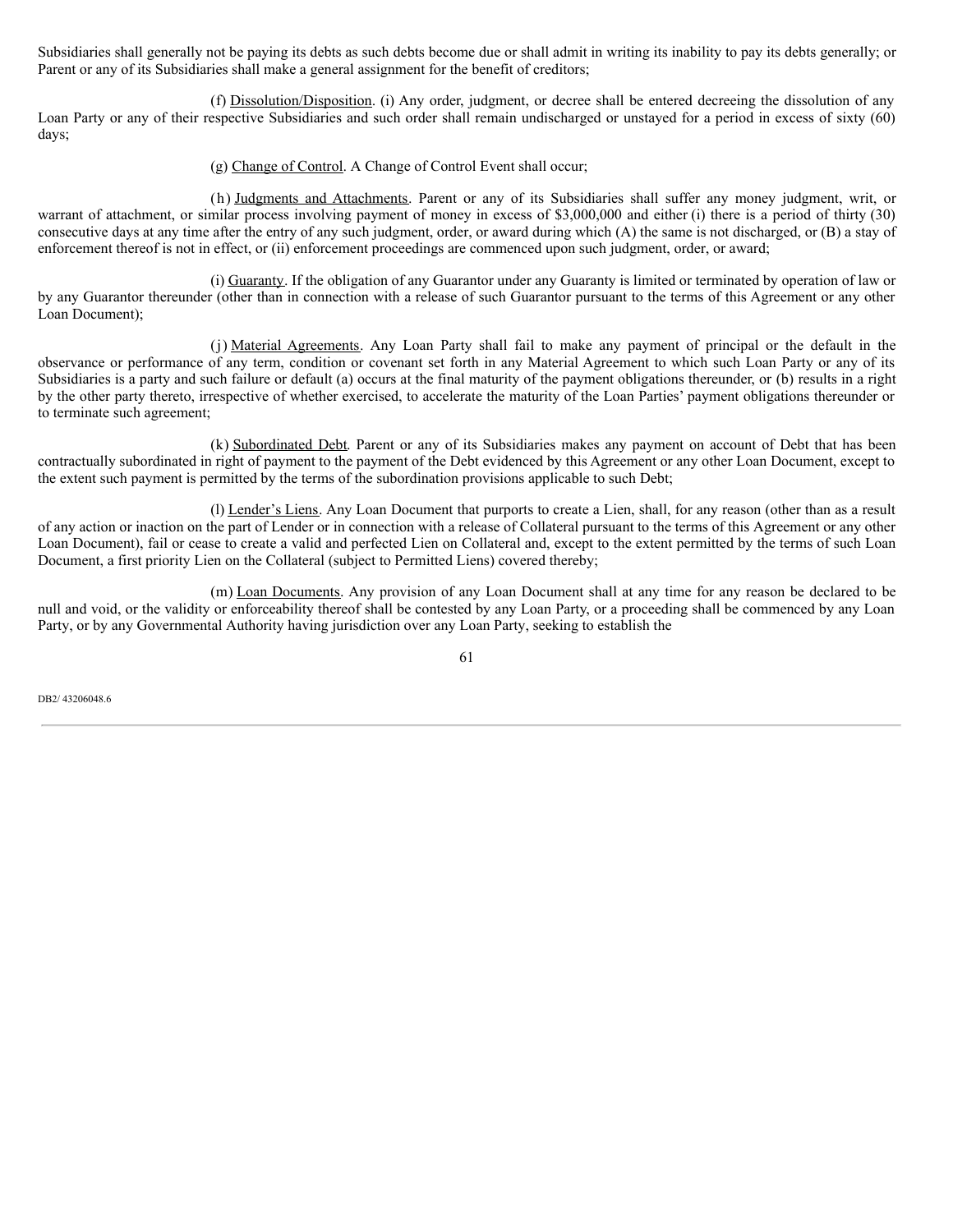Subsidiaries shall generally not be paying its debts as such debts become due or shall admit in writing its inability to pay its debts generally; or Parent or any of its Subsidiaries shall make a general assignment for the benefit of creditors;

(f) Dissolution/Disposition. (i) Any order, judgment, or decree shall be entered decreeing the dissolution of any Loan Party or any of their respective Subsidiaries and such order shall remain undischarged or unstayed for a period in excess of sixty (60) days;

### (g) Change of Control. A Change of Control Event shall occur;

(h) Judgments and Attachments. Parent or any of its Subsidiaries shall suffer any money judgment, writ, or warrant of attachment, or similar process involving payment of money in excess of \$3,000,000 and either (i) there is a period of thirty (30) consecutive days at any time after the entry of any such judgment, order, or award during which (A) the same is not discharged, or (B) a stay of enforcement thereof is not in effect, or (ii) enforcement proceedings are commenced upon such judgment, order, or award;

(i) Guaranty. If the obligation of any Guarantor under any Guaranty is limited or terminated by operation of law or by any Guarantor thereunder (other than in connection with a release of such Guarantor pursuant to the terms of this Agreement or any other Loan Document);

(j) Material Agreements. Any Loan Party shall fail to make any payment of principal or the default in the observance or performance of any term, condition or covenant set forth in any Material Agreement to which such Loan Party or any of its Subsidiaries is a party and such failure or default (a) occurs at the final maturity of the payment obligations thereunder, or (b) results in a right by the other party thereto, irrespective of whether exercised, to accelerate the maturity of the Loan Parties' payment obligations thereunder or to terminate such agreement;

(k) Subordinated Debt. Parent or any of its Subsidiaries makes any payment on account of Debt that has been contractually subordinated in right of payment to the payment of the Debt evidenced by this Agreement or any other Loan Document, except to the extent such payment is permitted by the terms of the subordination provisions applicable to such Debt;

(l) Lender's Liens. Any Loan Document that purports to create a Lien, shall, for any reason (other than as a result of any action or inaction on the part of Lender or in connection with a release of Collateral pursuant to the terms of this Agreement or any other Loan Document), fail or cease to create a valid and perfected Lien on Collateral and, except to the extent permitted by the terms of such Loan Document, a first priority Lien on the Collateral (subject to Permitted Liens) covered thereby;

(m) Loan Documents. Any provision of any Loan Document shall at any time for any reason be declared to be null and void, or the validity or enforceability thereof shall be contested by any Loan Party, or a proceeding shall be commenced by any Loan Party, or by any Governmental Authority having jurisdiction over any Loan Party, seeking to establish the

61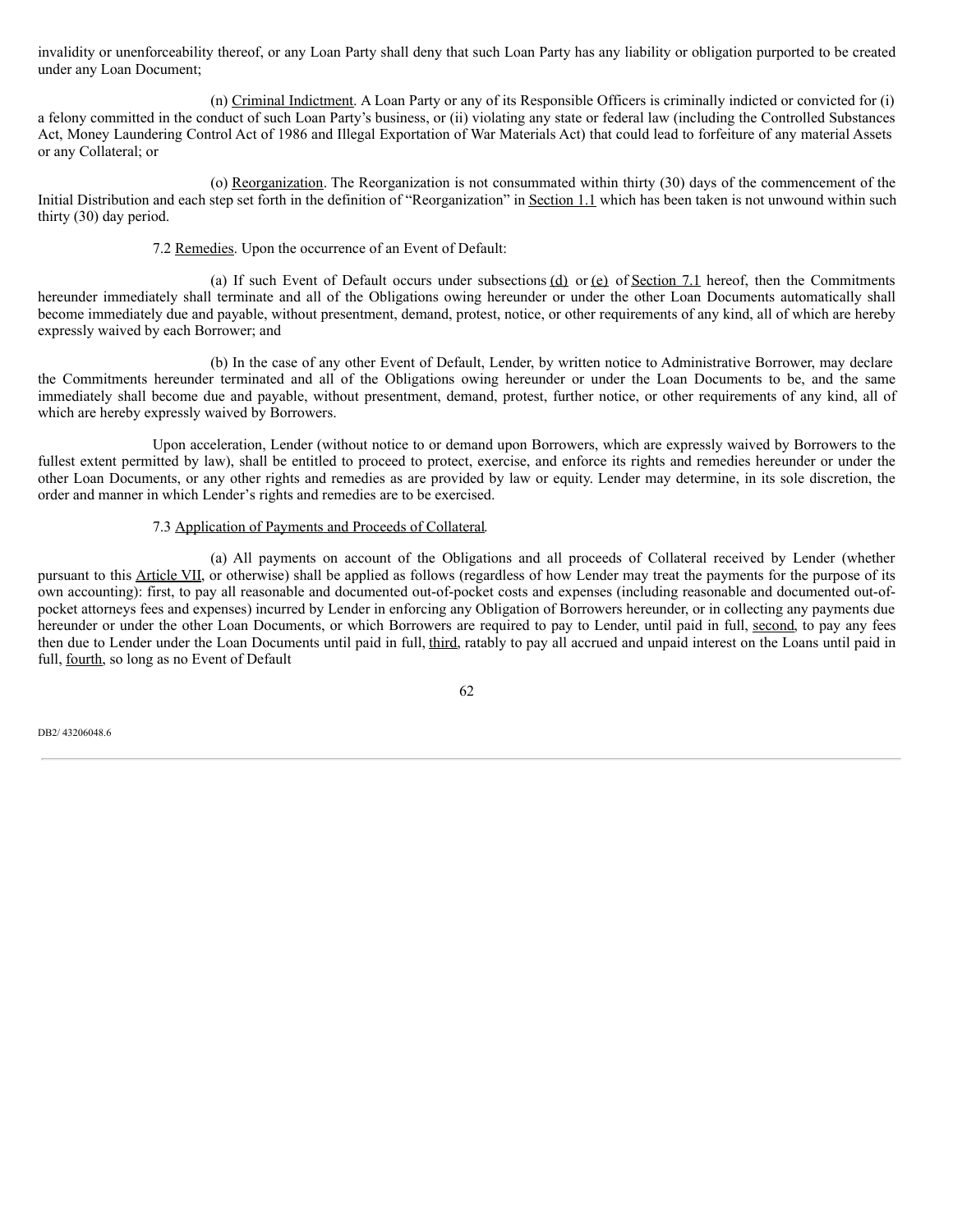invalidity or unenforceability thereof, or any Loan Party shall deny that such Loan Party has any liability or obligation purported to be created under any Loan Document;

(n) Criminal Indictment. A Loan Party or any of its Responsible Officers is criminally indicted or convicted for (i) a felony committed in the conduct of such Loan Party's business, or (ii) violating any state or federal law (including the Controlled Substances Act, Money Laundering Control Act of 1986 and Illegal Exportation of War Materials Act) that could lead to forfeiture of any material Assets or any Collateral; or

(o) Reorganization. The Reorganization is not consummated within thirty (30) days of the commencement of the Initial Distribution and each step set forth in the definition of "Reorganization" in Section 1.1 which has been taken is not unwound within such thirty (30) day period.

# 7.2 Remedies. Upon the occurrence of an Event of Default:

(a) If such Event of Default occurs under subsections (d) or (e) of Section 7.1 hereof, then the Commitments hereunder immediately shall terminate and all of the Obligations owing hereunder or under the other Loan Documents automatically shall become immediately due and payable, without presentment, demand, protest, notice, or other requirements of any kind, all of which are hereby expressly waived by each Borrower; and

(b) In the case of any other Event of Default, Lender, by written notice to Administrative Borrower, may declare the Commitments hereunder terminated and all of the Obligations owing hereunder or under the Loan Documents to be, and the same immediately shall become due and payable, without presentment, demand, protest, further notice, or other requirements of any kind, all of which are hereby expressly waived by Borrowers.

Upon acceleration, Lender (without notice to or demand upon Borrowers, which are expressly waived by Borrowers to the fullest extent permitted by law), shall be entitled to proceed to protect, exercise, and enforce its rights and remedies hereunder or under the other Loan Documents, or any other rights and remedies as are provided by law or equity. Lender may determine, in its sole discretion, the order and manner in which Lender's rights and remedies are to be exercised.

### 7.3 Application of Payments and Proceeds of Collateral.

(a) All payments on account of the Obligations and all proceeds of Collateral received by Lender (whether pursuant to this Article VII, or otherwise) shall be applied as follows (regardless of how Lender may treat the payments for the purpose of its own accounting): first, to pay all reasonable and documented out-of-pocket costs and expenses (including reasonable and documented out-ofpocket attorneys fees and expenses) incurred by Lender in enforcing any Obligation of Borrowers hereunder, or in collecting any payments due hereunder or under the other Loan Documents, or which Borrowers are required to pay to Lender, until paid in full, second, to pay any fees then due to Lender under the Loan Documents until paid in full, third, ratably to pay all accrued and unpaid interest on the Loans until paid in full, fourth, so long as no Event of Default

62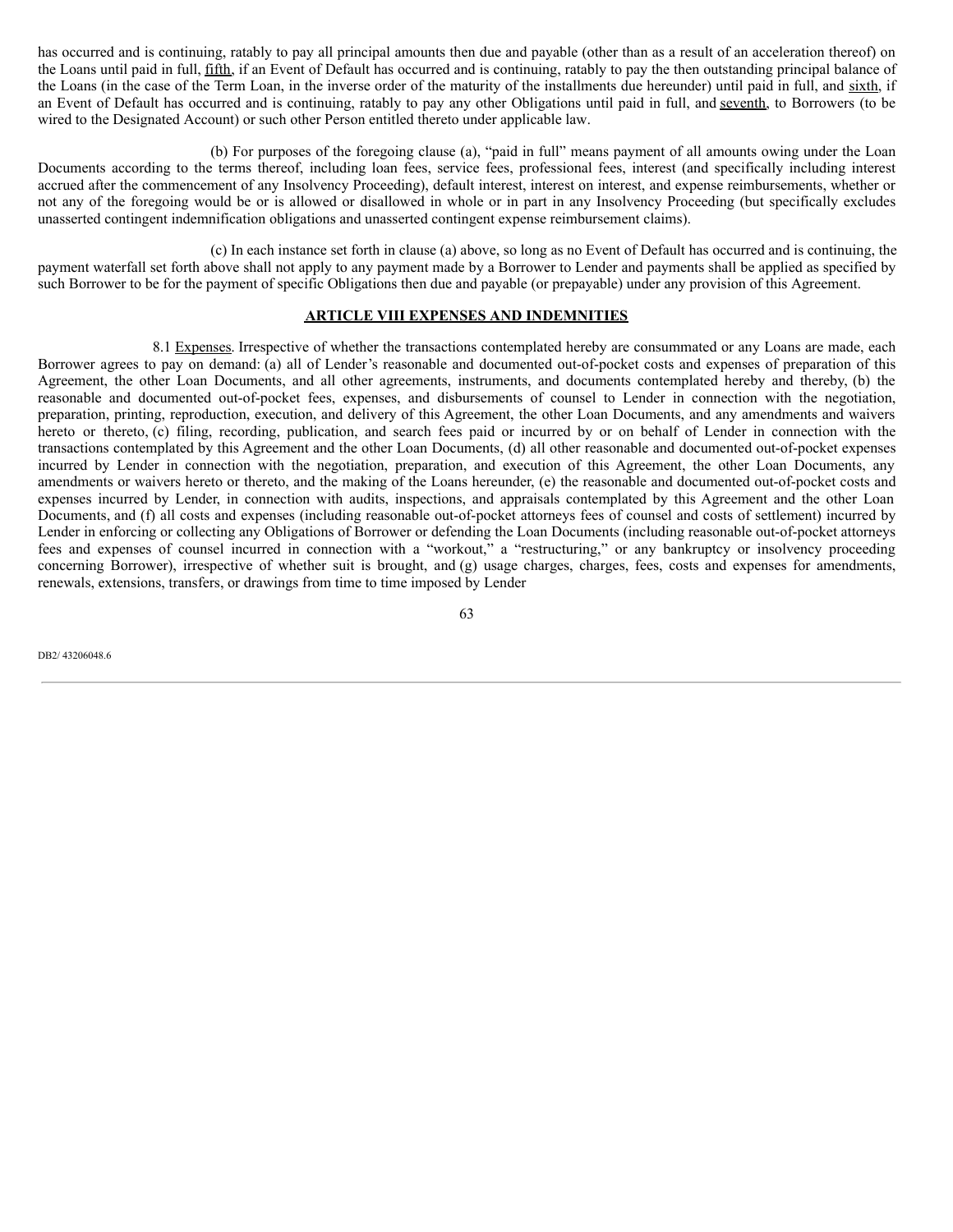has occurred and is continuing, ratably to pay all principal amounts then due and payable (other than as a result of an acceleration thereof) on the Loans until paid in full, fifth, if an Event of Default has occurred and is continuing, ratably to pay the then outstanding principal balance of the Loans (in the case of the Term Loan, in the inverse order of the maturity of the installments due hereunder) until paid in full, and sixth, if an Event of Default has occurred and is continuing, ratably to pay any other Obligations until paid in full, and seventh, to Borrowers (to be wired to the Designated Account) or such other Person entitled thereto under applicable law.

(b) For purposes of the foregoing clause (a), "paid in full" means payment of all amounts owing under the Loan Documents according to the terms thereof, including loan fees, service fees, professional fees, interest (and specifically including interest accrued after the commencement of any Insolvency Proceeding), default interest, interest on interest, and expense reimbursements, whether or not any of the foregoing would be or is allowed or disallowed in whole or in part in any Insolvency Proceeding (but specifically excludes unasserted contingent indemnification obligations and unasserted contingent expense reimbursement claims).

(c) In each instance set forth in clause (a) above, so long as no Event of Default has occurred and is continuing, the payment waterfall set forth above shall not apply to any payment made by a Borrower to Lender and payments shall be applied as specified by such Borrower to be for the payment of specific Obligations then due and payable (or prepayable) under any provision of this Agreement.

# **ARTICLE VIII EXPENSES AND INDEMNITIES**

8.1 Expenses. Irrespective of whether the transactions contemplated hereby are consummated or any Loans are made, each Borrower agrees to pay on demand: (a) all of Lender's reasonable and documented out-of-pocket costs and expenses of preparation of this Agreement, the other Loan Documents, and all other agreements, instruments, and documents contemplated hereby and thereby, (b) the reasonable and documented out-of-pocket fees, expenses, and disbursements of counsel to Lender in connection with the negotiation, preparation, printing, reproduction, execution, and delivery of this Agreement, the other Loan Documents, and any amendments and waivers hereto or thereto, (c) filing, recording, publication, and search fees paid or incurred by or on behalf of Lender in connection with the transactions contemplated by this Agreement and the other Loan Documents, (d) all other reasonable and documented out-of-pocket expenses incurred by Lender in connection with the negotiation, preparation, and execution of this Agreement, the other Loan Documents, any amendments or waivers hereto or thereto, and the making of the Loans hereunder, (e) the reasonable and documented out-of-pocket costs and expenses incurred by Lender, in connection with audits, inspections, and appraisals contemplated by this Agreement and the other Loan Documents, and (f) all costs and expenses (including reasonable out-of-pocket attorneys fees of counsel and costs of settlement) incurred by Lender in enforcing or collecting any Obligations of Borrower or defending the Loan Documents (including reasonable out-of-pocket attorneys fees and expenses of counsel incurred in connection with a "workout," a "restructuring," or any bankruptcy or insolvency proceeding concerning Borrower), irrespective of whether suit is brought, and (g) usage charges, charges, fees, costs and expenses for amendments, renewals, extensions, transfers, or drawings from time to time imposed by Lender

63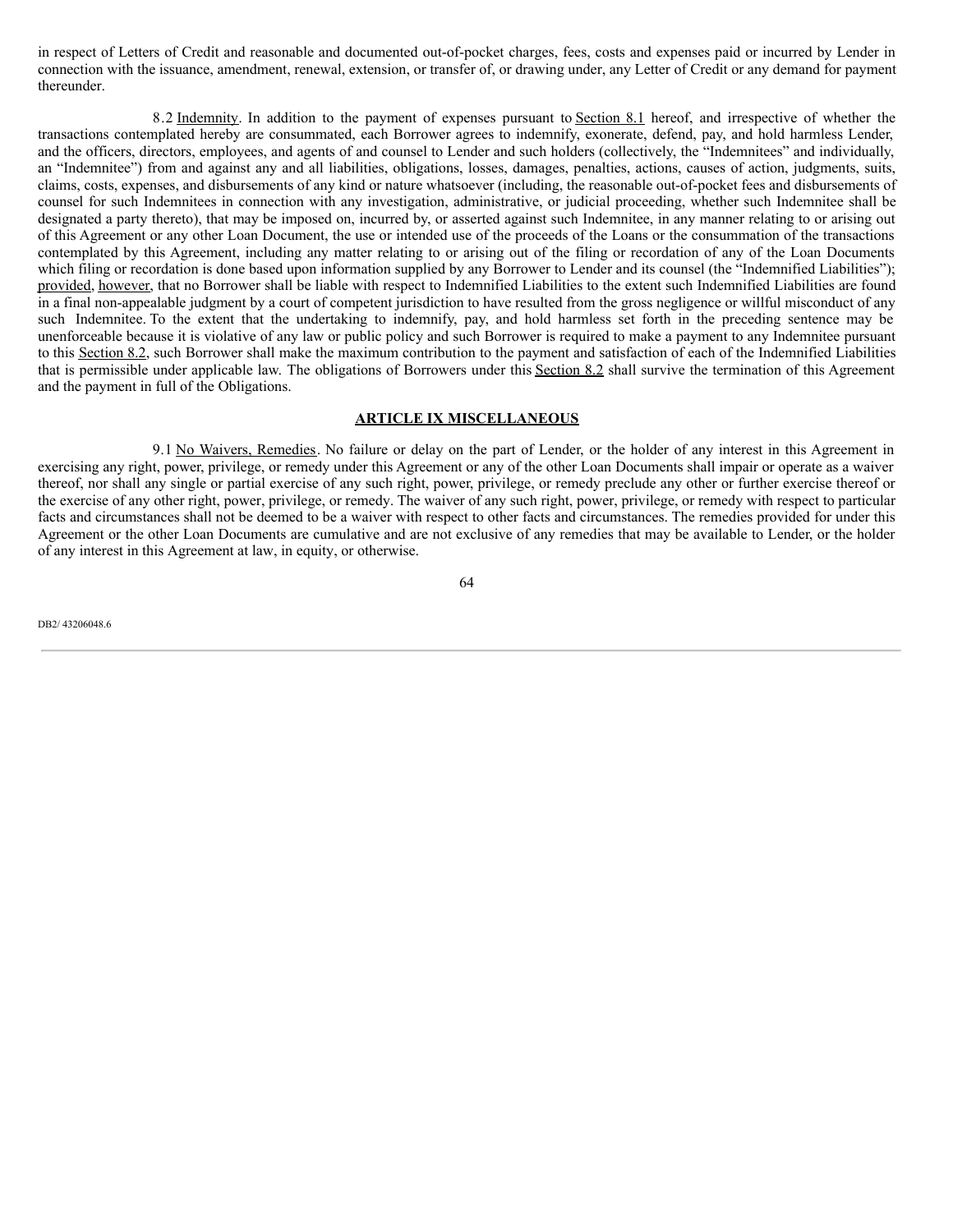in respect of Letters of Credit and reasonable and documented out-of-pocket charges, fees, costs and expenses paid or incurred by Lender in connection with the issuance, amendment, renewal, extension, or transfer of, or drawing under, any Letter of Credit or any demand for payment thereunder.

8.2 Indemnity. In addition to the payment of expenses pursuant to Section 8.1 hereof, and irrespective of whether the transactions contemplated hereby are consummated, each Borrower agrees to indemnify, exonerate, defend, pay, and hold harmless Lender, and the officers, directors, employees, and agents of and counsel to Lender and such holders (collectively, the "Indemnitees" and individually, an "Indemnitee") from and against any and all liabilities, obligations, losses, damages, penalties, actions, causes of action, judgments, suits, claims, costs, expenses, and disbursements of any kind or nature whatsoever (including, the reasonable out-of-pocket fees and disbursements of counsel for such Indemnitees in connection with any investigation, administrative, or judicial proceeding, whether such Indemnitee shall be designated a party thereto), that may be imposed on, incurred by, or asserted against such Indemnitee, in any manner relating to or arising out of this Agreement or any other Loan Document, the use or intended use of the proceeds of the Loans or the consummation of the transactions contemplated by this Agreement, including any matter relating to or arising out of the filing or recordation of any of the Loan Documents which filing or recordation is done based upon information supplied by any Borrower to Lender and its counsel (the "Indemnified Liabilities"); provided, however, that no Borrower shall be liable with respect to Indemnified Liabilities to the extent such Indemnified Liabilities are found in a final non-appealable judgment by a court of competent jurisdiction to have resulted from the gross negligence or willful misconduct of any such Indemnitee. To the extent that the undertaking to indemnify, pay, and hold harmless set forth in the preceding sentence may be unenforceable because it is violative of any law or public policy and such Borrower is required to make a payment to any Indemnitee pursuant to this Section 8.2, such Borrower shall make the maximum contribution to the payment and satisfaction of each of the Indemnified Liabilities that is permissible under applicable law. The obligations of Borrowers under this Section 8.2 shall survive the termination of this Agreement and the payment in full of the Obligations.

# **ARTICLE IX MISCELLANEOUS**

9.1 No Waivers, Remedies. No failure or delay on the part of Lender, or the holder of any interest in this Agreement in exercising any right, power, privilege, or remedy under this Agreement or any of the other Loan Documents shall impair or operate as a waiver thereof, nor shall any single or partial exercise of any such right, power, privilege, or remedy preclude any other or further exercise thereof or the exercise of any other right, power, privilege, or remedy. The waiver of any such right, power, privilege, or remedy with respect to particular facts and circumstances shall not be deemed to be a waiver with respect to other facts and circumstances. The remedies provided for under this Agreement or the other Loan Documents are cumulative and are not exclusive of any remedies that may be available to Lender, or the holder of any interest in this Agreement at law, in equity, or otherwise.

64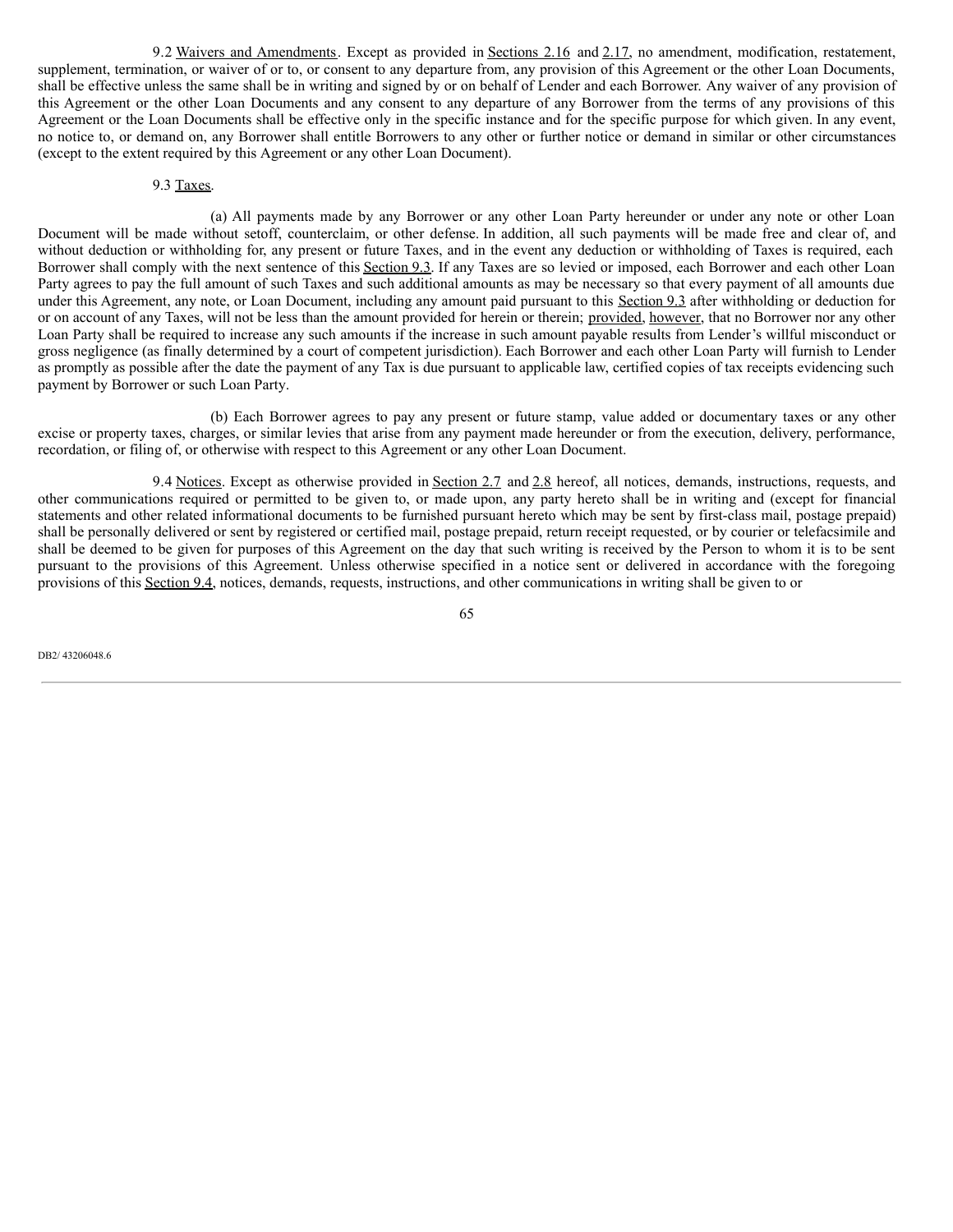9.2 Waivers and Amendments. Except as provided in Sections 2.16 and 2.17, no amendment, modification, restatement, supplement, termination, or waiver of or to, or consent to any departure from, any provision of this Agreement or the other Loan Documents, shall be effective unless the same shall be in writing and signed by or on behalf of Lender and each Borrower. Any waiver of any provision of this Agreement or the other Loan Documents and any consent to any departure of any Borrower from the terms of any provisions of this Agreement or the Loan Documents shall be effective only in the specific instance and for the specific purpose for which given. In any event, no notice to, or demand on, any Borrower shall entitle Borrowers to any other or further notice or demand in similar or other circumstances (except to the extent required by this Agreement or any other Loan Document).

#### 9.3 Taxes.

(a) All payments made by any Borrower or any other Loan Party hereunder or under any note or other Loan Document will be made without setoff, counterclaim, or other defense. In addition, all such payments will be made free and clear of, and without deduction or withholding for, any present or future Taxes, and in the event any deduction or withholding of Taxes is required, each Borrower shall comply with the next sentence of this Section 9.3. If any Taxes are so levied or imposed, each Borrower and each other Loan Party agrees to pay the full amount of such Taxes and such additional amounts as may be necessary so that every payment of all amounts due under this Agreement, any note, or Loan Document, including any amount paid pursuant to this Section 9.3 after withholding or deduction for or on account of any Taxes, will not be less than the amount provided for herein or therein; provided, however, that no Borrower nor any other Loan Party shall be required to increase any such amounts if the increase in such amount payable results from Lender's willful misconduct or gross negligence (as finally determined by a court of competent jurisdiction). Each Borrower and each other Loan Party will furnish to Lender as promptly as possible after the date the payment of any Tax is due pursuant to applicable law, certified copies of tax receipts evidencing such payment by Borrower or such Loan Party.

(b) Each Borrower agrees to pay any present or future stamp, value added or documentary taxes or any other excise or property taxes, charges, or similar levies that arise from any payment made hereunder or from the execution, delivery, performance, recordation, or filing of, or otherwise with respect to this Agreement or any other Loan Document.

9.4 Notices. Except as otherwise provided in Section 2.7 and 2.8 hereof, all notices, demands, instructions, requests, and other communications required or permitted to be given to, or made upon, any party hereto shall be in writing and (except for financial statements and other related informational documents to be furnished pursuant hereto which may be sent by first-class mail, postage prepaid) shall be personally delivered or sent by registered or certified mail, postage prepaid, return receipt requested, or by courier or telefacsimile and shall be deemed to be given for purposes of this Agreement on the day that such writing is received by the Person to whom it is to be sent pursuant to the provisions of this Agreement. Unless otherwise specified in a notice sent or delivered in accordance with the foregoing provisions of this Section 9.4, notices, demands, requests, instructions, and other communications in writing shall be given to or

65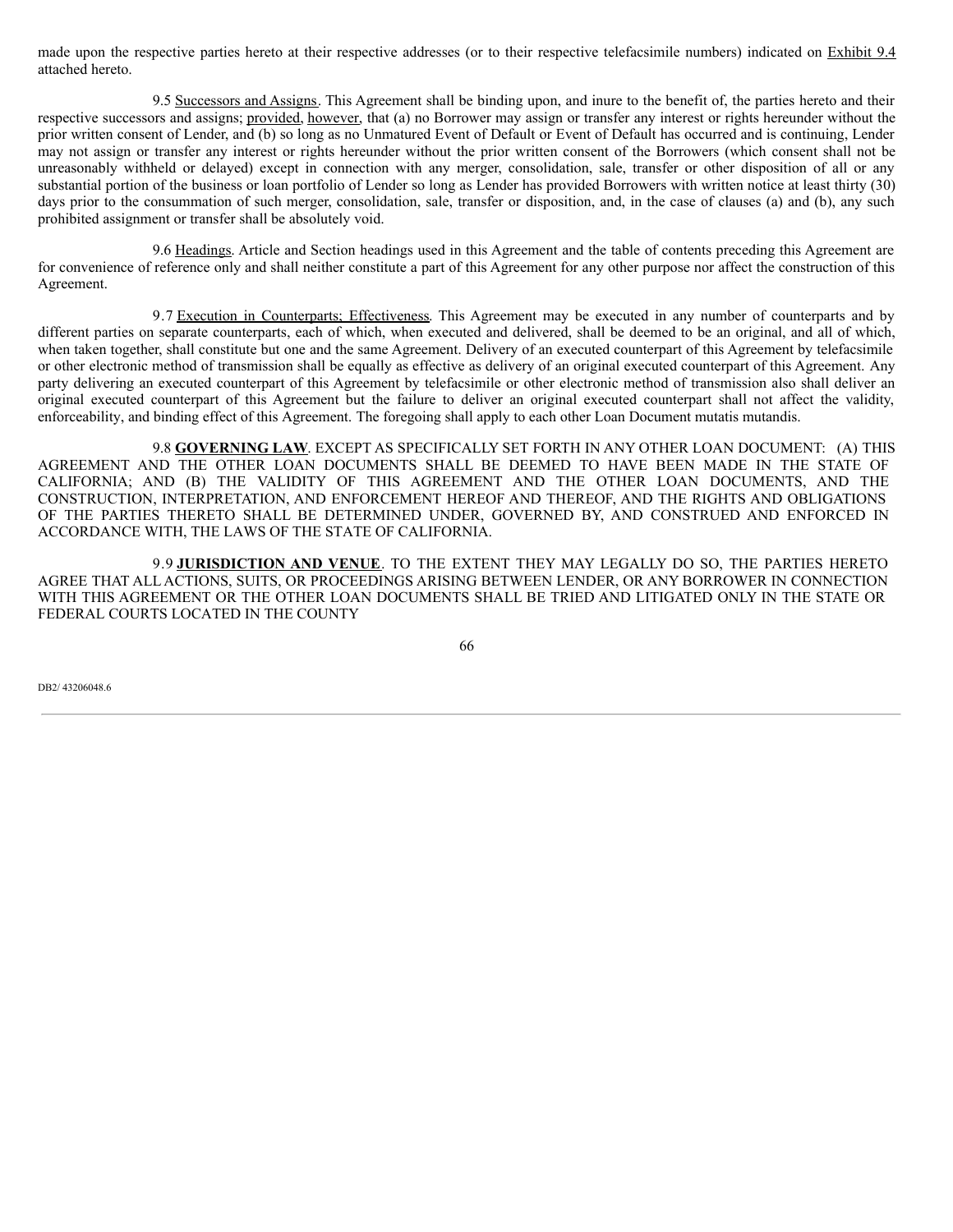made upon the respective parties hereto at their respective addresses (or to their respective telefacsimile numbers) indicated on Exhibit 9.4 attached hereto.

9.5 Successors and Assigns. This Agreement shall be binding upon, and inure to the benefit of, the parties hereto and their respective successors and assigns; provided, however, that (a) no Borrower may assign or transfer any interest or rights hereunder without the prior written consent of Lender, and (b) so long as no Unmatured Event of Default or Event of Default has occurred and is continuing, Lender may not assign or transfer any interest or rights hereunder without the prior written consent of the Borrowers (which consent shall not be unreasonably withheld or delayed) except in connection with any merger, consolidation, sale, transfer or other disposition of all or any substantial portion of the business or loan portfolio of Lender so long as Lender has provided Borrowers with written notice at least thirty (30) days prior to the consummation of such merger, consolidation, sale, transfer or disposition, and, in the case of clauses (a) and (b), any such prohibited assignment or transfer shall be absolutely void.

9.6 Headings. Article and Section headings used in this Agreement and the table of contents preceding this Agreement are for convenience of reference only and shall neither constitute a part of this Agreement for any other purpose nor affect the construction of this Agreement.

9.7 Execution in Counterparts; Effectiveness. This Agreement may be executed in any number of counterparts and by different parties on separate counterparts, each of which, when executed and delivered, shall be deemed to be an original, and all of which, when taken together, shall constitute but one and the same Agreement. Delivery of an executed counterpart of this Agreement by telefacsimile or other electronic method of transmission shall be equally as effective as delivery of an original executed counterpart of this Agreement. Any party delivering an executed counterpart of this Agreement by telefacsimile or other electronic method of transmission also shall deliver an original executed counterpart of this Agreement but the failure to deliver an original executed counterpart shall not affect the validity, enforceability, and binding effect of this Agreement. The foregoing shall apply to each other Loan Document mutatis mutandis.

9.8 **GOVERNING LAW**. EXCEPT AS SPECIFICALLY SET FORTH IN ANY OTHER LOAN DOCUMENT: (A) THIS AGREEMENT AND THE OTHER LOAN DOCUMENTS SHALL BE DEEMED TO HAVE BEEN MADE IN THE STATE OF CALIFORNIA; AND (B) THE VALIDITY OF THIS AGREEMENT AND THE OTHER LOAN DOCUMENTS, AND THE CONSTRUCTION, INTERPRETATION, AND ENFORCEMENT HEREOF AND THEREOF, AND THE RIGHTS AND OBLIGATIONS OF THE PARTIES THERETO SHALL BE DETERMINED UNDER, GOVERNED BY, AND CONSTRUED AND ENFORCED IN ACCORDANCE WITH, THE LAWS OF THE STATE OF CALIFORNIA.

9.9 **JURISDICTION AND VENUE**. TO THE EXTENT THEY MAY LEGALLY DO SO, THE PARTIES HERETO AGREE THAT ALL ACTIONS, SUITS, OR PROCEEDINGS ARISING BETWEEN LENDER, OR ANY BORROWER IN CONNECTION WITH THIS AGREEMENT OR THE OTHER LOAN DOCUMENTS SHALL BE TRIED AND LITIGATED ONLY IN THE STATE OR FEDERAL COURTS LOCATED IN THE COUNTY

66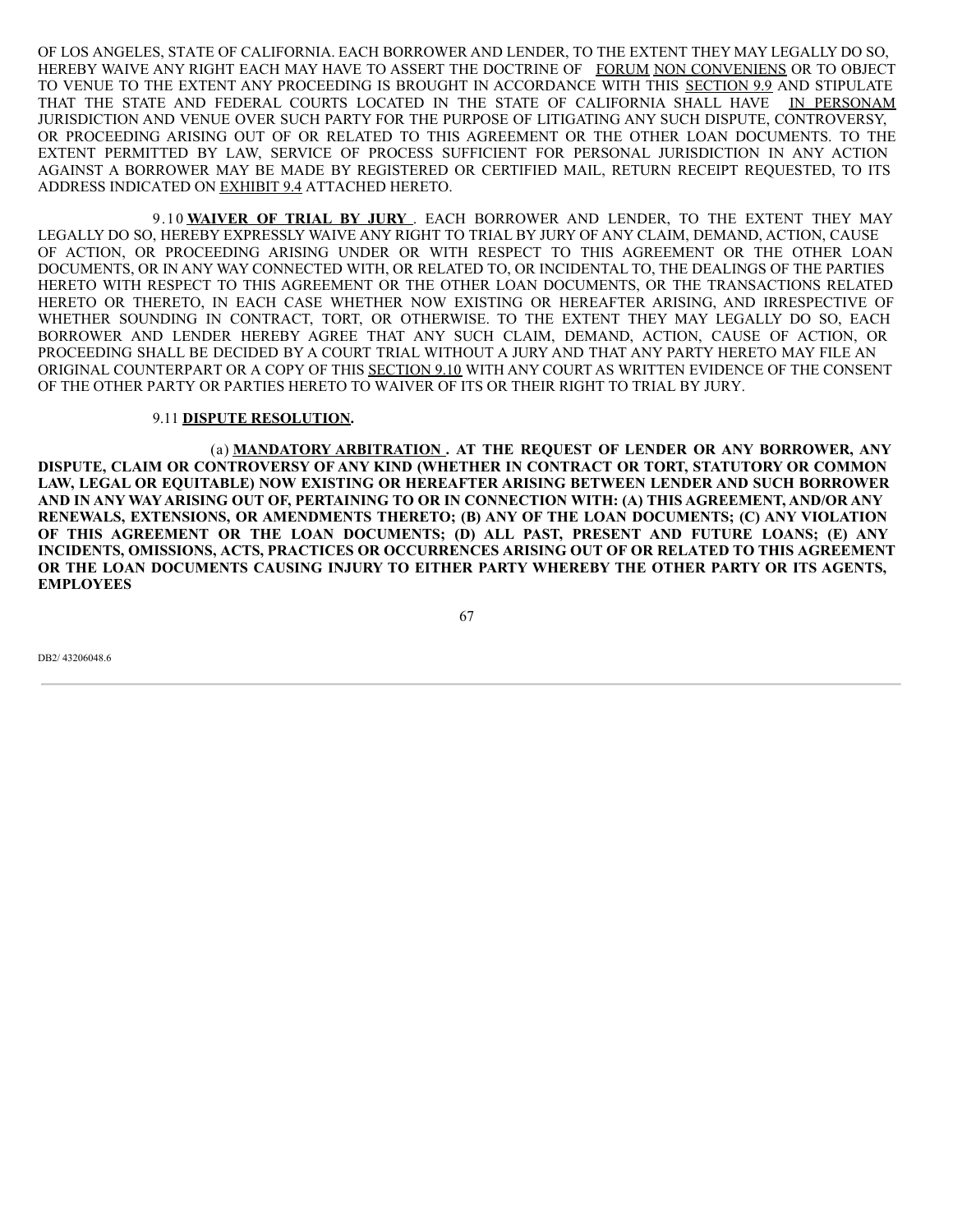OF LOS ANGELES, STATE OF CALIFORNIA. EACH BORROWER AND LENDER, TO THE EXTENT THEY MAY LEGALLY DO SO, HEREBY WAIVE ANY RIGHT EACH MAY HAVE TO ASSERT THE DOCTRINE OF FORUM NON CONVENIENS OR TO OBJECT TO VENUE TO THE EXTENT ANY PROCEEDING IS BROUGHT IN ACCORDANCE WITH THIS SECTION 9.9 AND STIPULATE THAT THE STATE AND FEDERAL COURTS LOCATED IN THE STATE OF CALIFORNIA SHALL HAVE IN PERSONAM JURISDICTION AND VENUE OVER SUCH PARTY FOR THE PURPOSE OF LITIGATING ANY SUCH DISPUTE, CONTROVERSY, OR PROCEEDING ARISING OUT OF OR RELATED TO THIS AGREEMENT OR THE OTHER LOAN DOCUMENTS. TO THE EXTENT PERMITTED BY LAW, SERVICE OF PROCESS SUFFICIENT FOR PERSONAL JURISDICTION IN ANY ACTION AGAINST A BORROWER MAY BE MADE BY REGISTERED OR CERTIFIED MAIL, RETURN RECEIPT REQUESTED, TO ITS ADDRESS INDICATED ON EXHIBIT 9.4 ATTACHED HERETO.

9.10 **WAIVER OF TRIAL BY JURY** . EACH BORROWER AND LENDER, TO THE EXTENT THEY MAY LEGALLY DO SO, HEREBY EXPRESSLY WAIVE ANY RIGHT TO TRIAL BY JURY OF ANY CLAIM, DEMAND, ACTION, CAUSE OF ACTION, OR PROCEEDING ARISING UNDER OR WITH RESPECT TO THIS AGREEMENT OR THE OTHER LOAN DOCUMENTS, OR IN ANY WAY CONNECTED WITH, OR RELATED TO, OR INCIDENTAL TO, THE DEALINGS OF THE PARTIES HERETO WITH RESPECT TO THIS AGREEMENT OR THE OTHER LOAN DOCUMENTS, OR THE TRANSACTIONS RELATED HERETO OR THERETO, IN EACH CASE WHETHER NOW EXISTING OR HEREAFTER ARISING, AND IRRESPECTIVE OF WHETHER SOUNDING IN CONTRACT, TORT, OR OTHERWISE. TO THE EXTENT THEY MAY LEGALLY DO SO, EACH BORROWER AND LENDER HEREBY AGREE THAT ANY SUCH CLAIM, DEMAND, ACTION, CAUSE OF ACTION, OR PROCEEDING SHALL BE DECIDED BY A COURT TRIAL WITHOUT A JURY AND THAT ANY PARTY HERETO MAY FILE AN ORIGINAL COUNTERPART OR A COPY OF THIS SECTION 9.10 WITH ANY COURT AS WRITTEN EVIDENCE OF THE CONSENT OF THE OTHER PARTY OR PARTIES HERETO TO WAIVER OF ITS OR THEIR RIGHT TO TRIAL BY JURY.

# 9.11 **DISPUTE RESOLUTION.**

(a) **MANDATORY ARBITRATION . AT THE REQUEST OF LENDER OR ANY BORROWER, ANY DISPUTE, CLAIM OR CONTROVERSY OF ANY KIND (WHETHER IN CONTRACT OR TORT, STATUTORY OR COMMON LAW, LEGAL OR EQUITABLE) NOW EXISTING OR HEREAFTER ARISING BETWEEN LENDER AND SUCH BORROWER AND IN ANY WAYARISING OUT OF, PERTAINING TO OR IN CONNECTION WITH: (A) THIS AGREEMENT, AND/OR ANY RENEWALS, EXTENSIONS, OR AMENDMENTS THERETO; (B) ANY OF THE LOAN DOCUMENTS; (C) ANY VIOLATION OF THIS AGREEMENT OR THE LOAN DOCUMENTS; (D) ALL PAST, PRESENT AND FUTURE LOANS; (E) ANY INCIDENTS, OMISSIONS, ACTS, PRACTICES OR OCCURRENCES ARISING OUT OF OR RELATED TO THIS AGREEMENT OR THE LOAN DOCUMENTS CAUSING INJURY TO EITHER PARTY WHEREBY THE OTHER PARTY OR ITS AGENTS, EMPLOYEES**

67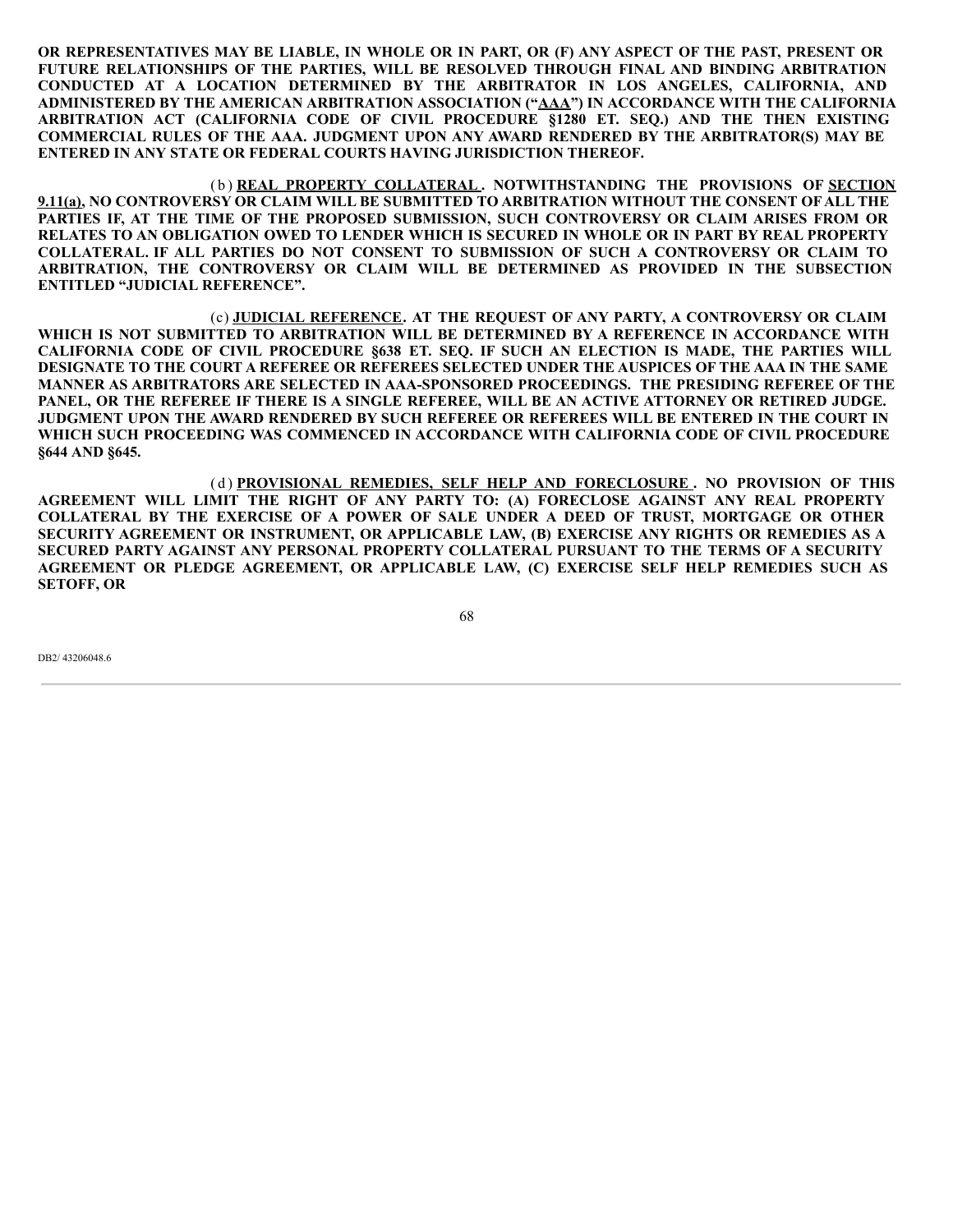OR REPRESENTATIVES MAY BE LIABLE, IN WHOLE OR IN PART, OR (F) ANY ASPECT OF THE PAST, PRESENT OR **FUTURE RELATIONSHIPS OF THE PARTIES, WILL BE RESOLVED THROUGH FINAL AND BINDING ARBITRATION CONDUCTED AT A LOCATION DETERMINED BY THE ARBITRATOR IN LOS ANGELES, CALIFORNIA, AND ADMINISTERED BY THE AMERICAN ARBITRATION ASSOCIATION ("AAA") IN ACCORDANCE WITH THE CALIFORNIA ARBITRATION ACT (CALIFORNIA CODE OF CIVIL PROCEDURE §1280 ET. SEQ.) AND THE THEN EXISTING COMMERCIAL RULES OF THE AAA. JUDGMENT UPON ANY AWARD RENDERED BY THE ARBITRATOR(S) MAY BE ENTERED IN ANY STATE OR FEDERAL COURTS HAVING JURISDICTION THEREOF.**

( b ) **REAL PROPERTY COLLATERAL . NOTWITHSTANDING THE PROVISIONS OF SECTION 9.11(a), NO CONTROVERSY OR CLAIM WILL BE SUBMITTED TO ARBITRATION WITHOUT THE CONSENT OFALL THE PARTIES IF, AT THE TIME OF THE PROPOSED SUBMISSION, SUCH CONTROVERSY OR CLAIM ARISES FROM OR RELATES TO AN OBLIGATION OWED TO LENDER WHICH IS SECURED IN WHOLE OR IN PART BY REAL PROPERTY COLLATERAL. IF ALL PARTIES DO NOT CONSENT TO SUBMISSION OF SUCH A CONTROVERSY OR CLAIM TO ARBITRATION, THE CONTROVERSY OR CLAIM WILL BE DETERMINED AS PROVIDED IN THE SUBSECTION ENTITLED "JUDICIAL REFERENCE".**

(c) **JUDICIAL REFERENCE. AT THE REQUEST OF ANY PARTY, A CONTROVERSY OR CLAIM WHICH IS NOT SUBMITTED TO ARBITRATION WILL BE DETERMINED BY A REFERENCE IN ACCORDANCE WITH CALIFORNIA CODE OF CIVIL PROCEDURE §638 ET. SEQ. IF SUCH AN ELECTION IS MADE, THE PARTIES WILL DESIGNATE TO THE COURT A REFEREE OR REFEREES SELECTED UNDER THE AUSPICES OF THE AAA IN THE SAME MANNER AS ARBITRATORS ARE SELECTED IN AAA-SPONSORED PROCEEDINGS. THE PRESIDING REFEREE OF THE PANEL, OR THE REFEREE IF THERE IS A SINGLE REFEREE, WILL BE AN ACTIVE ATTORNEY OR RETIRED JUDGE. JUDGMENT UPON THE AWARD RENDERED BY SUCH REFEREE OR REFEREES WILL BE ENTERED IN THE COURT IN WHICH SUCH PROCEEDING WAS COMMENCED IN ACCORDANCE WITH CALIFORNIA CODE OF CIVIL PROCEDURE §644 AND §645.**

( d ) **PROVISIONAL REMEDIES, SELF HELP AND FORECLOSURE . NO PROVISION OF THIS AGREEMENT WILL LIMIT THE RIGHT OF ANY PARTY TO: (A) FORECLOSE AGAINST ANY REAL PROPERTY COLLATERAL BY THE EXERCISE OF A POWER OF SALE UNDER A DEED OF TRUST, MORTGAGE OR OTHER SECURITY AGREEMENT OR INSTRUMENT, OR APPLICABLE LAW, (B) EXERCISE ANY RIGHTS OR REMEDIES AS A SECURED PARTY AGAINST ANY PERSONAL PROPERTY COLLATERAL PURSUANT TO THE TERMS OF A SECURITY AGREEMENT OR PLEDGE AGREEMENT, OR APPLICABLE LAW, (C) EXERCISE SELF HELP REMEDIES SUCH AS SETOFF, OR**

68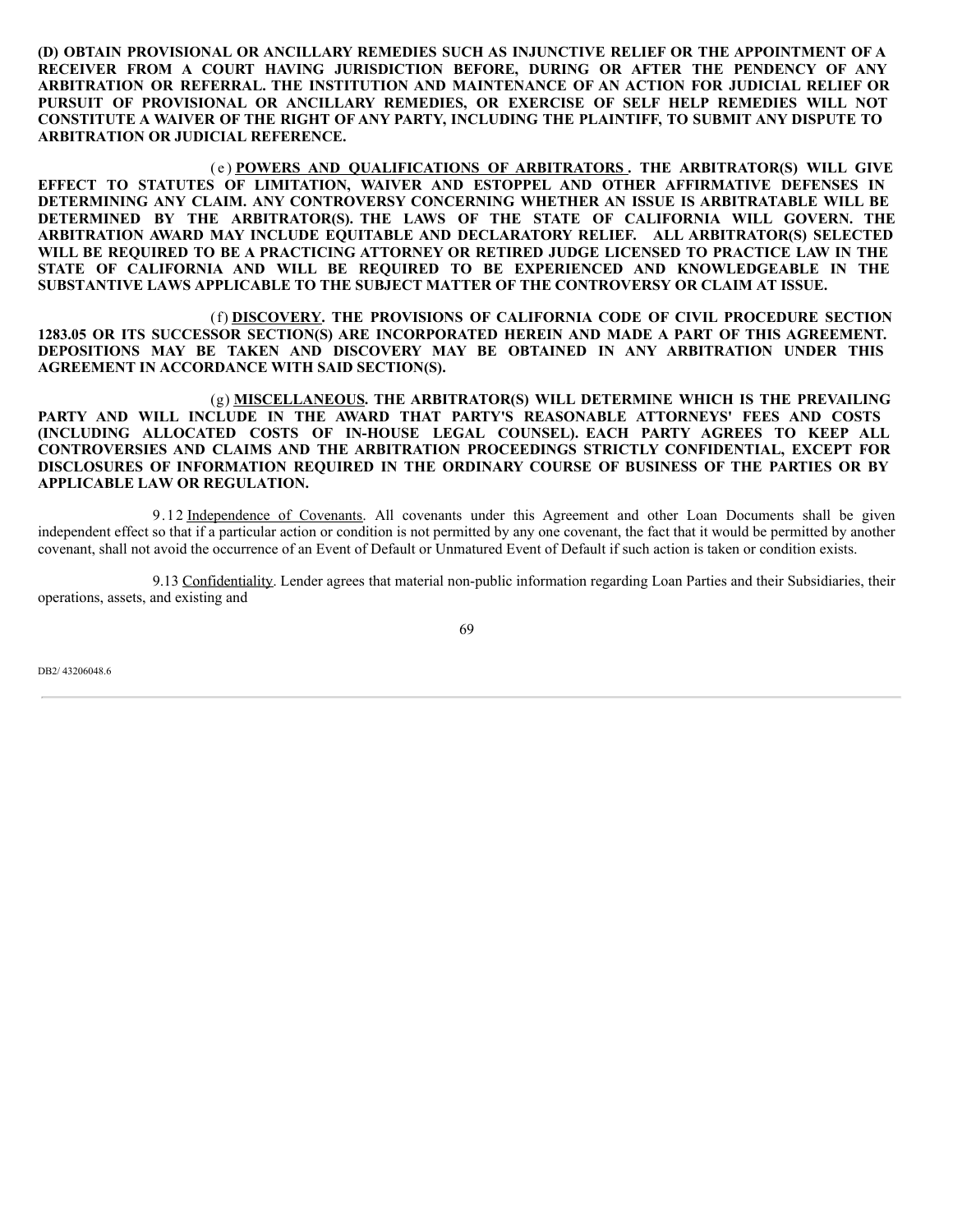**(D) OBTAIN PROVISIONAL OR ANCILLARY REMEDIES SUCH AS INJUNCTIVE RELIEF OR THE APPOINTMENT OF A RECEIVER FROM A COURT HAVING JURISDICTION BEFORE, DURING OR AFTER THE PENDENCY OF ANY ARBITRATION OR REFERRAL. THE INSTITUTION AND MAINTENANCE OF AN ACTION FOR JUDICIAL RELIEF OR PURSUIT OF PROVISIONAL OR ANCILLARY REMEDIES, OR EXERCISE OF SELF HELP REMEDIES WILL NOT CONSTITUTE A WAIVER OF THE RIGHT OF ANY PARTY, INCLUDING THE PLAINTIFF, TO SUBMIT ANY DISPUTE TO ARBITRATION OR JUDICIAL REFERENCE.**

( e ) **POWERS AND QUALIFICATIONS OF ARBITRATORS . THE ARBITRATOR(S) WILL GIVE EFFECT TO STATUTES OF LIMITATION, WAIVER AND ESTOPPEL AND OTHER AFFIRMATIVE DEFENSES IN DETERMINING ANY CLAIM. ANY CONTROVERSY CONCERNING WHETHER AN ISSUE IS ARBITRATABLE WILL BE DETERMINED BY THE ARBITRATOR(S). THE LAWS OF THE STATE OF CALIFORNIA WILL GOVERN. THE ARBITRATION AWARD MAY INCLUDE EQUITABLE AND DECLARATORY RELIEF. ALL ARBITRATOR(S) SELECTED WILL BE REQUIRED TO BE A PRACTICING ATTORNEY OR RETIRED JUDGE LICENSED TO PRACTICE LAW IN THE STATE OF CALIFORNIA AND WILL BE REQUIRED TO BE EXPERIENCED AND KNOWLEDGEABLE IN THE SUBSTANTIVE LAWS APPLICABLE TO THE SUBJECT MATTER OF THE CONTROVERSY OR CLAIM AT ISSUE.**

(f) **DISCOVERY. THE PROVISIONS OF CALIFORNIA CODE OF CIVIL PROCEDURE SECTION 1283.05 OR ITS SUCCESSOR SECTION(S) ARE INCORPORATED HEREIN AND MADE A PART OF THIS AGREEMENT. DEPOSITIONS MAY BE TAKEN AND DISCOVERY MAY BE OBTAINED IN ANY ARBITRATION UNDER THIS AGREEMENT IN ACCORDANCE WITH SAID SECTION(S).**

(g) **MISCELLANEOUS. THE ARBITRATOR(S) WILL DETERMINE WHICH IS THE PREVAILING PARTY AND WILL INCLUDE IN THE AWARD THAT PARTY'S REASONABLE ATTORNEYS' FEES AND COSTS (INCLUDING ALLOCATED COSTS OF IN-HOUSE LEGAL COUNSEL). EACH PARTY AGREES TO KEEP ALL CONTROVERSIES AND CLAIMS AND THE ARBITRATION PROCEEDINGS STRICTLY CONFIDENTIAL, EXCEPT FOR DISCLOSURES OF INFORMATION REQUIRED IN THE ORDINARY COURSE OF BUSINESS OF THE PARTIES OR BY APPLICABLE LAW OR REGULATION.**

9.12 Independence of Covenants. All covenants under this Agreement and other Loan Documents shall be given independent effect so that if a particular action or condition is not permitted by any one covenant, the fact that it would be permitted by another covenant, shall not avoid the occurrence of an Event of Default or Unmatured Event of Default if such action is taken or condition exists.

9.13 Confidentiality. Lender agrees that material non-public information regarding Loan Parties and their Subsidiaries, their operations, assets, and existing and

69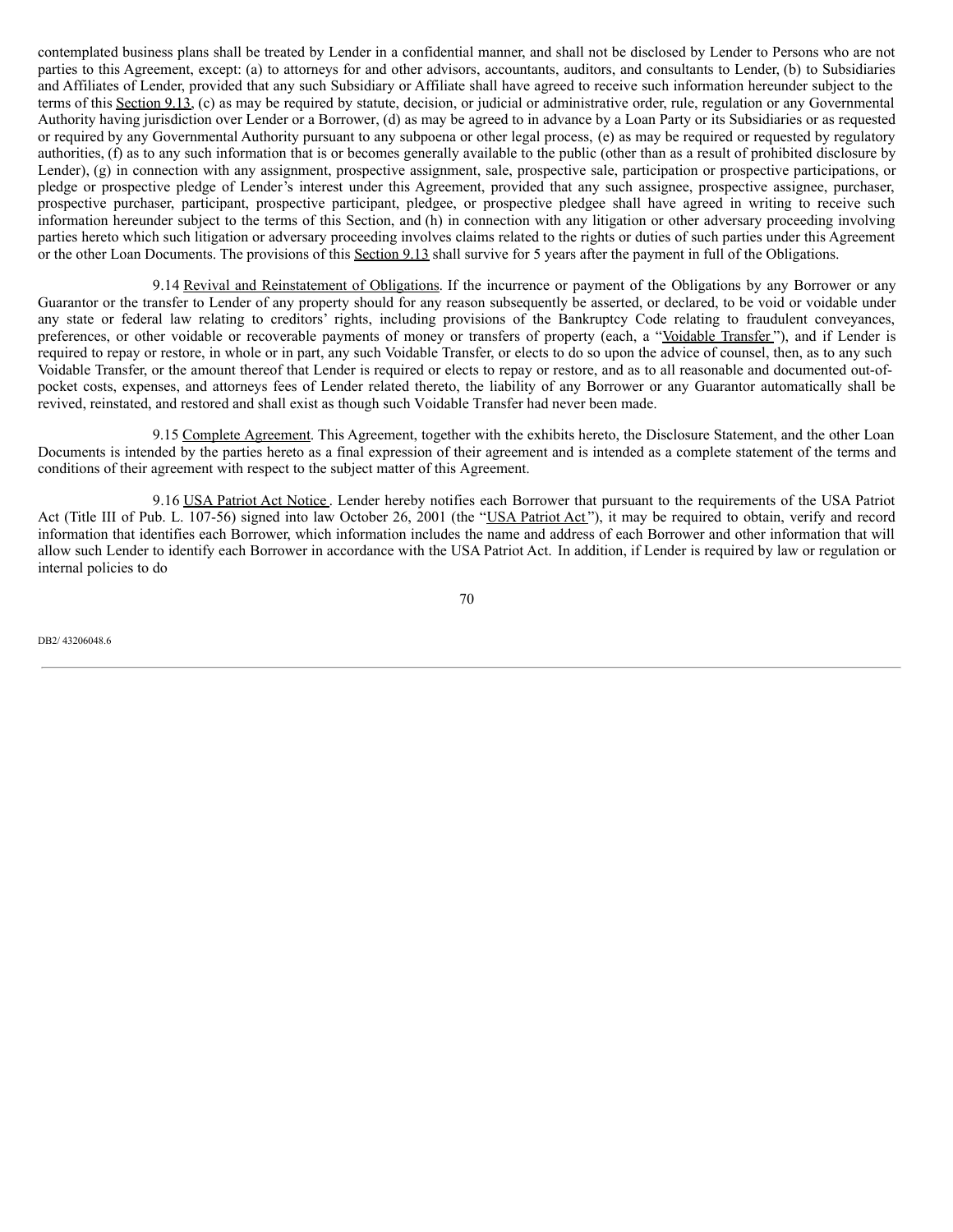contemplated business plans shall be treated by Lender in a confidential manner, and shall not be disclosed by Lender to Persons who are not parties to this Agreement, except: (a) to attorneys for and other advisors, accountants, auditors, and consultants to Lender, (b) to Subsidiaries and Affiliates of Lender, provided that any such Subsidiary or Affiliate shall have agreed to receive such information hereunder subject to the terms of this Section 9.13, (c) as may be required by statute, decision, or judicial or administrative order, rule, regulation or any Governmental Authority having jurisdiction over Lender or a Borrower, (d) as may be agreed to in advance by a Loan Party or its Subsidiaries or as requested or required by any Governmental Authority pursuant to any subpoena or other legal process, (e) as may be required or requested by regulatory authorities, (f) as to any such information that is or becomes generally available to the public (other than as a result of prohibited disclosure by Lender), (g) in connection with any assignment, prospective assignment, sale, prospective sale, participation or prospective participations, or pledge or prospective pledge of Lender's interest under this Agreement, provided that any such assignee, prospective assignee, purchaser, prospective purchaser, participant, prospective participant, pledgee, or prospective pledgee shall have agreed in writing to receive such information hereunder subject to the terms of this Section, and (h) in connection with any litigation or other adversary proceeding involving parties hereto which such litigation or adversary proceeding involves claims related to the rights or duties of such parties under this Agreement or the other Loan Documents. The provisions of this Section 9.13 shall survive for 5 years after the payment in full of the Obligations.

9.14 Revival and Reinstatement of Obligations. If the incurrence or payment of the Obligations by any Borrower or any Guarantor or the transfer to Lender of any property should for any reason subsequently be asserted, or declared, to be void or voidable under any state or federal law relating to creditors' rights, including provisions of the Bankruptcy Code relating to fraudulent conveyances, preferences, or other voidable or recoverable payments of money or transfers of property (each, a "<u>Voidable Transfer</u>"), and if Lender is required to repay or restore, in whole or in part, any such Voidable Transfer, or elects to do so upon the advice of counsel, then, as to any such Voidable Transfer, or the amount thereof that Lender is required or elects to repay or restore, and as to all reasonable and documented out-ofpocket costs, expenses, and attorneys fees of Lender related thereto, the liability of any Borrower or any Guarantor automatically shall be revived, reinstated, and restored and shall exist as though such Voidable Transfer had never been made.

9.15 Complete Agreement. This Agreement, together with the exhibits hereto, the Disclosure Statement, and the other Loan Documents is intended by the parties hereto as a final expression of their agreement and is intended as a complete statement of the terms and conditions of their agreement with respect to the subject matter of this Agreement.

9.16 USA Patriot Act Notice . Lender hereby notifies each Borrower that pursuant to the requirements of the USA Patriot Act (Title III of Pub. L. 107-56) signed into law October 26, 2001 (the "USA Patriot Act"), it may be required to obtain, verify and record information that identifies each Borrower, which information includes the name and address of each Borrower and other information that will allow such Lender to identify each Borrower in accordance with the USA Patriot Act. In addition, if Lender is required by law or regulation or internal policies to do

70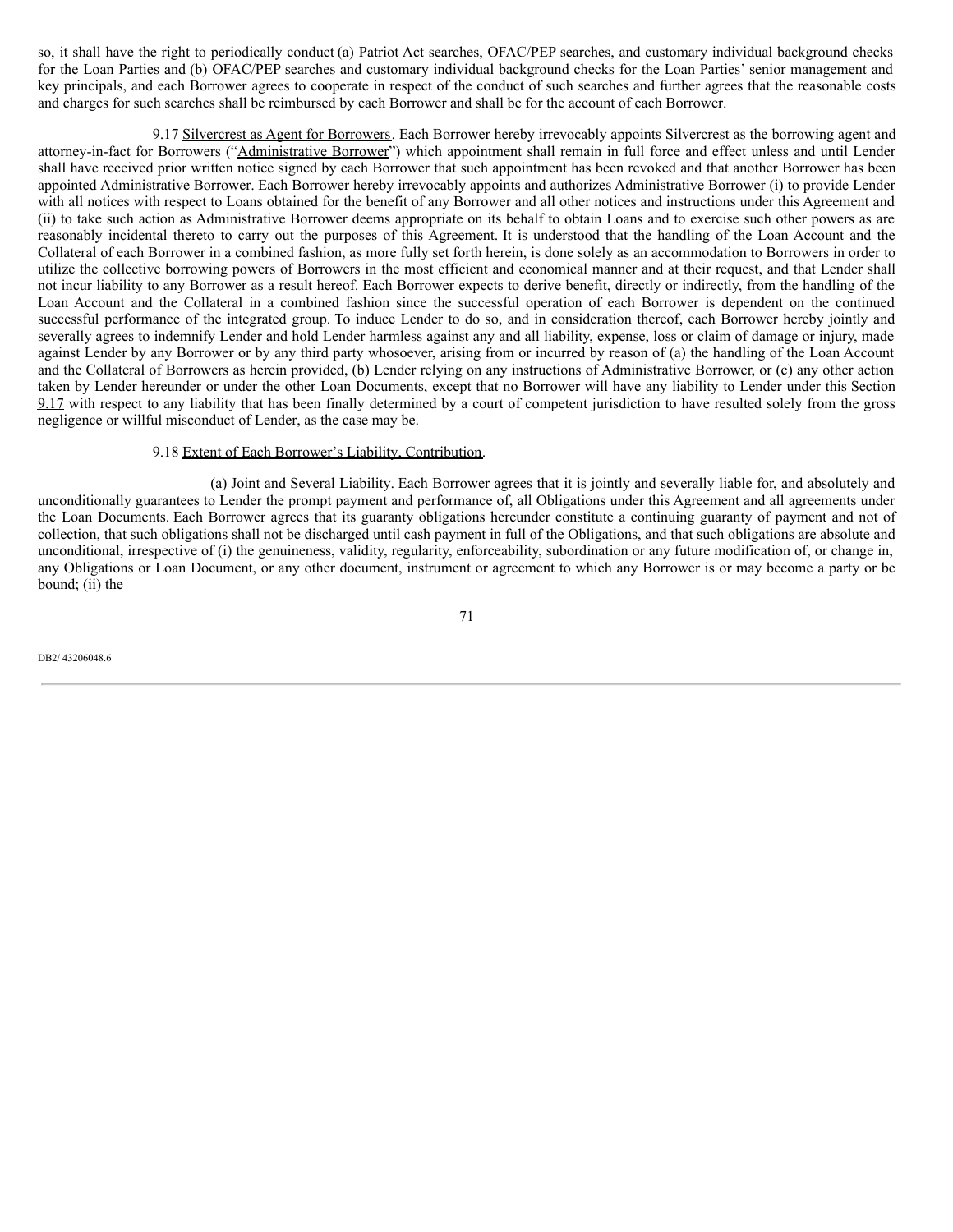so, it shall have the right to periodically conduct (a) Patriot Act searches, OFAC/PEP searches, and customary individual background checks for the Loan Parties and (b) OFAC/PEP searches and customary individual background checks for the Loan Parties' senior management and key principals, and each Borrower agrees to cooperate in respect of the conduct of such searches and further agrees that the reasonable costs and charges for such searches shall be reimbursed by each Borrower and shall be for the account of each Borrower.

9.17 Silvercrest as Agent for Borrowers. Each Borrower hereby irrevocably appoints Silvercrest as the borrowing agent and attorney-in-fact for Borrowers ("Administrative Borrower") which appointment shall remain in full force and effect unless and until Lender shall have received prior written notice signed by each Borrower that such appointment has been revoked and that another Borrower has been appointed Administrative Borrower. Each Borrower hereby irrevocably appoints and authorizes Administrative Borrower (i) to provide Lender with all notices with respect to Loans obtained for the benefit of any Borrower and all other notices and instructions under this Agreement and (ii) to take such action as Administrative Borrower deems appropriate on its behalf to obtain Loans and to exercise such other powers as are reasonably incidental thereto to carry out the purposes of this Agreement. It is understood that the handling of the Loan Account and the Collateral of each Borrower in a combined fashion, as more fully set forth herein, is done solely as an accommodation to Borrowers in order to utilize the collective borrowing powers of Borrowers in the most efficient and economical manner and at their request, and that Lender shall not incur liability to any Borrower as a result hereof. Each Borrower expects to derive benefit, directly or indirectly, from the handling of the Loan Account and the Collateral in a combined fashion since the successful operation of each Borrower is dependent on the continued successful performance of the integrated group. To induce Lender to do so, and in consideration thereof, each Borrower hereby jointly and severally agrees to indemnify Lender and hold Lender harmless against any and all liability, expense, loss or claim of damage or injury, made against Lender by any Borrower or by any third party whosoever, arising from or incurred by reason of (a) the handling of the Loan Account and the Collateral of Borrowers as herein provided, (b) Lender relying on any instructions of Administrative Borrower, or (c) any other action taken by Lender hereunder or under the other Loan Documents, except that no Borrower will have any liability to Lender under this Section 9.17 with respect to any liability that has been finally determined by a court of competent jurisdiction to have resulted solely from the gross negligence or willful misconduct of Lender, as the case may be.

## 9.18 Extent of Each Borrower's Liability, Contribution.

(a) Joint and Several Liability. Each Borrower agrees that it is jointly and severally liable for, and absolutely and unconditionally guarantees to Lender the prompt payment and performance of, all Obligations under this Agreement and all agreements under the Loan Documents. Each Borrower agrees that its guaranty obligations hereunder constitute a continuing guaranty of payment and not of collection, that such obligations shall not be discharged until cash payment in full of the Obligations, and that such obligations are absolute and unconditional, irrespective of (i) the genuineness, validity, regularity, enforceability, subordination or any future modification of, or change in, any Obligations or Loan Document, or any other document, instrument or agreement to which any Borrower is or may become a party or be bound; (ii) the

71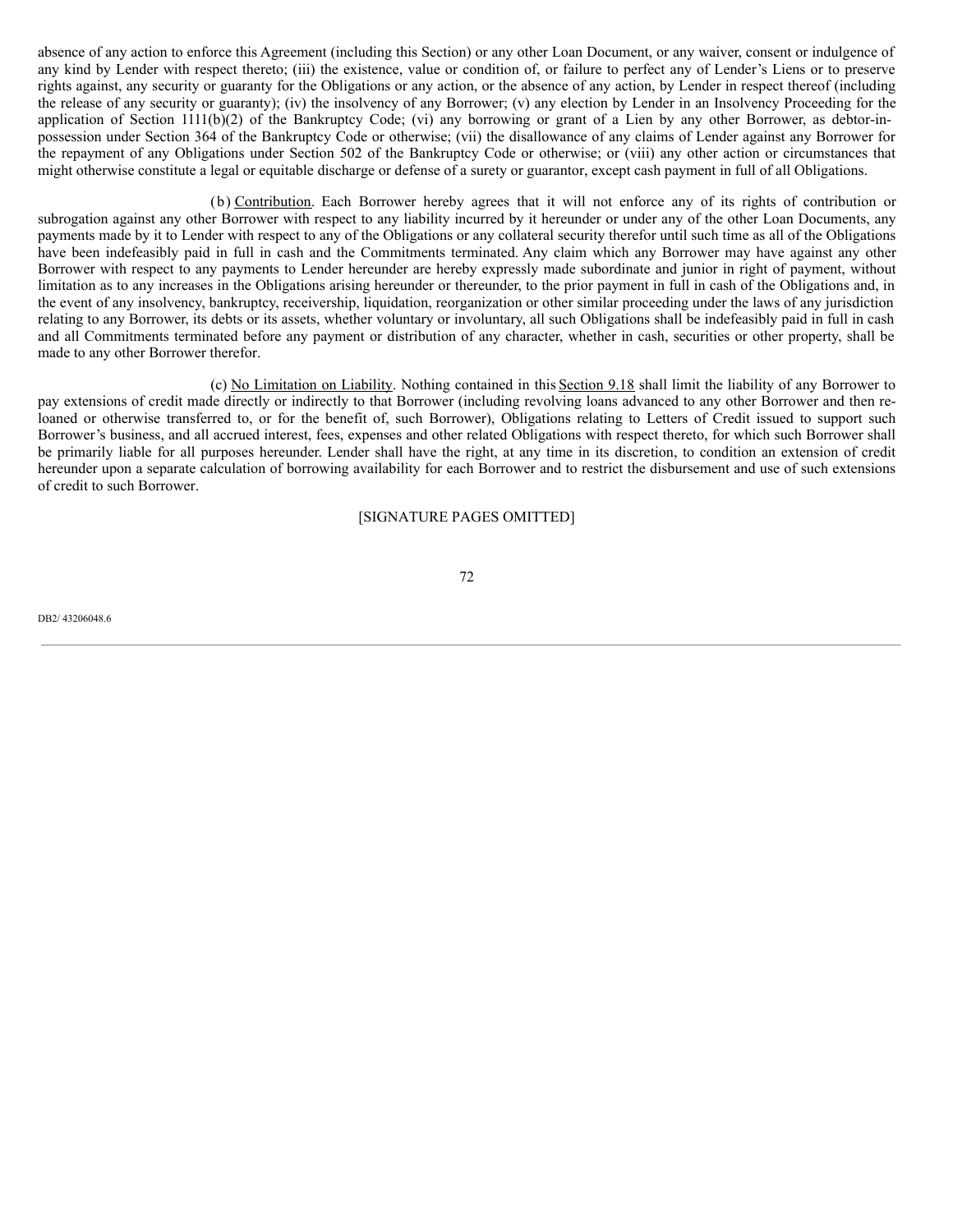absence of any action to enforce this Agreement (including this Section) or any other Loan Document, or any waiver, consent or indulgence of any kind by Lender with respect thereto; (iii) the existence, value or condition of, or failure to perfect any of Lender's Liens or to preserve rights against, any security or guaranty for the Obligations or any action, or the absence of any action, by Lender in respect thereof (including the release of any security or guaranty); (iv) the insolvency of any Borrower; (v) any election by Lender in an Insolvency Proceeding for the application of Section  $111(16)(2)$  of the Bankruptcy Code; (vi) any borrowing or grant of a Lien by any other Borrower, as debtor-inpossession under Section 364 of the Bankruptcy Code or otherwise; (vii) the disallowance of any claims of Lender against any Borrower for the repayment of any Obligations under Section 502 of the Bankruptcy Code or otherwise; or (viii) any other action or circumstances that might otherwise constitute a legal or equitable discharge or defense of a surety or guarantor, except cash payment in full of all Obligations.

(b) Contribution. Each Borrower hereby agrees that it will not enforce any of its rights of contribution or subrogation against any other Borrower with respect to any liability incurred by it hereunder or under any of the other Loan Documents, any payments made by it to Lender with respect to any of the Obligations or any collateral security therefor until such time as all of the Obligations have been indefeasibly paid in full in cash and the Commitments terminated. Any claim which any Borrower may have against any other Borrower with respect to any payments to Lender hereunder are hereby expressly made subordinate and junior in right of payment, without limitation as to any increases in the Obligations arising hereunder or thereunder, to the prior payment in full in cash of the Obligations and, in the event of any insolvency, bankruptcy, receivership, liquidation, reorganization or other similar proceeding under the laws of any jurisdiction relating to any Borrower, its debts or its assets, whether voluntary or involuntary, all such Obligations shall be indefeasibly paid in full in cash and all Commitments terminated before any payment or distribution of any character, whether in cash, securities or other property, shall be made to any other Borrower therefor.

(c) No Limitation on Liability. Nothing contained in this Section 9.18 shall limit the liability of any Borrower to pay extensions of credit made directly or indirectly to that Borrower (including revolving loans advanced to any other Borrower and then reloaned or otherwise transferred to, or for the benefit of, such Borrower), Obligations relating to Letters of Credit issued to support such Borrower's business, and all accrued interest, fees, expenses and other related Obligations with respect thereto, for which such Borrower shall be primarily liable for all purposes hereunder. Lender shall have the right, at any time in its discretion, to condition an extension of credit hereunder upon a separate calculation of borrowing availability for each Borrower and to restrict the disbursement and use of such extensions of credit to such Borrower.

### [SIGNATURE PAGES OMITTED]

72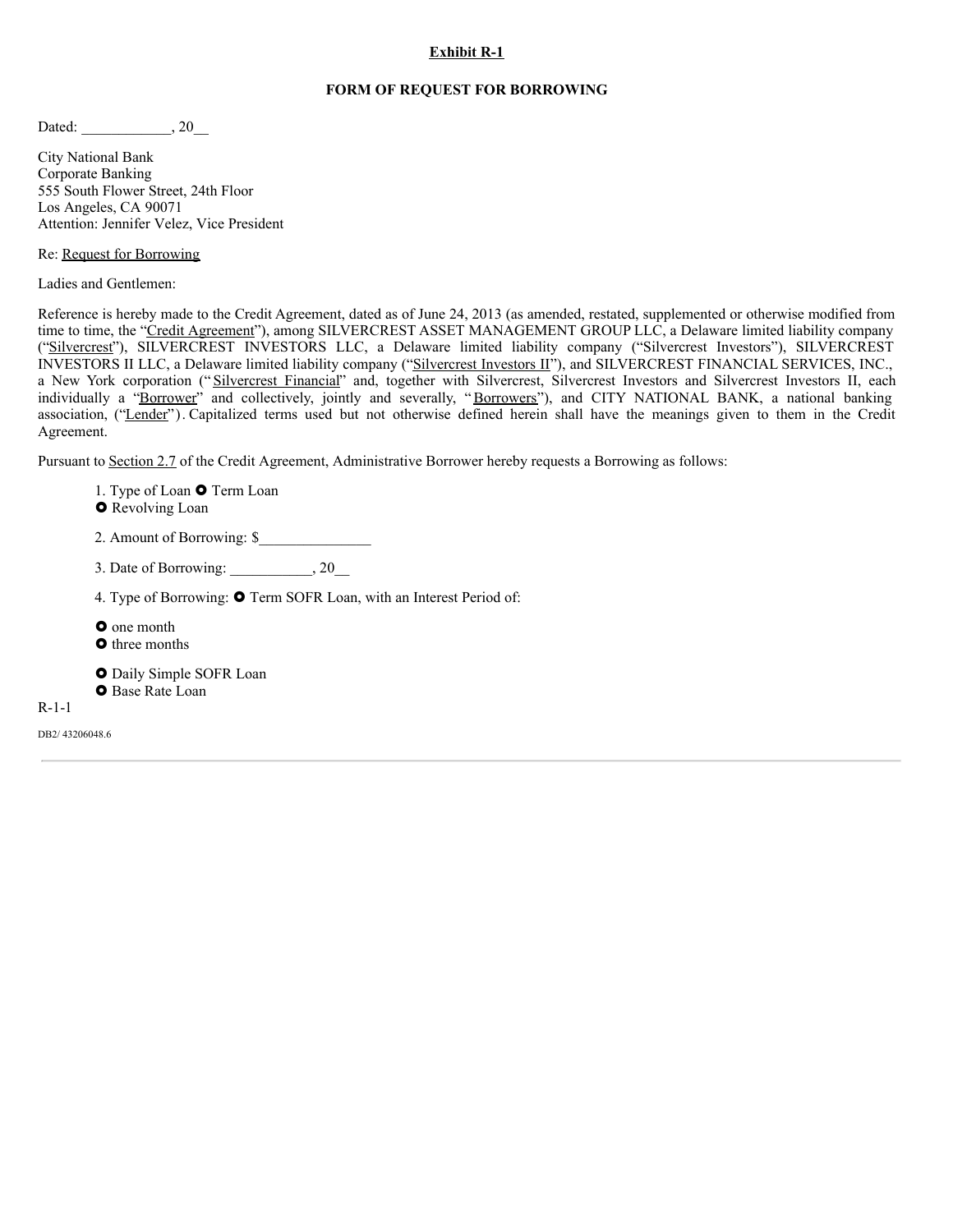# **Exhibit R-1**

# **FORM OF REQUEST FOR BORROWING**

Dated:  $, 20$ 

City National Bank Corporate Banking 555 South Flower Street, 24th Floor Los Angeles, CA 90071 Attention: Jennifer Velez, Vice President

Re: Request for Borrowing

Ladies and Gentlemen:

Reference is hereby made to the Credit Agreement, dated as of June 24, 2013 (as amended, restated, supplemented or otherwise modified from time to time, the "Credit Agreement"), among SILVERCREST ASSET MANAGEMENT GROUP LLC, a Delaware limited liability company ("Silvercrest"), SILVERCREST INVESTORS LLC, a Delaware limited liability company ("Silvercrest Investors"), SILVERCREST INVESTORS II LLC, a Delaware limited liability company ("Silvercrest Investors II"), and SILVERCREST FINANCIAL SERVICES, INC., a New York corporation ("Silvercrest Financial" and, together with Silvercrest, Silvercrest Investors and Silvercrest Investors II, each individually a "Borrower" and collectively, jointly and severally, "Borrowers"), and CITY NATIONAL BANK, a national banking association, ("Lender"). Capitalized terms used but not otherwise defined herein shall have the meanings given to them in the Credit Agreement.

Pursuant to Section 2.7 of the Credit Agreement, Administrative Borrower hereby requests a Borrowing as follows:

- 1. Type of Loan  $\bullet$  Term Loan
- **O** Revolving Loan
- 2. Amount of Borrowing: \$\_\_\_\_\_\_\_\_\_\_\_\_\_\_\_
- 3. Date of Borrowing:  $\qquad \qquad , 20$
- 4. Type of Borrowing:  $\bullet$  Term SOFR Loan, with an Interest Period of:
- **O** one month
- $\bullet$  three months

 $\bullet$  Daily Simple SOFR Loan **O** Base Rate Loan

R-1-1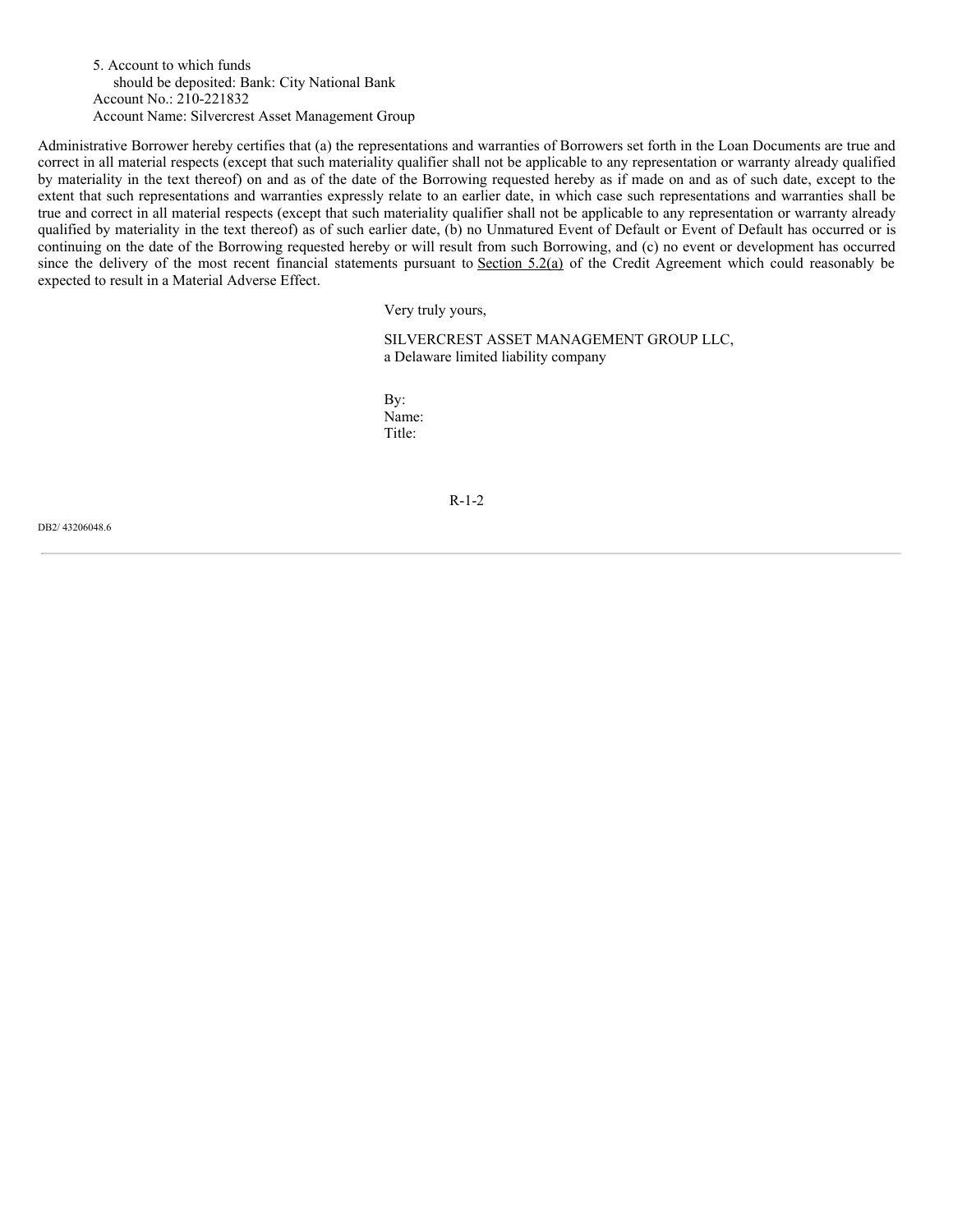5. Account to which funds should be deposited: Bank: City National Bank Account No.: 210-221832 Account Name: Silvercrest Asset Management Group

Administrative Borrower hereby certifies that (a) the representations and warranties of Borrowers set forth in the Loan Documents are true and correct in all material respects (except that such materiality qualifier shall not be applicable to any representation or warranty already qualified by materiality in the text thereof) on and as of the date of the Borrowing requested hereby as if made on and as of such date, except to the extent that such representations and warranties expressly relate to an earlier date, in which case such representations and warranties shall be true and correct in all material respects (except that such materiality qualifier shall not be applicable to any representation or warranty already qualified by materiality in the text thereof) as of such earlier date, (b) no Unmatured Event of Default or Event of Default has occurred or is continuing on the date of the Borrowing requested hereby or will result from such Borrowing, and (c) no event or development has occurred since the delivery of the most recent financial statements pursuant to Section 5.2(a) of the Credit Agreement which could reasonably be expected to result in a Material Adverse Effect.

Very truly yours,

SILVERCREST ASSET MANAGEMENT GROUP LLC, a Delaware limited liability company

By: Name: Title:

R-1-2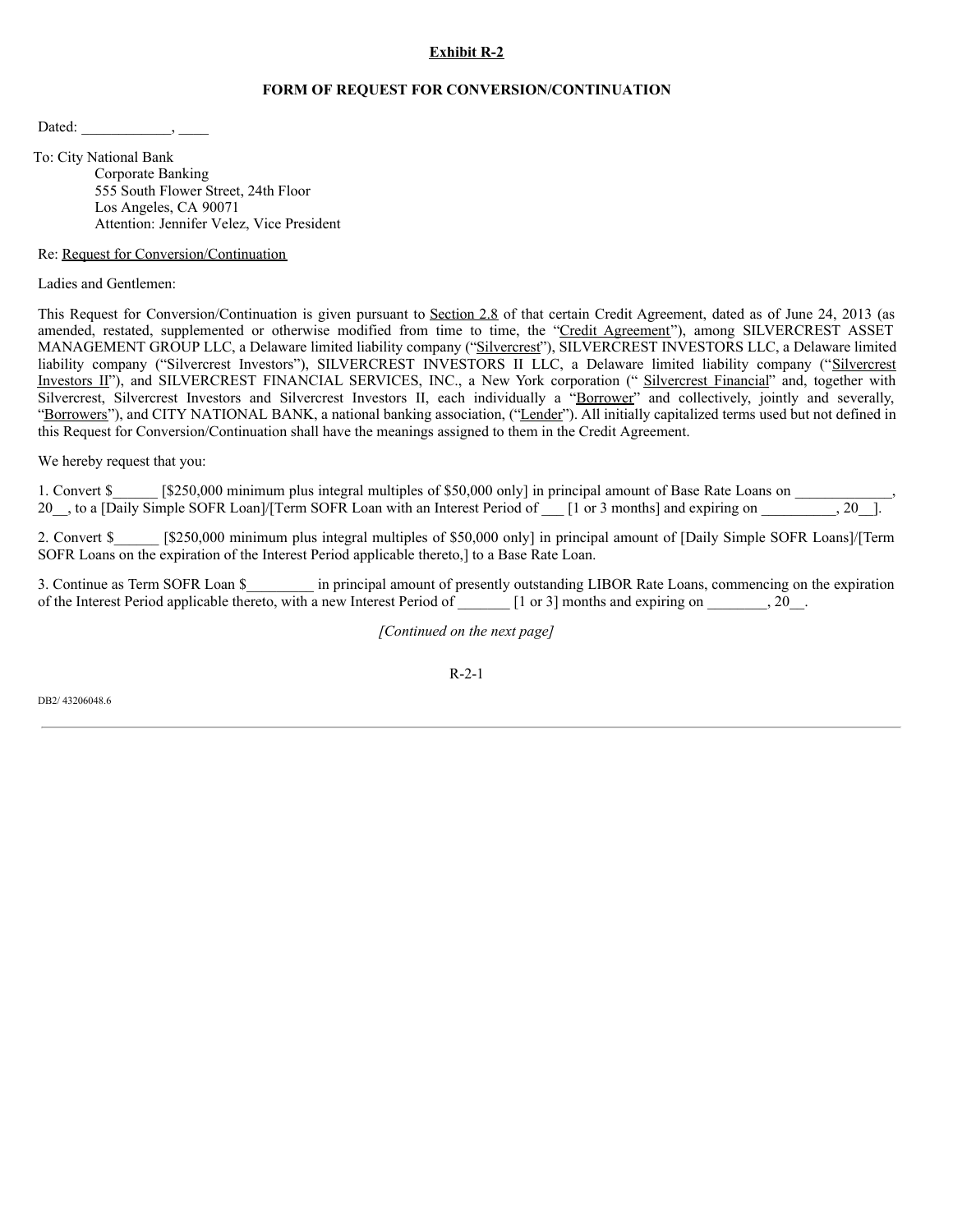# **Exhibit R-2**

# **FORM OF REQUEST FOR CONVERSION/CONTINUATION**

Dated:

To: City National Bank Corporate Banking 555 South Flower Street, 24th Floor Los Angeles, CA 90071 Attention: Jennifer Velez, Vice President

### Re: Request for Conversion/Continuation

Ladies and Gentlemen:

This Request for Conversion/Continuation is given pursuant to Section 2.8 of that certain Credit Agreement, dated as of June 24, 2013 (as amended, restated, supplemented or otherwise modified from time to time, the "Credit Agreement"), among SILVERCREST ASSET MANAGEMENT GROUP LLC, a Delaware limited liability company ("Silvercrest"), SILVERCREST INVESTORS LLC, a Delaware limited liability company ("Silvercrest Investors"), SILVERCREST INVESTORS II LLC, a Delaware limited liability company ("Silvercrest Investors II"), and SILVERCREST FINANCIAL SERVICES, INC., a New York corporation ("Silvercrest Financial" and, together with Silvercrest, Silvercrest Investors and Silvercrest Investors II, each individually a "Borrower" and collectively, jointly and severally, "Borrowers"), and CITY NATIONAL BANK, a national banking association, ("Lender"). All initially capitalized terms used but not defined in this Request for Conversion/Continuation shall have the meanings assigned to them in the Credit Agreement.

We hereby request that you:

1. Convert \$ [\$250,000 minimum plus integral multiples of \$50,000 only] in principal amount of Base Rate Loans on 20 , to a [Daily Simple SOFR Loan]/[Term SOFR Loan with an Interest Period of [1 or 3 months] and expiring on

2. Convert \$ [\$250,000 minimum plus integral multiples of \$50,000 only] in principal amount of [Daily Simple SOFR Loans]/[Term SOFR Loans on the expiration of the Interest Period applicable thereto,] to a Base Rate Loan.

3. Continue as Term SOFR Loan \$\_\_\_\_\_\_\_\_\_ in principal amount of presently outstanding LIBOR Rate Loans, commencing on the expiration of the Interest Period applicable thereto, with a new Interest Period of [1 or 3] months and expiring on \_\_\_\_\_\_\_, 20\_\_.

*[Continued on the next page]*

R-2-1